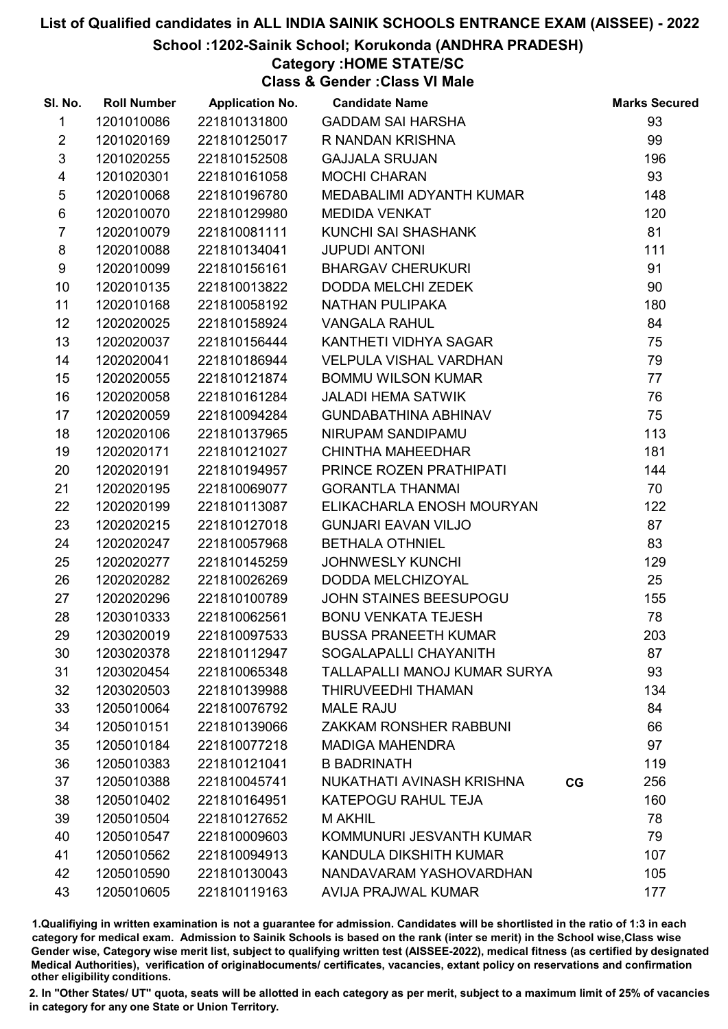### School :1202-Sainik School; Korukonda (ANDHRA PRADESH)

# Category :HOME STATE/SC

Class & Gender :Class VI Male

| SI. No.                 | <b>Roll Number</b> | <b>Application No.</b> | <b>Candidate Name</b>                    | <b>Marks Secured</b> |
|-------------------------|--------------------|------------------------|------------------------------------------|----------------------|
| $\mathbf{1}$            | 1201010086         | 221810131800           | <b>GADDAM SAI HARSHA</b>                 | 93                   |
| $\overline{2}$          | 1201020169         | 221810125017           | R NANDAN KRISHNA                         | 99                   |
| 3                       | 1201020255         | 221810152508           | <b>GAJJALA SRUJAN</b>                    | 196                  |
| $\overline{\mathbf{4}}$ | 1201020301         | 221810161058           | <b>MOCHI CHARAN</b>                      | 93                   |
| 5                       | 1202010068         | 221810196780           | MEDABALIMI ADYANTH KUMAR                 | 148                  |
| 6                       | 1202010070         | 221810129980           | <b>MEDIDA VENKAT</b>                     | 120                  |
| $\overline{7}$          | 1202010079         | 221810081111           | KUNCHI SAI SHASHANK                      | 81                   |
| 8                       | 1202010088         | 221810134041           | <b>JUPUDI ANTONI</b>                     | 111                  |
| 9                       | 1202010099         | 221810156161           | <b>BHARGAV CHERUKURI</b>                 | 91                   |
| 10                      | 1202010135         | 221810013822           | DODDA MELCHI ZEDEK                       | 90                   |
| 11                      | 1202010168         | 221810058192           | NATHAN PULIPAKA                          | 180                  |
| 12 <sup>2</sup>         | 1202020025         | 221810158924           | <b>VANGALA RAHUL</b>                     | 84                   |
| 13                      | 1202020037         | 221810156444           | KANTHETI VIDHYA SAGAR                    | 75                   |
| 14                      | 1202020041         | 221810186944           | <b>VELPULA VISHAL VARDHAN</b>            | 79                   |
| 15                      | 1202020055         | 221810121874           | <b>BOMMU WILSON KUMAR</b>                | 77                   |
| 16                      | 1202020058         | 221810161284           | <b>JALADI HEMA SATWIK</b>                | 76                   |
| 17                      | 1202020059         | 221810094284           | <b>GUNDABATHINA ABHINAV</b>              | 75                   |
| 18                      | 1202020106         | 221810137965           | NIRUPAM SANDIPAMU                        | 113                  |
| 19                      | 1202020171         | 221810121027           | CHINTHA MAHEEDHAR                        | 181                  |
| 20                      | 1202020191         | 221810194957           | PRINCE ROZEN PRATHIPATI                  | 144                  |
| 21                      | 1202020195         | 221810069077           | <b>GORANTLA THANMAI</b>                  | 70                   |
| 22                      | 1202020199         | 221810113087           | ELIKACHARLA ENOSH MOURYAN                | 122                  |
| 23                      | 1202020215         | 221810127018           | <b>GUNJARI EAVAN VILJO</b>               | 87                   |
| 24                      | 1202020247         | 221810057968           | <b>BETHALA OTHNIEL</b>                   | 83                   |
| 25                      | 1202020277         | 221810145259           | <b>JOHNWESLY KUNCHI</b>                  | 129                  |
| 26                      | 1202020282         | 221810026269           | <b>DODDA MELCHIZOYAL</b>                 | 25                   |
| 27                      | 1202020296         | 221810100789           | JOHN STAINES BEESUPOGU                   | 155                  |
| 28                      | 1203010333         | 221810062561           | <b>BONU VENKATA TEJESH</b>               | 78                   |
| 29                      | 1203020019         | 221810097533           | <b>BUSSA PRANEETH KUMAR</b>              | 203                  |
| 30                      | 1203020378         | 221810112947           | SOGALAPALLI CHAYANITH                    | 87                   |
| 31                      | 1203020454         | 221810065348           | TALLAPALLI MANOJ KUMAR SURYA             | 93                   |
| 32                      | 1203020503         | 221810139988           | THIRUVEEDHI THAMAN                       | 134                  |
| 33                      | 1205010064         | 221810076792           | <b>MALE RAJU</b>                         | 84                   |
| 34                      | 1205010151         | 221810139066           | <b>ZAKKAM RONSHER RABBUNI</b>            | 66                   |
| 35                      | 1205010184         | 221810077218           | <b>MADIGA MAHENDRA</b>                   | 97                   |
| 36                      | 1205010383         | 221810121041           | <b>B BADRINATH</b>                       | 119                  |
| 37                      | 1205010388         | 221810045741           | NUKATHATI AVINASH KRISHNA<br>$_{\rm CG}$ | 256                  |
| 38                      | 1205010402         | 221810164951           | KATEPOGU RAHUL TEJA                      | 160                  |
| 39                      | 1205010504         | 221810127652           | M AKHIL                                  | 78                   |
| 40                      | 1205010547         | 221810009603           | KOMMUNURI JESVANTH KUMAR                 | 79                   |
| 41                      | 1205010562         | 221810094913           | KANDULA DIKSHITH KUMAR                   | 107                  |
| 42                      | 1205010590         | 221810130043           | NANDAVARAM YASHOVARDHAN                  | 105                  |
| 43                      | 1205010605         | 221810119163           | <b>AVIJA PRAJWAL KUMAR</b>               | 177                  |

1.Qualifiying in written examination is not a guarantee for admission. Candidates will be shortlisted in the ratio of 1:3 in each category for medical exam. Admission to Sainik Schools is based on the rank (inter se merit) in the School wise,Class wise Gender wise, Category wise merit list, subject to qualifying written test (AISSEE-2022), medical fitness (as certified by designated Medical Authorities), verification of originablocuments/ certificates, vacancies, extant policy on reservations and confirmation other eligibility conditions.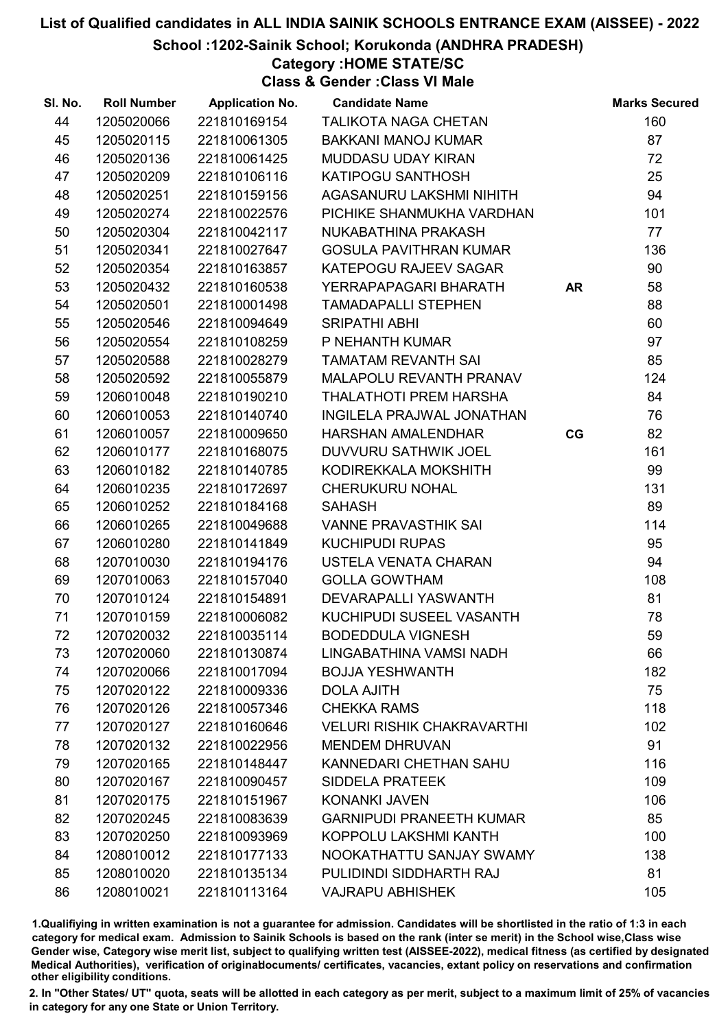School :1202-Sainik School; Korukonda (ANDHRA PRADESH)

Category :HOME STATE/SC

Class & Gender :Class VI Male

| SI. No. | <b>Roll Number</b> | <b>Application No.</b> | <b>Candidate Name</b>             |           | <b>Marks Secured</b> |
|---------|--------------------|------------------------|-----------------------------------|-----------|----------------------|
| 44      | 1205020066         | 221810169154           | <b>TALIKOTA NAGA CHETAN</b>       |           | 160                  |
| 45      | 1205020115         | 221810061305           | <b>BAKKANI MANOJ KUMAR</b>        |           | 87                   |
| 46      | 1205020136         | 221810061425           | <b>MUDDASU UDAY KIRAN</b>         |           | 72                   |
| 47      | 1205020209         | 221810106116           | KATIPOGU SANTHOSH                 |           | 25                   |
| 48      | 1205020251         | 221810159156           | AGASANURU LAKSHMI NIHITH          |           | 94                   |
| 49      | 1205020274         | 221810022576           | PICHIKE SHANMUKHA VARDHAN         |           | 101                  |
| 50      | 1205020304         | 221810042117           | NUKABATHINA PRAKASH               |           | 77                   |
| 51      | 1205020341         | 221810027647           | <b>GOSULA PAVITHRAN KUMAR</b>     |           | 136                  |
| 52      | 1205020354         | 221810163857           | KATEPOGU RAJEEV SAGAR             |           | 90                   |
| 53      | 1205020432         | 221810160538           | YERRAPAPAGARI BHARATH             | <b>AR</b> | 58                   |
| 54      | 1205020501         | 221810001498           | <b>TAMADAPALLI STEPHEN</b>        |           | 88                   |
| 55      | 1205020546         | 221810094649           | <b>SRIPATHI ABHI</b>              |           | 60                   |
| 56      | 1205020554         | 221810108259           | P NEHANTH KUMAR                   |           | 97                   |
| 57      | 1205020588         | 221810028279           | <b>TAMATAM REVANTH SAI</b>        |           | 85                   |
| 58      | 1205020592         | 221810055879           | MALAPOLU REVANTH PRANAV           |           | 124                  |
| 59      | 1206010048         | 221810190210           | THALATHOTI PREM HARSHA            |           | 84                   |
| 60      | 1206010053         | 221810140740           | <b>INGILELA PRAJWAL JONATHAN</b>  |           | 76                   |
| 61      | 1206010057         | 221810009650           | HARSHAN AMALENDHAR                | CG        | 82                   |
| 62      | 1206010177         | 221810168075           | DUVVURU SATHWIK JOEL              |           | 161                  |
| 63      | 1206010182         | 221810140785           | KODIREKKALA MOKSHITH              |           | 99                   |
| 64      | 1206010235         | 221810172697           | <b>CHERUKURU NOHAL</b>            |           | 131                  |
| 65      | 1206010252         | 221810184168           | <b>SAHASH</b>                     |           | 89                   |
| 66      | 1206010265         | 221810049688           | <b>VANNE PRAVASTHIK SAI</b>       |           | 114                  |
| 67      | 1206010280         | 221810141849           | <b>KUCHIPUDI RUPAS</b>            |           | 95                   |
| 68      | 1207010030         | 221810194176           | USTELA VENATA CHARAN              |           | 94                   |
| 69      | 1207010063         | 221810157040           | <b>GOLLA GOWTHAM</b>              |           | 108                  |
| 70      | 1207010124         | 221810154891           | DEVARAPALLI YASWANTH              |           | 81                   |
| 71      | 1207010159         | 221810006082           | KUCHIPUDI SUSEEL VASANTH          |           | 78                   |
| 72      | 1207020032         | 221810035114           | <b>BODEDDULA VIGNESH</b>          |           | 59                   |
| 73      | 1207020060         | 221810130874           | LINGABATHINA VAMSI NADH           |           | 66                   |
| 74      | 1207020066         | 221810017094           | <b>BOJJA YESHWANTH</b>            |           | 182                  |
| 75      | 1207020122         | 221810009336           | <b>DOLA AJITH</b>                 |           | 75                   |
| 76      | 1207020126         | 221810057346           | <b>CHEKKA RAMS</b>                |           | 118                  |
| 77      | 1207020127         | 221810160646           | <b>VELURI RISHIK CHAKRAVARTHI</b> |           | 102                  |
| 78      | 1207020132         | 221810022956           | <b>MENDEM DHRUVAN</b>             |           | 91                   |
| 79      | 1207020165         | 221810148447           | KANNEDARI CHETHAN SAHU            |           | 116                  |
| 80      | 1207020167         | 221810090457           | <b>SIDDELA PRATEEK</b>            |           | 109                  |
| 81      | 1207020175         | 221810151967           | <b>KONANKI JAVEN</b>              |           | 106                  |
| 82      | 1207020245         | 221810083639           | <b>GARNIPUDI PRANEETH KUMAR</b>   |           | 85                   |
| 83      | 1207020250         | 221810093969           | KOPPOLU LAKSHMI KANTH             |           | 100                  |
| 84      | 1208010012         | 221810177133           | NOOKATHATTU SANJAY SWAMY          |           | 138                  |
| 85      | 1208010020         | 221810135134           | PULIDINDI SIDDHARTH RAJ           |           | 81                   |
| 86      | 1208010021         | 221810113164           | <b>VAJRAPU ABHISHEK</b>           |           | 105                  |

1.Qualifiying in written examination is not a guarantee for admission. Candidates will be shortlisted in the ratio of 1:3 in each category for medical exam. Admission to Sainik Schools is based on the rank (inter se merit) in the School wise,Class wise Gender wise, Category wise merit list, subject to qualifying written test (AISSEE-2022), medical fitness (as certified by designated Medical Authorities), verification of originablocuments/ certificates, vacancies, extant policy on reservations and confirmation other eligibility conditions.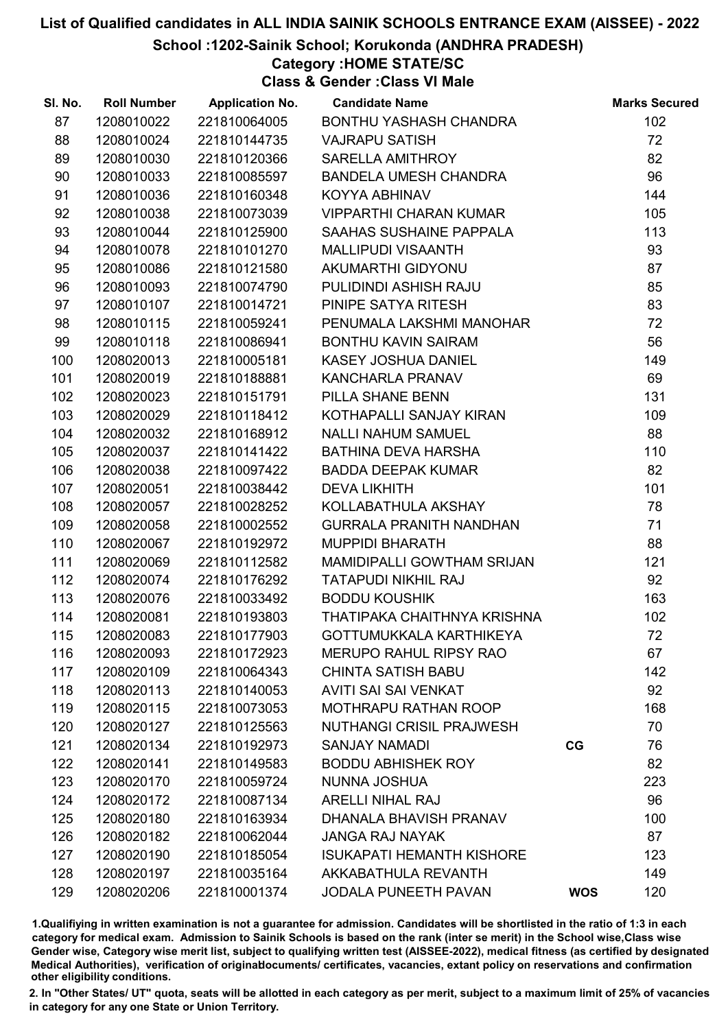School :1202-Sainik School; Korukonda (ANDHRA PRADESH)

# Category :HOME STATE/SC

Class & Gender :Class VI Male

| SI. No. | <b>Roll Number</b> | <b>Application No.</b> | <b>Candidate Name</b>            |            | <b>Marks Secured</b> |
|---------|--------------------|------------------------|----------------------------------|------------|----------------------|
| 87      | 1208010022         | 221810064005           | BONTHU YASHASH CHANDRA           |            | 102                  |
| 88      | 1208010024         | 221810144735           | <b>VAJRAPU SATISH</b>            |            | 72                   |
| 89      | 1208010030         | 221810120366           | SARELLA AMITHROY                 |            | 82                   |
| 90      | 1208010033         | 221810085597           | BANDELA UMESH CHANDRA            |            | 96                   |
| 91      | 1208010036         | 221810160348           | KOYYA ABHINAV                    |            | 144                  |
| 92      | 1208010038         | 221810073039           | <b>VIPPARTHI CHARAN KUMAR</b>    |            | 105                  |
| 93      | 1208010044         | 221810125900           | <b>SAAHAS SUSHAINE PAPPALA</b>   |            | 113                  |
| 94      | 1208010078         | 221810101270           | MALLIPUDI VISAANTH               |            | 93                   |
| 95      | 1208010086         | 221810121580           | AKUMARTHI GIDYONU                |            | 87                   |
| 96      | 1208010093         | 221810074790           | PULIDINDI ASHISH RAJU            |            | 85                   |
| 97      | 1208010107         | 221810014721           | PINIPE SATYA RITESH              |            | 83                   |
| 98      | 1208010115         | 221810059241           | PENUMALA LAKSHMI MANOHAR         |            | 72                   |
| 99      | 1208010118         | 221810086941           | <b>BONTHU KAVIN SAIRAM</b>       |            | 56                   |
| 100     | 1208020013         | 221810005181           | KASEY JOSHUA DANIEL              |            | 149                  |
| 101     | 1208020019         | 221810188881           | KANCHARLA PRANAV                 |            | 69                   |
| 102     | 1208020023         | 221810151791           | PILLA SHANE BENN                 |            | 131                  |
| 103     | 1208020029         | 221810118412           | KOTHAPALLI SANJAY KIRAN          |            | 109                  |
| 104     | 1208020032         | 221810168912           | <b>NALLI NAHUM SAMUEL</b>        |            | 88                   |
| 105     | 1208020037         | 221810141422           | BATHINA DEVA HARSHA              |            | 110                  |
| 106     | 1208020038         | 221810097422           | BADDA DEEPAK KUMAR               |            | 82                   |
| 107     | 1208020051         | 221810038442           | <b>DEVA LIKHITH</b>              |            | 101                  |
| 108     | 1208020057         | 221810028252           | KOLLABATHULA AKSHAY              |            | 78                   |
| 109     | 1208020058         | 221810002552           | <b>GURRALA PRANITH NANDHAN</b>   |            | 71                   |
| 110     | 1208020067         | 221810192972           | <b>MUPPIDI BHARATH</b>           |            | 88                   |
| 111     | 1208020069         | 221810112582           | MAMIDIPALLI GOWTHAM SRIJAN       |            | 121                  |
| 112     | 1208020074         | 221810176292           | <b>TATAPUDI NIKHIL RAJ</b>       |            | 92                   |
| 113     | 1208020076         | 221810033492           | <b>BODDU KOUSHIK</b>             |            | 163                  |
| 114     | 1208020081         | 221810193803           | THATIPAKA CHAITHNYA KRISHNA      |            | 102                  |
| 115     | 1208020083         | 221810177903           | GOTTUMUKKALA KARTHIKEYA          |            | 72                   |
| 116     | 1208020093         | 221810172923           | <b>MERUPO RAHUL RIPSY RAO</b>    |            | 67                   |
| 117     | 1208020109         | 221810064343           | <b>CHINTA SATISH BABU</b>        |            | 142                  |
| 118     | 1208020113         | 221810140053           | <b>AVITI SAI SAI VENKAT</b>      |            | 92                   |
| 119     | 1208020115         | 221810073053           | <b>MOTHRAPU RATHAN ROOP</b>      |            | 168                  |
| 120     | 1208020127         | 221810125563           | <b>NUTHANGI CRISIL PRAJWESH</b>  |            | 70                   |
| 121     | 1208020134         | 221810192973           | <b>SANJAY NAMADI</b>             | CG         | 76                   |
| 122     | 1208020141         | 221810149583           | <b>BODDU ABHISHEK ROY</b>        |            | 82                   |
| 123     | 1208020170         | 221810059724           | NUNNA JOSHUA                     |            | 223                  |
| 124     | 1208020172         | 221810087134           | <b>ARELLI NIHAL RAJ</b>          |            | 96                   |
| 125     | 1208020180         | 221810163934           | DHANALA BHAVISH PRANAV           |            | 100                  |
| 126     | 1208020182         | 221810062044           | <b>JANGA RAJ NAYAK</b>           |            | 87                   |
| 127     | 1208020190         | 221810185054           | <b>ISUKAPATI HEMANTH KISHORE</b> |            | 123                  |
| 128     | 1208020197         | 221810035164           | AKKABATHULA REVANTH              |            | 149                  |
| 129     | 1208020206         | 221810001374           | <b>JODALA PUNEETH PAVAN</b>      | <b>WOS</b> | 120                  |

1.Qualifiying in written examination is not a guarantee for admission. Candidates will be shortlisted in the ratio of 1:3 in each category for medical exam. Admission to Sainik Schools is based on the rank (inter se merit) in the School wise,Class wise Gender wise, Category wise merit list, subject to qualifying written test (AISSEE-2022), medical fitness (as certified by designated Medical Authorities), verification of originablocuments/ certificates, vacancies, extant policy on reservations and confirmation other eligibility conditions.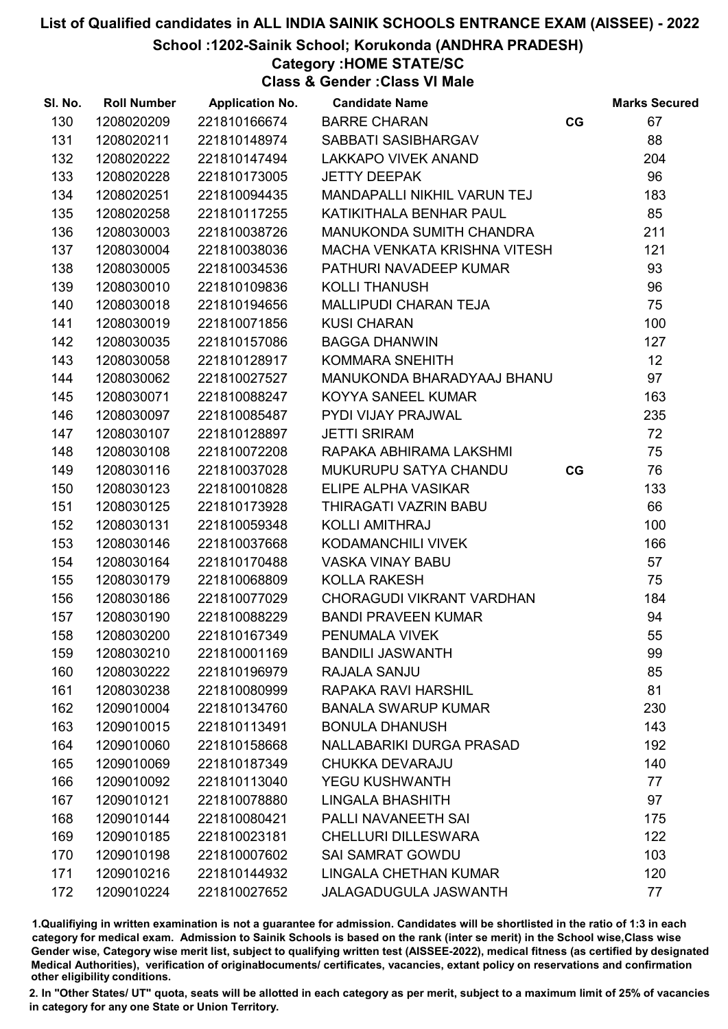School :1202-Sainik School; Korukonda (ANDHRA PRADESH)

## Category :HOME STATE/SC

Class & Gender :Class VI Male

| SI. No. | <b>Roll Number</b> | <b>Application No.</b> | <b>Candidate Name</b>        |    | <b>Marks Secured</b> |
|---------|--------------------|------------------------|------------------------------|----|----------------------|
| 130     | 1208020209         | 221810166674           | <b>BARRE CHARAN</b>          | CG | 67                   |
| 131     | 1208020211         | 221810148974           | SABBATI SASIBHARGAV          |    | 88                   |
| 132     | 1208020222         | 221810147494           | <b>LAKKAPO VIVEK ANAND</b>   |    | 204                  |
| 133     | 1208020228         | 221810173005           | <b>JETTY DEEPAK</b>          |    | 96                   |
| 134     | 1208020251         | 221810094435           | MANDAPALLI NIKHIL VARUN TEJ  |    | 183                  |
| 135     | 1208020258         | 221810117255           | KATIKITHALA BENHAR PAUL      |    | 85                   |
| 136     | 1208030003         | 221810038726           | MANUKONDA SUMITH CHANDRA     |    | 211                  |
| 137     | 1208030004         | 221810038036           | MACHA VENKATA KRISHNA VITESH |    | 121                  |
| 138     | 1208030005         | 221810034536           | PATHURI NAVADEEP KUMAR       |    | 93                   |
| 139     | 1208030010         | 221810109836           | <b>KOLLI THANUSH</b>         |    | 96                   |
| 140     | 1208030018         | 221810194656           | MALLIPUDI CHARAN TEJA        |    | 75                   |
| 141     | 1208030019         | 221810071856           | <b>KUSI CHARAN</b>           |    | 100                  |
| 142     | 1208030035         | 221810157086           | <b>BAGGA DHANWIN</b>         |    | 127                  |
| 143     | 1208030058         | 221810128917           | <b>KOMMARA SNEHITH</b>       |    | 12                   |
| 144     | 1208030062         | 221810027527           | MANUKONDA BHARADYAAJ BHANU   |    | 97                   |
| 145     | 1208030071         | 221810088247           | KOYYA SANEEL KUMAR           |    | 163                  |
| 146     | 1208030097         | 221810085487           | PYDI VIJAY PRAJWAL           |    | 235                  |
| 147     | 1208030107         | 221810128897           | <b>JETTI SRIRAM</b>          |    | 72                   |
| 148     | 1208030108         | 221810072208           | RAPAKA ABHIRAMA LAKSHMI      |    | 75                   |
| 149     | 1208030116         | 221810037028           | MUKURUPU SATYA CHANDU        | CG | 76                   |
| 150     | 1208030123         | 221810010828           | ELIPE ALPHA VASIKAR          |    | 133                  |
| 151     | 1208030125         | 221810173928           | THIRAGATI VAZRIN BABU        |    | 66                   |
| 152     | 1208030131         | 221810059348           | <b>KOLLI AMITHRAJ</b>        |    | 100                  |
| 153     | 1208030146         | 221810037668           | KODAMANCHILI VIVEK           |    | 166                  |
| 154     | 1208030164         | 221810170488           | <b>VASKA VINAY BABU</b>      |    | 57                   |
| 155     | 1208030179         | 221810068809           | <b>KOLLA RAKESH</b>          |    | 75                   |
| 156     | 1208030186         | 221810077029           | CHORAGUDI VIKRANT VARDHAN    |    | 184                  |
| 157     | 1208030190         | 221810088229           | <b>BANDI PRAVEEN KUMAR</b>   |    | 94                   |
| 158     | 1208030200         | 221810167349           | PENUMALA VIVEK               |    | 55                   |
| 159     | 1208030210         | 221810001169           | <b>BANDILI JASWANTH</b>      |    | 99                   |
| 160     | 1208030222         | 221810196979           | RAJALA SANJU                 |    | 85                   |
| 161     | 1208030238         | 221810080999           | RAPAKA RAVI HARSHIL          |    | 81                   |
| 162     | 1209010004         | 221810134760           | <b>BANALA SWARUP KUMAR</b>   |    | 230                  |
| 163     | 1209010015         | 221810113491           | <b>BONULA DHANUSH</b>        |    | 143                  |
| 164     | 1209010060         | 221810158668           | NALLABARIKI DURGA PRASAD     |    | 192                  |
| 165     | 1209010069         | 221810187349           | <b>CHUKKA DEVARAJU</b>       |    | 140                  |
| 166     | 1209010092         | 221810113040           | <b>YEGU KUSHWANTH</b>        |    | 77                   |
| 167     | 1209010121         | 221810078880           | <b>LINGALA BHASHITH</b>      |    | 97                   |
| 168     | 1209010144         | 221810080421           | PALLI NAVANEETH SAI          |    | 175                  |
| 169     | 1209010185         | 221810023181           | <b>CHELLURI DILLESWARA</b>   |    | 122                  |
| 170     | 1209010198         | 221810007602           | <b>SAI SAMRAT GOWDU</b>      |    | 103                  |
| 171     | 1209010216         | 221810144932           | LINGALA CHETHAN KUMAR        |    | 120                  |
| 172     | 1209010224         | 221810027652           | <b>JALAGADUGULA JASWANTH</b> |    | 77                   |

1.Qualifiying in written examination is not a guarantee for admission. Candidates will be shortlisted in the ratio of 1:3 in each category for medical exam. Admission to Sainik Schools is based on the rank (inter se merit) in the School wise,Class wise Gender wise, Category wise merit list, subject to qualifying written test (AISSEE-2022), medical fitness (as certified by designated Medical Authorities), verification of originablocuments/ certificates, vacancies, extant policy on reservations and confirmation other eligibility conditions.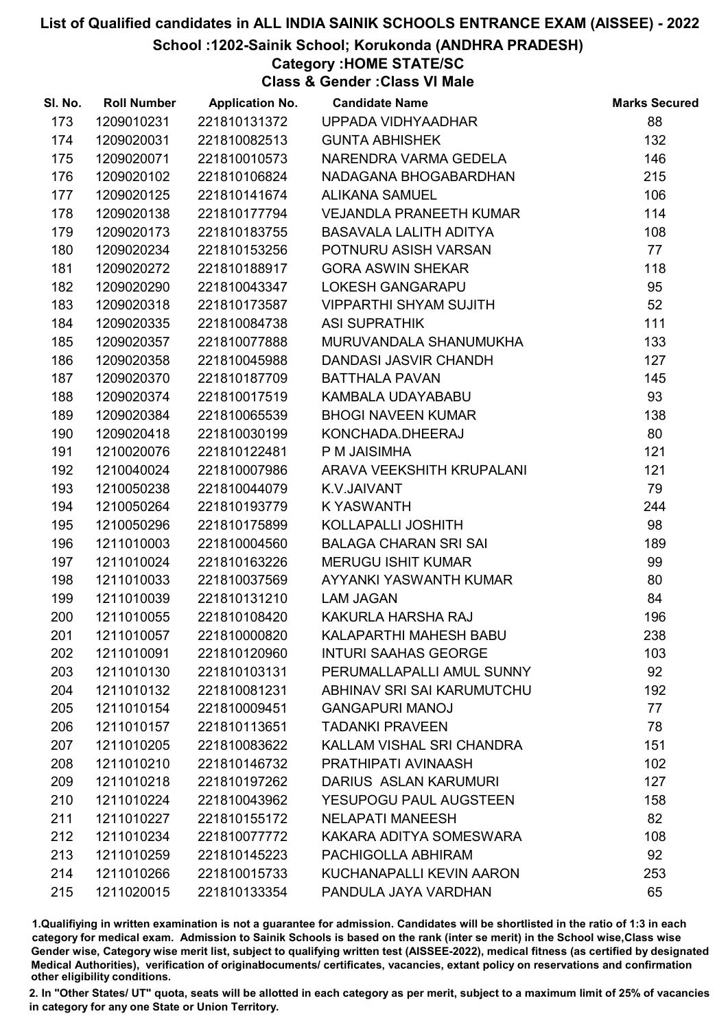School :1202-Sainik School; Korukonda (ANDHRA PRADESH)

## Category :HOME STATE/SC

Class & Gender :Class VI Male

| SI. No. | <b>Roll Number</b> | <b>Application No.</b> | <b>Candidate Name</b>          | <b>Marks Secured</b> |
|---------|--------------------|------------------------|--------------------------------|----------------------|
| 173     | 1209010231         | 221810131372           | UPPADA VIDHYAADHAR             | 88                   |
| 174     | 1209020031         | 221810082513           | <b>GUNTA ABHISHEK</b>          | 132                  |
| 175     | 1209020071         | 221810010573           | NARENDRA VARMA GEDELA          | 146                  |
| 176     | 1209020102         | 221810106824           | NADAGANA BHOGABARDHAN          | 215                  |
| 177     | 1209020125         | 221810141674           | <b>ALIKANA SAMUEL</b>          | 106                  |
| 178     | 1209020138         | 221810177794           | <b>VEJANDLA PRANEETH KUMAR</b> | 114                  |
| 179     | 1209020173         | 221810183755           | <b>BASAVALA LALITH ADITYA</b>  | 108                  |
| 180     | 1209020234         | 221810153256           | POTNURU ASISH VARSAN           | 77                   |
| 181     | 1209020272         | 221810188917           | <b>GORA ASWIN SHEKAR</b>       | 118                  |
| 182     | 1209020290         | 221810043347           | <b>LOKESH GANGARAPU</b>        | 95                   |
| 183     | 1209020318         | 221810173587           | <b>VIPPARTHI SHYAM SUJITH</b>  | 52                   |
| 184     | 1209020335         | 221810084738           | <b>ASI SUPRATHIK</b>           | 111                  |
| 185     | 1209020357         | 221810077888           | MURUVANDALA SHANUMUKHA         | 133                  |
| 186     | 1209020358         | 221810045988           | DANDASI JASVIR CHANDH          | 127                  |
| 187     | 1209020370         | 221810187709           | <b>BATTHALA PAVAN</b>          | 145                  |
| 188     | 1209020374         | 221810017519           | KAMBALA UDAYABABU              | 93                   |
| 189     | 1209020384         | 221810065539           | <b>BHOGI NAVEEN KUMAR</b>      | 138                  |
| 190     | 1209020418         | 221810030199           | KONCHADA.DHEERAJ               | 80                   |
| 191     | 1210020076         | 221810122481           | P M JAISIMHA                   | 121                  |
| 192     | 1210040024         | 221810007986           | ARAVA VEEKSHITH KRUPALANI      | 121                  |
| 193     | 1210050238         | 221810044079           | K.V.JAIVANT                    | 79                   |
| 194     | 1210050264         | 221810193779           | <b>K YASWANTH</b>              | 244                  |
| 195     | 1210050296         | 221810175899           | KOLLAPALLI JOSHITH             | 98                   |
| 196     | 1211010003         | 221810004560           | <b>BALAGA CHARAN SRI SAI</b>   | 189                  |
| 197     | 1211010024         | 221810163226           | <b>MERUGU ISHIT KUMAR</b>      | 99                   |
| 198     | 1211010033         | 221810037569           | AYYANKI YASWANTH KUMAR         | 80                   |
| 199     | 1211010039         | 221810131210           | <b>LAM JAGAN</b>               | 84                   |
| 200     | 1211010055         | 221810108420           | KAKURLA HARSHA RAJ             | 196                  |
| 201     | 1211010057         | 221810000820           | KALAPARTHI MAHESH BABU         | 238                  |
| 202     | 1211010091         | 221810120960           | <b>INTURI SAAHAS GEORGE</b>    | 103                  |
| 203     | 1211010130         | 221810103131           | PERUMALLAPALLI AMUL SUNNY      | 92                   |
| 204     | 1211010132         | 221810081231           | ABHINAV SRI SAI KARUMUTCHU     | 192                  |
| 205     | 1211010154         | 221810009451           | <b>GANGAPURI MANOJ</b>         | 77                   |
| 206     | 1211010157         | 221810113651           | <b>TADANKI PRAVEEN</b>         | 78                   |
| 207     | 1211010205         | 221810083622           | KALLAM VISHAL SRI CHANDRA      | 151                  |
| 208     | 1211010210         | 221810146732           | PRATHIPATI AVINAASH            | 102                  |
| 209     | 1211010218         | 221810197262           | DARIUS ASLAN KARUMURI          | 127                  |
| 210     | 1211010224         | 221810043962           | YESUPOGU PAUL AUGSTEEN         | 158                  |
| 211     | 1211010227         | 221810155172           | <b>NELAPATI MANEESH</b>        | 82                   |
| 212     | 1211010234         | 221810077772           | KAKARA ADITYA SOMESWARA        | 108                  |
| 213     | 1211010259         | 221810145223           | PACHIGOLLA ABHIRAM             | 92                   |
| 214     | 1211010266         | 221810015733           | KUCHANAPALLI KEVIN AARON       | 253                  |
| 215     | 1211020015         | 221810133354           | PANDULA JAYA VARDHAN           | 65                   |

1.Qualifiying in written examination is not a guarantee for admission. Candidates will be shortlisted in the ratio of 1:3 in each category for medical exam. Admission to Sainik Schools is based on the rank (inter se merit) in the School wise,Class wise Gender wise, Category wise merit list, subject to qualifying written test (AISSEE-2022), medical fitness (as certified by designated Medical Authorities), verification of originablocuments/ certificates, vacancies, extant policy on reservations and confirmation other eligibility conditions.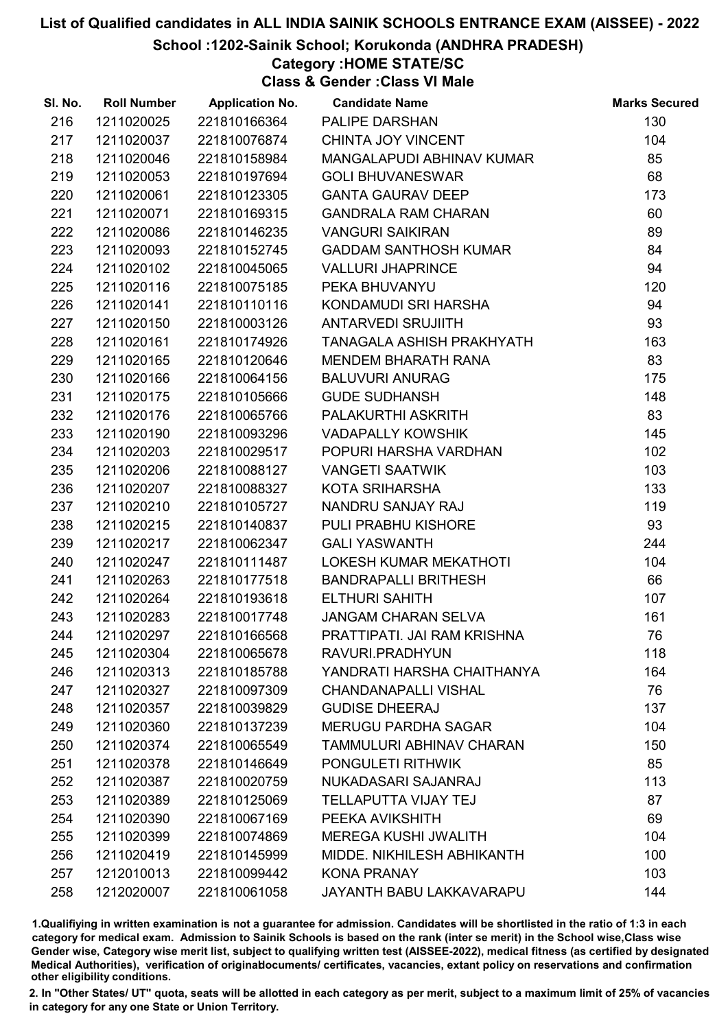School :1202-Sainik School; Korukonda (ANDHRA PRADESH)

# Category :HOME STATE/SC

Class & Gender :Class VI Male

| SI. No. | <b>Roll Number</b> | <b>Application No.</b> | <b>Candidate Name</b>        | <b>Marks Secured</b> |
|---------|--------------------|------------------------|------------------------------|----------------------|
| 216     | 1211020025         | 221810166364           | <b>PALIPE DARSHAN</b>        | 130                  |
| 217     | 1211020037         | 221810076874           | CHINTA JOY VINCENT           | 104                  |
| 218     | 1211020046         | 221810158984           | MANGALAPUDI ABHINAV KUMAR    | 85                   |
| 219     | 1211020053         | 221810197694           | <b>GOLI BHUVANESWAR</b>      | 68                   |
| 220     | 1211020061         | 221810123305           | <b>GANTA GAURAV DEEP</b>     | 173                  |
| 221     | 1211020071         | 221810169315           | <b>GANDRALA RAM CHARAN</b>   | 60                   |
| 222     | 1211020086         | 221810146235           | <b>VANGURI SAIKIRAN</b>      | 89                   |
| 223     | 1211020093         | 221810152745           | <b>GADDAM SANTHOSH KUMAR</b> | 84                   |
| 224     | 1211020102         | 221810045065           | <b>VALLURI JHAPRINCE</b>     | 94                   |
| 225     | 1211020116         | 221810075185           | PEKA BHUVANYU                | 120                  |
| 226     | 1211020141         | 221810110116           | KONDAMUDI SRI HARSHA         | 94                   |
| 227     | 1211020150         | 221810003126           | <b>ANTARVEDI SRUJIITH</b>    | 93                   |
| 228     | 1211020161         | 221810174926           | TANAGALA ASHISH PRAKHYATH    | 163                  |
| 229     | 1211020165         | 221810120646           | <b>MENDEM BHARATH RANA</b>   | 83                   |
| 230     | 1211020166         | 221810064156           | <b>BALUVURI ANURAG</b>       | 175                  |
| 231     | 1211020175         | 221810105666           | <b>GUDE SUDHANSH</b>         | 148                  |
| 232     | 1211020176         | 221810065766           | PALAKURTHI ASKRITH           | 83                   |
| 233     | 1211020190         | 221810093296           | <b>VADAPALLY KOWSHIK</b>     | 145                  |
| 234     | 1211020203         | 221810029517           | POPURI HARSHA VARDHAN        | 102                  |
| 235     | 1211020206         | 221810088127           | <b>VANGETI SAATWIK</b>       | 103                  |
| 236     | 1211020207         | 221810088327           | KOTA SRIHARSHA               | 133                  |
| 237     | 1211020210         | 221810105727           | NANDRU SANJAY RAJ            | 119                  |
| 238     | 1211020215         | 221810140837           | PULI PRABHU KISHORE          | 93                   |
| 239     | 1211020217         | 221810062347           | <b>GALI YASWANTH</b>         | 244                  |
| 240     | 1211020247         | 221810111487           | LOKESH KUMAR MEKATHOTI       | 104                  |
| 241     | 1211020263         | 221810177518           | <b>BANDRAPALLI BRITHESH</b>  | 66                   |
| 242     | 1211020264         | 221810193618           | <b>ELTHURI SAHITH</b>        | 107                  |
| 243     | 1211020283         | 221810017748           | <b>JANGAM CHARAN SELVA</b>   | 161                  |
| 244     | 1211020297         | 221810166568           | PRATTIPATI. JAI RAM KRISHNA  | 76                   |
| 245     | 1211020304         | 221810065678           | RAVURI.PRADHYUN              | 118                  |
| 246     | 1211020313         | 221810185788           | YANDRATI HARSHA CHAITHANYA   | 164                  |
| 247     | 1211020327         | 221810097309           | <b>CHANDANAPALLI VISHAL</b>  | 76                   |
| 248     | 1211020357         | 221810039829           | <b>GUDISE DHEERAJ</b>        | 137                  |
| 249     | 1211020360         | 221810137239           | <b>MERUGU PARDHA SAGAR</b>   | 104                  |
| 250     | 1211020374         | 221810065549           | TAMMULURI ABHINAV CHARAN     | 150                  |
| 251     | 1211020378         | 221810146649           | PONGULETI RITHWIK            | 85                   |
| 252     | 1211020387         | 221810020759           | NUKADASARI SAJANRAJ          | 113                  |
| 253     | 1211020389         | 221810125069           | <b>TELLAPUTTA VIJAY TEJ</b>  | 87                   |
| 254     | 1211020390         | 221810067169           | PEEKA AVIKSHITH              | 69                   |
| 255     | 1211020399         | 221810074869           | <b>MEREGA KUSHI JWALITH</b>  | 104                  |
| 256     | 1211020419         | 221810145999           | MIDDE. NIKHILESH ABHIKANTH   | 100                  |
| 257     | 1212010013         | 221810099442           | <b>KONA PRANAY</b>           | 103                  |
| 258     | 1212020007         | 221810061058           | JAYANTH BABU LAKKAVARAPU     | 144                  |

1.Qualifiying in written examination is not a guarantee for admission. Candidates will be shortlisted in the ratio of 1:3 in each category for medical exam. Admission to Sainik Schools is based on the rank (inter se merit) in the School wise,Class wise Gender wise, Category wise merit list, subject to qualifying written test (AISSEE-2022), medical fitness (as certified by designated Medical Authorities), verification of originablocuments/ certificates, vacancies, extant policy on reservations and confirmation other eligibility conditions.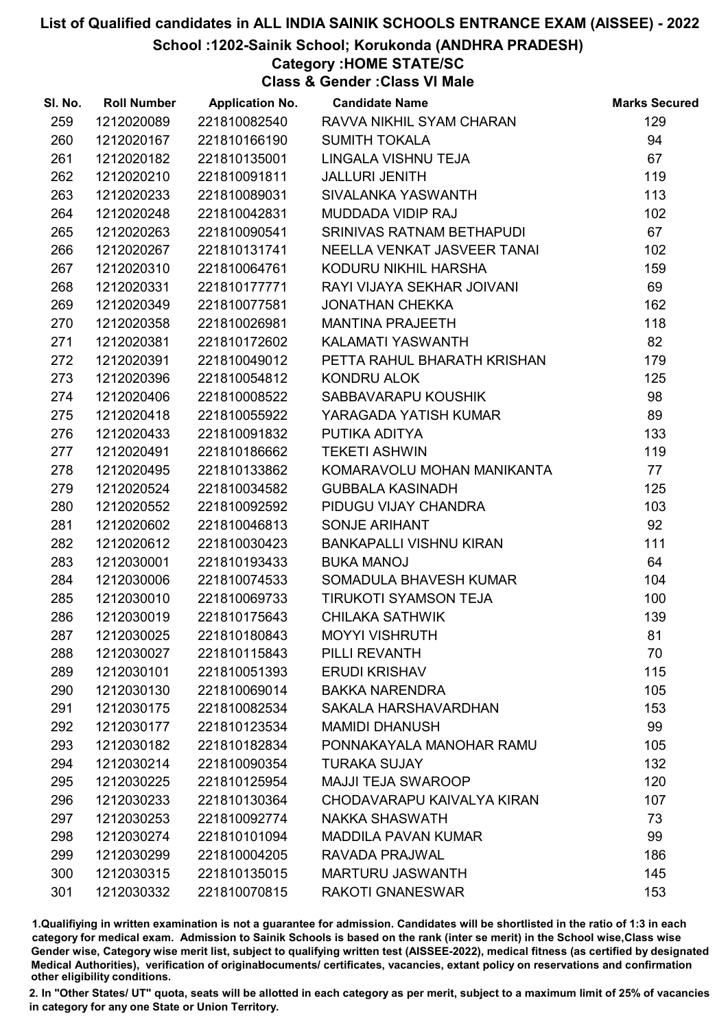School :1202-Sainik School; Korukonda (ANDHRA PRADESH)

# Category :HOME STATE/SC

Class & Gender :Class VI Male

| SI. No. | <b>Roll Number</b> | <b>Application No.</b> | <b>Candidate Name</b>       | <b>Marks Secured</b> |
|---------|--------------------|------------------------|-----------------------------|----------------------|
| 259     | 1212020089         | 221810082540           | RAVVA NIKHIL SYAM CHARAN    | 129                  |
| 260     | 1212020167         | 221810166190           | <b>SUMITH TOKALA</b>        | 94                   |
| 261     | 1212020182         | 221810135001           | LINGALA VISHNU TEJA         | 67                   |
| 262     | 1212020210         | 221810091811           | <b>JALLURI JENITH</b>       | 119                  |
| 263     | 1212020233         | 221810089031           | SIVALANKA YASWANTH          | 113                  |
| 264     | 1212020248         | 221810042831           | MUDDADA VIDIP RAJ           | 102                  |
| 265     | 1212020263         | 221810090541           | SRINIVAS RATNAM BETHAPUDI   | 67                   |
| 266     | 1212020267         | 221810131741           | NEELLA VENKAT JASVEER TANAI | 102                  |
| 267     | 1212020310         | 221810064761           | KODURU NIKHIL HARSHA        | 159                  |
| 268     | 1212020331         | 221810177771           | RAYI VIJAYA SEKHAR JOIVANI  | 69                   |
| 269     | 1212020349         | 221810077581           | <b>JONATHAN CHEKKA</b>      | 162                  |
| 270     | 1212020358         | 221810026981           | <b>MANTINA PRAJEETH</b>     | 118                  |
| 271     | 1212020381         | 221810172602           | KALAMATI YASWANTH           | 82                   |
| 272     | 1212020391         | 221810049012           | PETTA RAHUL BHARATH KRISHAN | 179                  |
| 273     | 1212020396         | 221810054812           | KONDRU ALOK                 | 125                  |
| 274     | 1212020406         | 221810008522           | SABBAVARAPU KOUSHIK         | 98                   |
| 275     | 1212020418         | 221810055922           | YARAGADA YATISH KUMAR       | 89                   |
| 276     | 1212020433         | 221810091832           | PUTIKA ADITYA               | 133                  |
| 277     | 1212020491         | 221810186662           | <b>TEKETI ASHWIN</b>        | 119                  |
| 278     | 1212020495         | 221810133862           | KOMARAVOLU MOHAN MANIKANTA  | 77                   |
| 279     | 1212020524         | 221810034582           | <b>GUBBALA KASINADH</b>     | 125                  |
| 280     | 1212020552         | 221810092592           | PIDUGU VIJAY CHANDRA        | 103                  |
| 281     | 1212020602         | 221810046813           | SONJE ARIHANT               | 92                   |
| 282     | 1212020612         | 221810030423           | BANKAPALLI VISHNU KIRAN     | 111                  |
| 283     | 1212030001         | 221810193433           | <b>BUKA MANOJ</b>           | 64                   |
| 284     | 1212030006         | 221810074533           | SOMADULA BHAVESH KUMAR      | 104                  |
| 285     | 1212030010         | 221810069733           | TIRUKOTI SYAMSON TEJA       | 100                  |
| 286     | 1212030019         | 221810175643           | <b>CHILAKA SATHWIK</b>      | 139                  |
| 287     | 1212030025         | 221810180843           | <b>MOYYI VISHRUTH</b>       | 81                   |
| 288     | 1212030027         | 221810115843           | PILLI REVANTH               | 70                   |
| 289     | 1212030101         | 221810051393           | <b>ERUDI KRISHAV</b>        | 115                  |
| 290     | 1212030130         | 221810069014           | <b>BAKKA NARENDRA</b>       | 105                  |
| 291     | 1212030175         | 221810082534           | SAKALA HARSHAVARDHAN        | 153                  |
| 292     | 1212030177         | 221810123534           | <b>MAMIDI DHANUSH</b>       | 99                   |
| 293     | 1212030182         | 221810182834           | PONNAKAYALA MANOHAR RAMU    | 105                  |
| 294     | 1212030214         | 221810090354           | <b>TURAKA SUJAY</b>         | 132                  |
| 295     | 1212030225         | 221810125954           | <b>MAJJI TEJA SWAROOP</b>   | 120                  |
| 296     | 1212030233         | 221810130364           | CHODAVARAPU KAIVALYA KIRAN  | 107                  |
| 297     | 1212030253         | 221810092774           | <b>NAKKA SHASWATH</b>       | 73                   |
| 298     | 1212030274         | 221810101094           | <b>MADDILA PAVAN KUMAR</b>  | 99                   |
| 299     | 1212030299         | 221810004205           | RAVADA PRAJWAL              | 186                  |
| 300     | 1212030315         | 221810135015           | <b>MARTURU JASWANTH</b>     | 145                  |
| 301     | 1212030332         | 221810070815           | <b>RAKOTI GNANESWAR</b>     | 153                  |

1.Qualifiying in written examination is not a guarantee for admission. Candidates will be shortlisted in the ratio of 1:3 in each category for medical exam. Admission to Sainik Schools is based on the rank (inter se merit) in the School wise,Class wise Gender wise, Category wise merit list, subject to qualifying written test (AISSEE-2022), medical fitness (as certified by designated Medical Authorities), verification of originablocuments/ certificates, vacancies, extant policy on reservations and confirmation other eligibility conditions.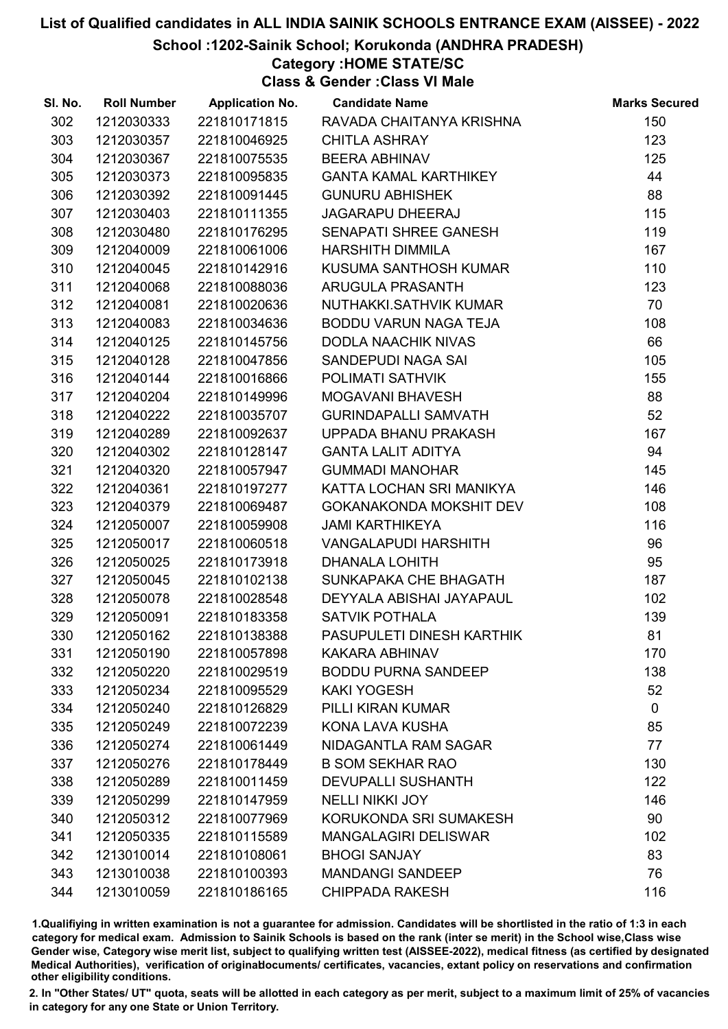School :1202-Sainik School; Korukonda (ANDHRA PRADESH)

# Category :HOME STATE/SC

Class & Gender :Class VI Male

| SI. No. | <b>Roll Number</b> | <b>Application No.</b> | <b>Candidate Name</b>        | <b>Marks Secured</b> |
|---------|--------------------|------------------------|------------------------------|----------------------|
| 302     | 1212030333         | 221810171815           | RAVADA CHAITANYA KRISHNA     | 150                  |
| 303     | 1212030357         | 221810046925           | <b>CHITLA ASHRAY</b>         | 123                  |
| 304     | 1212030367         | 221810075535           | <b>BEERA ABHINAV</b>         | 125                  |
| 305     | 1212030373         | 221810095835           | <b>GANTA KAMAL KARTHIKEY</b> | 44                   |
| 306     | 1212030392         | 221810091445           | <b>GUNURU ABHISHEK</b>       | 88                   |
| 307     | 1212030403         | 221810111355           | <b>JAGARAPU DHEERAJ</b>      | 115                  |
| 308     | 1212030480         | 221810176295           | SENAPATI SHREE GANESH        | 119                  |
| 309     | 1212040009         | 221810061006           | <b>HARSHITH DIMMILA</b>      | 167                  |
| 310     | 1212040045         | 221810142916           | KUSUMA SANTHOSH KUMAR        | 110                  |
| 311     | 1212040068         | 221810088036           | <b>ARUGULA PRASANTH</b>      | 123                  |
| 312     | 1212040081         | 221810020636           | NUTHAKKI.SATHVIK KUMAR       | 70                   |
| 313     | 1212040083         | 221810034636           | BODDU VARUN NAGA TEJA        | 108                  |
| 314     | 1212040125         | 221810145756           | <b>DODLA NAACHIK NIVAS</b>   | 66                   |
| 315     | 1212040128         | 221810047856           | SANDEPUDI NAGA SAI           | 105                  |
| 316     | 1212040144         | 221810016866           | <b>POLIMATI SATHVIK</b>      | 155                  |
| 317     | 1212040204         | 221810149996           | <b>MOGAVANI BHAVESH</b>      | 88                   |
| 318     | 1212040222         | 221810035707           | <b>GURINDAPALLI SAMVATH</b>  | 52                   |
| 319     | 1212040289         | 221810092637           | UPPADA BHANU PRAKASH         | 167                  |
| 320     | 1212040302         | 221810128147           | <b>GANTA LALIT ADITYA</b>    | 94                   |
| 321     | 1212040320         | 221810057947           | <b>GUMMADI MANOHAR</b>       | 145                  |
| 322     | 1212040361         | 221810197277           | KATTA LOCHAN SRI MANIKYA     | 146                  |
| 323     | 1212040379         | 221810069487           | GOKANAKONDA MOKSHIT DEV      | 108                  |
| 324     | 1212050007         | 221810059908           | <b>JAMI KARTHIKEYA</b>       | 116                  |
| 325     | 1212050017         | 221810060518           | <b>VANGALAPUDI HARSHITH</b>  | 96                   |
| 326     | 1212050025         | 221810173918           | <b>DHANALA LOHITH</b>        | 95                   |
| 327     | 1212050045         | 221810102138           | SUNKAPAKA CHE BHAGATH        | 187                  |
| 328     | 1212050078         | 221810028548           | DEYYALA ABISHAI JAYAPAUL     | 102                  |
| 329     | 1212050091         | 221810183358           | <b>SATVIK POTHALA</b>        | 139                  |
| 330     | 1212050162         | 221810138388           | PASUPULETI DINESH KARTHIK    | 81                   |
| 331     | 1212050190         | 221810057898           | <b>KAKARA ABHINAV</b>        | 170                  |
| 332     | 1212050220         | 221810029519           | <b>BODDU PURNA SANDEEP</b>   | 138                  |
| 333     | 1212050234         | 221810095529           | <b>KAKI YOGESH</b>           | 52                   |
| 334     | 1212050240         | 221810126829           | PILLI KIRAN KUMAR            | $\mathbf 0$          |
| 335     | 1212050249         | 221810072239           | KONA LAVA KUSHA              | 85                   |
| 336     | 1212050274         | 221810061449           | NIDAGANTLA RAM SAGAR         | 77                   |
| 337     | 1212050276         | 221810178449           | <b>B SOM SEKHAR RAO</b>      | 130                  |
| 338     | 1212050289         | 221810011459           | <b>DEVUPALLI SUSHANTH</b>    | 122                  |
| 339     | 1212050299         | 221810147959           | <b>NELLI NIKKI JOY</b>       | 146                  |
| 340     | 1212050312         | 221810077969           | KORUKONDA SRI SUMAKESH       | 90                   |
| 341     | 1212050335         | 221810115589           | <b>MANGALAGIRI DELISWAR</b>  | 102                  |
| 342     | 1213010014         | 221810108061           | <b>BHOGI SANJAY</b>          | 83                   |
| 343     | 1213010038         | 221810100393           | <b>MANDANGI SANDEEP</b>      | 76                   |
| 344     | 1213010059         | 221810186165           | <b>CHIPPADA RAKESH</b>       | 116                  |

1.Qualifiying in written examination is not a guarantee for admission. Candidates will be shortlisted in the ratio of 1:3 in each category for medical exam. Admission to Sainik Schools is based on the rank (inter se merit) in the School wise,Class wise Gender wise, Category wise merit list, subject to qualifying written test (AISSEE-2022), medical fitness (as certified by designated Medical Authorities), verification of originablocuments/ certificates, vacancies, extant policy on reservations and confirmation other eligibility conditions.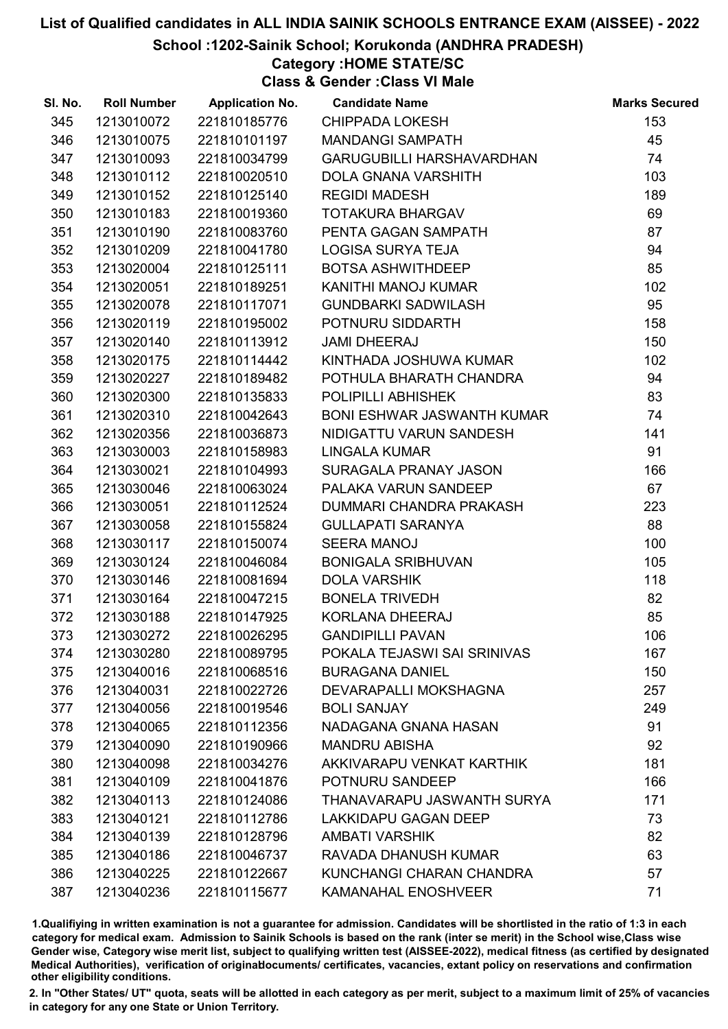School :1202-Sainik School; Korukonda (ANDHRA PRADESH)

# Category :HOME STATE/SC

Class & Gender :Class VI Male

| SI. No. | <b>Roll Number</b> | <b>Application No.</b> | <b>Candidate Name</b>             | <b>Marks Secured</b> |
|---------|--------------------|------------------------|-----------------------------------|----------------------|
| 345     | 1213010072         | 221810185776           | <b>CHIPPADA LOKESH</b>            | 153                  |
| 346     | 1213010075         | 221810101197           | <b>MANDANGI SAMPATH</b>           | 45                   |
| 347     | 1213010093         | 221810034799           | <b>GARUGUBILLI HARSHAVARDHAN</b>  | 74                   |
| 348     | 1213010112         | 221810020510           | <b>DOLA GNANA VARSHITH</b>        | 103                  |
| 349     | 1213010152         | 221810125140           | <b>REGIDI MADESH</b>              | 189                  |
| 350     | 1213010183         | 221810019360           | <b>TOTAKURA BHARGAV</b>           | 69                   |
| 351     | 1213010190         | 221810083760           | PENTA GAGAN SAMPATH               | 87                   |
| 352     | 1213010209         | 221810041780           | <b>LOGISA SURYA TEJA</b>          | 94                   |
| 353     | 1213020004         | 221810125111           | BOTSA ASHWITHDEEP                 | 85                   |
| 354     | 1213020051         | 221810189251           | KANITHI MANOJ KUMAR               | 102                  |
| 355     | 1213020078         | 221810117071           | <b>GUNDBARKI SADWILASH</b>        | 95                   |
| 356     | 1213020119         | 221810195002           | POTNURU SIDDARTH                  | 158                  |
| 357     | 1213020140         | 221810113912           | <b>JAMI DHEERAJ</b>               | 150                  |
| 358     | 1213020175         | 221810114442           | KINTHADA JOSHUWA KUMAR            | 102                  |
| 359     | 1213020227         | 221810189482           | POTHULA BHARATH CHANDRA           | 94                   |
| 360     | 1213020300         | 221810135833           | POLIPILLI ABHISHEK                | 83                   |
| 361     | 1213020310         | 221810042643           | <b>BONI ESHWAR JASWANTH KUMAR</b> | 74                   |
| 362     | 1213020356         | 221810036873           | NIDIGATTU VARUN SANDESH           | 141                  |
| 363     | 1213030003         | 221810158983           | LINGALA KUMAR                     | 91                   |
| 364     | 1213030021         | 221810104993           | SURAGALA PRANAY JASON             | 166                  |
| 365     | 1213030046         | 221810063024           | PALAKA VARUN SANDEEP              | 67                   |
| 366     | 1213030051         | 221810112524           | DUMMARI CHANDRA PRAKASH           | 223                  |
| 367     | 1213030058         | 221810155824           | <b>GULLAPATI SARANYA</b>          | 88                   |
| 368     | 1213030117         | 221810150074           | <b>SEERA MANOJ</b>                | 100                  |
| 369     | 1213030124         | 221810046084           | <b>BONIGALA SRIBHUVAN</b>         | 105                  |
| 370     | 1213030146         | 221810081694           | <b>DOLA VARSHIK</b>               | 118                  |
| 371     | 1213030164         | 221810047215           | <b>BONELA TRIVEDH</b>             | 82                   |
| 372     | 1213030188         | 221810147925           | KORLANA DHEERAJ                   | 85                   |
| 373     | 1213030272         | 221810026295           | <b>GANDIPILLI PAVAN</b>           | 106                  |
| 374     | 1213030280         | 221810089795           | POKALA TEJASWI SAI SRINIVAS       | 167                  |
| 375     | 1213040016         | 221810068516           | <b>BURAGANA DANIEL</b>            | 150                  |
| 376     | 1213040031         | 221810022726           | DEVARAPALLI MOKSHAGNA             | 257                  |
| 377     | 1213040056         | 221810019546           | <b>BOLI SANJAY</b>                | 249                  |
| 378     | 1213040065         | 221810112356           | NADAGANA GNANA HASAN              | 91                   |
| 379     | 1213040090         | 221810190966           | <b>MANDRU ABISHA</b>              | 92                   |
| 380     | 1213040098         | 221810034276           | AKKIVARAPU VENKAT KARTHIK         | 181                  |
| 381     | 1213040109         | 221810041876           | POTNURU SANDEEP                   | 166                  |
| 382     | 1213040113         | 221810124086           | THANAVARAPU JASWANTH SURYA        | 171                  |
| 383     | 1213040121         | 221810112786           | <b>LAKKIDAPU GAGAN DEEP</b>       | 73                   |
| 384     | 1213040139         | 221810128796           | <b>AMBATI VARSHIK</b>             | 82                   |
| 385     | 1213040186         | 221810046737           | RAVADA DHANUSH KUMAR              | 63                   |
| 386     | 1213040225         | 221810122667           | KUNCHANGI CHARAN CHANDRA          | 57                   |
| 387     | 1213040236         | 221810115677           | KAMANAHAL ENOSHVEER               | 71                   |

1.Qualifiying in written examination is not a guarantee for admission. Candidates will be shortlisted in the ratio of 1:3 in each category for medical exam. Admission to Sainik Schools is based on the rank (inter se merit) in the School wise,Class wise Gender wise, Category wise merit list, subject to qualifying written test (AISSEE-2022), medical fitness (as certified by designated Medical Authorities), verification of originablocuments/ certificates, vacancies, extant policy on reservations and confirmation other eligibility conditions.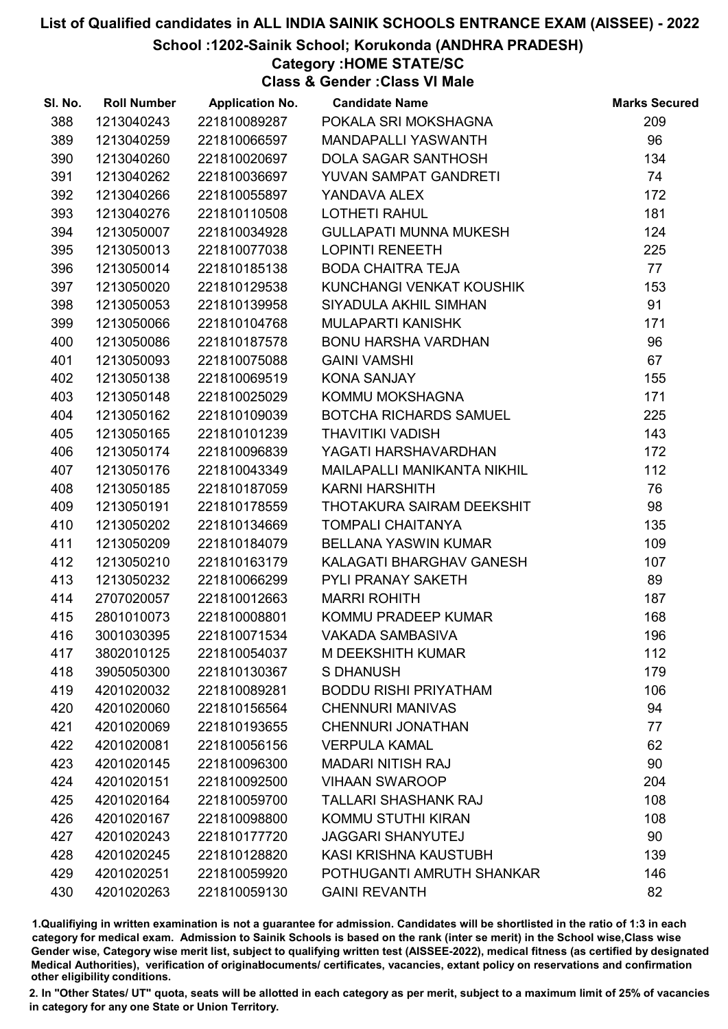### School :1202-Sainik School; Korukonda (ANDHRA PRADESH)

## Category :HOME STATE/SC

Class & Gender :Class VI Male

| SI. No. | <b>Roll Number</b> | <b>Application No.</b> | <b>Candidate Name</b>         | <b>Marks Secured</b> |
|---------|--------------------|------------------------|-------------------------------|----------------------|
| 388     | 1213040243         | 221810089287           | POKALA SRI MOKSHAGNA          | 209                  |
| 389     | 1213040259         | 221810066597           | MANDAPALLI YASWANTH           | 96                   |
| 390     | 1213040260         | 221810020697           | DOLA SAGAR SANTHOSH           | 134                  |
| 391     | 1213040262         | 221810036697           | YUVAN SAMPAT GANDRETI         | 74                   |
| 392     | 1213040266         | 221810055897           | YANDAVA ALEX                  | 172                  |
| 393     | 1213040276         | 221810110508           | <b>LOTHETI RAHUL</b>          | 181                  |
| 394     | 1213050007         | 221810034928           | <b>GULLAPATI MUNNA MUKESH</b> | 124                  |
| 395     | 1213050013         | 221810077038           | <b>LOPINTI RENEETH</b>        | 225                  |
| 396     | 1213050014         | 221810185138           | <b>BODA CHAITRA TEJA</b>      | 77                   |
| 397     | 1213050020         | 221810129538           | KUNCHANGI VENKAT KOUSHIK      | 153                  |
| 398     | 1213050053         | 221810139958           | SIYADULA AKHIL SIMHAN         | 91                   |
| 399     | 1213050066         | 221810104768           | <b>MULAPARTI KANISHK</b>      | 171                  |
| 400     | 1213050086         | 221810187578           | BONU HARSHA VARDHAN           | 96                   |
| 401     | 1213050093         | 221810075088           | <b>GAINI VAMSHI</b>           | 67                   |
| 402     | 1213050138         | 221810069519           | <b>KONA SANJAY</b>            | 155                  |
| 403     | 1213050148         | 221810025029           | KOMMU MOKSHAGNA               | 171                  |
| 404     | 1213050162         | 221810109039           | <b>BOTCHA RICHARDS SAMUEL</b> | 225                  |
| 405     | 1213050165         | 221810101239           | <b>THAVITIKI VADISH</b>       | 143                  |
| 406     | 1213050174         | 221810096839           | YAGATI HARSHAVARDHAN          | 172                  |
| 407     | 1213050176         | 221810043349           | MAILAPALLI MANIKANTA NIKHIL   | 112                  |
| 408     | 1213050185         | 221810187059           | <b>KARNI HARSHITH</b>         | 76                   |
| 409     | 1213050191         | 221810178559           | THOTAKURA SAIRAM DEEKSHIT     | 98                   |
| 410     | 1213050202         | 221810134669           | <b>TOMPALI CHAITANYA</b>      | 135                  |
| 411     | 1213050209         | 221810184079           | BELLANA YASWIN KUMAR          | 109                  |
| 412     | 1213050210         | 221810163179           | KALAGATI BHARGHAV GANESH      | 107                  |
| 413     | 1213050232         | 221810066299           | PYLI PRANAY SAKETH            | 89                   |
| 414     | 2707020057         | 221810012663           | <b>MARRI ROHITH</b>           | 187                  |
| 415     | 2801010073         | 221810008801           | KOMMU PRADEEP KUMAR           | 168                  |
| 416     | 3001030395         | 221810071534           | <b>VAKADA SAMBASIVA</b>       | 196                  |
| 417     | 3802010125         | 221810054037           | <b>M DEEKSHITH KUMAR</b>      | 112                  |
| 418     | 3905050300         | 221810130367           | <b>S DHANUSH</b>              | 179                  |
| 419     | 4201020032         | 221810089281           | <b>BODDU RISHI PRIYATHAM</b>  | 106                  |
| 420     | 4201020060         | 221810156564           | <b>CHENNURI MANIVAS</b>       | 94                   |
| 421     | 4201020069         | 221810193655           | <b>CHENNURI JONATHAN</b>      | 77                   |
| 422     | 4201020081         | 221810056156           | <b>VERPULA KAMAL</b>          | 62                   |
| 423     | 4201020145         | 221810096300           | <b>MADARI NITISH RAJ</b>      | 90                   |
| 424     | 4201020151         | 221810092500           | <b>VIHAAN SWAROOP</b>         | 204                  |
| 425     | 4201020164         | 221810059700           | <b>TALLARI SHASHANK RAJ</b>   | 108                  |
| 426     | 4201020167         | 221810098800           | KOMMU STUTHI KIRAN            | 108                  |
| 427     | 4201020243         | 221810177720           | <b>JAGGARI SHANYUTEJ</b>      | 90                   |
| 428     | 4201020245         | 221810128820           | KASI KRISHNA KAUSTUBH         | 139                  |
| 429     | 4201020251         | 221810059920           | POTHUGANTI AMRUTH SHANKAR     | 146                  |
| 430     | 4201020263         | 221810059130           | <b>GAINI REVANTH</b>          | 82                   |

1.Qualifiying in written examination is not a guarantee for admission. Candidates will be shortlisted in the ratio of 1:3 in each category for medical exam. Admission to Sainik Schools is based on the rank (inter se merit) in the School wise,Class wise Gender wise, Category wise merit list, subject to qualifying written test (AISSEE-2022), medical fitness (as certified by designated Medical Authorities), verification of originablocuments/ certificates, vacancies, extant policy on reservations and confirmation other eligibility conditions.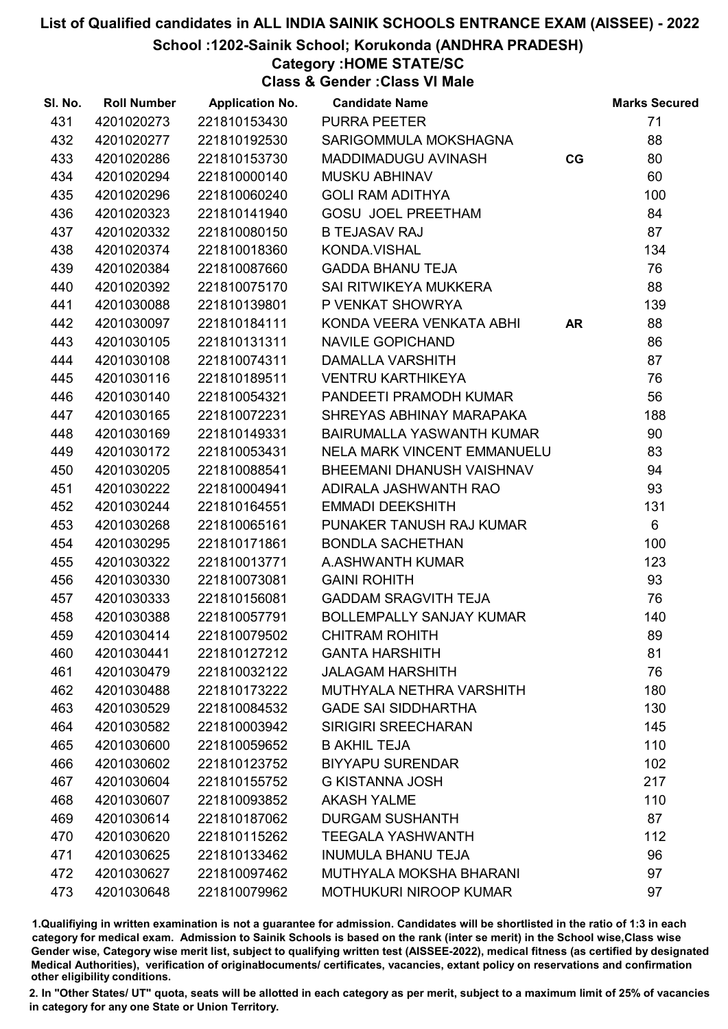School :1202-Sainik School; Korukonda (ANDHRA PRADESH)

# Category :HOME STATE/SC

Class & Gender :Class VI Male

| SI. No. | <b>Roll Number</b> | <b>Application No.</b> | <b>Candidate Name</b>           |    | <b>Marks Secured</b> |
|---------|--------------------|------------------------|---------------------------------|----|----------------------|
| 431     | 4201020273         | 221810153430           | <b>PURRA PEETER</b>             |    | 71                   |
| 432     | 4201020277         | 221810192530           | SARIGOMMULA MOKSHAGNA           |    | 88                   |
| 433     | 4201020286         | 221810153730           | MADDIMADUGU AVINASH             | CG | 80                   |
| 434     | 4201020294         | 221810000140           | <b>MUSKU ABHINAV</b>            |    | 60                   |
| 435     | 4201020296         | 221810060240           | <b>GOLI RAM ADITHYA</b>         |    | 100                  |
| 436     | 4201020323         | 221810141940           | <b>GOSU JOEL PREETHAM</b>       |    | 84                   |
| 437     | 4201020332         | 221810080150           | <b>B TEJASAV RAJ</b>            |    | 87                   |
| 438     | 4201020374         | 221810018360           | KONDA.VISHAL                    |    | 134                  |
| 439     | 4201020384         | 221810087660           | GADDA BHANU TEJA                |    | 76                   |
| 440     | 4201020392         | 221810075170           | SAI RITWIKEYA MUKKERA           |    | 88                   |
| 441     | 4201030088         | 221810139801           | P VENKAT SHOWRYA                |    | 139                  |
| 442     | 4201030097         | 221810184111           | KONDA VEERA VENKATA ABHI AR     |    | 88                   |
| 443     | 4201030105         | 221810131311           | NAVILE GOPICHAND                |    | 86                   |
| 444     | 4201030108         | 221810074311           | <b>DAMALLA VARSHITH</b>         |    | 87                   |
| 445     | 4201030116         | 221810189511           | <b>VENTRU KARTHIKEYA</b>        |    | 76                   |
| 446     | 4201030140         | 221810054321           | PANDEETI PRAMODH KUMAR          |    | 56                   |
| 447     | 4201030165         | 221810072231           | SHREYAS ABHINAY MARAPAKA        |    | 188                  |
| 448     | 4201030169         | 221810149331           | BAIRUMALLA YASWANTH KUMAR       |    | 90                   |
| 449     | 4201030172         | 221810053431           | NELA MARK VINCENT EMMANUELU     |    | 83                   |
| 450     | 4201030205         | 221810088541           | BHEEMANI DHANUSH VAISHNAV       |    | 94                   |
| 451     | 4201030222         | 221810004941           | ADIRALA JASHWANTH RAO           |    | 93                   |
| 452     | 4201030244         | 221810164551           | <b>EMMADI DEEKSHITH</b>         |    | 131                  |
| 453     | 4201030268         | 221810065161           | PUNAKER TANUSH RAJ KUMAR        |    | $6\phantom{.}6$      |
| 454     | 4201030295         | 221810171861           | <b>BONDLA SACHETHAN</b>         |    | 100                  |
| 455     | 4201030322         | 221810013771           | A.ASHWANTH KUMAR                |    | 123                  |
| 456     | 4201030330         | 221810073081           | <b>GAINI ROHITH</b>             |    | 93                   |
| 457     | 4201030333         | 221810156081           | <b>GADDAM SRAGVITH TEJA</b>     |    | 76                   |
| 458     | 4201030388         | 221810057791           | <b>BOLLEMPALLY SANJAY KUMAR</b> |    | 140                  |
| 459     | 4201030414         | 221810079502           | <b>CHITRAM ROHITH</b>           |    | 89                   |
| 460     | 4201030441         | 221810127212           | <b>GANTA HARSHITH</b>           |    | 81                   |
| 461     | 4201030479         | 221810032122           | <b>JALAGAM HARSHITH</b>         |    | 76                   |
| 462     | 4201030488         | 221810173222           | MUTHYALA NETHRA VARSHITH        |    | 180                  |
| 463     | 4201030529         | 221810084532           | <b>GADE SAI SIDDHARTHA</b>      |    | 130                  |
| 464     | 4201030582         | 221810003942           | <b>SIRIGIRI SREECHARAN</b>      |    | 145                  |
| 465     | 4201030600         | 221810059652           | <b>B AKHIL TEJA</b>             |    | 110                  |
| 466     | 4201030602         | 221810123752           | <b>BIYYAPU SURENDAR</b>         |    | 102                  |
| 467     | 4201030604         | 221810155752           | <b>G KISTANNA JOSH</b>          |    | 217                  |
| 468     | 4201030607         | 221810093852           | <b>AKASH YALME</b>              |    | 110                  |
| 469     | 4201030614         | 221810187062           | <b>DURGAM SUSHANTH</b>          |    | 87                   |
| 470     | 4201030620         | 221810115262           | <b>TEEGALA YASHWANTH</b>        |    | 112                  |
| 471     | 4201030625         | 221810133462           | <b>INUMULA BHANU TEJA</b>       |    | 96                   |
| 472     | 4201030627         | 221810097462           | MUTHYALA MOKSHA BHARANI         |    | 97                   |
| 473     | 4201030648         | 221810079962           | MOTHUKURI NIROOP KUMAR          |    | 97                   |

1.Qualifiying in written examination is not a guarantee for admission. Candidates will be shortlisted in the ratio of 1:3 in each category for medical exam. Admission to Sainik Schools is based on the rank (inter se merit) in the School wise,Class wise Gender wise, Category wise merit list, subject to qualifying written test (AISSEE-2022), medical fitness (as certified by designated Medical Authorities), verification of originablocuments/ certificates, vacancies, extant policy on reservations and confirmation other eligibility conditions.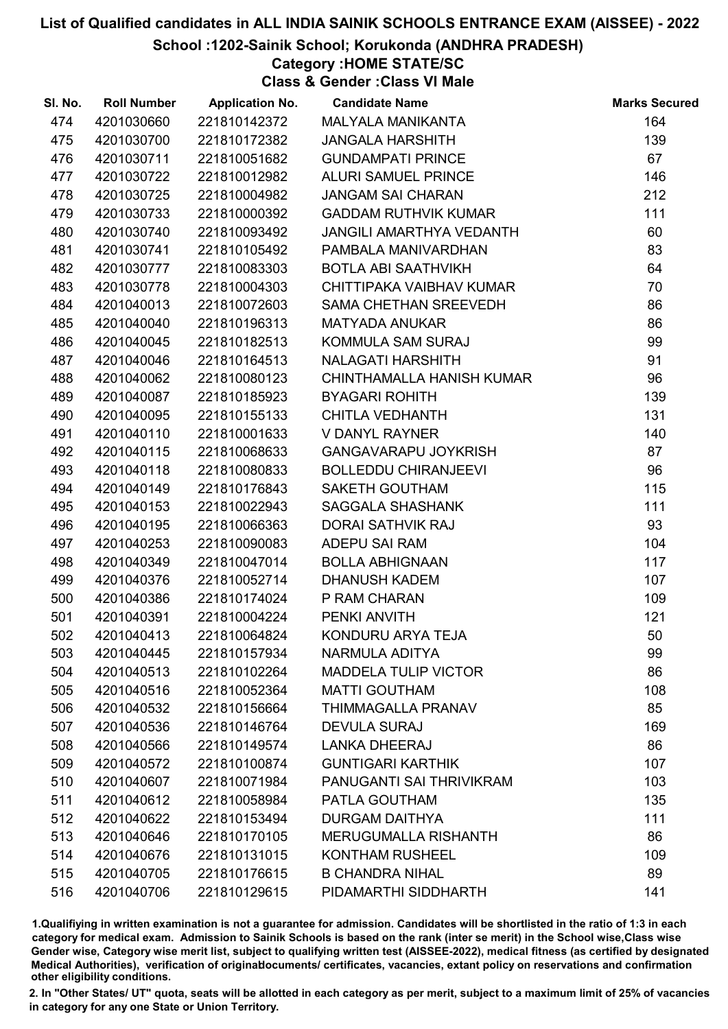School :1202-Sainik School; Korukonda (ANDHRA PRADESH)

## Category :HOME STATE/SC

Class & Gender :Class VI Male

| SI. No. | <b>Roll Number</b> | <b>Application No.</b> | <b>Candidate Name</b>           | <b>Marks Secured</b> |
|---------|--------------------|------------------------|---------------------------------|----------------------|
| 474     | 4201030660         | 221810142372           | MALYALA MANIKANTA               | 164                  |
| 475     | 4201030700         | 221810172382           | <b>JANGALA HARSHITH</b>         | 139                  |
| 476     | 4201030711         | 221810051682           | <b>GUNDAMPATI PRINCE</b>        | 67                   |
| 477     | 4201030722         | 221810012982           | <b>ALURI SAMUEL PRINCE</b>      | 146                  |
| 478     | 4201030725         | 221810004982           | <b>JANGAM SAI CHARAN</b>        | 212                  |
| 479     | 4201030733         | 221810000392           | <b>GADDAM RUTHVIK KUMAR</b>     | 111                  |
| 480     | 4201030740         | 221810093492           | <b>JANGILI AMARTHYA VEDANTH</b> | 60                   |
| 481     | 4201030741         | 221810105492           | PAMBALA MANIVARDHAN             | 83                   |
| 482     | 4201030777         | 221810083303           | <b>BOTLA ABI SAATHVIKH</b>      | 64                   |
| 483     | 4201030778         | 221810004303           | CHITTIPAKA VAIBHAV KUMAR        | 70                   |
| 484     | 4201040013         | 221810072603           | SAMA CHETHAN SREEVEDH           | 86                   |
| 485     | 4201040040         | 221810196313           | <b>MATYADA ANUKAR</b>           | 86                   |
| 486     | 4201040045         | 221810182513           | KOMMULA SAM SURAJ               | 99                   |
| 487     | 4201040046         | 221810164513           | <b>NALAGATI HARSHITH</b>        | 91                   |
| 488     | 4201040062         | 221810080123           | CHINTHAMALLA HANISH KUMAR       | 96                   |
| 489     | 4201040087         | 221810185923           | <b>BYAGARI ROHITH</b>           | 139                  |
| 490     | 4201040095         | 221810155133           | <b>CHITLA VEDHANTH</b>          | 131                  |
| 491     | 4201040110         | 221810001633           | <b>V DANYL RAYNER</b>           | 140                  |
| 492     | 4201040115         | 221810068633           | <b>GANGAVARAPU JOYKRISH</b>     | 87                   |
| 493     | 4201040118         | 221810080833           | <b>BOLLEDDU CHIRANJEEVI</b>     | 96                   |
| 494     | 4201040149         | 221810176843           | <b>SAKETH GOUTHAM</b>           | 115                  |
| 495     | 4201040153         | 221810022943           | <b>SAGGALA SHASHANK</b>         | 111                  |
| 496     | 4201040195         | 221810066363           | <b>DORAI SATHVIK RAJ</b>        | 93                   |
| 497     | 4201040253         | 221810090083           | ADEPU SAI RAM                   | 104                  |
| 498     | 4201040349         | 221810047014           | <b>BOLLA ABHIGNAAN</b>          | 117                  |
| 499     | 4201040376         | 221810052714           | <b>DHANUSH KADEM</b>            | 107                  |
| 500     | 4201040386         | 221810174024           | P RAM CHARAN                    | 109                  |
| 501     | 4201040391         | 221810004224           | PENKI ANVITH                    | 121                  |
| 502     | 4201040413         | 221810064824           | KONDURU ARYA TEJA               | 50                   |
| 503     | 4201040445         | 221810157934           | NARMULA ADITYA                  | 99                   |
| 504     | 4201040513         | 221810102264           | <b>MADDELA TULIP VICTOR</b>     | 86                   |
| 505     | 4201040516         | 221810052364           | <b>MATTI GOUTHAM</b>            | 108                  |
| 506     | 4201040532         | 221810156664           | <b>THIMMAGALLA PRANAV</b>       | 85                   |
| 507     | 4201040536         | 221810146764           | <b>DEVULA SURAJ</b>             | 169                  |
| 508     | 4201040566         | 221810149574           | <b>LANKA DHEERAJ</b>            | 86                   |
| 509     | 4201040572         | 221810100874           | <b>GUNTIGARI KARTHIK</b>        | 107                  |
| 510     | 4201040607         | 221810071984           | PANUGANTI SAI THRIVIKRAM        | 103                  |
| 511     | 4201040612         | 221810058984           | PATLA GOUTHAM                   | 135                  |
| 512     | 4201040622         | 221810153494           | <b>DURGAM DAITHYA</b>           | 111                  |
| 513     | 4201040646         | 221810170105           | <b>MERUGUMALLA RISHANTH</b>     | 86                   |
| 514     | 4201040676         | 221810131015           | <b>KONTHAM RUSHEEL</b>          | 109                  |
| 515     | 4201040705         | 221810176615           | <b>B CHANDRA NIHAL</b>          | 89                   |
| 516     | 4201040706         | 221810129615           | PIDAMARTHI SIDDHARTH            | 141                  |

1.Qualifiying in written examination is not a guarantee for admission. Candidates will be shortlisted in the ratio of 1:3 in each category for medical exam. Admission to Sainik Schools is based on the rank (inter se merit) in the School wise,Class wise Gender wise, Category wise merit list, subject to qualifying written test (AISSEE-2022), medical fitness (as certified by designated Medical Authorities), verification of originablocuments/ certificates, vacancies, extant policy on reservations and confirmation other eligibility conditions.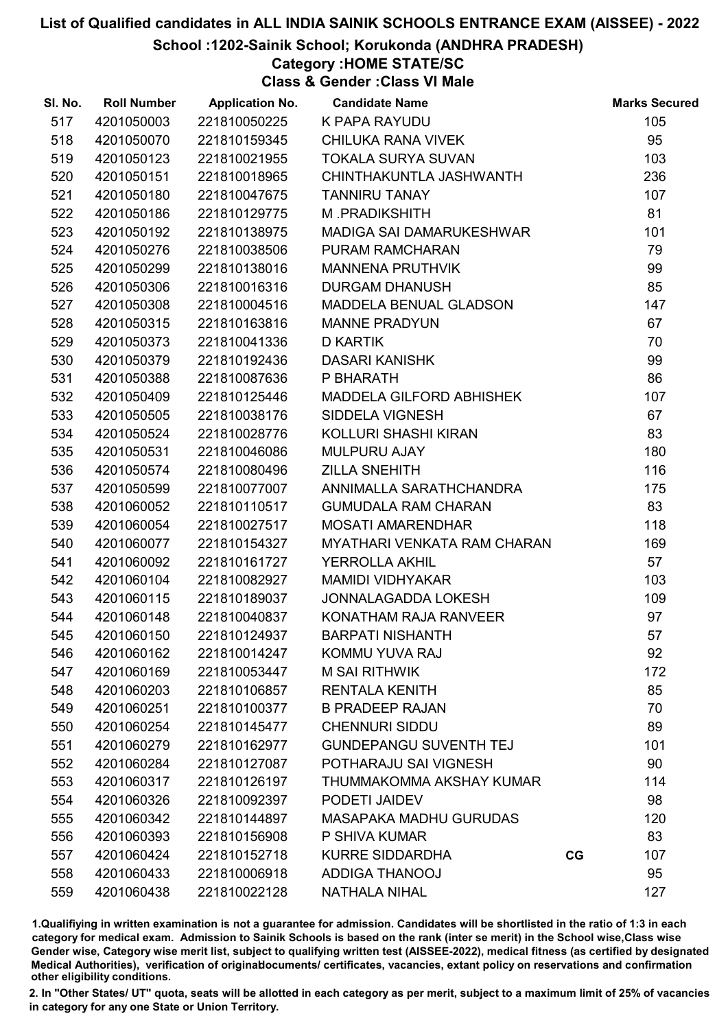School :1202-Sainik School; Korukonda (ANDHRA PRADESH)

# Category :HOME STATE/SC

Class & Gender :Class VI Male

| 517<br>K PAPA RAYUDU<br>105<br>4201050003<br>221810050225<br>95<br>518<br>4201050070<br>221810159345<br>CHILUKA RANA VIVEK<br><b>TOKALA SURYA SUVAN</b><br>103<br>519<br>4201050123<br>221810021955<br>236<br>520<br>4201050151<br>221810018965<br>CHINTHAKUNTLA JASHWANTH<br>107<br>521<br>4201050180<br>221810047675<br><b>TANNIRU TANAY</b><br>81<br>522<br>221810129775<br>M.PRADIKSHITH<br>4201050186<br>101<br>523<br>4201050192<br>221810138975<br>MADIGA SAI DAMARUKESHWAR<br>79<br>524<br>4201050276<br>221810038506<br>PURAM RAMCHARAN<br>99<br>525<br>4201050299<br>221810138016<br><b>MANNENA PRUTHVIK</b><br>85<br>221810016316<br><b>DURGAM DHANUSH</b><br>526<br>4201050306<br>221810004516<br>147<br>527<br>4201050308<br>MADDELA BENUAL GLADSON<br>67<br>528<br>221810163816<br>4201050315<br><b>MANNE PRADYUN</b><br>70<br>529<br>4201050373<br>221810041336<br><b>D KARTIK</b><br>99<br>4201050379<br>221810192436<br><b>DASARI KANISHK</b><br>530<br>86<br>221810087636<br>P BHARATH<br>531<br>4201050388<br>107<br>532<br>MADDELA GILFORD ABHISHEK<br>4201050409<br>221810125446<br>67<br>533<br>4201050505<br>221810038176<br>SIDDELA VIGNESH<br>83<br>221810028776<br>KOLLURI SHASHI KIRAN<br>534<br>4201050524<br><b>MULPURU AJAY</b><br>180<br>535<br>4201050531<br>221810046086<br>116<br><b>ZILLA SNEHITH</b><br>536<br>4201050574<br>221810080496<br>175<br>537<br>4201050599<br>221810077007<br>ANNIMALLA SARATHCHANDRA<br>83<br>221810110517<br>538<br>4201060052<br><b>GUMUDALA RAM CHARAN</b><br>118<br>539<br>4201060054<br>221810027517<br><b>MOSATI AMARENDHAR</b><br>169<br>540<br>4201060077<br>221810154327<br><b>MYATHARI VENKATA RAM CHARAN</b><br>57<br>541<br>4201060092<br>221810161727<br><b>YERROLLA AKHIL</b><br>542<br>4201060104<br>221810082927<br><b>MAMIDI VIDHYAKAR</b><br>103<br>543<br>221810189037<br>109<br>4201060115<br>JONNALAGADDA LOKESH<br>97<br>544<br>4201060148<br>KONATHAM RAJA RANVEER<br>221810040837<br>57<br>545<br>221810124937<br>4201060150<br><b>BARPATI NISHANTH</b><br>4201060162<br>221810014247<br>KOMMU YUVA RAJ<br>92<br>546<br>547<br>4201060169<br>221810053447<br><b>M SAI RITHWIK</b><br>172<br>85<br>548<br>4201060203<br>221810106857<br><b>RENTALA KENITH</b><br>549<br>4201060251<br>221810100377<br><b>B PRADEEP RAJAN</b><br>70<br>89<br>550<br>4201060254<br>221810145477<br><b>CHENNURI SIDDU</b><br><b>GUNDEPANGU SUVENTH TEJ</b><br>101<br>551<br>4201060279<br>221810162977<br>POTHARAJU SAI VIGNESH<br>90<br>552<br>4201060284<br>221810127087<br>553<br>4201060317<br>221810126197<br>THUMMAKOMMA AKSHAY KUMAR<br>114<br>98<br>554<br>4201060326<br>221810092397<br>PODETI JAIDEV<br>120<br>555<br>4201060342<br>221810144897<br><b>MASAPAKA MADHU GURUDAS</b><br>83<br>556<br>4201060393<br>221810156908<br>P SHIVA KUMAR<br>557<br>4201060424<br>221810152718<br><b>KURRE SIDDARDHA</b><br>107<br>CG<br>95<br>558<br>4201060433<br>221810006918<br><b>ADDIGA THANOOJ</b> | SI. No. | <b>Roll Number</b> | <b>Application No.</b> | <b>Candidate Name</b> | <b>Marks Secured</b> |
|-----------------------------------------------------------------------------------------------------------------------------------------------------------------------------------------------------------------------------------------------------------------------------------------------------------------------------------------------------------------------------------------------------------------------------------------------------------------------------------------------------------------------------------------------------------------------------------------------------------------------------------------------------------------------------------------------------------------------------------------------------------------------------------------------------------------------------------------------------------------------------------------------------------------------------------------------------------------------------------------------------------------------------------------------------------------------------------------------------------------------------------------------------------------------------------------------------------------------------------------------------------------------------------------------------------------------------------------------------------------------------------------------------------------------------------------------------------------------------------------------------------------------------------------------------------------------------------------------------------------------------------------------------------------------------------------------------------------------------------------------------------------------------------------------------------------------------------------------------------------------------------------------------------------------------------------------------------------------------------------------------------------------------------------------------------------------------------------------------------------------------------------------------------------------------------------------------------------------------------------------------------------------------------------------------------------------------------------------------------------------------------------------------------------------------------------------------------------------------------------------------------------------------------------------------------------------------------------------------------------------------------------------------------------------------------------------------------------------------------------------------------------------------------------------------------------------------------------------------------------------------------------------------------------------------------------------------------------------------|---------|--------------------|------------------------|-----------------------|----------------------|
|                                                                                                                                                                                                                                                                                                                                                                                                                                                                                                                                                                                                                                                                                                                                                                                                                                                                                                                                                                                                                                                                                                                                                                                                                                                                                                                                                                                                                                                                                                                                                                                                                                                                                                                                                                                                                                                                                                                                                                                                                                                                                                                                                                                                                                                                                                                                                                                                                                                                                                                                                                                                                                                                                                                                                                                                                                                                                                                                                                             |         |                    |                        |                       |                      |
|                                                                                                                                                                                                                                                                                                                                                                                                                                                                                                                                                                                                                                                                                                                                                                                                                                                                                                                                                                                                                                                                                                                                                                                                                                                                                                                                                                                                                                                                                                                                                                                                                                                                                                                                                                                                                                                                                                                                                                                                                                                                                                                                                                                                                                                                                                                                                                                                                                                                                                                                                                                                                                                                                                                                                                                                                                                                                                                                                                             |         |                    |                        |                       |                      |
|                                                                                                                                                                                                                                                                                                                                                                                                                                                                                                                                                                                                                                                                                                                                                                                                                                                                                                                                                                                                                                                                                                                                                                                                                                                                                                                                                                                                                                                                                                                                                                                                                                                                                                                                                                                                                                                                                                                                                                                                                                                                                                                                                                                                                                                                                                                                                                                                                                                                                                                                                                                                                                                                                                                                                                                                                                                                                                                                                                             |         |                    |                        |                       |                      |
|                                                                                                                                                                                                                                                                                                                                                                                                                                                                                                                                                                                                                                                                                                                                                                                                                                                                                                                                                                                                                                                                                                                                                                                                                                                                                                                                                                                                                                                                                                                                                                                                                                                                                                                                                                                                                                                                                                                                                                                                                                                                                                                                                                                                                                                                                                                                                                                                                                                                                                                                                                                                                                                                                                                                                                                                                                                                                                                                                                             |         |                    |                        |                       |                      |
|                                                                                                                                                                                                                                                                                                                                                                                                                                                                                                                                                                                                                                                                                                                                                                                                                                                                                                                                                                                                                                                                                                                                                                                                                                                                                                                                                                                                                                                                                                                                                                                                                                                                                                                                                                                                                                                                                                                                                                                                                                                                                                                                                                                                                                                                                                                                                                                                                                                                                                                                                                                                                                                                                                                                                                                                                                                                                                                                                                             |         |                    |                        |                       |                      |
|                                                                                                                                                                                                                                                                                                                                                                                                                                                                                                                                                                                                                                                                                                                                                                                                                                                                                                                                                                                                                                                                                                                                                                                                                                                                                                                                                                                                                                                                                                                                                                                                                                                                                                                                                                                                                                                                                                                                                                                                                                                                                                                                                                                                                                                                                                                                                                                                                                                                                                                                                                                                                                                                                                                                                                                                                                                                                                                                                                             |         |                    |                        |                       |                      |
|                                                                                                                                                                                                                                                                                                                                                                                                                                                                                                                                                                                                                                                                                                                                                                                                                                                                                                                                                                                                                                                                                                                                                                                                                                                                                                                                                                                                                                                                                                                                                                                                                                                                                                                                                                                                                                                                                                                                                                                                                                                                                                                                                                                                                                                                                                                                                                                                                                                                                                                                                                                                                                                                                                                                                                                                                                                                                                                                                                             |         |                    |                        |                       |                      |
|                                                                                                                                                                                                                                                                                                                                                                                                                                                                                                                                                                                                                                                                                                                                                                                                                                                                                                                                                                                                                                                                                                                                                                                                                                                                                                                                                                                                                                                                                                                                                                                                                                                                                                                                                                                                                                                                                                                                                                                                                                                                                                                                                                                                                                                                                                                                                                                                                                                                                                                                                                                                                                                                                                                                                                                                                                                                                                                                                                             |         |                    |                        |                       |                      |
|                                                                                                                                                                                                                                                                                                                                                                                                                                                                                                                                                                                                                                                                                                                                                                                                                                                                                                                                                                                                                                                                                                                                                                                                                                                                                                                                                                                                                                                                                                                                                                                                                                                                                                                                                                                                                                                                                                                                                                                                                                                                                                                                                                                                                                                                                                                                                                                                                                                                                                                                                                                                                                                                                                                                                                                                                                                                                                                                                                             |         |                    |                        |                       |                      |
|                                                                                                                                                                                                                                                                                                                                                                                                                                                                                                                                                                                                                                                                                                                                                                                                                                                                                                                                                                                                                                                                                                                                                                                                                                                                                                                                                                                                                                                                                                                                                                                                                                                                                                                                                                                                                                                                                                                                                                                                                                                                                                                                                                                                                                                                                                                                                                                                                                                                                                                                                                                                                                                                                                                                                                                                                                                                                                                                                                             |         |                    |                        |                       |                      |
|                                                                                                                                                                                                                                                                                                                                                                                                                                                                                                                                                                                                                                                                                                                                                                                                                                                                                                                                                                                                                                                                                                                                                                                                                                                                                                                                                                                                                                                                                                                                                                                                                                                                                                                                                                                                                                                                                                                                                                                                                                                                                                                                                                                                                                                                                                                                                                                                                                                                                                                                                                                                                                                                                                                                                                                                                                                                                                                                                                             |         |                    |                        |                       |                      |
|                                                                                                                                                                                                                                                                                                                                                                                                                                                                                                                                                                                                                                                                                                                                                                                                                                                                                                                                                                                                                                                                                                                                                                                                                                                                                                                                                                                                                                                                                                                                                                                                                                                                                                                                                                                                                                                                                                                                                                                                                                                                                                                                                                                                                                                                                                                                                                                                                                                                                                                                                                                                                                                                                                                                                                                                                                                                                                                                                                             |         |                    |                        |                       |                      |
|                                                                                                                                                                                                                                                                                                                                                                                                                                                                                                                                                                                                                                                                                                                                                                                                                                                                                                                                                                                                                                                                                                                                                                                                                                                                                                                                                                                                                                                                                                                                                                                                                                                                                                                                                                                                                                                                                                                                                                                                                                                                                                                                                                                                                                                                                                                                                                                                                                                                                                                                                                                                                                                                                                                                                                                                                                                                                                                                                                             |         |                    |                        |                       |                      |
|                                                                                                                                                                                                                                                                                                                                                                                                                                                                                                                                                                                                                                                                                                                                                                                                                                                                                                                                                                                                                                                                                                                                                                                                                                                                                                                                                                                                                                                                                                                                                                                                                                                                                                                                                                                                                                                                                                                                                                                                                                                                                                                                                                                                                                                                                                                                                                                                                                                                                                                                                                                                                                                                                                                                                                                                                                                                                                                                                                             |         |                    |                        |                       |                      |
|                                                                                                                                                                                                                                                                                                                                                                                                                                                                                                                                                                                                                                                                                                                                                                                                                                                                                                                                                                                                                                                                                                                                                                                                                                                                                                                                                                                                                                                                                                                                                                                                                                                                                                                                                                                                                                                                                                                                                                                                                                                                                                                                                                                                                                                                                                                                                                                                                                                                                                                                                                                                                                                                                                                                                                                                                                                                                                                                                                             |         |                    |                        |                       |                      |
|                                                                                                                                                                                                                                                                                                                                                                                                                                                                                                                                                                                                                                                                                                                                                                                                                                                                                                                                                                                                                                                                                                                                                                                                                                                                                                                                                                                                                                                                                                                                                                                                                                                                                                                                                                                                                                                                                                                                                                                                                                                                                                                                                                                                                                                                                                                                                                                                                                                                                                                                                                                                                                                                                                                                                                                                                                                                                                                                                                             |         |                    |                        |                       |                      |
|                                                                                                                                                                                                                                                                                                                                                                                                                                                                                                                                                                                                                                                                                                                                                                                                                                                                                                                                                                                                                                                                                                                                                                                                                                                                                                                                                                                                                                                                                                                                                                                                                                                                                                                                                                                                                                                                                                                                                                                                                                                                                                                                                                                                                                                                                                                                                                                                                                                                                                                                                                                                                                                                                                                                                                                                                                                                                                                                                                             |         |                    |                        |                       |                      |
|                                                                                                                                                                                                                                                                                                                                                                                                                                                                                                                                                                                                                                                                                                                                                                                                                                                                                                                                                                                                                                                                                                                                                                                                                                                                                                                                                                                                                                                                                                                                                                                                                                                                                                                                                                                                                                                                                                                                                                                                                                                                                                                                                                                                                                                                                                                                                                                                                                                                                                                                                                                                                                                                                                                                                                                                                                                                                                                                                                             |         |                    |                        |                       |                      |
|                                                                                                                                                                                                                                                                                                                                                                                                                                                                                                                                                                                                                                                                                                                                                                                                                                                                                                                                                                                                                                                                                                                                                                                                                                                                                                                                                                                                                                                                                                                                                                                                                                                                                                                                                                                                                                                                                                                                                                                                                                                                                                                                                                                                                                                                                                                                                                                                                                                                                                                                                                                                                                                                                                                                                                                                                                                                                                                                                                             |         |                    |                        |                       |                      |
|                                                                                                                                                                                                                                                                                                                                                                                                                                                                                                                                                                                                                                                                                                                                                                                                                                                                                                                                                                                                                                                                                                                                                                                                                                                                                                                                                                                                                                                                                                                                                                                                                                                                                                                                                                                                                                                                                                                                                                                                                                                                                                                                                                                                                                                                                                                                                                                                                                                                                                                                                                                                                                                                                                                                                                                                                                                                                                                                                                             |         |                    |                        |                       |                      |
|                                                                                                                                                                                                                                                                                                                                                                                                                                                                                                                                                                                                                                                                                                                                                                                                                                                                                                                                                                                                                                                                                                                                                                                                                                                                                                                                                                                                                                                                                                                                                                                                                                                                                                                                                                                                                                                                                                                                                                                                                                                                                                                                                                                                                                                                                                                                                                                                                                                                                                                                                                                                                                                                                                                                                                                                                                                                                                                                                                             |         |                    |                        |                       |                      |
|                                                                                                                                                                                                                                                                                                                                                                                                                                                                                                                                                                                                                                                                                                                                                                                                                                                                                                                                                                                                                                                                                                                                                                                                                                                                                                                                                                                                                                                                                                                                                                                                                                                                                                                                                                                                                                                                                                                                                                                                                                                                                                                                                                                                                                                                                                                                                                                                                                                                                                                                                                                                                                                                                                                                                                                                                                                                                                                                                                             |         |                    |                        |                       |                      |
|                                                                                                                                                                                                                                                                                                                                                                                                                                                                                                                                                                                                                                                                                                                                                                                                                                                                                                                                                                                                                                                                                                                                                                                                                                                                                                                                                                                                                                                                                                                                                                                                                                                                                                                                                                                                                                                                                                                                                                                                                                                                                                                                                                                                                                                                                                                                                                                                                                                                                                                                                                                                                                                                                                                                                                                                                                                                                                                                                                             |         |                    |                        |                       |                      |
|                                                                                                                                                                                                                                                                                                                                                                                                                                                                                                                                                                                                                                                                                                                                                                                                                                                                                                                                                                                                                                                                                                                                                                                                                                                                                                                                                                                                                                                                                                                                                                                                                                                                                                                                                                                                                                                                                                                                                                                                                                                                                                                                                                                                                                                                                                                                                                                                                                                                                                                                                                                                                                                                                                                                                                                                                                                                                                                                                                             |         |                    |                        |                       |                      |
|                                                                                                                                                                                                                                                                                                                                                                                                                                                                                                                                                                                                                                                                                                                                                                                                                                                                                                                                                                                                                                                                                                                                                                                                                                                                                                                                                                                                                                                                                                                                                                                                                                                                                                                                                                                                                                                                                                                                                                                                                                                                                                                                                                                                                                                                                                                                                                                                                                                                                                                                                                                                                                                                                                                                                                                                                                                                                                                                                                             |         |                    |                        |                       |                      |
|                                                                                                                                                                                                                                                                                                                                                                                                                                                                                                                                                                                                                                                                                                                                                                                                                                                                                                                                                                                                                                                                                                                                                                                                                                                                                                                                                                                                                                                                                                                                                                                                                                                                                                                                                                                                                                                                                                                                                                                                                                                                                                                                                                                                                                                                                                                                                                                                                                                                                                                                                                                                                                                                                                                                                                                                                                                                                                                                                                             |         |                    |                        |                       |                      |
|                                                                                                                                                                                                                                                                                                                                                                                                                                                                                                                                                                                                                                                                                                                                                                                                                                                                                                                                                                                                                                                                                                                                                                                                                                                                                                                                                                                                                                                                                                                                                                                                                                                                                                                                                                                                                                                                                                                                                                                                                                                                                                                                                                                                                                                                                                                                                                                                                                                                                                                                                                                                                                                                                                                                                                                                                                                                                                                                                                             |         |                    |                        |                       |                      |
|                                                                                                                                                                                                                                                                                                                                                                                                                                                                                                                                                                                                                                                                                                                                                                                                                                                                                                                                                                                                                                                                                                                                                                                                                                                                                                                                                                                                                                                                                                                                                                                                                                                                                                                                                                                                                                                                                                                                                                                                                                                                                                                                                                                                                                                                                                                                                                                                                                                                                                                                                                                                                                                                                                                                                                                                                                                                                                                                                                             |         |                    |                        |                       |                      |
|                                                                                                                                                                                                                                                                                                                                                                                                                                                                                                                                                                                                                                                                                                                                                                                                                                                                                                                                                                                                                                                                                                                                                                                                                                                                                                                                                                                                                                                                                                                                                                                                                                                                                                                                                                                                                                                                                                                                                                                                                                                                                                                                                                                                                                                                                                                                                                                                                                                                                                                                                                                                                                                                                                                                                                                                                                                                                                                                                                             |         |                    |                        |                       |                      |
|                                                                                                                                                                                                                                                                                                                                                                                                                                                                                                                                                                                                                                                                                                                                                                                                                                                                                                                                                                                                                                                                                                                                                                                                                                                                                                                                                                                                                                                                                                                                                                                                                                                                                                                                                                                                                                                                                                                                                                                                                                                                                                                                                                                                                                                                                                                                                                                                                                                                                                                                                                                                                                                                                                                                                                                                                                                                                                                                                                             |         |                    |                        |                       |                      |
|                                                                                                                                                                                                                                                                                                                                                                                                                                                                                                                                                                                                                                                                                                                                                                                                                                                                                                                                                                                                                                                                                                                                                                                                                                                                                                                                                                                                                                                                                                                                                                                                                                                                                                                                                                                                                                                                                                                                                                                                                                                                                                                                                                                                                                                                                                                                                                                                                                                                                                                                                                                                                                                                                                                                                                                                                                                                                                                                                                             |         |                    |                        |                       |                      |
|                                                                                                                                                                                                                                                                                                                                                                                                                                                                                                                                                                                                                                                                                                                                                                                                                                                                                                                                                                                                                                                                                                                                                                                                                                                                                                                                                                                                                                                                                                                                                                                                                                                                                                                                                                                                                                                                                                                                                                                                                                                                                                                                                                                                                                                                                                                                                                                                                                                                                                                                                                                                                                                                                                                                                                                                                                                                                                                                                                             |         |                    |                        |                       |                      |
|                                                                                                                                                                                                                                                                                                                                                                                                                                                                                                                                                                                                                                                                                                                                                                                                                                                                                                                                                                                                                                                                                                                                                                                                                                                                                                                                                                                                                                                                                                                                                                                                                                                                                                                                                                                                                                                                                                                                                                                                                                                                                                                                                                                                                                                                                                                                                                                                                                                                                                                                                                                                                                                                                                                                                                                                                                                                                                                                                                             |         |                    |                        |                       |                      |
|                                                                                                                                                                                                                                                                                                                                                                                                                                                                                                                                                                                                                                                                                                                                                                                                                                                                                                                                                                                                                                                                                                                                                                                                                                                                                                                                                                                                                                                                                                                                                                                                                                                                                                                                                                                                                                                                                                                                                                                                                                                                                                                                                                                                                                                                                                                                                                                                                                                                                                                                                                                                                                                                                                                                                                                                                                                                                                                                                                             |         |                    |                        |                       |                      |
|                                                                                                                                                                                                                                                                                                                                                                                                                                                                                                                                                                                                                                                                                                                                                                                                                                                                                                                                                                                                                                                                                                                                                                                                                                                                                                                                                                                                                                                                                                                                                                                                                                                                                                                                                                                                                                                                                                                                                                                                                                                                                                                                                                                                                                                                                                                                                                                                                                                                                                                                                                                                                                                                                                                                                                                                                                                                                                                                                                             |         |                    |                        |                       |                      |
|                                                                                                                                                                                                                                                                                                                                                                                                                                                                                                                                                                                                                                                                                                                                                                                                                                                                                                                                                                                                                                                                                                                                                                                                                                                                                                                                                                                                                                                                                                                                                                                                                                                                                                                                                                                                                                                                                                                                                                                                                                                                                                                                                                                                                                                                                                                                                                                                                                                                                                                                                                                                                                                                                                                                                                                                                                                                                                                                                                             |         |                    |                        |                       |                      |
|                                                                                                                                                                                                                                                                                                                                                                                                                                                                                                                                                                                                                                                                                                                                                                                                                                                                                                                                                                                                                                                                                                                                                                                                                                                                                                                                                                                                                                                                                                                                                                                                                                                                                                                                                                                                                                                                                                                                                                                                                                                                                                                                                                                                                                                                                                                                                                                                                                                                                                                                                                                                                                                                                                                                                                                                                                                                                                                                                                             |         |                    |                        |                       |                      |
|                                                                                                                                                                                                                                                                                                                                                                                                                                                                                                                                                                                                                                                                                                                                                                                                                                                                                                                                                                                                                                                                                                                                                                                                                                                                                                                                                                                                                                                                                                                                                                                                                                                                                                                                                                                                                                                                                                                                                                                                                                                                                                                                                                                                                                                                                                                                                                                                                                                                                                                                                                                                                                                                                                                                                                                                                                                                                                                                                                             |         |                    |                        |                       |                      |
|                                                                                                                                                                                                                                                                                                                                                                                                                                                                                                                                                                                                                                                                                                                                                                                                                                                                                                                                                                                                                                                                                                                                                                                                                                                                                                                                                                                                                                                                                                                                                                                                                                                                                                                                                                                                                                                                                                                                                                                                                                                                                                                                                                                                                                                                                                                                                                                                                                                                                                                                                                                                                                                                                                                                                                                                                                                                                                                                                                             |         |                    |                        |                       |                      |
|                                                                                                                                                                                                                                                                                                                                                                                                                                                                                                                                                                                                                                                                                                                                                                                                                                                                                                                                                                                                                                                                                                                                                                                                                                                                                                                                                                                                                                                                                                                                                                                                                                                                                                                                                                                                                                                                                                                                                                                                                                                                                                                                                                                                                                                                                                                                                                                                                                                                                                                                                                                                                                                                                                                                                                                                                                                                                                                                                                             |         |                    |                        |                       |                      |
|                                                                                                                                                                                                                                                                                                                                                                                                                                                                                                                                                                                                                                                                                                                                                                                                                                                                                                                                                                                                                                                                                                                                                                                                                                                                                                                                                                                                                                                                                                                                                                                                                                                                                                                                                                                                                                                                                                                                                                                                                                                                                                                                                                                                                                                                                                                                                                                                                                                                                                                                                                                                                                                                                                                                                                                                                                                                                                                                                                             |         |                    |                        |                       |                      |
|                                                                                                                                                                                                                                                                                                                                                                                                                                                                                                                                                                                                                                                                                                                                                                                                                                                                                                                                                                                                                                                                                                                                                                                                                                                                                                                                                                                                                                                                                                                                                                                                                                                                                                                                                                                                                                                                                                                                                                                                                                                                                                                                                                                                                                                                                                                                                                                                                                                                                                                                                                                                                                                                                                                                                                                                                                                                                                                                                                             |         |                    |                        |                       |                      |
|                                                                                                                                                                                                                                                                                                                                                                                                                                                                                                                                                                                                                                                                                                                                                                                                                                                                                                                                                                                                                                                                                                                                                                                                                                                                                                                                                                                                                                                                                                                                                                                                                                                                                                                                                                                                                                                                                                                                                                                                                                                                                                                                                                                                                                                                                                                                                                                                                                                                                                                                                                                                                                                                                                                                                                                                                                                                                                                                                                             | 559     | 4201060438         | 221810022128           | <b>NATHALA NIHAL</b>  | 127                  |

1.Qualifiying in written examination is not a guarantee for admission. Candidates will be shortlisted in the ratio of 1:3 in each category for medical exam. Admission to Sainik Schools is based on the rank (inter se merit) in the School wise,Class wise Gender wise, Category wise merit list, subject to qualifying written test (AISSEE-2022), medical fitness (as certified by designated Medical Authorities), verification of originablocuments/ certificates, vacancies, extant policy on reservations and confirmation other eligibility conditions.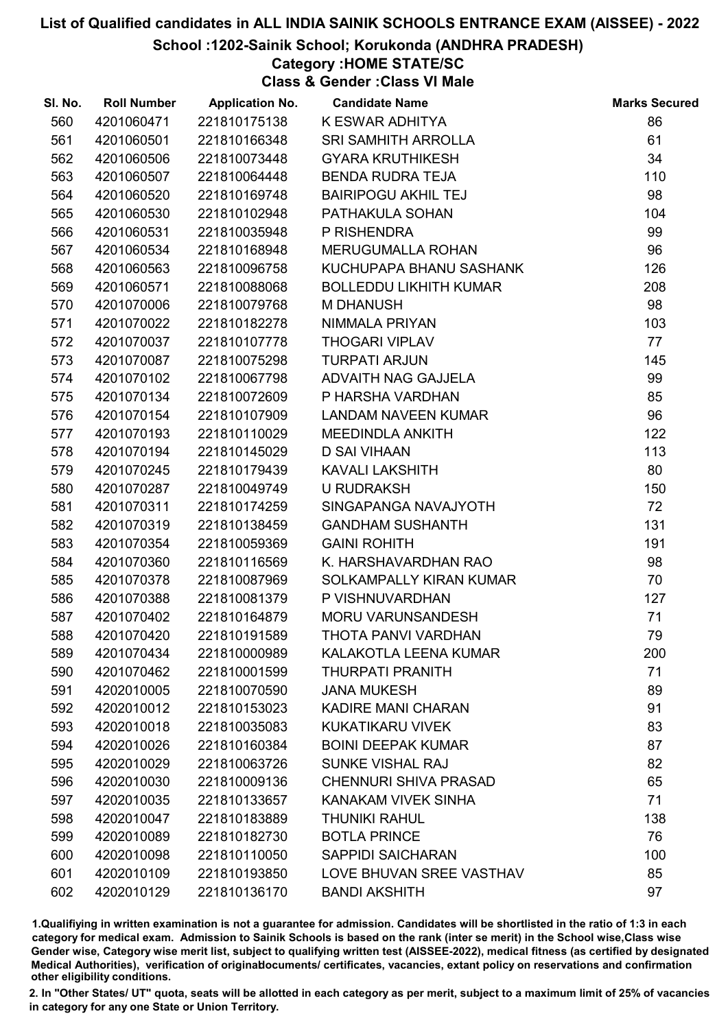### School :1202-Sainik School; Korukonda (ANDHRA PRADESH)

# Category :HOME STATE/SC

Class & Gender :Class VI Male

| SI. No. | <b>Roll Number</b> | <b>Application No.</b> | <b>Candidate Name</b>         | <b>Marks Secured</b> |
|---------|--------------------|------------------------|-------------------------------|----------------------|
| 560     | 4201060471         | 221810175138           | K ESWAR ADHITYA               | 86                   |
| 561     | 4201060501         | 221810166348           | <b>SRI SAMHITH ARROLLA</b>    | 61                   |
| 562     | 4201060506         | 221810073448           | <b>GYARA KRUTHIKESH</b>       | 34                   |
| 563     | 4201060507         | 221810064448           | <b>BENDA RUDRA TEJA</b>       | 110                  |
| 564     | 4201060520         | 221810169748           | <b>BAIRIPOGU AKHIL TEJ</b>    | 98                   |
| 565     | 4201060530         | 221810102948           | PATHAKULA SOHAN               | 104                  |
| 566     | 4201060531         | 221810035948           | P RISHENDRA                   | 99                   |
| 567     | 4201060534         | 221810168948           | MERUGUMALLA ROHAN             | 96                   |
| 568     | 4201060563         | 221810096758           | KUCHUPAPA BHANU SASHANK       | 126                  |
| 569     | 4201060571         | 221810088068           | <b>BOLLEDDU LIKHITH KUMAR</b> | 208                  |
| 570     | 4201070006         | 221810079768           | <b>M DHANUSH</b>              | 98                   |
| 571     | 4201070022         | 221810182278           | NIMMALA PRIYAN                | 103                  |
| 572     | 4201070037         | 221810107778           | <b>THOGARI VIPLAV</b>         | 77                   |
| 573     | 4201070087         | 221810075298           | <b>TURPATI ARJUN</b>          | 145                  |
| 574     | 4201070102         | 221810067798           | ADVAITH NAG GAJJELA           | 99                   |
| 575     | 4201070134         | 221810072609           | P HARSHA VARDHAN              | 85                   |
| 576     | 4201070154         | 221810107909           | <b>LANDAM NAVEEN KUMAR</b>    | 96                   |
| 577     | 4201070193         | 221810110029           | MEEDINDLA ANKITH              | 122                  |
| 578     | 4201070194         | 221810145029           | <b>D SAI VIHAAN</b>           | 113                  |
| 579     | 4201070245         | 221810179439           | <b>KAVALI LAKSHITH</b>        | 80                   |
| 580     | 4201070287         | 221810049749           | <b>U RUDRAKSH</b>             | 150                  |
| 581     | 4201070311         | 221810174259           | SINGAPANGA NAVAJYOTH          | 72                   |
| 582     | 4201070319         | 221810138459           | <b>GANDHAM SUSHANTH</b>       | 131                  |
| 583     | 4201070354         | 221810059369           | <b>GAINI ROHITH</b>           | 191                  |
| 584     | 4201070360         | 221810116569           | K. HARSHAVARDHAN RAO          | 98                   |
| 585     | 4201070378         | 221810087969           | SOLKAMPALLY KIRAN KUMAR       | 70                   |
| 586     | 4201070388         | 221810081379           | P VISHNUVARDHAN               | 127                  |
| 587     | 4201070402         | 221810164879           | <b>MORU VARUNSANDESH</b>      | 71                   |
| 588     | 4201070420         | 221810191589           | THOTA PANVI VARDHAN           | 79                   |
| 589     | 4201070434         | 221810000989           | KALAKOTLA LEENA KUMAR         | 200                  |
| 590     | 4201070462         | 221810001599           | <b>THURPATI PRANITH</b>       | 71                   |
| 591     | 4202010005         | 221810070590           | <b>JANA MUKESH</b>            | 89                   |
| 592     | 4202010012         | 221810153023           | <b>KADIRE MANI CHARAN</b>     | 91                   |
| 593     | 4202010018         | 221810035083           | KUKATIKARU VIVEK              | 83                   |
| 594     | 4202010026         | 221810160384           | <b>BOINI DEEPAK KUMAR</b>     | 87                   |
| 595     | 4202010029         | 221810063726           | <b>SUNKE VISHAL RAJ</b>       | 82                   |
| 596     | 4202010030         | 221810009136           | <b>CHENNURI SHIVA PRASAD</b>  | 65                   |
| 597     | 4202010035         | 221810133657           | KANAKAM VIVEK SINHA           | 71                   |
| 598     | 4202010047         | 221810183889           | <b>THUNIKI RAHUL</b>          | 138                  |
| 599     | 4202010089         | 221810182730           | <b>BOTLA PRINCE</b>           | 76                   |
| 600     | 4202010098         | 221810110050           | <b>SAPPIDI SAICHARAN</b>      | 100                  |
| 601     | 4202010109         | 221810193850           | LOVE BHUVAN SREE VASTHAV      | 85                   |
| 602     | 4202010129         | 221810136170           | <b>BANDI AKSHITH</b>          | 97                   |

1.Qualifiying in written examination is not a guarantee for admission. Candidates will be shortlisted in the ratio of 1:3 in each category for medical exam. Admission to Sainik Schools is based on the rank (inter se merit) in the School wise,Class wise Gender wise, Category wise merit list, subject to qualifying written test (AISSEE-2022), medical fitness (as certified by designated Medical Authorities), verification of originablocuments/ certificates, vacancies, extant policy on reservations and confirmation other eligibility conditions.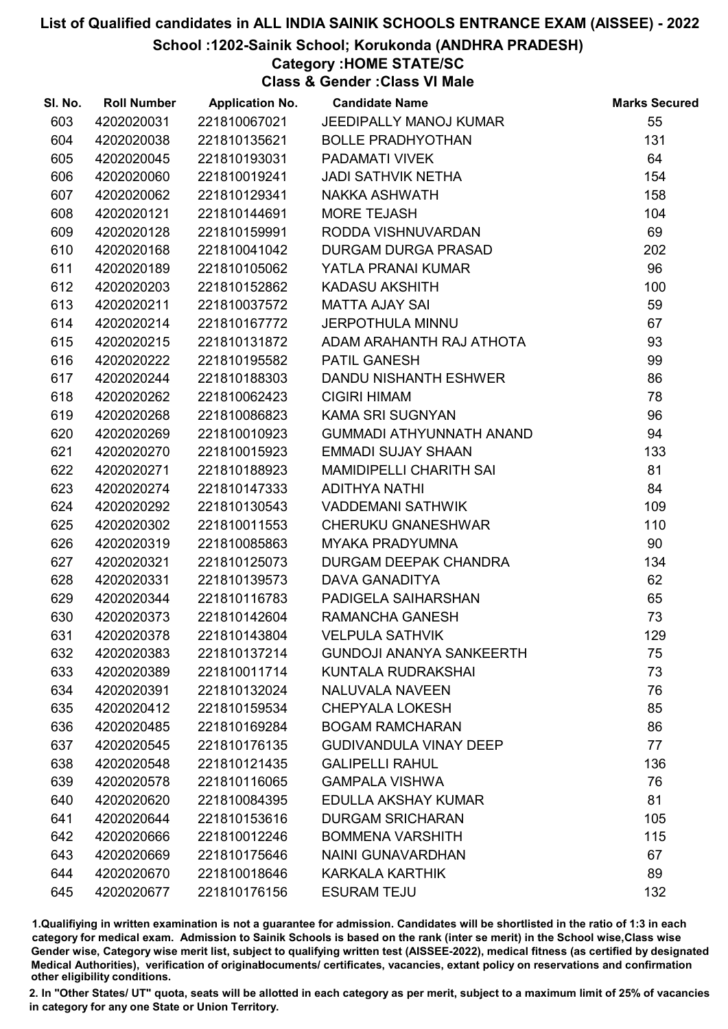School :1202-Sainik School; Korukonda (ANDHRA PRADESH)

# Category :HOME STATE/SC

Class & Gender :Class VI Male

| SI. No. | <b>Roll Number</b> | <b>Application No.</b> | <b>Candidate Name</b>           | <b>Marks Secured</b> |
|---------|--------------------|------------------------|---------------------------------|----------------------|
| 603     | 4202020031         | 221810067021           | JEEDIPALLY MANOJ KUMAR          | 55                   |
| 604     | 4202020038         | 221810135621           | <b>BOLLE PRADHYOTHAN</b>        | 131                  |
| 605     | 4202020045         | 221810193031           | PADAMATI VIVEK                  | 64                   |
| 606     | 4202020060         | 221810019241           | JADI SATHVIK NETHA              | 154                  |
| 607     | 4202020062         | 221810129341           | NAKKA ASHWATH                   | 158                  |
| 608     | 4202020121         | 221810144691           | <b>MORE TEJASH</b>              | 104                  |
| 609     | 4202020128         | 221810159991           | RODDA VISHNUVARDAN              | 69                   |
| 610     | 4202020168         | 221810041042           | DURGAM DURGA PRASAD             | 202                  |
| 611     | 4202020189         | 221810105062           | YATLA PRANAI KUMAR              | 96                   |
| 612     | 4202020203         | 221810152862           | <b>KADASU AKSHITH</b>           | 100                  |
| 613     | 4202020211         | 221810037572           | <b>MATTA AJAY SAI</b>           | 59                   |
| 614     | 4202020214         | 221810167772           | <b>JERPOTHULA MINNU</b>         | 67                   |
| 615     | 4202020215         | 221810131872           | ADAM ARAHANTH RAJ ATHOTA        | 93                   |
| 616     | 4202020222         | 221810195582           | PATIL GANESH                    | 99                   |
| 617     | 4202020244         | 221810188303           | DANDU NISHANTH ESHWER           | 86                   |
| 618     | 4202020262         | 221810062423           | <b>CIGIRI HIMAM</b>             | 78                   |
| 619     | 4202020268         | 221810086823           | <b>KAMA SRI SUGNYAN</b>         | 96                   |
| 620     | 4202020269         | 221810010923           | <b>GUMMADI ATHYUNNATH ANAND</b> | 94                   |
| 621     | 4202020270         | 221810015923           | <b>EMMADI SUJAY SHAAN</b>       | 133                  |
| 622     | 4202020271         | 221810188923           | MAMIDIPELLI CHARITH SAI         | 81                   |
| 623     | 4202020274         | 221810147333           | <b>ADITHYA NATHI</b>            | 84                   |
| 624     | 4202020292         | 221810130543           | <b>VADDEMANI SATHWIK</b>        | 109                  |
| 625     | 4202020302         | 221810011553           | <b>CHERUKU GNANESHWAR</b>       | 110                  |
| 626     | 4202020319         | 221810085863           | <b>MYAKA PRADYUMNA</b>          | 90                   |
| 627     | 4202020321         | 221810125073           | DURGAM DEEPAK CHANDRA           | 134                  |
| 628     | 4202020331         | 221810139573           | <b>DAVA GANADITYA</b>           | 62                   |
| 629     | 4202020344         | 221810116783           | PADIGELA SAIHARSHAN             | 65                   |
| 630     | 4202020373         | 221810142604           | <b>RAMANCHA GANESH</b>          | 73                   |
| 631     | 4202020378         | 221810143804           | <b>VELPULA SATHVIK</b>          | 129                  |
| 632     | 4202020383         | 221810137214           | <b>GUNDOJI ANANYA SANKEERTH</b> | 75                   |
| 633     | 4202020389         | 221810011714           | KUNTALA RUDRAKSHAI              | 73                   |
| 634     | 4202020391         | 221810132024           | <b>NALUVALA NAVEEN</b>          | 76                   |
| 635     | 4202020412         | 221810159534           | <b>CHEPYALA LOKESH</b>          | 85                   |
| 636     | 4202020485         | 221810169284           | <b>BOGAM RAMCHARAN</b>          | 86                   |
| 637     | 4202020545         | 221810176135           | <b>GUDIVANDULA VINAY DEEP</b>   | 77                   |
| 638     | 4202020548         | 221810121435           | <b>GALIPELLI RAHUL</b>          | 136                  |
| 639     | 4202020578         | 221810116065           | <b>GAMPALA VISHWA</b>           | 76                   |
| 640     | 4202020620         | 221810084395           | EDULLA AKSHAY KUMAR             | 81                   |
| 641     | 4202020644         | 221810153616           | <b>DURGAM SRICHARAN</b>         | 105                  |
| 642     | 4202020666         | 221810012246           | <b>BOMMENA VARSHITH</b>         | 115                  |
| 643     | 4202020669         | 221810175646           | <b>NAINI GUNAVARDHAN</b>        | 67                   |
| 644     | 4202020670         | 221810018646           | KARKALA KARTHIK                 | 89                   |
| 645     | 4202020677         | 221810176156           | <b>ESURAM TEJU</b>              | 132                  |

1.Qualifiying in written examination is not a guarantee for admission. Candidates will be shortlisted in the ratio of 1:3 in each category for medical exam. Admission to Sainik Schools is based on the rank (inter se merit) in the School wise,Class wise Gender wise, Category wise merit list, subject to qualifying written test (AISSEE-2022), medical fitness (as certified by designated Medical Authorities), verification of originablocuments/ certificates, vacancies, extant policy on reservations and confirmation other eligibility conditions.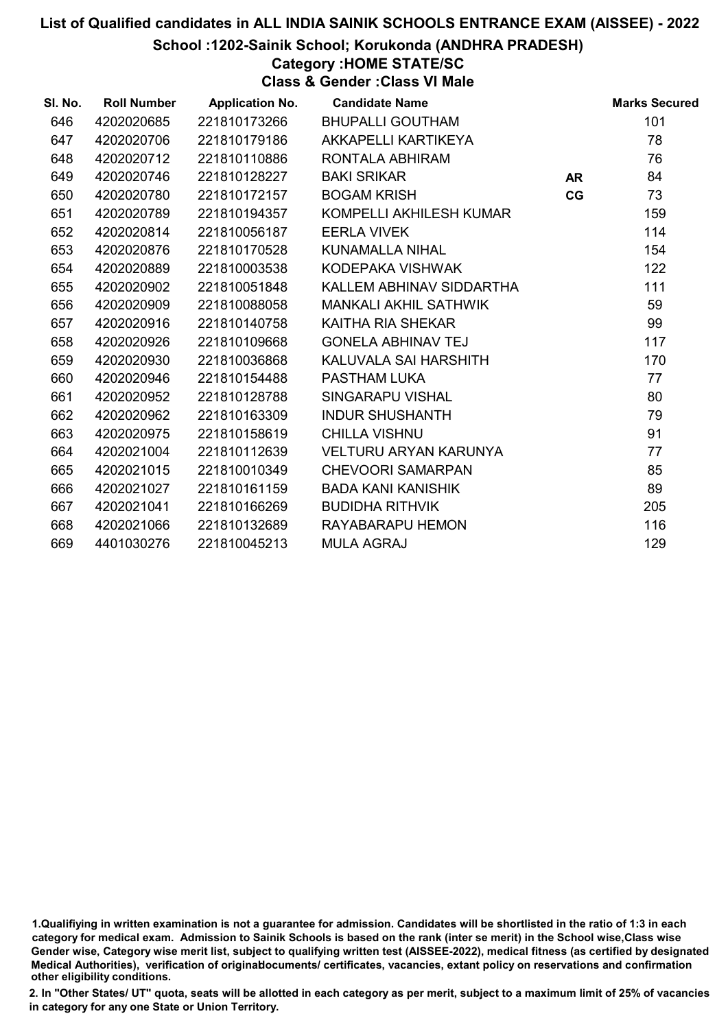School :1202-Sainik School; Korukonda (ANDHRA PRADESH)

# Category :HOME STATE/SC

Class & Gender :Class VI Male

| SI. No. | <b>Roll Number</b> | <b>Application No.</b> | <b>Candidate Name</b>        |           | <b>Marks Secured</b> |
|---------|--------------------|------------------------|------------------------------|-----------|----------------------|
| 646     | 4202020685         | 221810173266           | <b>BHUPALLI GOUTHAM</b>      |           | 101                  |
| 647     | 4202020706         | 221810179186           | AKKAPELLI KARTIKEYA          |           | 78                   |
| 648     | 4202020712         | 221810110886           | RONTALA ABHIRAM              |           | 76                   |
| 649     | 4202020746         | 221810128227           | <b>BAKI SRIKAR</b>           | <b>AR</b> | 84                   |
| 650     | 4202020780         | 221810172157           | <b>BOGAM KRISH</b>           | CG        | 73                   |
| 651     | 4202020789         | 221810194357           | KOMPELLI AKHILESH KUMAR      |           | 159                  |
| 652     | 4202020814         | 221810056187           | <b>EERLA VIVEK</b>           |           | 114                  |
| 653     | 4202020876         | 221810170528           | <b>KUNAMALLA NIHAL</b>       |           | 154                  |
| 654     | 4202020889         | 221810003538           | KODEPAKA VISHWAK             |           | 122                  |
| 655     | 4202020902         | 221810051848           | KALLEM ABHINAV SIDDARTHA     |           | 111                  |
| 656     | 4202020909         | 221810088058           | <b>MANKALI AKHIL SATHWIK</b> |           | 59                   |
| 657     | 4202020916         | 221810140758           | KAITHA RIA SHEKAR            |           | 99                   |
| 658     | 4202020926         | 221810109668           | <b>GONELA ABHINAV TEJ</b>    |           | 117                  |
| 659     | 4202020930         | 221810036868           | KALUVALA SAI HARSHITH        |           | 170                  |
| 660     | 4202020946         | 221810154488           | PASTHAM LUKA                 |           | 77                   |
| 661     | 4202020952         | 221810128788           | SINGARAPU VISHAL             |           | 80                   |
| 662     | 4202020962         | 221810163309           | <b>INDUR SHUSHANTH</b>       |           | 79                   |
| 663     | 4202020975         | 221810158619           | <b>CHILLA VISHNU</b>         |           | 91                   |
| 664     | 4202021004         | 221810112639           | <b>VELTURU ARYAN KARUNYA</b> |           | 77                   |
| 665     | 4202021015         | 221810010349           | <b>CHEVOORI SAMARPAN</b>     |           | 85                   |
| 666     | 4202021027         | 221810161159           | <b>BADA KANI KANISHIK</b>    |           | 89                   |
| 667     | 4202021041         | 221810166269           | <b>BUDIDHA RITHVIK</b>       |           | 205                  |
| 668     | 4202021066         | 221810132689           | RAYABARAPU HEMON             |           | 116                  |
| 669     | 4401030276         | 221810045213           | <b>MULA AGRAJ</b>            |           | 129                  |

1.Qualifiying in written examination is not a guarantee for admission. Candidates will be shortlisted in the ratio of 1:3 in each category for medical exam. Admission to Sainik Schools is based on the rank (inter se merit) in the School wise,Class wise Gender wise, Category wise merit list, subject to qualifying written test (AISSEE-2022), medical fitness (as certified by designated Medical Authorities), verification of originablocuments/ certificates, vacancies, extant policy on reservations and confirmation other eligibility conditions.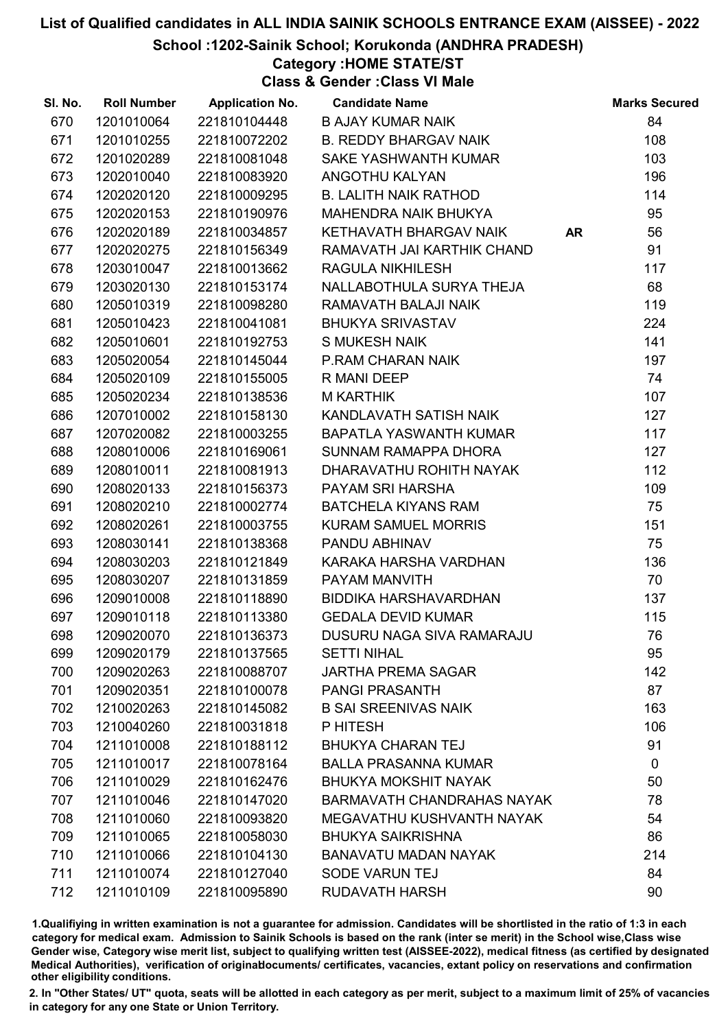School :1202-Sainik School; Korukonda (ANDHRA PRADESH)

# Category :HOME STATE/ST

Class & Gender :Class VI Male

| SI. No. | <b>Roll Number</b> | <b>Application No.</b> | <b>Candidate Name</b>             | <b>Marks Secured</b> |
|---------|--------------------|------------------------|-----------------------------------|----------------------|
| 670     | 1201010064         | 221810104448           | <b>B AJAY KUMAR NAIK</b>          | 84                   |
| 671     | 1201010255         | 221810072202           | <b>B. REDDY BHARGAV NAIK</b>      | 108                  |
| 672     | 1201020289         | 221810081048           | SAKE YASHWANTH KUMAR              | 103                  |
| 673     | 1202010040         | 221810083920           | ANGOTHU KALYAN                    | 196                  |
| 674     | 1202020120         | 221810009295           | <b>B. LALITH NAIK RATHOD</b>      | 114                  |
| 675     | 1202020153         | 221810190976           | MAHENDRA NAIK BHUKYA              | 95                   |
| 676     | 1202020189         | 221810034857           | KETHAVATH BHARGAV NAIK            | 56<br><b>AR</b>      |
| 677     | 1202020275         | 221810156349           | RAMAVATH JAI KARTHIK CHAND        | 91                   |
| 678     | 1203010047         | 221810013662           | <b>RAGULA NIKHILESH</b>           | 117                  |
| 679     | 1203020130         | 221810153174           | NALLABOTHULA SURYA THEJA          | 68                   |
| 680     | 1205010319         | 221810098280           | RAMAVATH BALAJI NAIK              | 119                  |
| 681     | 1205010423         | 221810041081           | <b>BHUKYA SRIVASTAV</b>           | 224                  |
| 682     | 1205010601         | 221810192753           | <b>S MUKESH NAIK</b>              | 141                  |
| 683     | 1205020054         | 221810145044           | <b>P.RAM CHARAN NAIK</b>          | 197                  |
| 684     | 1205020109         | 221810155005           | R MANI DEEP                       | 74                   |
| 685     | 1205020234         | 221810138536           | <b>M KARTHIK</b>                  | 107                  |
| 686     | 1207010002         | 221810158130           | KANDLAVATH SATISH NAIK            | 127                  |
| 687     | 1207020082         | 221810003255           | BAPATLA YASWANTH KUMAR            | 117                  |
| 688     | 1208010006         | 221810169061           | SUNNAM RAMAPPA DHORA              | 127                  |
| 689     | 1208010011         | 221810081913           | DHARAVATHU ROHITH NAYAK           | 112                  |
| 690     | 1208020133         | 221810156373           | PAYAM SRI HARSHA                  | 109                  |
| 691     | 1208020210         | 221810002774           | <b>BATCHELA KIYANS RAM</b>        | 75                   |
| 692     | 1208020261         | 221810003755           | <b>KURAM SAMUEL MORRIS</b>        | 151                  |
| 693     | 1208030141         | 221810138368           | PANDU ABHINAV                     | 75                   |
| 694     | 1208030203         | 221810121849           | KARAKA HARSHA VARDHAN             | 136                  |
| 695     | 1208030207         | 221810131859           | PAYAM MANVITH                     | 70                   |
| 696     | 1209010008         | 221810118890           | BIDDIKA HARSHAVARDHAN             | 137                  |
| 697     | 1209010118         | 221810113380           | <b>GEDALA DEVID KUMAR</b>         | 115                  |
| 698     | 1209020070         | 221810136373           | DUSURU NAGA SIVA RAMARAJU         | 76                   |
| 699     | 1209020179         | 221810137565           | <b>SETTI NIHAL</b>                | 95                   |
| 700     | 1209020263         | 221810088707           | <b>JARTHA PREMA SAGAR</b>         | 142                  |
| 701     | 1209020351         | 221810100078           | <b>PANGI PRASANTH</b>             | 87                   |
| 702     | 1210020263         | 221810145082           | <b>B SAI SREENIVAS NAIK</b>       | 163                  |
| 703     | 1210040260         | 221810031818           | P HITESH                          | 106                  |
| 704     | 1211010008         | 221810188112           | <b>BHUKYA CHARAN TEJ</b>          | 91                   |
| 705     | 1211010017         | 221810078164           | <b>BALLA PRASANNA KUMAR</b>       | $\mathbf 0$          |
| 706     | 1211010029         | 221810162476           | <b>BHUKYA MOKSHIT NAYAK</b>       | 50                   |
| 707     | 1211010046         | 221810147020           | <b>BARMAVATH CHANDRAHAS NAYAK</b> | 78                   |
| 708     | 1211010060         | 221810093820           | MEGAVATHU KUSHVANTH NAYAK         | 54                   |
| 709     | 1211010065         | 221810058030           | <b>BHUKYA SAIKRISHNA</b>          | 86                   |
| 710     | 1211010066         | 221810104130           | <b>BANAVATU MADAN NAYAK</b>       | 214                  |
| 711     | 1211010074         | 221810127040           | <b>SODE VARUN TEJ</b>             | 84                   |
| 712     | 1211010109         | 221810095890           | <b>RUDAVATH HARSH</b>             | 90                   |

1.Qualifiying in written examination is not a guarantee for admission. Candidates will be shortlisted in the ratio of 1:3 in each category for medical exam. Admission to Sainik Schools is based on the rank (inter se merit) in the School wise,Class wise Gender wise, Category wise merit list, subject to qualifying written test (AISSEE-2022), medical fitness (as certified by designated Medical Authorities), verification of originablocuments/ certificates, vacancies, extant policy on reservations and confirmation other eligibility conditions.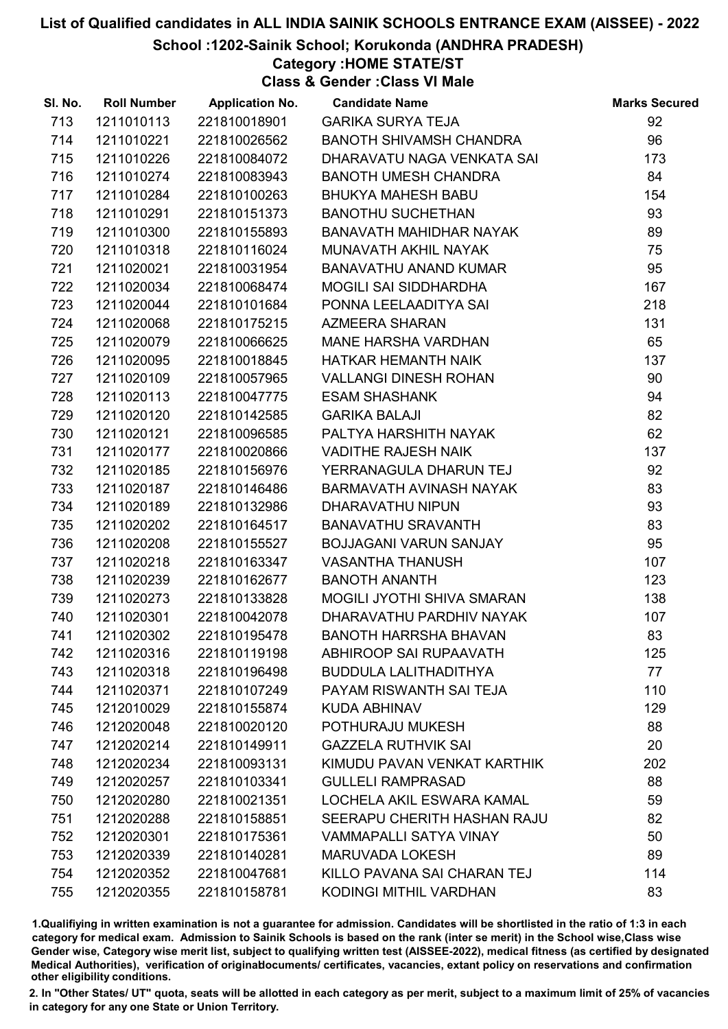School :1202-Sainik School; Korukonda (ANDHRA PRADESH)

# Category :HOME STATE/ST

Class & Gender :Class VI Male

| SI. No. | <b>Roll Number</b> | <b>Application No.</b> | <b>Candidate Name</b>         | <b>Marks Secured</b> |
|---------|--------------------|------------------------|-------------------------------|----------------------|
| 713     | 1211010113         | 221810018901           | <b>GARIKA SURYA TEJA</b>      | 92                   |
| 714     | 1211010221         | 221810026562           | BANOTH SHIVAMSH CHANDRA       | 96                   |
| 715     | 1211010226         | 221810084072           | DHARAVATU NAGA VENKATA SAI    | 173                  |
| 716     | 1211010274         | 221810083943           | <b>BANOTH UMESH CHANDRA</b>   | 84                   |
| 717     | 1211010284         | 221810100263           | <b>BHUKYA MAHESH BABU</b>     | 154                  |
| 718     | 1211010291         | 221810151373           | <b>BANOTHU SUCHETHAN</b>      | 93                   |
| 719     | 1211010300         | 221810155893           | BANAVATH MAHIDHAR NAYAK       | 89                   |
| 720     | 1211010318         | 221810116024           | MUNAVATH AKHIL NAYAK          | 75                   |
| 721     | 1211020021         | 221810031954           | BANAVATHU ANAND KUMAR         | 95                   |
| 722     | 1211020034         | 221810068474           | <b>MOGILI SAI SIDDHARDHA</b>  | 167                  |
| 723     | 1211020044         | 221810101684           | PONNA LEELAADITYA SAI         | 218                  |
| 724     | 1211020068         | 221810175215           | <b>AZMEERA SHARAN</b>         | 131                  |
| 725     | 1211020079         | 221810066625           | MANE HARSHA VARDHAN           | 65                   |
| 726     | 1211020095         | 221810018845           | HATKAR HEMANTH NAIK           | 137                  |
| 727     | 1211020109         | 221810057965           | <b>VALLANGI DINESH ROHAN</b>  | 90                   |
| 728     | 1211020113         | 221810047775           | <b>ESAM SHASHANK</b>          | 94                   |
| 729     | 1211020120         | 221810142585           | <b>GARIKA BALAJI</b>          | 82                   |
| 730     | 1211020121         | 221810096585           | PALTYA HARSHITH NAYAK         | 62                   |
| 731     | 1211020177         | 221810020866           | <b>VADITHE RAJESH NAIK</b>    | 137                  |
| 732     | 1211020185         | 221810156976           | YERRANAGULA DHARUN TEJ        | 92                   |
| 733     | 1211020187         | 221810146486           | BARMAVATH AVINASH NAYAK       | 83                   |
| 734     | 1211020189         | 221810132986           | DHARAVATHU NIPUN              | 93                   |
| 735     | 1211020202         | 221810164517           | <b>BANAVATHU SRAVANTH</b>     | 83                   |
| 736     | 1211020208         | 221810155527           | BOJJAGANI VARUN SANJAY        | 95                   |
| 737     | 1211020218         | 221810163347           | <b>VASANTHA THANUSH</b>       | 107                  |
| 738     | 1211020239         | 221810162677           | <b>BANOTH ANANTH</b>          | 123                  |
| 739     | 1211020273         | 221810133828           | MOGILI JYOTHI SHIVA SMARAN    | 138                  |
| 740     | 1211020301         | 221810042078           | DHARAVATHU PARDHIV NAYAK      | 107                  |
| 741     | 1211020302         | 221810195478           | <b>BANOTH HARRSHA BHAVAN</b>  | 83                   |
| 742     | 1211020316         | 221810119198           | ABHIROOP SAI RUPAAVATH        | 125                  |
| 743     | 1211020318         | 221810196498           | <b>BUDDULA LALITHADITHYA</b>  | 77                   |
| 744     | 1211020371         | 221810107249           | PAYAM RISWANTH SAI TEJA       | 110                  |
| 745     | 1212010029         | 221810155874           | KUDA ABHINAV                  | 129                  |
| 746     | 1212020048         | 221810020120           | POTHURAJU MUKESH              | 88                   |
| 747     | 1212020214         | 221810149911           | <b>GAZZELA RUTHVIK SAI</b>    | 20                   |
| 748     | 1212020234         | 221810093131           | KIMUDU PAVAN VENKAT KARTHIK   | 202                  |
| 749     | 1212020257         | 221810103341           | <b>GULLELI RAMPRASAD</b>      | 88                   |
| 750     | 1212020280         | 221810021351           | LOCHELA AKIL ESWARA KAMAL     | 59                   |
| 751     | 1212020288         | 221810158851           | SEERAPU CHERITH HASHAN RAJU   | 82                   |
| 752     | 1212020301         | 221810175361           | <b>VAMMAPALLI SATYA VINAY</b> | 50                   |
| 753     | 1212020339         | 221810140281           | <b>MARUVADA LOKESH</b>        | 89                   |
| 754     | 1212020352         | 221810047681           | KILLO PAVANA SAI CHARAN TEJ   | 114                  |
| 755     | 1212020355         | 221810158781           | KODINGI MITHIL VARDHAN        | 83                   |

1.Qualifiying in written examination is not a guarantee for admission. Candidates will be shortlisted in the ratio of 1:3 in each category for medical exam. Admission to Sainik Schools is based on the rank (inter se merit) in the School wise,Class wise Gender wise, Category wise merit list, subject to qualifying written test (AISSEE-2022), medical fitness (as certified by designated Medical Authorities), verification of originablocuments/ certificates, vacancies, extant policy on reservations and confirmation other eligibility conditions.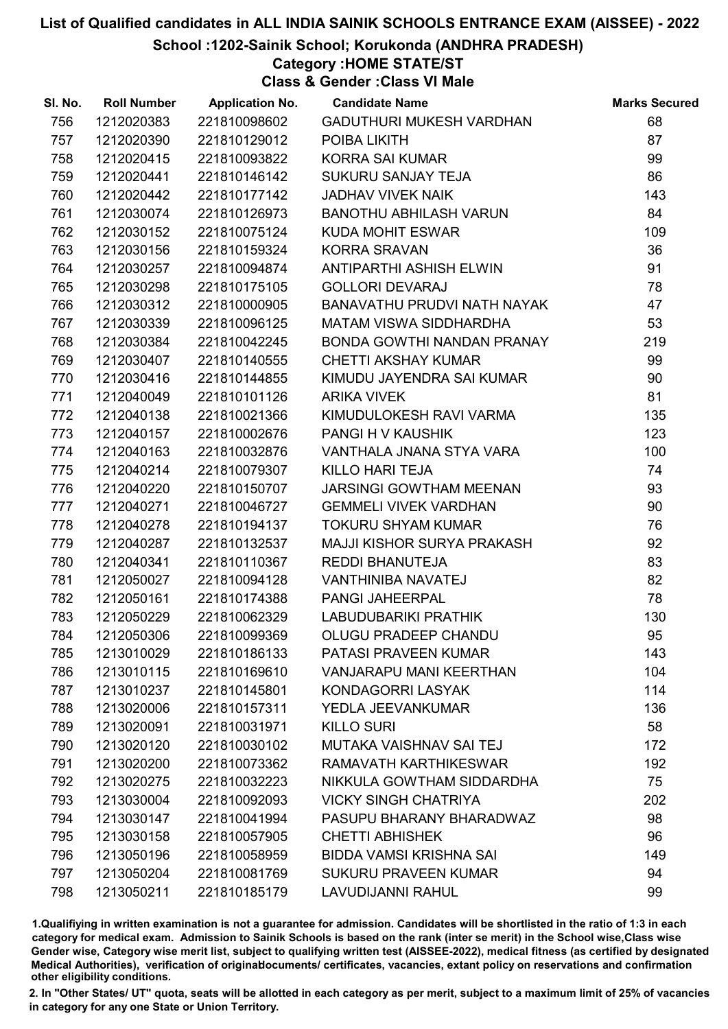School :1202-Sainik School; Korukonda (ANDHRA PRADESH)

# Category :HOME STATE/ST

Class & Gender :Class VI Male

| SI. No. | <b>Roll Number</b> | <b>Application No.</b> | <b>Candidate Name</b>          | <b>Marks Secured</b> |
|---------|--------------------|------------------------|--------------------------------|----------------------|
| 756     | 1212020383         | 221810098602           | GADUTHURI MUKESH VARDHAN       | 68                   |
| 757     | 1212020390         | 221810129012           | POIBA LIKITH                   | 87                   |
| 758     | 1212020415         | 221810093822           | <b>KORRA SAI KUMAR</b>         | 99                   |
| 759     | 1212020441         | 221810146142           | SUKURU SANJAY TEJA             | 86                   |
| 760     | 1212020442         | 221810177142           | <b>JADHAV VIVEK NAIK</b>       | 143                  |
| 761     | 1212030074         | 221810126973           | <b>BANOTHU ABHILASH VARUN</b>  | 84                   |
| 762     | 1212030152         | 221810075124           | <b>KUDA MOHIT ESWAR</b>        | 109                  |
| 763     | 1212030156         | 221810159324           | <b>KORRA SRAVAN</b>            | 36                   |
| 764     | 1212030257         | 221810094874           | ANTIPARTHI ASHISH ELWIN        | 91                   |
| 765     | 1212030298         | 221810175105           | <b>GOLLORI DEVARAJ</b>         | 78                   |
| 766     | 1212030312         | 221810000905           | BANAVATHU PRUDVI NATH NAYAK    | 47                   |
| 767     | 1212030339         | 221810096125           | <b>MATAM VISWA SIDDHARDHA</b>  | 53                   |
| 768     | 1212030384         | 221810042245           | BONDA GOWTHI NANDAN PRANAY     | 219                  |
| 769     | 1212030407         | 221810140555           | <b>CHETTI AKSHAY KUMAR</b>     | 99                   |
| 770     | 1212030416         | 221810144855           | KIMUDU JAYENDRA SAI KUMAR      | 90                   |
| 771     | 1212040049         | 221810101126           | <b>ARIKA VIVEK</b>             | 81                   |
| 772     | 1212040138         | 221810021366           | KIMUDULOKESH RAVI VARMA        | 135                  |
| 773     | 1212040157         | 221810002676           | PANGI H V KAUSHIK              | 123                  |
| 774     | 1212040163         | 221810032876           | VANTHALA JNANA STYA VARA       | 100                  |
| 775     | 1212040214         | 221810079307           | KILLO HARI TEJA                | 74                   |
| 776     | 1212040220         | 221810150707           | JARSINGI GOWTHAM MEENAN        | 93                   |
| 777     | 1212040271         | 221810046727           | <b>GEMMELI VIVEK VARDHAN</b>   | 90                   |
| 778     | 1212040278         | 221810194137           | <b>TOKURU SHYAM KUMAR</b>      | 76                   |
| 779     | 1212040287         | 221810132537           | MAJJI KISHOR SURYA PRAKASH     | 92                   |
| 780     | 1212040341         | 221810110367           | REDDI BHANUTEJA                | 83                   |
| 781     | 1212050027         | 221810094128           | VANTHINIBA NAVATEJ             | 82                   |
| 782     | 1212050161         | 221810174388           | PANGI JAHEERPAL                | 78                   |
| 783     | 1212050229         | 221810062329           | LABUDUBARIKI PRATHIK           | 130                  |
| 784     | 1212050306         | 221810099369           | OLUGU PRADEEP CHANDU           | 95                   |
| 785     | 1213010029         | 221810186133           | <b>PATASI PRAVEEN KUMAR</b>    | 143                  |
| 786     | 1213010115         | 221810169610           | <b>VANJARAPU MANI KEERTHAN</b> | 104                  |
| 787     | 1213010237         | 221810145801           | KONDAGORRI LASYAK              | 114                  |
| 788     | 1213020006         | 221810157311           | YEDLA JEEVANKUMAR              | 136                  |
| 789     | 1213020091         | 221810031971           | <b>KILLO SURI</b>              | 58                   |
| 790     | 1213020120         | 221810030102           | MUTAKA VAISHNAV SAI TEJ        | 172                  |
| 791     | 1213020200         | 221810073362           | RAMAVATH KARTHIKESWAR          | 192                  |
| 792     | 1213020275         | 221810032223           | NIKKULA GOWTHAM SIDDARDHA      | 75                   |
| 793     | 1213030004         | 221810092093           | <b>VICKY SINGH CHATRIYA</b>    | 202                  |
| 794     | 1213030147         | 221810041994           | PASUPU BHARANY BHARADWAZ       | 98                   |
| 795     | 1213030158         | 221810057905           | <b>CHETTI ABHISHEK</b>         | 96                   |
| 796     | 1213050196         | 221810058959           | <b>BIDDA VAMSI KRISHNA SAI</b> | 149                  |
| 797     | 1213050204         | 221810081769           | <b>SUKURU PRAVEEN KUMAR</b>    | 94                   |
| 798     | 1213050211         | 221810185179           | LAVUDIJANNI RAHUL              | 99                   |

1.Qualifiying in written examination is not a guarantee for admission. Candidates will be shortlisted in the ratio of 1:3 in each category for medical exam. Admission to Sainik Schools is based on the rank (inter se merit) in the School wise,Class wise Gender wise, Category wise merit list, subject to qualifying written test (AISSEE-2022), medical fitness (as certified by designated Medical Authorities), verification of originablocuments/ certificates, vacancies, extant policy on reservations and confirmation other eligibility conditions.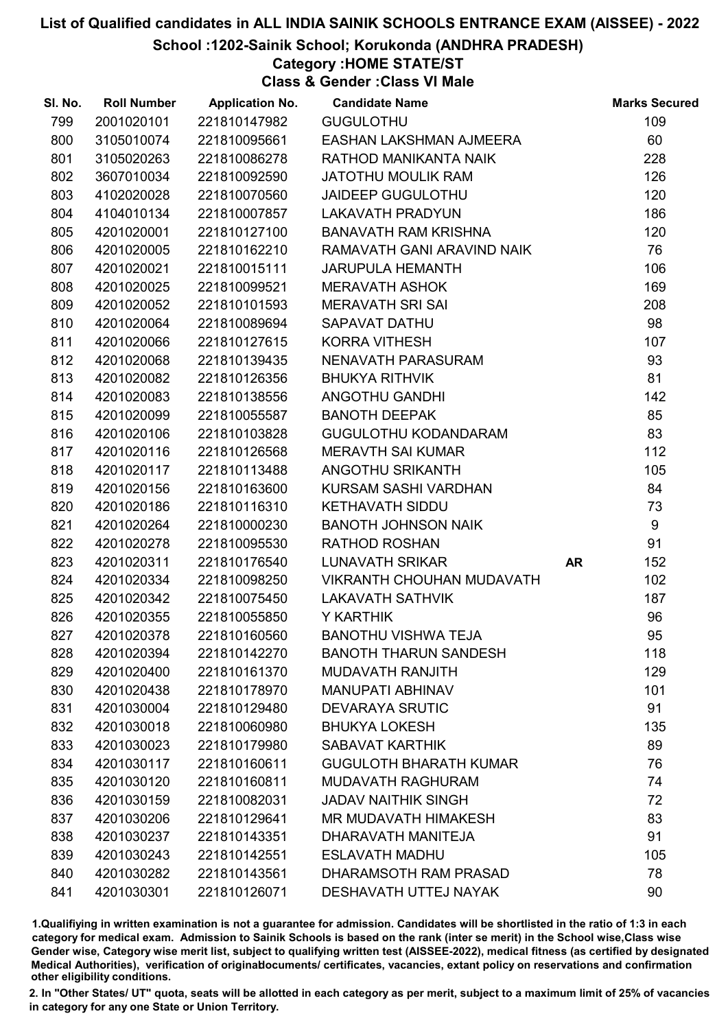School :1202-Sainik School; Korukonda (ANDHRA PRADESH)

# Category :HOME STATE/ST

Class & Gender :Class VI Male

| SI. No. | <b>Roll Number</b> | <b>Application No.</b> | <b>Candidate Name</b>            |           | <b>Marks Secured</b> |
|---------|--------------------|------------------------|----------------------------------|-----------|----------------------|
| 799     | 2001020101         | 221810147982           | <b>GUGULOTHU</b>                 |           | 109                  |
| 800     | 3105010074         | 221810095661           | EASHAN LAKSHMAN AJMEERA          |           | 60                   |
| 801     | 3105020263         | 221810086278           | RATHOD MANIKANTA NAIK            |           | 228                  |
| 802     | 3607010034         | 221810092590           | <b>JATOTHU MOULIK RAM</b>        |           | 126                  |
| 803     | 4102020028         | 221810070560           | <b>JAIDEEP GUGULOTHU</b>         |           | 120                  |
| 804     | 4104010134         | 221810007857           | <b>LAKAVATH PRADYUN</b>          |           | 186                  |
| 805     | 4201020001         | 221810127100           | <b>BANAVATH RAM KRISHNA</b>      |           | 120                  |
| 806     | 4201020005         | 221810162210           | RAMAVATH GANI ARAVIND NAIK       |           | 76                   |
| 807     | 4201020021         | 221810015111           | <b>JARUPULA HEMANTH</b>          |           | 106                  |
| 808     | 4201020025         | 221810099521           | <b>MERAVATH ASHOK</b>            |           | 169                  |
| 809     | 4201020052         | 221810101593           | <b>MERAVATH SRI SAI</b>          |           | 208                  |
| 810     | 4201020064         | 221810089694           | SAPAVAT DATHU                    |           | 98                   |
| 811     | 4201020066         | 221810127615           | <b>KORRA VITHESH</b>             |           | 107                  |
| 812     | 4201020068         | 221810139435           | NENAVATH PARASURAM               |           | 93                   |
| 813     | 4201020082         | 221810126356           | <b>BHUKYA RITHVIK</b>            |           | 81                   |
| 814     | 4201020083         | 221810138556           | ANGOTHU GANDHI                   |           | 142                  |
| 815     | 4201020099         | 221810055587           | <b>BANOTH DEEPAK</b>             |           | 85                   |
| 816     | 4201020106         | 221810103828           | <b>GUGULOTHU KODANDARAM</b>      |           | 83                   |
| 817     | 4201020116         | 221810126568           | <b>MERAVTH SAI KUMAR</b>         |           | 112                  |
| 818     | 4201020117         | 221810113488           | ANGOTHU SRIKANTH                 |           | 105                  |
| 819     | 4201020156         | 221810163600           | KURSAM SASHI VARDHAN             |           | 84                   |
| 820     | 4201020186         | 221810116310           | <b>KETHAVATH SIDDU</b>           |           | 73                   |
| 821     | 4201020264         | 221810000230           | <b>BANOTH JOHNSON NAIK</b>       |           | 9                    |
| 822     | 4201020278         | 221810095530           | <b>RATHOD ROSHAN</b>             |           | 91                   |
| 823     | 4201020311         | 221810176540           | LUNAVATH SRIKAR                  | <b>AR</b> | 152                  |
| 824     | 4201020334         | 221810098250           | <b>VIKRANTH CHOUHAN MUDAVATH</b> |           | 102                  |
| 825     | 4201020342         | 221810075450           | <b>LAKAVATH SATHVIK</b>          |           | 187                  |
| 826     | 4201020355         | 221810055850           | Y KARTHIK                        |           | 96                   |
| 827     | 4201020378         | 221810160560           | <b>BANOTHU VISHWA TEJA</b>       |           | 95                   |
| 828     | 4201020394         | 221810142270           | <b>BANOTH THARUN SANDESH</b>     |           | 118                  |
| 829     | 4201020400         | 221810161370           | <b>MUDAVATH RANJITH</b>          |           | 129                  |
| 830     | 4201020438         | 221810178970           | <b>MANUPATI ABHINAV</b>          |           | 101                  |
| 831     | 4201030004         | 221810129480           | <b>DEVARAYA SRUTIC</b>           |           | 91                   |
| 832     | 4201030018         | 221810060980           | <b>BHUKYA LOKESH</b>             |           | 135                  |
| 833     | 4201030023         | 221810179980           | <b>SABAVAT KARTHIK</b>           |           | 89                   |
| 834     | 4201030117         | 221810160611           | <b>GUGULOTH BHARATH KUMAR</b>    |           | 76                   |
| 835     | 4201030120         | 221810160811           | <b>MUDAVATH RAGHURAM</b>         |           | 74                   |
| 836     | 4201030159         | 221810082031           | <b>JADAV NAITHIK SINGH</b>       |           | 72                   |
| 837     | 4201030206         | 221810129641           | MR MUDAVATH HIMAKESH             |           | 83                   |
| 838     | 4201030237         | 221810143351           | DHARAVATH MANITEJA               |           | 91                   |
| 839     | 4201030243         | 221810142551           | <b>ESLAVATH MADHU</b>            |           | 105                  |
| 840     | 4201030282         | 221810143561           | DHARAMSOTH RAM PRASAD            |           | 78                   |
| 841     | 4201030301         | 221810126071           | DESHAVATH UTTEJ NAYAK            |           | 90                   |

1.Qualifiying in written examination is not a guarantee for admission. Candidates will be shortlisted in the ratio of 1:3 in each category for medical exam. Admission to Sainik Schools is based on the rank (inter se merit) in the School wise,Class wise Gender wise, Category wise merit list, subject to qualifying written test (AISSEE-2022), medical fitness (as certified by designated Medical Authorities), verification of originablocuments/ certificates, vacancies, extant policy on reservations and confirmation other eligibility conditions.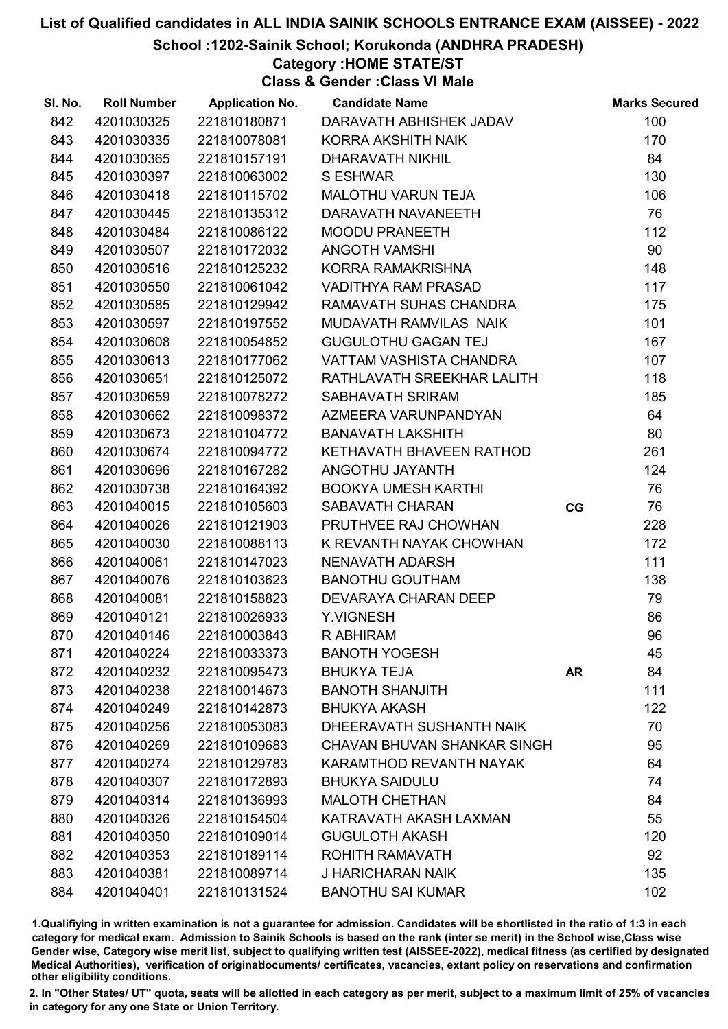School :1202-Sainik School; Korukonda (ANDHRA PRADESH)

## Category :HOME STATE/ST

Class & Gender :Class VI Male

| SI. No. | <b>Roll Number</b> | <b>Application No.</b> | <b>Candidate Name</b>          |           | <b>Marks Secured</b> |
|---------|--------------------|------------------------|--------------------------------|-----------|----------------------|
| 842     | 4201030325         | 221810180871           | DARAVATH ABHISHEK JADAV        |           | 100                  |
| 843     | 4201030335         | 221810078081           | KORRA AKSHITH NAIK             |           | 170                  |
| 844     | 4201030365         | 221810157191           | DHARAVATH NIKHIL               |           | 84                   |
| 845     | 4201030397         | 221810063002           | <b>S ESHWAR</b>                |           | 130                  |
| 846     | 4201030418         | 221810115702           | <b>MALOTHU VARUN TEJA</b>      |           | 106                  |
| 847     | 4201030445         | 221810135312           | DARAVATH NAVANEETH             |           | 76                   |
| 848     | 4201030484         | 221810086122           | <b>MOODU PRANEETH</b>          |           | 112                  |
| 849     | 4201030507         | 221810172032           | <b>ANGOTH VAMSHI</b>           |           | 90                   |
| 850     | 4201030516         | 221810125232           | KORRA RAMAKRISHNA              |           | 148                  |
| 851     | 4201030550         | 221810061042           | <b>VADITHYA RAM PRASAD</b>     |           | 117                  |
| 852     | 4201030585         | 221810129942           | RAMAVATH SUHAS CHANDRA         |           | 175                  |
| 853     | 4201030597         | 221810197552           | MUDAVATH RAMVILAS NAIK         |           | 101                  |
| 854     | 4201030608         | 221810054852           | <b>GUGULOTHU GAGAN TEJ</b>     |           | 167                  |
| 855     | 4201030613         | 221810177062           | VATTAM VASHISTA CHANDRA        |           | 107                  |
| 856     | 4201030651         | 221810125072           | RATHLAVATH SREEKHAR LALITH     |           | 118                  |
| 857     | 4201030659         | 221810078272           | SABHAVATH SRIRAM               |           | 185                  |
| 858     | 4201030662         | 221810098372           | AZMEERA VARUNPANDYAN           |           | 64                   |
| 859     | 4201030673         | 221810104772           | <b>BANAVATH LAKSHITH</b>       |           | 80                   |
| 860     | 4201030674         | 221810094772           | KETHAVATH BHAVEEN RATHOD       |           | 261                  |
| 861     | 4201030696         | 221810167282           | ANGOTHU JAYANTH                |           | 124                  |
| 862     | 4201030738         | 221810164392           | <b>BOOKYA UMESH KARTHI</b>     |           | 76                   |
| 863     | 4201040015         | 221810105603           | SABAVATH CHARAN                | CG        | 76                   |
| 864     | 4201040026         | 221810121903           | PRUTHVEE RAJ CHOWHAN           |           | 228                  |
| 865     | 4201040030         | 221810088113           | K REVANTH NAYAK CHOWHAN        |           | 172                  |
| 866     | 4201040061         | 221810147023           | NENAVATH ADARSH                |           | 111                  |
| 867     | 4201040076         | 221810103623           | <b>BANOTHU GOUTHAM</b>         |           | 138                  |
| 868     | 4201040081         | 221810158823           | DEVARAYA CHARAN DEEP           |           | 79                   |
| 869     | 4201040121         | 221810026933           | Y.VIGNESH                      |           | 86                   |
| 870     | 4201040146         | 221810003843           | R ABHIRAM                      |           | 96                   |
| 871     | 4201040224         | 221810033373           | <b>BANOTH YOGESH</b>           |           | 45                   |
| 872     | 4201040232         | 221810095473           | <b>BHUKYA TEJA</b>             | <b>AR</b> | 84                   |
| 873     | 4201040238         | 221810014673           | <b>BANOTH SHANJITH</b>         |           | 111                  |
| 874     | 4201040249         | 221810142873           | <b>BHUKYA AKASH</b>            |           | 122                  |
| 875     | 4201040256         | 221810053083           | DHEERAVATH SUSHANTH NAIK       |           | 70                   |
| 876     | 4201040269         | 221810109683           | CHAVAN BHUVAN SHANKAR SINGH    |           | 95                   |
| 877     | 4201040274         | 221810129783           | <b>KARAMTHOD REVANTH NAYAK</b> |           | 64                   |
| 878     | 4201040307         | 221810172893           | <b>BHUKYA SAIDULU</b>          |           | 74                   |
| 879     | 4201040314         | 221810136993           | <b>MALOTH CHETHAN</b>          |           | 84                   |
| 880     | 4201040326         | 221810154504           | KATRAVATH AKASH LAXMAN         |           | 55                   |
| 881     | 4201040350         | 221810109014           | <b>GUGULOTH AKASH</b>          |           | 120                  |
| 882     | 4201040353         | 221810189114           | ROHITH RAMAVATH                |           | 92                   |
| 883     | 4201040381         | 221810089714           | <b>J HARICHARAN NAIK</b>       |           | 135                  |
| 884     | 4201040401         | 221810131524           | <b>BANOTHU SAI KUMAR</b>       |           | 102                  |

1.Qualifiying in written examination is not a guarantee for admission. Candidates will be shortlisted in the ratio of 1:3 in each category for medical exam. Admission to Sainik Schools is based on the rank (inter se merit) in the School wise,Class wise Gender wise, Category wise merit list, subject to qualifying written test (AISSEE-2022), medical fitness (as certified by designated Medical Authorities), verification of originablocuments/ certificates, vacancies, extant policy on reservations and confirmation other eligibility conditions.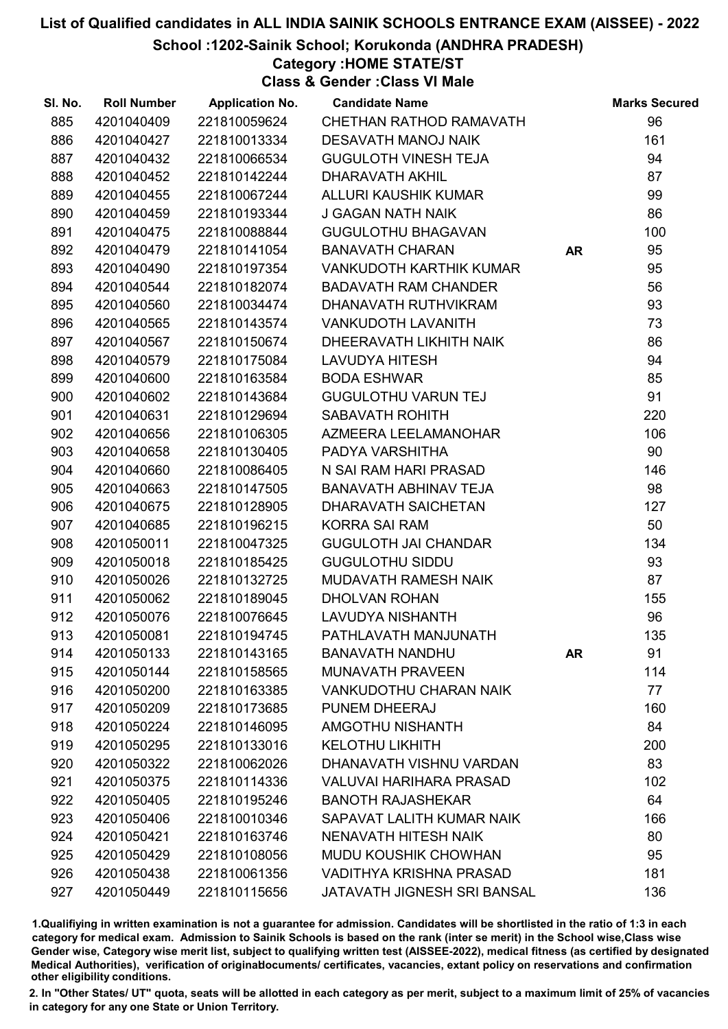School :1202-Sainik School; Korukonda (ANDHRA PRADESH)

## Category :HOME STATE/ST

Class & Gender :Class VI Male

| SI. No. | <b>Roll Number</b> | <b>Application No.</b> | <b>Candidate Name</b>              |           | <b>Marks Secured</b> |
|---------|--------------------|------------------------|------------------------------------|-----------|----------------------|
| 885     | 4201040409         | 221810059624           | CHETHAN RATHOD RAMAVATH            |           | 96                   |
| 886     | 4201040427         | 221810013334           | <b>DESAVATH MANOJ NAIK</b>         |           | 161                  |
| 887     | 4201040432         | 221810066534           | <b>GUGULOTH VINESH TEJA</b>        |           | 94                   |
| 888     | 4201040452         | 221810142244           | <b>DHARAVATH AKHIL</b>             |           | 87                   |
| 889     | 4201040455         | 221810067244           | ALLURI KAUSHIK KUMAR               |           | 99                   |
| 890     | 4201040459         | 221810193344           | <b>J GAGAN NATH NAIK</b>           |           | 86                   |
| 891     | 4201040475         | 221810088844           | <b>GUGULOTHU BHAGAVAN</b>          |           | 100                  |
| 892     | 4201040479         | 221810141054           | <b>BANAVATH CHARAN</b>             | <b>AR</b> | 95                   |
| 893     | 4201040490         | 221810197354           | <b>VANKUDOTH KARTHIK KUMAR</b>     |           | 95                   |
| 894     | 4201040544         | 221810182074           | <b>BADAVATH RAM CHANDER</b>        |           | 56                   |
| 895     | 4201040560         | 221810034474           | DHANAVATH RUTHVIKRAM               |           | 93                   |
| 896     | 4201040565         | 221810143574           | <b>VANKUDOTH LAVANITH</b>          |           | 73                   |
| 897     | 4201040567         | 221810150674           | DHEERAVATH LIKHITH NAIK            |           | 86                   |
| 898     | 4201040579         | 221810175084           | <b>LAVUDYA HITESH</b>              |           | 94                   |
| 899     | 4201040600         | 221810163584           | <b>BODA ESHWAR</b>                 |           | 85                   |
| 900     | 4201040602         | 221810143684           | <b>GUGULOTHU VARUN TEJ</b>         |           | 91                   |
| 901     | 4201040631         | 221810129694           | SABAVATH ROHITH                    |           | 220                  |
| 902     | 4201040656         | 221810106305           | AZMEERA LEELAMANOHAR               |           | 106                  |
| 903     | 4201040658         | 221810130405           | PADYA VARSHITHA                    |           | 90                   |
| 904     | 4201040660         | 221810086405           | N SAI RAM HARI PRASAD              |           | 146                  |
| 905     | 4201040663         | 221810147505           | BANAVATH ABHINAV TEJA              |           | 98                   |
| 906     | 4201040675         | 221810128905           | DHARAVATH SAICHETAN                |           | 127                  |
| 907     | 4201040685         | 221810196215           | <b>KORRA SAI RAM</b>               |           | 50                   |
| 908     | 4201050011         | 221810047325           | <b>GUGULOTH JAI CHANDAR</b>        |           | 134                  |
| 909     | 4201050018         | 221810185425           | <b>GUGULOTHU SIDDU</b>             |           | 93                   |
| 910     | 4201050026         | 221810132725           | MUDAVATH RAMESH NAIK               |           | 87                   |
| 911     | 4201050062         | 221810189045           | <b>DHOLVAN ROHAN</b>               |           | 155                  |
| 912     | 4201050076         | 221810076645           | LAVUDYA NISHANTH                   |           | 96                   |
| 913     | 4201050081         | 221810194745           | PATHLAVATH MANJUNATH               |           | 135                  |
| 914     | 4201050133         | 221810143165           | <b>BANAVATH NANDHU</b>             | <b>AR</b> | 91                   |
| 915     | 4201050144         | 221810158565           | <b>MUNAVATH PRAVEEN</b>            |           | 114                  |
| 916     | 4201050200         | 221810163385           | <b>VANKUDOTHU CHARAN NAIK</b>      |           | 77                   |
| 917     | 4201050209         | 221810173685           | PUNEM DHEERAJ                      |           | 160                  |
| 918     | 4201050224         | 221810146095           | <b>AMGOTHU NISHANTH</b>            |           | 84                   |
| 919     | 4201050295         | 221810133016           | <b>KELOTHU LIKHITH</b>             |           | 200                  |
| 920     | 4201050322         | 221810062026           | DHANAVATH VISHNU VARDAN            |           | 83                   |
| 921     | 4201050375         | 221810114336           | VALUVAI HARIHARA PRASAD            |           | 102                  |
| 922     | 4201050405         | 221810195246           | <b>BANOTH RAJASHEKAR</b>           |           | 64                   |
| 923     | 4201050406         | 221810010346           | SAPAVAT LALITH KUMAR NAIK          |           | 166                  |
| 924     | 4201050421         | 221810163746           | NENAVATH HITESH NAIK               |           | 80                   |
| 925     | 4201050429         | 221810108056           | <b>MUDU KOUSHIK CHOWHAN</b>        |           | 95                   |
| 926     | 4201050438         | 221810061356           | VADITHYA KRISHNA PRASAD            |           | 181                  |
| 927     | 4201050449         | 221810115656           | <b>JATAVATH JIGNESH SRI BANSAL</b> |           | 136                  |

1.Qualifiying in written examination is not a guarantee for admission. Candidates will be shortlisted in the ratio of 1:3 in each category for medical exam. Admission to Sainik Schools is based on the rank (inter se merit) in the School wise,Class wise Gender wise, Category wise merit list, subject to qualifying written test (AISSEE-2022), medical fitness (as certified by designated Medical Authorities), verification of originablocuments/ certificates, vacancies, extant policy on reservations and confirmation other eligibility conditions.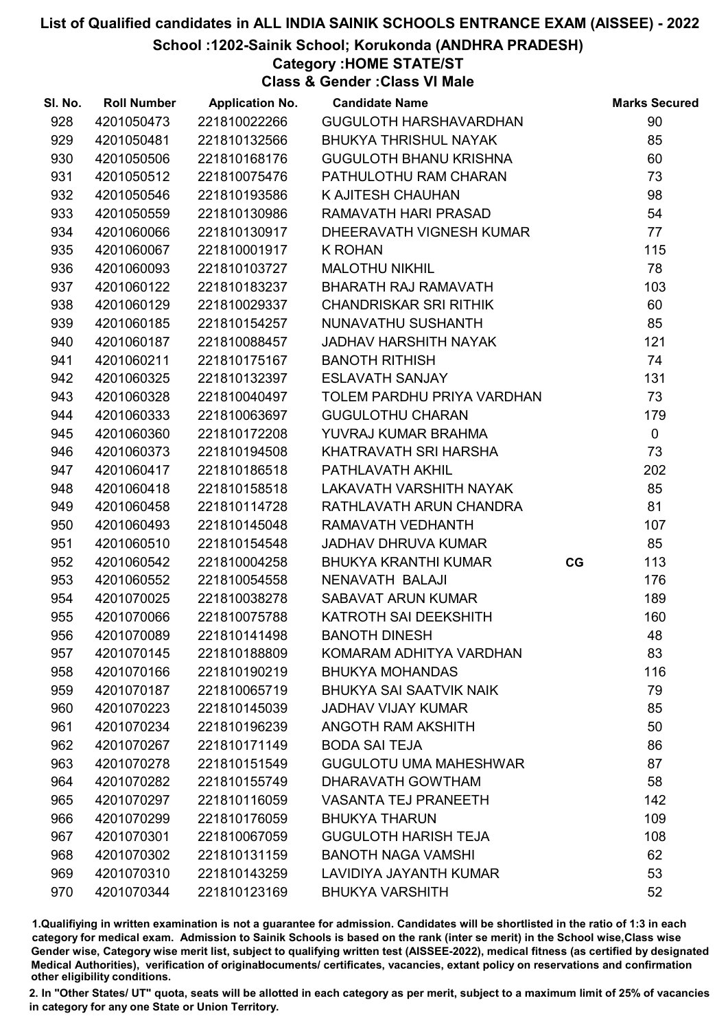School :1202-Sainik School; Korukonda (ANDHRA PRADESH)

### Category :HOME STATE/ST

Class & Gender :Class VI Male

| SI. No. | <b>Roll Number</b> | <b>Application No.</b> | <b>Candidate Name</b>          |    | <b>Marks Secured</b> |
|---------|--------------------|------------------------|--------------------------------|----|----------------------|
| 928     | 4201050473         | 221810022266           | GUGULOTH HARSHAVARDHAN         |    | 90                   |
| 929     | 4201050481         | 221810132566           | <b>BHUKYA THRISHUL NAYAK</b>   |    | 85                   |
| 930     | 4201050506         | 221810168176           | <b>GUGULOTH BHANU KRISHNA</b>  |    | 60                   |
| 931     | 4201050512         | 221810075476           | PATHULOTHU RAM CHARAN          |    | 73                   |
| 932     | 4201050546         | 221810193586           | K AJITESH CHAUHAN              |    | 98                   |
| 933     | 4201050559         | 221810130986           | RAMAVATH HARI PRASAD           |    | 54                   |
| 934     | 4201060066         | 221810130917           | DHEERAVATH VIGNESH KUMAR       |    | 77                   |
| 935     | 4201060067         | 221810001917           | <b>K ROHAN</b>                 |    | 115                  |
| 936     | 4201060093         | 221810103727           | <b>MALOTHU NIKHIL</b>          |    | 78                   |
| 937     | 4201060122         | 221810183237           | BHARATH RAJ RAMAVATH           |    | 103                  |
| 938     | 4201060129         | 221810029337           | <b>CHANDRISKAR SRI RITHIK</b>  |    | 60                   |
| 939     | 4201060185         | 221810154257           | NUNAVATHU SUSHANTH             |    | 85                   |
| 940     | 4201060187         | 221810088457           | JADHAV HARSHITH NAYAK          |    | 121                  |
| 941     | 4201060211         | 221810175167           | <b>BANOTH RITHISH</b>          |    | 74                   |
| 942     | 4201060325         | 221810132397           | <b>ESLAVATH SANJAY</b>         |    | 131                  |
| 943     | 4201060328         | 221810040497           | TOLEM PARDHU PRIYA VARDHAN     |    | 73                   |
| 944     | 4201060333         | 221810063697           | <b>GUGULOTHU CHARAN</b>        |    | 179                  |
| 945     | 4201060360         | 221810172208           | YUVRAJ KUMAR BRAHMA            |    | $\mathbf 0$          |
| 946     | 4201060373         | 221810194508           | KHATRAVATH SRI HARSHA          |    | 73                   |
| 947     | 4201060417         | 221810186518           | PATHLAVATH AKHIL               |    | 202                  |
| 948     | 4201060418         | 221810158518           | LAKAVATH VARSHITH NAYAK        |    | 85                   |
| 949     | 4201060458         | 221810114728           | RATHLAVATH ARUN CHANDRA        |    | 81                   |
| 950     | 4201060493         | 221810145048           | RAMAVATH VEDHANTH              |    | 107                  |
| 951     | 4201060510         | 221810154548           | <b>JADHAV DHRUVA KUMAR</b>     |    | 85                   |
| 952     | 4201060542         | 221810004258           | BHUKYA KRANTHI KUMAR           | CG | 113                  |
| 953     | 4201060552         | 221810054558           | NENAVATH BALAJI                |    | 176                  |
| 954     | 4201070025         | 221810038278           | SABAVAT ARUN KUMAR             |    | 189                  |
| 955     | 4201070066         | 221810075788           | KATROTH SAI DEEKSHITH          |    | 160                  |
| 956     | 4201070089         | 221810141498           | <b>BANOTH DINESH</b>           |    | 48                   |
| 957     | 4201070145         | 221810188809           | KOMARAM ADHITYA VARDHAN        |    | 83                   |
| 958     | 4201070166         | 221810190219           | <b>BHUKYA MOHANDAS</b>         |    | 116                  |
| 959     | 4201070187         | 221810065719           | <b>BHUKYA SAI SAATVIK NAIK</b> |    | 79                   |
| 960     | 4201070223         | 221810145039           | <b>JADHAV VIJAY KUMAR</b>      |    | 85                   |
| 961     | 4201070234         | 221810196239           | ANGOTH RAM AKSHITH             |    | 50                   |
| 962     | 4201070267         | 221810171149           | <b>BODA SAI TEJA</b>           |    | 86                   |
| 963     | 4201070278         | 221810151549           | <b>GUGULOTU UMA MAHESHWAR</b>  |    | 87                   |
| 964     | 4201070282         | 221810155749           | DHARAVATH GOWTHAM              |    | 58                   |
| 965     | 4201070297         | 221810116059           | <b>VASANTA TEJ PRANEETH</b>    |    | 142                  |
| 966     | 4201070299         | 221810176059           | <b>BHUKYA THARUN</b>           |    | 109                  |
| 967     | 4201070301         | 221810067059           | <b>GUGULOTH HARISH TEJA</b>    |    | 108                  |
| 968     | 4201070302         | 221810131159           | <b>BANOTH NAGA VAMSHI</b>      |    | 62                   |
| 969     | 4201070310         | 221810143259           | LAVIDIYA JAYANTH KUMAR         |    | 53                   |
| 970     | 4201070344         | 221810123169           | <b>BHUKYA VARSHITH</b>         |    | 52                   |

1.Qualifiying in written examination is not a guarantee for admission. Candidates will be shortlisted in the ratio of 1:3 in each category for medical exam. Admission to Sainik Schools is based on the rank (inter se merit) in the School wise,Class wise Gender wise, Category wise merit list, subject to qualifying written test (AISSEE-2022), medical fitness (as certified by designated Medical Authorities), verification of originablocuments/ certificates, vacancies, extant policy on reservations and confirmation other eligibility conditions.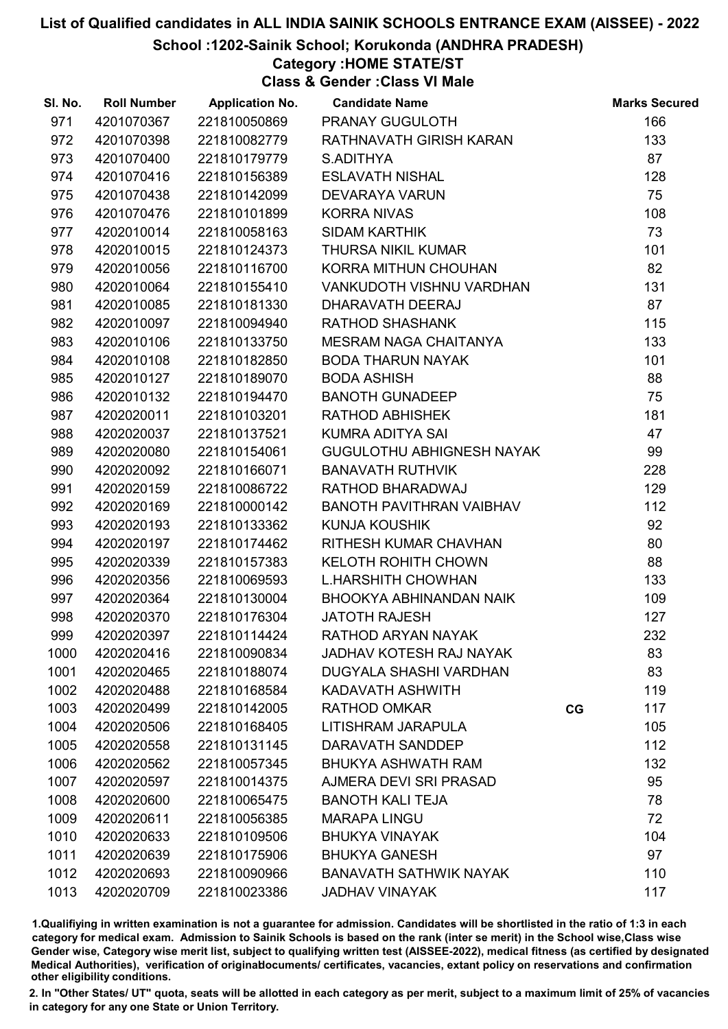School :1202-Sainik School; Korukonda (ANDHRA PRADESH)

# Category :HOME STATE/ST

Class & Gender :Class VI Male

| SI. No. | <b>Roll Number</b> | <b>Application No.</b> | <b>Candidate Name</b>            |    | <b>Marks Secured</b> |
|---------|--------------------|------------------------|----------------------------------|----|----------------------|
| 971     | 4201070367         | 221810050869           | PRANAY GUGULOTH                  |    | 166                  |
| 972     | 4201070398         | 221810082779           | RATHNAVATH GIRISH KARAN          |    | 133                  |
| 973     | 4201070400         | 221810179779           | S.ADITHYA                        |    | 87                   |
| 974     | 4201070416         | 221810156389           | <b>ESLAVATH NISHAL</b>           |    | 128                  |
| 975     | 4201070438         | 221810142099           | <b>DEVARAYA VARUN</b>            |    | 75                   |
| 976     | 4201070476         | 221810101899           | <b>KORRA NIVAS</b>               |    | 108                  |
| 977     | 4202010014         | 221810058163           | <b>SIDAM KARTHIK</b>             |    | 73                   |
| 978     | 4202010015         | 221810124373           | THURSA NIKIL KUMAR               |    | 101                  |
| 979     | 4202010056         | 221810116700           | KORRA MITHUN CHOUHAN             |    | 82                   |
| 980     | 4202010064         | 221810155410           | VANKUDOTH VISHNU VARDHAN         |    | 131                  |
| 981     | 4202010085         | 221810181330           | DHARAVATH DEERAJ                 |    | 87                   |
| 982     | 4202010097         | 221810094940           | <b>RATHOD SHASHANK</b>           |    | 115                  |
| 983     | 4202010106         | 221810133750           | MESRAM NAGA CHAITANYA            |    | 133                  |
| 984     | 4202010108         | 221810182850           | <b>BODA THARUN NAYAK</b>         |    | 101                  |
| 985     | 4202010127         | 221810189070           | <b>BODA ASHISH</b>               |    | 88                   |
| 986     | 4202010132         | 221810194470           | <b>BANOTH GUNADEEP</b>           |    | 75                   |
| 987     | 4202020011         | 221810103201           | <b>RATHOD ABHISHEK</b>           |    | 181                  |
| 988     | 4202020037         | 221810137521           | <b>KUMRA ADITYA SAI</b>          |    | 47                   |
| 989     | 4202020080         | 221810154061           | <b>GUGULOTHU ABHIGNESH NAYAK</b> |    | 99                   |
| 990     | 4202020092         | 221810166071           | <b>BANAVATH RUTHVIK</b>          |    | 228                  |
| 991     | 4202020159         | 221810086722           | RATHOD BHARADWAJ                 |    | 129                  |
| 992     | 4202020169         | 221810000142           | BANOTH PAVITHRAN VAIBHAV         |    | 112                  |
| 993     | 4202020193         | 221810133362           | <b>KUNJA KOUSHIK</b>             |    | 92                   |
| 994     | 4202020197         | 221810174462           | RITHESH KUMAR CHAVHAN            |    | 80                   |
| 995     | 4202020339         | 221810157383           | <b>KELOTH ROHITH CHOWN</b>       |    | 88                   |
| 996     | 4202020356         | 221810069593           | <b>L.HARSHITH CHOWHAN</b>        |    | 133                  |
| 997     | 4202020364         | 221810130004           | BHOOKYA ABHINANDAN NAIK          |    | 109                  |
| 998     | 4202020370         | 221810176304           | <b>JATOTH RAJESH</b>             |    | 127                  |
| 999     | 4202020397         | 221810114424           | RATHOD ARYAN NAYAK               |    | 232                  |
| 1000    | 4202020416         | 221810090834           | <b>JADHAV KOTESH RAJ NAYAK</b>   |    | 83                   |
| 1001    | 4202020465         | 221810188074           | <b>DUGYALA SHASHI VARDHAN</b>    |    | 83                   |
| 1002    | 4202020488         | 221810168584           | KADAVATH ASHWITH                 |    | 119                  |
| 1003    | 4202020499         | 221810142005           | <b>RATHOD OMKAR</b>              | CG | 117                  |
| 1004    | 4202020506         | 221810168405           | LITISHRAM JARAPULA               |    | 105                  |
| 1005    | 4202020558         | 221810131145           | DARAVATH SANDDEP                 |    | 112                  |
| 1006    | 4202020562         | 221810057345           | <b>BHUKYA ASHWATH RAM</b>        |    | 132                  |
| 1007    | 4202020597         | 221810014375           | AJMERA DEVI SRI PRASAD           |    | 95                   |
| 1008    | 4202020600         | 221810065475           | <b>BANOTH KALI TEJA</b>          |    | 78                   |
| 1009    | 4202020611         | 221810056385           | <b>MARAPA LINGU</b>              |    | 72                   |
| 1010    | 4202020633         | 221810109506           | <b>BHUKYA VINAYAK</b>            |    | 104                  |
| 1011    | 4202020639         | 221810175906           | <b>BHUKYA GANESH</b>             |    | 97                   |
| 1012    | 4202020693         | 221810090966           | <b>BANAVATH SATHWIK NAYAK</b>    |    | 110                  |
| 1013    | 4202020709         | 221810023386           | <b>JADHAV VINAYAK</b>            |    | 117                  |

1.Qualifiying in written examination is not a guarantee for admission. Candidates will be shortlisted in the ratio of 1:3 in each category for medical exam. Admission to Sainik Schools is based on the rank (inter se merit) in the School wise,Class wise Gender wise, Category wise merit list, subject to qualifying written test (AISSEE-2022), medical fitness (as certified by designated Medical Authorities), verification of originablocuments/ certificates, vacancies, extant policy on reservations and confirmation other eligibility conditions.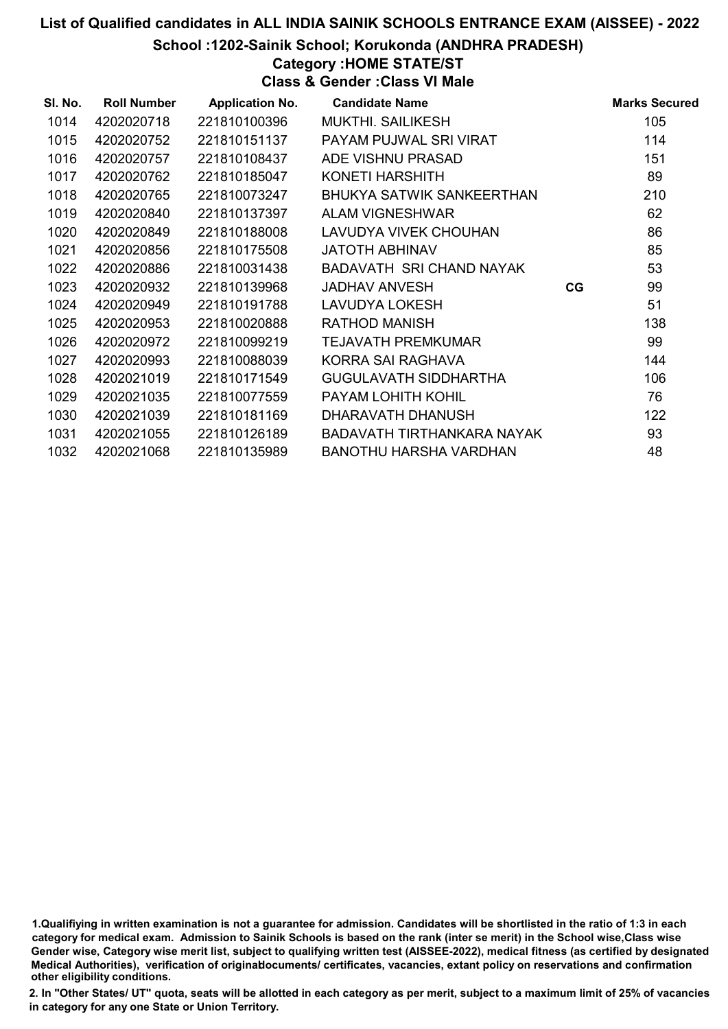School :1202-Sainik School; Korukonda (ANDHRA PRADESH)

Category :HOME STATE/ST

Class & Gender :Class VI Male

| SI. No. | <b>Roll Number</b> | <b>Application No.</b> | <b>Candidate Name</b>            |    | <b>Marks Secured</b> |
|---------|--------------------|------------------------|----------------------------------|----|----------------------|
| 1014    | 4202020718         | 221810100396           | <b>MUKTHI, SAILIKESH</b>         |    | 105                  |
| 1015    | 4202020752         | 221810151137           | PAYAM PUJWAL SRI VIRAT           |    | 114                  |
| 1016    | 4202020757         | 221810108437           | ADE VISHNU PRASAD                |    | 151                  |
| 1017    | 4202020762         | 221810185047           | KONETI HARSHITH                  |    | 89                   |
| 1018    | 4202020765         | 221810073247           | <b>BHUKYA SATWIK SANKEERTHAN</b> |    | 210                  |
| 1019    | 4202020840         | 221810137397           | <b>ALAM VIGNESHWAR</b>           |    | 62                   |
| 1020    | 4202020849         | 221810188008           | LAVUDYA VIVEK CHOUHAN            |    | 86                   |
| 1021    | 4202020856         | 221810175508           | <b>JATOTH ABHINAV</b>            |    | 85                   |
| 1022    | 4202020886         | 221810031438           | BADAVATH SRI CHAND NAYAK         |    | 53                   |
| 1023    | 4202020932         | 221810139968           | <b>JADHAV ANVESH</b>             | CG | 99                   |
| 1024    | 4202020949         | 221810191788           | LAVUDYA LOKESH                   |    | 51                   |
| 1025    | 4202020953         | 221810020888           | <b>RATHOD MANISH</b>             |    | 138                  |
| 1026    | 4202020972         | 221810099219           | TEJAVATH PREMKUMAR               |    | 99                   |
| 1027    | 4202020993         | 221810088039           | KORRA SAI RAGHAVA                |    | 144                  |
| 1028    | 4202021019         | 221810171549           | <b>GUGULAVATH SIDDHARTHA</b>     |    | 106                  |
| 1029    | 4202021035         | 221810077559           | PAYAM LOHITH KOHIL               |    | 76                   |
| 1030    | 4202021039         | 221810181169           | DHARAVATH DHANUSH                |    | 122                  |
| 1031    | 4202021055         | 221810126189           | BADAVATH TIRTHANKARA NAYAK       |    | 93                   |
| 1032    | 4202021068         | 221810135989           | <b>BANOTHU HARSHA VARDHAN</b>    |    | 48                   |

1.Qualifiying in written examination is not a guarantee for admission. Candidates will be shortlisted in the ratio of 1:3 in each category for medical exam. Admission to Sainik Schools is based on the rank (inter se merit) in the School wise,Class wise Gender wise, Category wise merit list, subject to qualifying written test (AISSEE-2022), medical fitness (as certified by designated Medical Authorities), verification of originablocuments/ certificates, vacancies, extant policy on reservations and confirmation other eligibility conditions.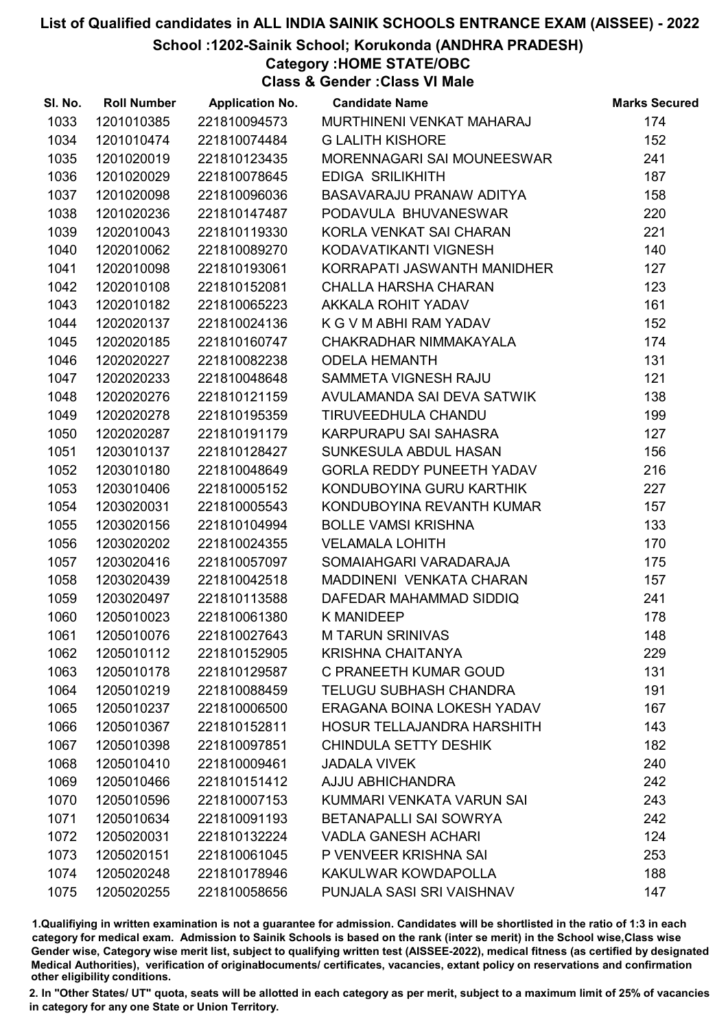School :1202-Sainik School; Korukonda (ANDHRA PRADESH)

# Category :HOME STATE/OBC

Class & Gender :Class VI Male

| SI. No. | <b>Roll Number</b> | <b>Application No.</b> | <b>Candidate Name</b>            | <b>Marks Secured</b> |
|---------|--------------------|------------------------|----------------------------------|----------------------|
| 1033    | 1201010385         | 221810094573           | MURTHINENI VENKAT MAHARAJ        | 174                  |
| 1034    | 1201010474         | 221810074484           | <b>G LALITH KISHORE</b>          | 152                  |
| 1035    | 1201020019         | 221810123435           | MORENNAGARI SAI MOUNEESWAR       | 241                  |
| 1036    | 1201020029         | 221810078645           | <b>EDIGA SRILIKHITH</b>          | 187                  |
| 1037    | 1201020098         | 221810096036           | BASAVARAJU PRANAW ADITYA         | 158                  |
| 1038    | 1201020236         | 221810147487           | PODAVULA BHUVANESWAR             | 220                  |
| 1039    | 1202010043         | 221810119330           | KORLA VENKAT SAI CHARAN          | 221                  |
| 1040    | 1202010062         | 221810089270           | KODAVATIKANTI VIGNESH            | 140                  |
| 1041    | 1202010098         | 221810193061           | KORRAPATI JASWANTH MANIDHER      | 127                  |
| 1042    | 1202010108         | 221810152081           | <b>CHALLA HARSHA CHARAN</b>      | 123                  |
| 1043    | 1202010182         | 221810065223           | AKKALA ROHIT YADAV               | 161                  |
| 1044    | 1202020137         | 221810024136           | K G V M ABHI RAM YADAV           | 152                  |
| 1045    | 1202020185         | 221810160747           | CHAKRADHAR NIMMAKAYALA           | 174                  |
| 1046    | 1202020227         | 221810082238           | <b>ODELA HEMANTH</b>             | 131                  |
| 1047    | 1202020233         | 221810048648           | SAMMETA VIGNESH RAJU             | 121                  |
| 1048    | 1202020276         | 221810121159           | AVULAMANDA SAI DEVA SATWIK       | 138                  |
| 1049    | 1202020278         | 221810195359           | TIRUVEEDHULA CHANDU              | 199                  |
| 1050    | 1202020287         | 221810191179           | KARPURAPU SAI SAHASRA            | 127                  |
| 1051    | 1203010137         | 221810128427           | SUNKESULA ABDUL HASAN            | 156                  |
| 1052    | 1203010180         | 221810048649           | <b>GORLA REDDY PUNEETH YADAV</b> | 216                  |
| 1053    | 1203010406         | 221810005152           | KONDUBOYINA GURU KARTHIK         | 227                  |
| 1054    | 1203020031         | 221810005543           | KONDUBOYINA REVANTH KUMAR        | 157                  |
| 1055    | 1203020156         | 221810104994           | <b>BOLLE VAMSI KRISHNA</b>       | 133                  |
| 1056    | 1203020202         | 221810024355           | <b>VELAMALA LOHITH</b>           | 170                  |
| 1057    | 1203020416         | 221810057097           | SOMAIAHGARI VARADARAJA           | 175                  |
| 1058    | 1203020439         | 221810042518           | MADDINENI VENKATA CHARAN         | 157                  |
| 1059    | 1203020497         | 221810113588           | DAFEDAR MAHAMMAD SIDDIQ          | 241                  |
| 1060    | 1205010023         | 221810061380           | K MANIDEEP                       | 178                  |
| 1061    | 1205010076         | 221810027643           | <b>M TARUN SRINIVAS</b>          | 148                  |
| 1062    | 1205010112         | 221810152905           | <b>KRISHNA CHAITANYA</b>         | 229                  |
| 1063    | 1205010178         | 221810129587           | C PRANEETH KUMAR GOUD            | 131                  |
| 1064    | 1205010219         | 221810088459           | <b>TELUGU SUBHASH CHANDRA</b>    | 191                  |
| 1065    | 1205010237         | 221810006500           | ERAGANA BOINA LOKESH YADAV       | 167                  |
| 1066    | 1205010367         | 221810152811           | HOSUR TELLAJANDRA HARSHITH       | 143                  |
| 1067    | 1205010398         | 221810097851           | <b>CHINDULA SETTY DESHIK</b>     | 182                  |
| 1068    | 1205010410         | 221810009461           | <b>JADALA VIVEK</b>              | 240                  |
| 1069    | 1205010466         | 221810151412           | <b>AJJU ABHICHANDRA</b>          | 242                  |
| 1070    | 1205010596         | 221810007153           | KUMMARI VENKATA VARUN SAI        | 243                  |
| 1071    | 1205010634         | 221810091193           | BETANAPALLI SAI SOWRYA           | 242                  |
| 1072    | 1205020031         | 221810132224           | <b>VADLA GANESH ACHARI</b>       | 124                  |
| 1073    | 1205020151         | 221810061045           | P VENVEER KRISHNA SAI            | 253                  |
| 1074    | 1205020248         | 221810178946           | KAKULWAR KOWDAPOLLA              | 188                  |
| 1075    | 1205020255         | 221810058656           | PUNJALA SASI SRI VAISHNAV        | 147                  |

1.Qualifiying in written examination is not a guarantee for admission. Candidates will be shortlisted in the ratio of 1:3 in each category for medical exam. Admission to Sainik Schools is based on the rank (inter se merit) in the School wise,Class wise Gender wise, Category wise merit list, subject to qualifying written test (AISSEE-2022), medical fitness (as certified by designated Medical Authorities), verification of originablocuments/ certificates, vacancies, extant policy on reservations and confirmation other eligibility conditions.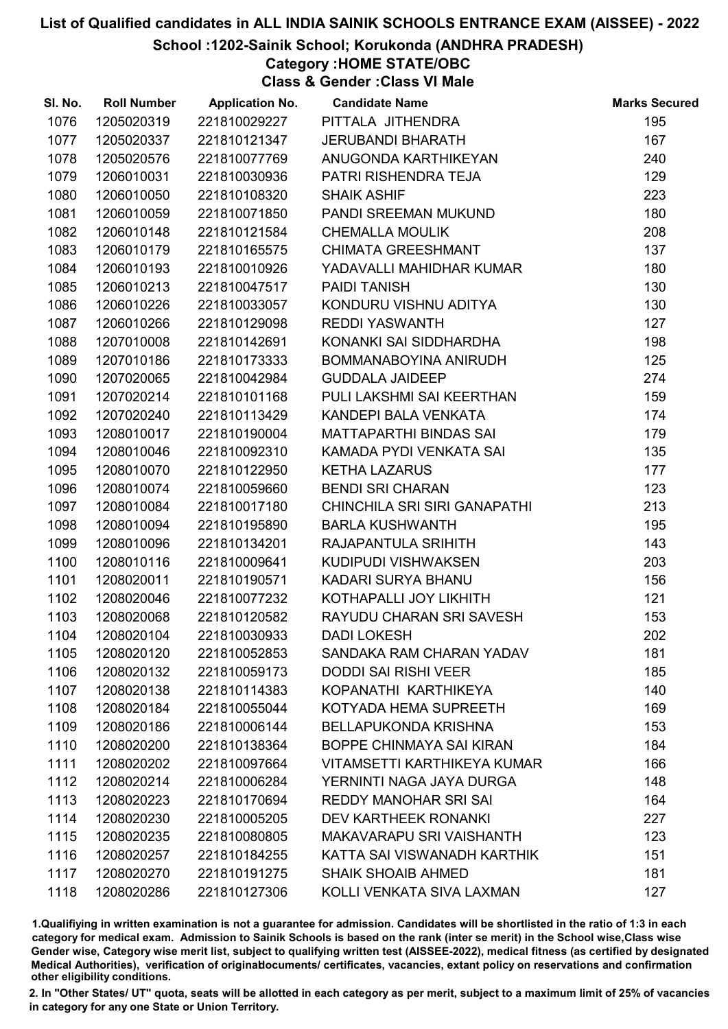### School :1202-Sainik School; Korukonda (ANDHRA PRADESH)

# Category :HOME STATE/OBC

Class & Gender :Class VI Male

| SI. No. | <b>Roll Number</b> | <b>Application No.</b> | <b>Candidate Name</b>              | <b>Marks Secured</b> |
|---------|--------------------|------------------------|------------------------------------|----------------------|
| 1076    | 1205020319         | 221810029227           | PITTALA JITHENDRA                  | 195                  |
| 1077    | 1205020337         | 221810121347           | <b>JERUBANDI BHARATH</b>           | 167                  |
| 1078    | 1205020576         | 221810077769           | ANUGONDA KARTHIKEYAN               | 240                  |
| 1079    | 1206010031         | 221810030936           | PATRI RISHENDRA TEJA               | 129                  |
| 1080    | 1206010050         | 221810108320           | <b>SHAIK ASHIF</b>                 | 223                  |
| 1081    | 1206010059         | 221810071850           | PANDI SREEMAN MUKUND               | 180                  |
| 1082    | 1206010148         | 221810121584           | <b>CHEMALLA MOULIK</b>             | 208                  |
| 1083    | 1206010179         | 221810165575           | <b>CHIMATA GREESHMANT</b>          | 137                  |
| 1084    | 1206010193         | 221810010926           | YADAVALLI MAHIDHAR KUMAR           | 180                  |
| 1085    | 1206010213         | 221810047517           | <b>PAIDI TANISH</b>                | 130                  |
| 1086    | 1206010226         | 221810033057           | KONDURU VISHNU ADITYA              | 130                  |
| 1087    | 1206010266         | 221810129098           | <b>REDDI YASWANTH</b>              | 127                  |
| 1088    | 1207010008         | 221810142691           | KONANKI SAI SIDDHARDHA             | 198                  |
| 1089    | 1207010186         | 221810173333           | BOMMANABOYINA ANIRUDH              | 125                  |
| 1090    | 1207020065         | 221810042984           | <b>GUDDALA JAIDEEP</b>             | 274                  |
| 1091    | 1207020214         | 221810101168           | PULI LAKSHMI SAI KEERTHAN          | 159                  |
| 1092    | 1207020240         | 221810113429           | KANDEPI BALA VENKATA               | 174                  |
| 1093    | 1208010017         | 221810190004           | <b>MATTAPARTHI BINDAS SAI</b>      | 179                  |
| 1094    | 1208010046         | 221810092310           | KAMADA PYDI VENKATA SAI            | 135                  |
| 1095    | 1208010070         | 221810122950           | <b>KETHA LAZARUS</b>               | 177                  |
| 1096    | 1208010074         | 221810059660           | <b>BENDI SRI CHARAN</b>            | 123                  |
| 1097    | 1208010084         | 221810017180           | CHINCHILA SRI SIRI GANAPATHI       | 213                  |
| 1098    | 1208010094         | 221810195890           | <b>BARLA KUSHWANTH</b>             | 195                  |
| 1099    | 1208010096         | 221810134201           | RAJAPANTULA SRIHITH                | 143                  |
| 1100    | 1208010116         | 221810009641           | KUDIPUDI VISHWAKSEN                | 203                  |
| 1101    | 1208020011         | 221810190571           | KADARI SURYA BHANU                 | 156                  |
| 1102    | 1208020046         | 221810077232           | KOTHAPALLI JOY LIKHITH             | 121                  |
| 1103    | 1208020068         | 221810120582           | RAYUDU CHARAN SRI SAVESH           | 153                  |
| 1104    | 1208020104         | 221810030933           | <b>DADI LOKESH</b>                 | 202                  |
| 1105    | 1208020120         | 221810052853           | SANDAKA RAM CHARAN YADAV           | 181                  |
| 1106    | 1208020132         | 221810059173           | <b>DODDI SAI RISHI VEER</b>        | 185                  |
| 1107    | 1208020138         | 221810114383           | KOPANATHI KARTHIKEYA               | 140                  |
| 1108    | 1208020184         | 221810055044           | KOTYADA HEMA SUPREETH              | 169                  |
| 1109    | 1208020186         | 221810006144           | <b>BELLAPUKONDA KRISHNA</b>        | 153                  |
| 1110    | 1208020200         | 221810138364           | BOPPE CHINMAYA SAI KIRAN           | 184                  |
| 1111    | 1208020202         | 221810097664           | <b>VITAMSETTI KARTHIKEYA KUMAR</b> | 166                  |
| 1112    | 1208020214         | 221810006284           | YERNINTI NAGA JAYA DURGA           | 148                  |
| 1113    | 1208020223         | 221810170694           | <b>REDDY MANOHAR SRI SAI</b>       | 164                  |
| 1114    | 1208020230         | 221810005205           | <b>DEV KARTHEEK RONANKI</b>        | 227                  |
| 1115    | 1208020235         | 221810080805           | <b>MAKAVARAPU SRI VAISHANTH</b>    | 123                  |
| 1116    | 1208020257         | 221810184255           | KATTA SAI VISWANADH KARTHIK        | 151                  |
| 1117    | 1208020270         | 221810191275           | <b>SHAIK SHOAIB AHMED</b>          | 181                  |
| 1118    | 1208020286         | 221810127306           | KOLLI VENKATA SIVA LAXMAN          | 127                  |

1.Qualifiying in written examination is not a guarantee for admission. Candidates will be shortlisted in the ratio of 1:3 in each category for medical exam. Admission to Sainik Schools is based on the rank (inter se merit) in the School wise,Class wise Gender wise, Category wise merit list, subject to qualifying written test (AISSEE-2022), medical fitness (as certified by designated Medical Authorities), verification of originablocuments/ certificates, vacancies, extant policy on reservations and confirmation other eligibility conditions.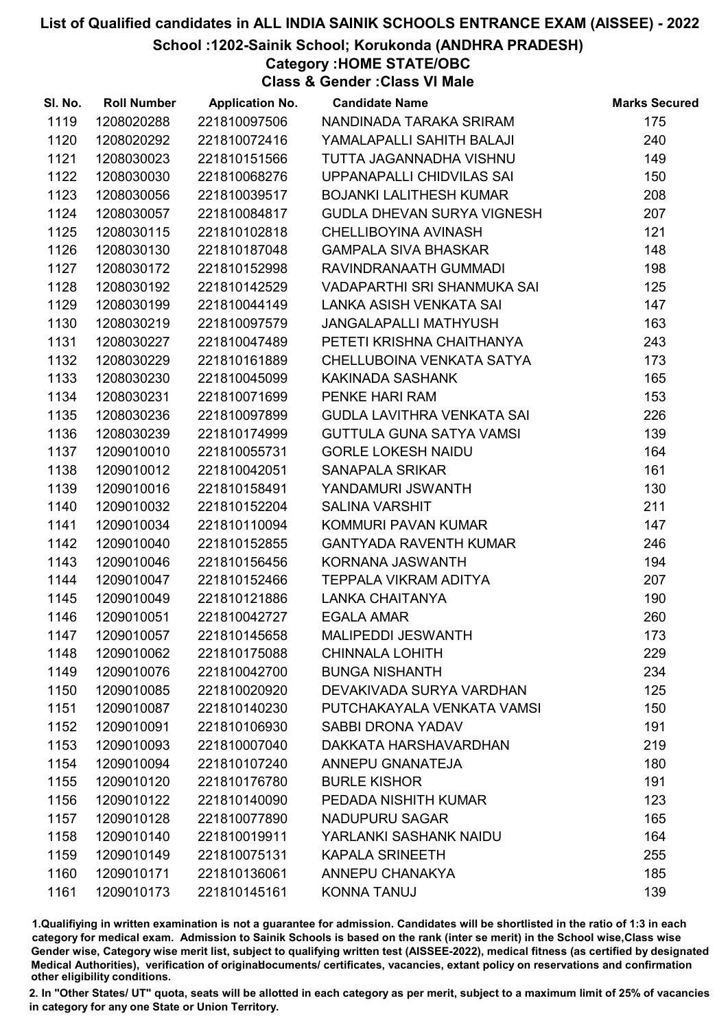School :1202-Sainik School; Korukonda (ANDHRA PRADESH)

Category :HOME STATE/OBC

Class & Gender :Class VI Male

| SI. No. | <b>Roll Number</b> | <b>Application No.</b> | <b>Candidate Name</b>           | <b>Marks Secured</b> |
|---------|--------------------|------------------------|---------------------------------|----------------------|
| 1119    | 1208020288         | 221810097506           | NANDINADA TARAKA SRIRAM         | 175                  |
| 1120    | 1208020292         | 221810072416           | YAMALAPALLI SAHITH BALAJI       | 240                  |
| 1121    | 1208030023         | 221810151566           | TUTTA JAGANNADHA VISHNU         | 149                  |
| 1122    | 1208030030         | 221810068276           | UPPANAPALLI CHIDVILAS SAI       | 150                  |
| 1123    | 1208030056         | 221810039517           | <b>BOJANKI LALITHESH KUMAR</b>  | 208                  |
| 1124    | 1208030057         | 221810084817           | GUDLA DHEVAN SURYA VIGNESH      | 207                  |
| 1125    | 1208030115         | 221810102818           | CHELLIBOYINA AVINASH            | 121                  |
| 1126    | 1208030130         | 221810187048           | <b>GAMPALA SIVA BHASKAR</b>     | 148                  |
| 1127    | 1208030172         | 221810152998           | RAVINDRANAATH GUMMADI           | 198                  |
| 1128    | 1208030192         | 221810142529           | VADAPARTHI SRI SHANMUKA SAI     | 125                  |
| 1129    | 1208030199         | 221810044149           | LANKA ASISH VENKATA SAI         | 147                  |
| 1130    | 1208030219         | 221810097579           | <b>JANGALAPALLI MATHYUSH</b>    | 163                  |
| 1131    | 1208030227         | 221810047489           | PETETI KRISHNA CHAITHANYA       | 243                  |
| 1132    | 1208030229         | 221810161889           | CHELLUBOINA VENKATA SATYA       | 173                  |
| 1133    | 1208030230         | 221810045099           | KAKINADA SASHANK                | 165                  |
| 1134    | 1208030231         | 221810071699           | PENKE HARI RAM                  | 153                  |
| 1135    | 1208030236         | 221810097899           | GUDLA LAVITHRA VENKATA SAI      | 226                  |
| 1136    | 1208030239         | 221810174999           | <b>GUTTULA GUNA SATYA VAMSI</b> | 139                  |
| 1137    | 1209010010         | 221810055731           | <b>GORLE LOKESH NAIDU</b>       | 164                  |
| 1138    | 1209010012         | 221810042051           | <b>SANAPALA SRIKAR</b>          | 161                  |
| 1139    | 1209010016         | 221810158491           | YANDAMURI JSWANTH               | 130                  |
| 1140    | 1209010032         | 221810152204           | <b>SALINA VARSHIT</b>           | 211                  |
| 1141    | 1209010034         | 221810110094           | KOMMURI PAVAN KUMAR             | 147                  |
| 1142    | 1209010040         | 221810152855           | <b>GANTYADA RAVENTH KUMAR</b>   | 246                  |
| 1143    | 1209010046         | 221810156456           | KORNANA JASWANTH                | 194                  |
| 1144    | 1209010047         | 221810152466           | TEPPALA VIKRAM ADITYA           | 207                  |
| 1145    | 1209010049         | 221810121886           | <b>LANKA CHAITANYA</b>          | 190                  |
| 1146    | 1209010051         | 221810042727           | <b>EGALA AMAR</b>               | 260                  |
| 1147    | 1209010057         | 221810145658           | <b>MALIPEDDI JESWANTH</b>       | 173                  |
| 1148    | 1209010062         | 221810175088           | <b>CHINNALA LOHITH</b>          | 229                  |
| 1149    | 1209010076         | 221810042700           | <b>BUNGA NISHANTH</b>           | 234                  |
| 1150    | 1209010085         | 221810020920           | DEVAKIVADA SURYA VARDHAN        | 125                  |
| 1151    | 1209010087         | 221810140230           | PUTCHAKAYALA VENKATA VAMSI      | 150                  |
| 1152    | 1209010091         | 221810106930           | <b>SABBI DRONA YADAV</b>        | 191                  |
| 1153    | 1209010093         | 221810007040           | DAKKATA HARSHAVARDHAN           | 219                  |
| 1154    | 1209010094         | 221810107240           | ANNEPU GNANATEJA                | 180                  |
| 1155    | 1209010120         | 221810176780           | <b>BURLE KISHOR</b>             | 191                  |
| 1156    | 1209010122         | 221810140090           | PEDADA NISHITH KUMAR            | 123                  |
| 1157    | 1209010128         | 221810077890           | NADUPURU SAGAR                  | 165                  |
| 1158    | 1209010140         | 221810019911           | YARLANKI SASHANK NAIDU          | 164                  |
| 1159    | 1209010149         | 221810075131           | <b>KAPALA SRINEETH</b>          | 255                  |
| 1160    | 1209010171         | 221810136061           | ANNEPU CHANAKYA                 | 185                  |
| 1161    | 1209010173         | 221810145161           | <b>KONNA TANUJ</b>              | 139                  |

1.Qualifiying in written examination is not a guarantee for admission. Candidates will be shortlisted in the ratio of 1:3 in each category for medical exam. Admission to Sainik Schools is based on the rank (inter se merit) in the School wise,Class wise Gender wise, Category wise merit list, subject to qualifying written test (AISSEE-2022), medical fitness (as certified by designated Medical Authorities), verification of originablocuments/ certificates, vacancies, extant policy on reservations and confirmation other eligibility conditions.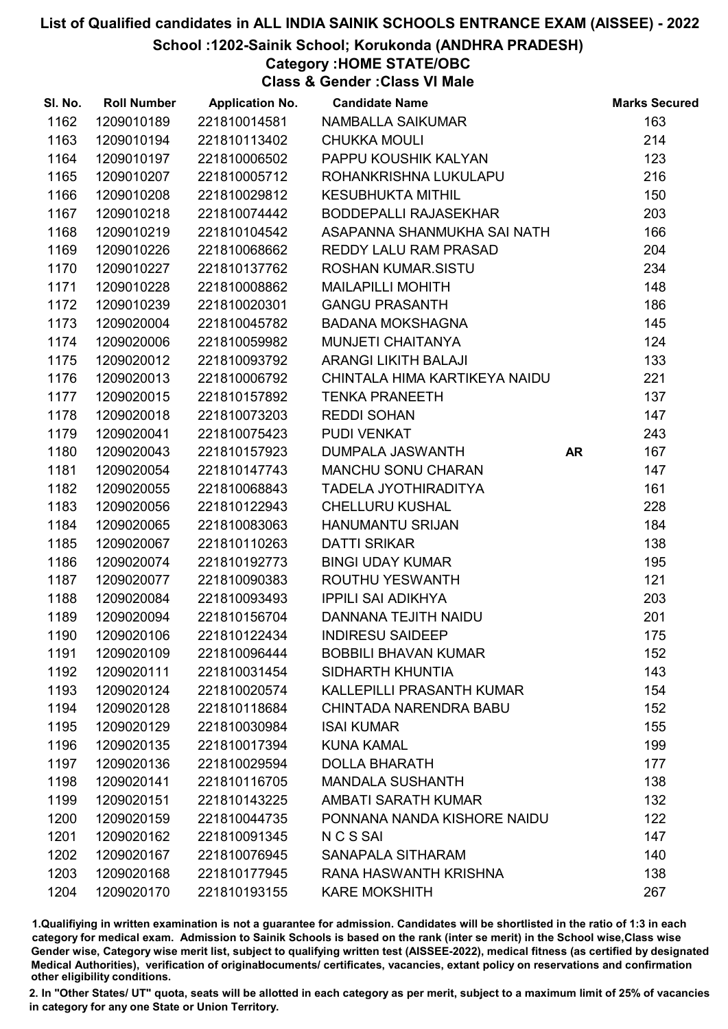### School :1202-Sainik School; Korukonda (ANDHRA PRADESH)

Category :HOME STATE/OBC

Class & Gender :Class VI Male

| SI. No. | <b>Roll Number</b> | <b>Application No.</b> | <b>Candidate Name</b>         |           | <b>Marks Secured</b> |
|---------|--------------------|------------------------|-------------------------------|-----------|----------------------|
| 1162    | 1209010189         | 221810014581           | NAMBALLA SAIKUMAR             |           | 163                  |
| 1163    | 1209010194         | 221810113402           | <b>CHUKKA MOULI</b>           |           | 214                  |
| 1164    | 1209010197         | 221810006502           | PAPPU KOUSHIK KALYAN          |           | 123                  |
| 1165    | 1209010207         | 221810005712           | ROHANKRISHNA LUKULAPU         |           | 216                  |
| 1166    | 1209010208         | 221810029812           | <b>KESUBHUKTA MITHIL</b>      |           | 150                  |
| 1167    | 1209010218         | 221810074442           | <b>BODDEPALLI RAJASEKHAR</b>  |           | 203                  |
| 1168    | 1209010219         | 221810104542           | ASAPANNA SHANMUKHA SAI NATH   |           | 166                  |
| 1169    | 1209010226         | 221810068662           | REDDY LALU RAM PRASAD         |           | 204                  |
| 1170    | 1209010227         | 221810137762           | <b>ROSHAN KUMAR.SISTU</b>     |           | 234                  |
| 1171    | 1209010228         | 221810008862           | <b>MAILAPILLI MOHITH</b>      |           | 148                  |
| 1172    | 1209010239         | 221810020301           | <b>GANGU PRASANTH</b>         |           | 186                  |
| 1173    | 1209020004         | 221810045782           | <b>BADANA MOKSHAGNA</b>       |           | 145                  |
| 1174    | 1209020006         | 221810059982           | MUNJETI CHAITANYA             |           | 124                  |
| 1175    | 1209020012         | 221810093792           | <b>ARANGI LIKITH BALAJI</b>   |           | 133                  |
| 1176    | 1209020013         | 221810006792           | CHINTALA HIMA KARTIKEYA NAIDU |           | 221                  |
| 1177    | 1209020015         | 221810157892           | <b>TENKA PRANEETH</b>         |           | 137                  |
| 1178    | 1209020018         | 221810073203           | <b>REDDI SOHAN</b>            |           | 147                  |
| 1179    | 1209020041         | 221810075423           | PUDI VENKAT                   |           | 243                  |
| 1180    | 1209020043         | 221810157923           | DUMPALA JASWANTH              | <b>AR</b> | 167                  |
| 1181    | 1209020054         | 221810147743           | <b>MANCHU SONU CHARAN</b>     |           | 147                  |
| 1182    | 1209020055         | 221810068843           | <b>TADELA JYOTHIRADITYA</b>   |           | 161                  |
| 1183    | 1209020056         | 221810122943           | <b>CHELLURU KUSHAL</b>        |           | 228                  |
| 1184    | 1209020065         | 221810083063           | <b>HANUMANTU SRIJAN</b>       |           | 184                  |
| 1185    | 1209020067         | 221810110263           | <b>DATTI SRIKAR</b>           |           | 138                  |
| 1186    | 1209020074         | 221810192773           | <b>BINGI UDAY KUMAR</b>       |           | 195                  |
| 1187    | 1209020077         | 221810090383           | ROUTHU YESWANTH               |           | 121                  |
| 1188    | 1209020084         | 221810093493           | <b>IPPILI SAI ADIKHYA</b>     |           | 203                  |
| 1189    | 1209020094         | 221810156704           | DANNANA TEJITH NAIDU          |           | 201                  |
| 1190    | 1209020106         | 221810122434           | <b>INDIRESU SAIDEEP</b>       |           | 175                  |
| 1191    | 1209020109         | 221810096444           | <b>BOBBILI BHAVAN KUMAR</b>   |           | 152                  |
| 1192    | 1209020111         | 221810031454           | SIDHARTH KHUNTIA              |           | 143                  |
| 1193    | 1209020124         | 221810020574           | KALLEPILLI PRASANTH KUMAR     |           | 154                  |
| 1194    | 1209020128         | 221810118684           | <b>CHINTADA NARENDRA BABU</b> |           | 152                  |
| 1195    | 1209020129         | 221810030984           | <b>ISAI KUMAR</b>             |           | 155                  |
| 1196    | 1209020135         | 221810017394           | <b>KUNA KAMAL</b>             |           | 199                  |
| 1197    | 1209020136         | 221810029594           | <b>DOLLA BHARATH</b>          |           | 177                  |
| 1198    | 1209020141         | 221810116705           | <b>MANDALA SUSHANTH</b>       |           | 138                  |
| 1199    | 1209020151         | 221810143225           | <b>AMBATI SARATH KUMAR</b>    |           | 132                  |
| 1200    | 1209020159         | 221810044735           | PONNANA NANDA KISHORE NAIDU   |           | 122                  |
| 1201    | 1209020162         | 221810091345           | N C S SAI                     |           | 147                  |
| 1202    | 1209020167         | 221810076945           | SANAPALA SITHARAM             |           | 140                  |
| 1203    | 1209020168         | 221810177945           | RANA HASWANTH KRISHNA         |           | 138                  |
| 1204    | 1209020170         | 221810193155           | <b>KARE MOKSHITH</b>          |           | 267                  |

1.Qualifiying in written examination is not a guarantee for admission. Candidates will be shortlisted in the ratio of 1:3 in each category for medical exam. Admission to Sainik Schools is based on the rank (inter se merit) in the School wise,Class wise Gender wise, Category wise merit list, subject to qualifying written test (AISSEE-2022), medical fitness (as certified by designated Medical Authorities), verification of originablocuments/ certificates, vacancies, extant policy on reservations and confirmation other eligibility conditions.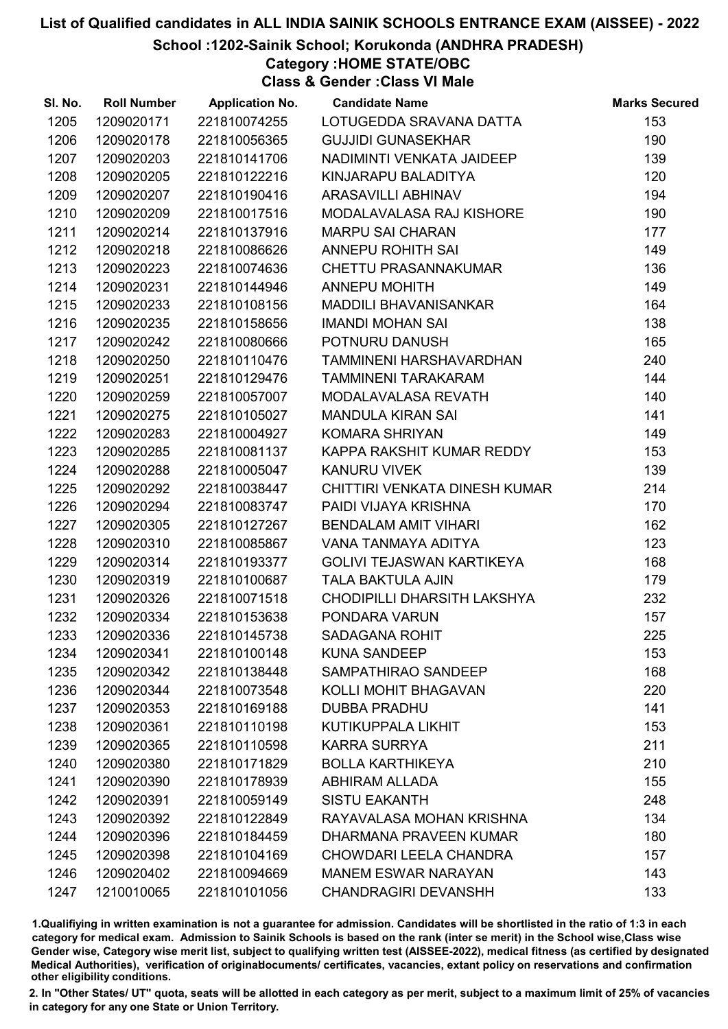School :1202-Sainik School; Korukonda (ANDHRA PRADESH)

Category :HOME STATE/OBC

Class & Gender :Class VI Male

| SI. No. | <b>Roll Number</b> | <b>Application No.</b> | <b>Candidate Name</b>          | <b>Marks Secured</b> |
|---------|--------------------|------------------------|--------------------------------|----------------------|
| 1205    | 1209020171         | 221810074255           | LOTUGEDDA SRAVANA DATTA        | 153                  |
| 1206    | 1209020178         | 221810056365           | <b>GUJJIDI GUNASEKHAR</b>      | 190                  |
| 1207    | 1209020203         | 221810141706           | NADIMINTI VENKATA JAIDEEP      | 139                  |
| 1208    | 1209020205         | 221810122216           | KINJARAPU BALADITYA            | 120                  |
| 1209    | 1209020207         | 221810190416           | ARASAVILLI ABHINAV             | 194                  |
| 1210    | 1209020209         | 221810017516           | MODALAVALASA RAJ KISHORE       | 190                  |
| 1211    | 1209020214         | 221810137916           | <b>MARPU SAI CHARAN</b>        | 177                  |
| 1212    | 1209020218         | 221810086626           | <b>ANNEPU ROHITH SAI</b>       | 149                  |
| 1213    | 1209020223         | 221810074636           | <b>CHETTU PRASANNAKUMAR</b>    | 136                  |
| 1214    | 1209020231         | 221810144946           | <b>ANNEPU MOHITH</b>           | 149                  |
| 1215    | 1209020233         | 221810108156           | <b>MADDILI BHAVANISANKAR</b>   | 164                  |
| 1216    | 1209020235         | 221810158656           | <b>IMANDI MOHAN SAI</b>        | 138                  |
| 1217    | 1209020242         | 221810080666           | POTNURU DANUSH                 | 165                  |
| 1218    | 1209020250         | 221810110476           | <b>TAMMINENI HARSHAVARDHAN</b> | 240                  |
| 1219    | 1209020251         | 221810129476           | <b>TAMMINENI TARAKARAM</b>     | 144                  |
| 1220    | 1209020259         | 221810057007           | MODALAVALASA REVATH            | 140                  |
| 1221    | 1209020275         | 221810105027           | <b>MANDULA KIRAN SAI</b>       | 141                  |
| 1222    | 1209020283         | 221810004927           | <b>KOMARA SHRIYAN</b>          | 149                  |
| 1223    | 1209020285         | 221810081137           | KAPPA RAKSHIT KUMAR REDDY      | 153                  |
| 1224    | 1209020288         | 221810005047           | <b>KANURU VIVEK</b>            | 139                  |
| 1225    | 1209020292         | 221810038447           | CHITTIRI VENKATA DINESH KUMAR  | 214                  |
| 1226    | 1209020294         | 221810083747           | PAIDI VIJAYA KRISHNA           | 170                  |
| 1227    | 1209020305         | 221810127267           | <b>BENDALAM AMIT VIHARI</b>    | 162                  |
| 1228    | 1209020310         | 221810085867           | VANA TANMAYA ADITYA            | 123                  |
| 1229    | 1209020314         | 221810193377           | GOLIVI TEJASWAN KARTIKEYA      | 168                  |
| 1230    | 1209020319         | 221810100687           | <b>TALA BAKTULA AJIN</b>       | 179                  |
| 1231    | 1209020326         | 221810071518           | CHODIPILLI DHARSITH LAKSHYA    | 232                  |
| 1232    | 1209020334         | 221810153638           | PONDARA VARUN                  | 157                  |
| 1233    | 1209020336         | 221810145738           | <b>SADAGANA ROHIT</b>          | 225                  |
| 1234    | 1209020341         | 221810100148           | <b>KUNA SANDEEP</b>            | 153                  |
| 1235    | 1209020342         | 221810138448           | SAMPATHIRAO SANDEEP            | 168                  |
| 1236    | 1209020344         | 221810073548           | KOLLI MOHIT BHAGAVAN           | 220                  |
| 1237    | 1209020353         | 221810169188           | <b>DUBBA PRADHU</b>            | 141                  |
| 1238    | 1209020361         | 221810110198           | <b>KUTIKUPPALA LIKHIT</b>      | 153                  |
| 1239    | 1209020365         | 221810110598           | <b>KARRA SURRYA</b>            | 211                  |
| 1240    | 1209020380         | 221810171829           | <b>BOLLA KARTHIKEYA</b>        | 210                  |
| 1241    | 1209020390         | 221810178939           | <b>ABHIRAM ALLADA</b>          | 155                  |
| 1242    | 1209020391         | 221810059149           | <b>SISTU EAKANTH</b>           | 248                  |
| 1243    | 1209020392         | 221810122849           | RAYAVALASA MOHAN KRISHNA       | 134                  |
| 1244    | 1209020396         | 221810184459           | DHARMANA PRAVEEN KUMAR         | 180                  |
| 1245    | 1209020398         | 221810104169           | <b>CHOWDARI LEELA CHANDRA</b>  | 157                  |
| 1246    | 1209020402         | 221810094669           | <b>MANEM ESWAR NARAYAN</b>     | 143                  |
| 1247    | 1210010065         | 221810101056           | <b>CHANDRAGIRI DEVANSHH</b>    | 133                  |

1.Qualifiying in written examination is not a guarantee for admission. Candidates will be shortlisted in the ratio of 1:3 in each category for medical exam. Admission to Sainik Schools is based on the rank (inter se merit) in the School wise,Class wise Gender wise, Category wise merit list, subject to qualifying written test (AISSEE-2022), medical fitness (as certified by designated Medical Authorities), verification of originablocuments/ certificates, vacancies, extant policy on reservations and confirmation other eligibility conditions.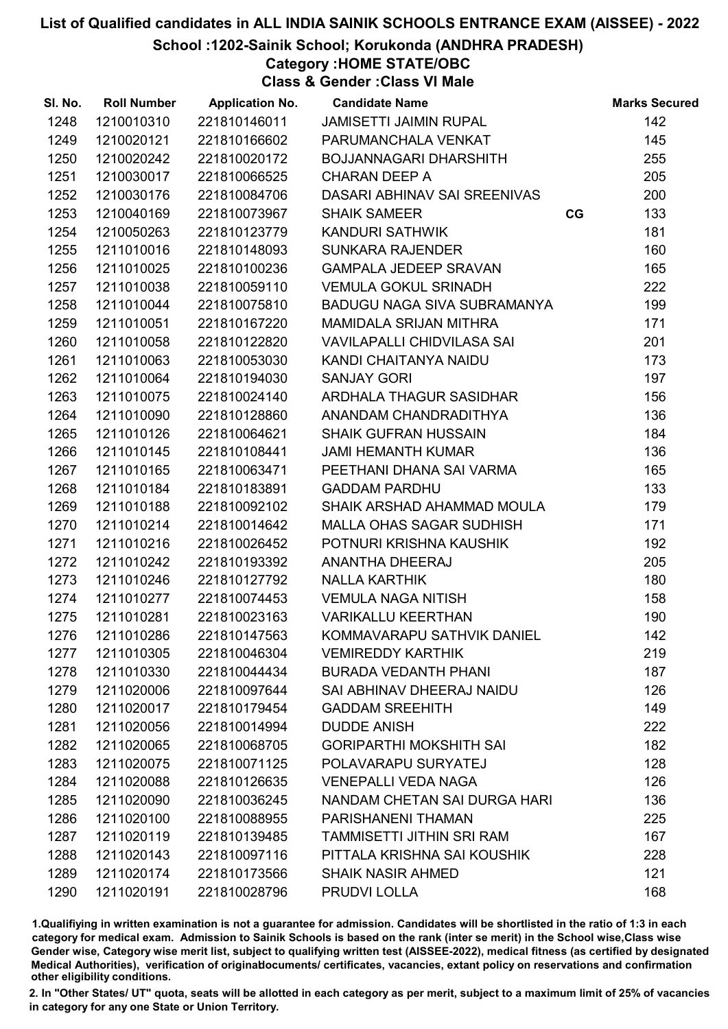School :1202-Sainik School; Korukonda (ANDHRA PRADESH)

Category :HOME STATE/OBC

Class & Gender :Class VI Male

| SI. No. | <b>Roll Number</b> | <b>Application No.</b> | <b>Candidate Name</b>          |    | <b>Marks Secured</b> |
|---------|--------------------|------------------------|--------------------------------|----|----------------------|
| 1248    | 1210010310         | 221810146011           | JAMISETTI JAIMIN RUPAL         |    | 142                  |
| 1249    | 1210020121         | 221810166602           | PARUMANCHALA VENKAT            |    | 145                  |
| 1250    | 1210020242         | 221810020172           | BOJJANNAGARI DHARSHITH         |    | 255                  |
| 1251    | 1210030017         | 221810066525           | <b>CHARAN DEEP A</b>           |    | 205                  |
| 1252    | 1210030176         | 221810084706           | DASARI ABHINAV SAI SREENIVAS   |    | 200                  |
| 1253    | 1210040169         | 221810073967           | <b>SHAIK SAMEER</b>            | CG | 133                  |
| 1254    | 1210050263         | 221810123779           | KANDURI SATHWIK                |    | 181                  |
| 1255    | 1211010016         | 221810148093           | <b>SUNKARA RAJENDER</b>        |    | 160                  |
| 1256    | 1211010025         | 221810100236           | <b>GAMPALA JEDEEP SRAVAN</b>   |    | 165                  |
| 1257    | 1211010038         | 221810059110           | <b>VEMULA GOKUL SRINADH</b>    |    | 222                  |
| 1258    | 1211010044         | 221810075810           | BADUGU NAGA SIVA SUBRAMANYA    |    | 199                  |
| 1259    | 1211010051         | 221810167220           | <b>MAMIDALA SRIJAN MITHRA</b>  |    | 171                  |
| 1260    | 1211010058         | 221810122820           | VAVILAPALLI CHIDVILASA SAI     |    | 201                  |
| 1261    | 1211010063         | 221810053030           | KANDI CHAITANYA NAIDU          |    | 173                  |
| 1262    | 1211010064         | 221810194030           | <b>SANJAY GORI</b>             |    | 197                  |
| 1263    | 1211010075         | 221810024140           | ARDHALA THAGUR SASIDHAR        |    | 156                  |
| 1264    | 1211010090         | 221810128860           | ANANDAM CHANDRADITHYA          |    | 136                  |
| 1265    | 1211010126         | 221810064621           | <b>SHAIK GUFRAN HUSSAIN</b>    |    | 184                  |
| 1266    | 1211010145         | 221810108441           | <b>JAMI HEMANTH KUMAR</b>      |    | 136                  |
| 1267    | 1211010165         | 221810063471           | PEETHANI DHANA SAI VARMA       |    | 165                  |
| 1268    | 1211010184         | 221810183891           | <b>GADDAM PARDHU</b>           |    | 133                  |
| 1269    | 1211010188         | 221810092102           | SHAIK ARSHAD AHAMMAD MOULA     |    | 179                  |
| 1270    | 1211010214         | 221810014642           | MALLA OHAS SAGAR SUDHISH       |    | 171                  |
| 1271    | 1211010216         | 221810026452           | POTNURI KRISHNA KAUSHIK        |    | 192                  |
| 1272    | 1211010242         | 221810193392           | ANANTHA DHEERAJ                |    | 205                  |
| 1273    | 1211010246         | 221810127792           | <b>NALLA KARTHIK</b>           |    | 180                  |
| 1274    | 1211010277         | 221810074453           | <b>VEMULA NAGA NITISH</b>      |    | 158                  |
| 1275    | 1211010281         | 221810023163           | <b>VARIKALLU KEERTHAN</b>      |    | 190                  |
| 1276    | 1211010286         | 221810147563           | KOMMAVARAPU SATHVIK DANIEL     |    | 142                  |
| 1277    | 1211010305         | 221810046304           | <b>VEMIREDDY KARTHIK</b>       |    | 219                  |
| 1278    | 1211010330         | 221810044434           | <b>BURADA VEDANTH PHANI</b>    |    | 187                  |
| 1279    | 1211020006         | 221810097644           | SAI ABHINAV DHEERAJ NAIDU      |    | 126                  |
| 1280    | 1211020017         | 221810179454           | <b>GADDAM SREEHITH</b>         |    | 149                  |
| 1281    | 1211020056         | 221810014994           | <b>DUDDE ANISH</b>             |    | 222                  |
| 1282    | 1211020065         | 221810068705           | <b>GORIPARTHI MOKSHITH SAI</b> |    | 182                  |
| 1283    | 1211020075         | 221810071125           | POLAVARAPU SURYATEJ            |    | 128                  |
| 1284    | 1211020088         | 221810126635           | <b>VENEPALLI VEDA NAGA</b>     |    | 126                  |
| 1285    | 1211020090         | 221810036245           | NANDAM CHETAN SAI DURGA HARI   |    | 136                  |
| 1286    | 1211020100         | 221810088955           | PARISHANENI THAMAN             |    | 225                  |
| 1287    | 1211020119         | 221810139485           | TAMMISETTI JITHIN SRI RAM      |    | 167                  |
| 1288    | 1211020143         | 221810097116           | PITTALA KRISHNA SAI KOUSHIK    |    | 228                  |
| 1289    | 1211020174         | 221810173566           | <b>SHAIK NASIR AHMED</b>       |    | 121                  |
| 1290    | 1211020191         | 221810028796           | PRUDVI LOLLA                   |    | 168                  |

1.Qualifiying in written examination is not a guarantee for admission. Candidates will be shortlisted in the ratio of 1:3 in each category for medical exam. Admission to Sainik Schools is based on the rank (inter se merit) in the School wise,Class wise Gender wise, Category wise merit list, subject to qualifying written test (AISSEE-2022), medical fitness (as certified by designated Medical Authorities), verification of originablocuments/ certificates, vacancies, extant policy on reservations and confirmation other eligibility conditions.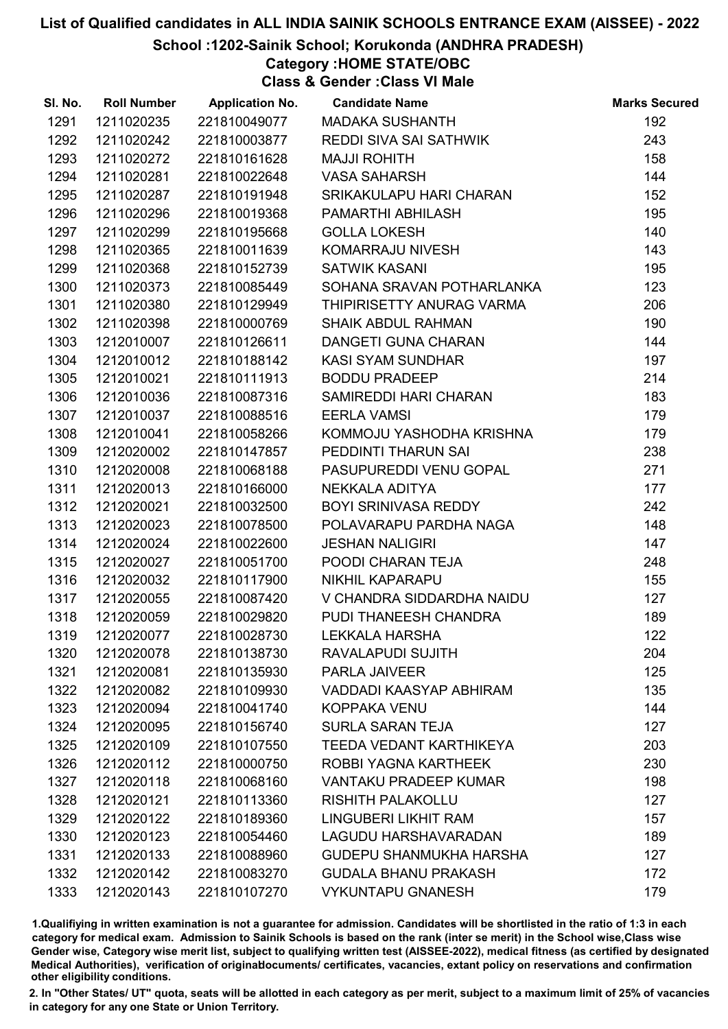### School :1202-Sainik School; Korukonda (ANDHRA PRADESH)

# Category :HOME STATE/OBC

Class & Gender :Class VI Male

| SI. No. | <b>Roll Number</b> | <b>Application No.</b> | <b>Candidate Name</b>          | <b>Marks Secured</b> |
|---------|--------------------|------------------------|--------------------------------|----------------------|
| 1291    | 1211020235         | 221810049077           | <b>MADAKA SUSHANTH</b>         | 192                  |
| 1292    | 1211020242         | 221810003877           | <b>REDDI SIVA SAI SATHWIK</b>  | 243                  |
| 1293    | 1211020272         | 221810161628           | <b>MAJJI ROHITH</b>            | 158                  |
| 1294    | 1211020281         | 221810022648           | <b>VASA SAHARSH</b>            | 144                  |
| 1295    | 1211020287         | 221810191948           | SRIKAKULAPU HARI CHARAN        | 152                  |
| 1296    | 1211020296         | 221810019368           | PAMARTHI ABHILASH              | 195                  |
| 1297    | 1211020299         | 221810195668           | <b>GOLLA LOKESH</b>            | 140                  |
| 1298    | 1211020365         | 221810011639           | KOMARRAJU NIVESH               | 143                  |
| 1299    | 1211020368         | 221810152739           | <b>SATWIK KASANI</b>           | 195                  |
| 1300    | 1211020373         | 221810085449           | SOHANA SRAVAN POTHARLANKA      | 123                  |
| 1301    | 1211020380         | 221810129949           | THIPIRISETTY ANURAG VARMA      | 206                  |
| 1302    | 1211020398         | 221810000769           | <b>SHAIK ABDUL RAHMAN</b>      | 190                  |
| 1303    | 1212010007         | 221810126611           | DANGETI GUNA CHARAN            | 144                  |
| 1304    | 1212010012         | 221810188142           | <b>KASI SYAM SUNDHAR</b>       | 197                  |
| 1305    | 1212010021         | 221810111913           | <b>BODDU PRADEEP</b>           | 214                  |
| 1306    | 1212010036         | 221810087316           | SAMIREDDI HARI CHARAN          | 183                  |
| 1307    | 1212010037         | 221810088516           | <b>EERLA VAMSI</b>             | 179                  |
| 1308    | 1212010041         | 221810058266           | KOMMOJU YASHODHA KRISHNA       | 179                  |
| 1309    | 1212020002         | 221810147857           | PEDDINTI THARUN SAI            | 238                  |
| 1310    | 1212020008         | 221810068188           | PASUPUREDDI VENU GOPAL         | 271                  |
| 1311    | 1212020013         | 221810166000           | NEKKALA ADITYA                 | 177                  |
| 1312    | 1212020021         | 221810032500           | <b>BOYI SRINIVASA REDDY</b>    | 242                  |
| 1313    | 1212020023         | 221810078500           | POLAVARAPU PARDHA NAGA         | 148                  |
| 1314    | 1212020024         | 221810022600           | <b>JESHAN NALIGIRI</b>         | 147                  |
| 1315    | 1212020027         | 221810051700           | POODI CHARAN TEJA              | 248                  |
| 1316    | 1212020032         | 221810117900           | NIKHIL KAPARAPU                | 155                  |
| 1317    | 1212020055         | 221810087420           | V CHANDRA SIDDARDHA NAIDU      | 127                  |
| 1318    | 1212020059         | 221810029820           | PUDI THANEESH CHANDRA          | 189                  |
| 1319    | 1212020077         | 221810028730           | <b>LEKKALA HARSHA</b>          | 122                  |
| 1320    | 1212020078         | 221810138730           | RAVALAPUDI SUJITH              | 204                  |
| 1321    | 1212020081         | 221810135930           | <b>PARLA JAIVEER</b>           | 125                  |
| 1322    | 1212020082         | 221810109930           | VADDADI KAASYAP ABHIRAM        | 135                  |
| 1323    | 1212020094         | 221810041740           | <b>KOPPAKA VENU</b>            | 144                  |
| 1324    | 1212020095         | 221810156740           | <b>SURLA SARAN TEJA</b>        | 127                  |
| 1325    | 1212020109         | 221810107550           | <b>TEEDA VEDANT KARTHIKEYA</b> | 203                  |
| 1326    | 1212020112         | 221810000750           | ROBBI YAGNA KARTHEEK           | 230                  |
| 1327    | 1212020118         | 221810068160           | <b>VANTAKU PRADEEP KUMAR</b>   | 198                  |
| 1328    | 1212020121         | 221810113360           | <b>RISHITH PALAKOLLU</b>       | 127                  |
| 1329    | 1212020122         | 221810189360           | LINGUBERI LIKHIT RAM           | 157                  |
| 1330    | 1212020123         | 221810054460           | LAGUDU HARSHAVARADAN           | 189                  |
| 1331    | 1212020133         | 221810088960           | <b>GUDEPU SHANMUKHA HARSHA</b> | 127                  |
| 1332    | 1212020142         | 221810083270           | <b>GUDALA BHANU PRAKASH</b>    | 172                  |
| 1333    | 1212020143         | 221810107270           | <b>VYKUNTAPU GNANESH</b>       | 179                  |

1.Qualifiying in written examination is not a guarantee for admission. Candidates will be shortlisted in the ratio of 1:3 in each category for medical exam. Admission to Sainik Schools is based on the rank (inter se merit) in the School wise,Class wise Gender wise, Category wise merit list, subject to qualifying written test (AISSEE-2022), medical fitness (as certified by designated Medical Authorities), verification of originablocuments/ certificates, vacancies, extant policy on reservations and confirmation other eligibility conditions.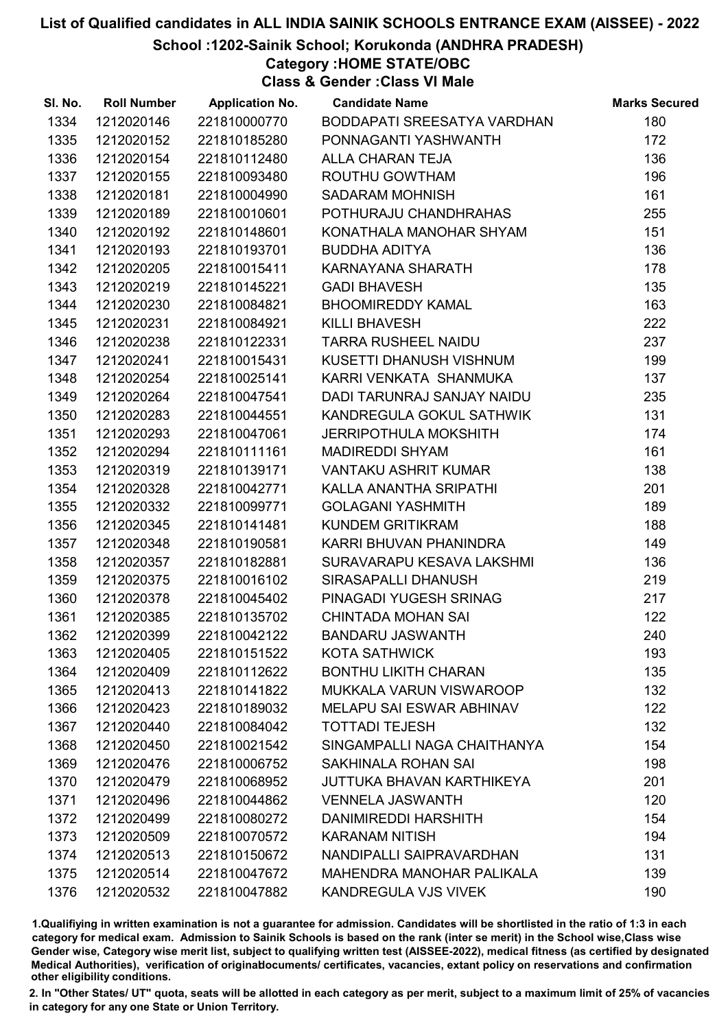School :1202-Sainik School; Korukonda (ANDHRA PRADESH)

# Category :HOME STATE/OBC

Class & Gender :Class VI Male

| SI. No. | <b>Roll Number</b> | <b>Application No.</b> | <b>Candidate Name</b>            | <b>Marks Secured</b> |
|---------|--------------------|------------------------|----------------------------------|----------------------|
| 1334    | 1212020146         | 221810000770           | BODDAPATI SREESATYA VARDHAN      | 180                  |
| 1335    | 1212020152         | 221810185280           | PONNAGANTI YASHWANTH             | 172                  |
| 1336    | 1212020154         | 221810112480           | ALLA CHARAN TEJA                 | 136                  |
| 1337    | 1212020155         | 221810093480           | ROUTHU GOWTHAM                   | 196                  |
| 1338    | 1212020181         | 221810004990           | <b>SADARAM MOHNISH</b>           | 161                  |
| 1339    | 1212020189         | 221810010601           | POTHURAJU CHANDHRAHAS            | 255                  |
| 1340    | 1212020192         | 221810148601           | KONATHALA MANOHAR SHYAM          | 151                  |
| 1341    | 1212020193         | 221810193701           | <b>BUDDHA ADITYA</b>             | 136                  |
| 1342    | 1212020205         | 221810015411           | KARNAYANA SHARATH                | 178                  |
| 1343    | 1212020219         | 221810145221           | <b>GADI BHAVESH</b>              | 135                  |
| 1344    | 1212020230         | 221810084821           | <b>BHOOMIREDDY KAMAL</b>         | 163                  |
| 1345    | 1212020231         | 221810084921           | <b>KILLI BHAVESH</b>             | 222                  |
| 1346    | 1212020238         | 221810122331           | <b>TARRA RUSHEEL NAIDU</b>       | 237                  |
| 1347    | 1212020241         | 221810015431           | KUSETTI DHANUSH VISHNUM          | 199                  |
| 1348    | 1212020254         | 221810025141           | KARRI VENKATA SHANMUKA           | 137                  |
| 1349    | 1212020264         | 221810047541           | DADI TARUNRAJ SANJAY NAIDU       | 235                  |
| 1350    | 1212020283         | 221810044551           | KANDREGULA GOKUL SATHWIK         | 131                  |
| 1351    | 1212020293         | 221810047061           | <b>JERRIPOTHULA MOKSHITH</b>     | 174                  |
| 1352    | 1212020294         | 221810111161           | <b>MADIREDDI SHYAM</b>           | 161                  |
| 1353    | 1212020319         | 221810139171           | <b>VANTAKU ASHRIT KUMAR</b>      | 138                  |
| 1354    | 1212020328         | 221810042771           | KALLA ANANTHA SRIPATHI           | 201                  |
| 1355    | 1212020332         | 221810099771           | <b>GOLAGANI YASHMITH</b>         | 189                  |
| 1356    | 1212020345         | 221810141481           | KUNDEM GRITIKRAM                 | 188                  |
| 1357    | 1212020348         | 221810190581           | KARRI BHUVAN PHANINDRA           | 149                  |
| 1358    | 1212020357         | 221810182881           | SURAVARAPU KESAVA LAKSHMI        | 136                  |
| 1359    | 1212020375         | 221810016102           | <b>SIRASAPALLI DHANUSH</b>       | 219                  |
| 1360    | 1212020378         | 221810045402           | PINAGADI YUGESH SRINAG           | 217                  |
| 1361    | 1212020385         | 221810135702           | <b>CHINTADA MOHAN SAI</b>        | 122                  |
| 1362    | 1212020399         | 221810042122           | <b>BANDARU JASWANTH</b>          | 240                  |
| 1363    | 1212020405         | 221810151522           | <b>KOTA SATHWICK</b>             | 193                  |
| 1364    | 1212020409         | 221810112622           | <b>BONTHU LIKITH CHARAN</b>      | 135                  |
| 1365    | 1212020413         | 221810141822           | MUKKALA VARUN VISWAROOP          | 132                  |
| 1366    | 1212020423         | 221810189032           | MELAPU SAI ESWAR ABHINAV         | 122                  |
| 1367    | 1212020440         | 221810084042           | <b>TOTTADI TEJESH</b>            | 132                  |
| 1368    | 1212020450         | 221810021542           | SINGAMPALLI NAGA CHAITHANYA      | 154                  |
| 1369    | 1212020476         | 221810006752           | SAKHINALA ROHAN SAI              | 198                  |
| 1370    | 1212020479         | 221810068952           | <b>JUTTUKA BHAVAN KARTHIKEYA</b> | 201                  |
| 1371    | 1212020496         | 221810044862           | <b>VENNELA JASWANTH</b>          | 120                  |
| 1372    | 1212020499         | 221810080272           | <b>DANIMIREDDI HARSHITH</b>      | 154                  |
| 1373    | 1212020509         | 221810070572           | <b>KARANAM NITISH</b>            | 194                  |
| 1374    | 1212020513         | 221810150672           | NANDIPALLI SAIPRAVARDHAN         | 131                  |
| 1375    | 1212020514         | 221810047672           | MAHENDRA MANOHAR PALIKALA        | 139                  |
| 1376    | 1212020532         | 221810047882           | KANDREGULA VJS VIVEK             | 190                  |

1.Qualifiying in written examination is not a guarantee for admission. Candidates will be shortlisted in the ratio of 1:3 in each category for medical exam. Admission to Sainik Schools is based on the rank (inter se merit) in the School wise,Class wise Gender wise, Category wise merit list, subject to qualifying written test (AISSEE-2022), medical fitness (as certified by designated Medical Authorities), verification of originablocuments/ certificates, vacancies, extant policy on reservations and confirmation other eligibility conditions.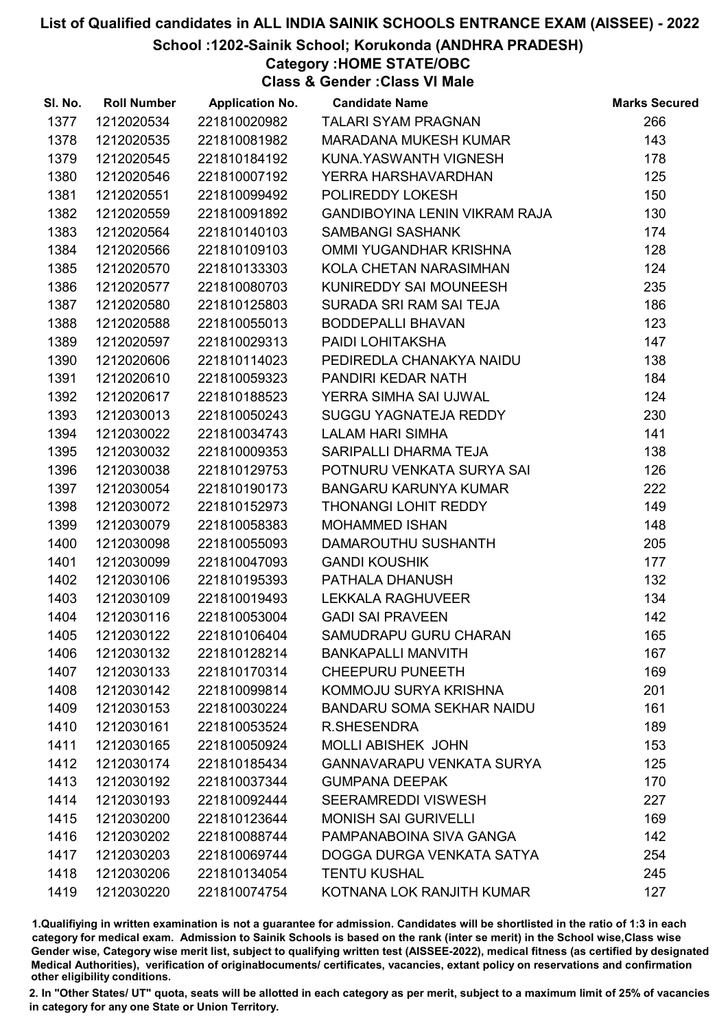### School :1202-Sainik School; Korukonda (ANDHRA PRADESH)

Category :HOME STATE/OBC

Class & Gender :Class VI Male

| SI. No. | <b>Roll Number</b> | <b>Application No.</b> | <b>Candidate Name</b>                | <b>Marks Secured</b> |
|---------|--------------------|------------------------|--------------------------------------|----------------------|
| 1377    | 1212020534         | 221810020982           | <b>TALARI SYAM PRAGNAN</b>           | 266                  |
| 1378    | 1212020535         | 221810081982           | MARADANA MUKESH KUMAR                | 143                  |
| 1379    | 1212020545         | 221810184192           | KUNA.YASWANTH VIGNESH                | 178                  |
| 1380    | 1212020546         | 221810007192           | YERRA HARSHAVARDHAN                  | 125                  |
| 1381    | 1212020551         | 221810099492           | POLIREDDY LOKESH                     | 150                  |
| 1382    | 1212020559         | 221810091892           | <b>GANDIBOYINA LENIN VIKRAM RAJA</b> | 130                  |
| 1383    | 1212020564         | 221810140103           | <b>SAMBANGI SASHANK</b>              | 174                  |
| 1384    | 1212020566         | 221810109103           | OMMI YUGANDHAR KRISHNA               | 128                  |
| 1385    | 1212020570         | 221810133303           | KOLA CHETAN NARASIMHAN               | 124                  |
| 1386    | 1212020577         | 221810080703           | KUNIREDDY SAI MOUNEESH               | 235                  |
| 1387    | 1212020580         | 221810125803           | SURADA SRI RAM SAI TEJA              | 186                  |
| 1388    | 1212020588         | 221810055013           | <b>BODDEPALLI BHAVAN</b>             | 123                  |
| 1389    | 1212020597         | 221810029313           | PAIDI LOHITAKSHA                     | 147                  |
| 1390    | 1212020606         | 221810114023           | PEDIREDLA CHANAKYA NAIDU             | 138                  |
| 1391    | 1212020610         | 221810059323           | PANDIRI KEDAR NATH                   | 184                  |
| 1392    | 1212020617         | 221810188523           | YERRA SIMHA SAI UJWAL                | 124                  |
| 1393    | 1212030013         | 221810050243           | SUGGU YAGNATEJA REDDY                | 230                  |
| 1394    | 1212030022         | 221810034743           | <b>LALAM HARI SIMHA</b>              | 141                  |
| 1395    | 1212030032         | 221810009353           | SARIPALLI DHARMA TEJA                | 138                  |
| 1396    | 1212030038         | 221810129753           | POTNURU VENKATA SURYA SAI            | 126                  |
| 1397    | 1212030054         | 221810190173           | <b>BANGARU KARUNYA KUMAR</b>         | 222                  |
| 1398    | 1212030072         | 221810152973           | THONANGI LOHIT REDDY                 | 149                  |
| 1399    | 1212030079         | 221810058383           | <b>MOHAMMED ISHAN</b>                | 148                  |
| 1400    | 1212030098         | 221810055093           | DAMAROUTHU SUSHANTH                  | 205                  |
| 1401    | 1212030099         | 221810047093           | <b>GANDI KOUSHIK</b>                 | 177                  |
| 1402    | 1212030106         | 221810195393           | PATHALA DHANUSH                      | 132                  |
| 1403    | 1212030109         | 221810019493           | LEKKALA RAGHUVEER                    | 134                  |
| 1404    | 1212030116         | 221810053004           | <b>GADI SAI PRAVEEN</b>              | 142                  |
| 1405    | 1212030122         | 221810106404           | SAMUDRAPU GURU CHARAN                | 165                  |
| 1406    | 1212030132         | 221810128214           | <b>BANKAPALLI MANVITH</b>            | 167                  |
| 1407    | 1212030133         | 221810170314           | <b>CHEEPURU PUNEETH</b>              | 169                  |
| 1408    | 1212030142         | 221810099814           | KOMMOJU SURYA KRISHNA                | 201                  |
| 1409    | 1212030153         | 221810030224           | <b>BANDARU SOMA SEKHAR NAIDU</b>     | 161                  |
| 1410    | 1212030161         | 221810053524           | <b>R.SHESENDRA</b>                   | 189                  |
| 1411    | 1212030165         | 221810050924           | <b>MOLLI ABISHEK JOHN</b>            | 153                  |
| 1412    | 1212030174         | 221810185434           | <b>GANNAVARAPU VENKATA SURYA</b>     | 125                  |
| 1413    | 1212030192         | 221810037344           | <b>GUMPANA DEEPAK</b>                | 170                  |
| 1414    | 1212030193         | 221810092444           | <b>SEERAMREDDI VISWESH</b>           | 227                  |
| 1415    | 1212030200         | 221810123644           | <b>MONISH SAI GURIVELLI</b>          | 169                  |
| 1416    | 1212030202         | 221810088744           | PAMPANABOINA SIVA GANGA              | 142                  |
| 1417    | 1212030203         | 221810069744           | DOGGA DURGA VENKATA SATYA            | 254                  |
| 1418    | 1212030206         | 221810134054           | <b>TENTU KUSHAL</b>                  | 245                  |
| 1419    | 1212030220         | 221810074754           | KOTNANA LOK RANJITH KUMAR            | 127                  |

1.Qualifiying in written examination is not a guarantee for admission. Candidates will be shortlisted in the ratio of 1:3 in each category for medical exam. Admission to Sainik Schools is based on the rank (inter se merit) in the School wise,Class wise Gender wise, Category wise merit list, subject to qualifying written test (AISSEE-2022), medical fitness (as certified by designated Medical Authorities), verification of originablocuments/ certificates, vacancies, extant policy on reservations and confirmation other eligibility conditions.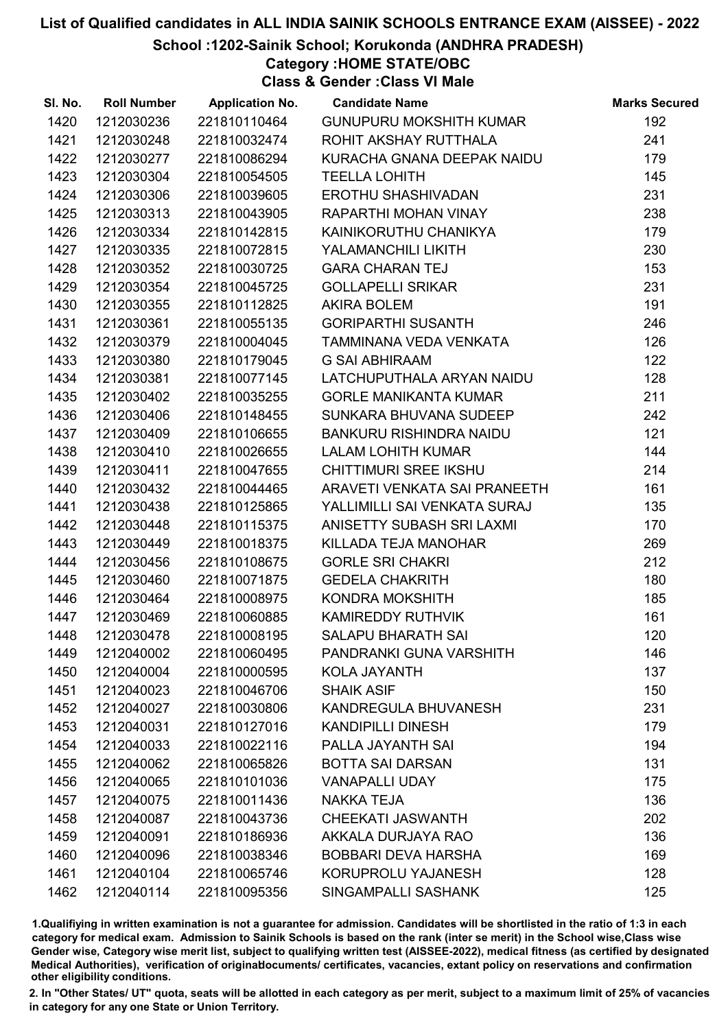School :1202-Sainik School; Korukonda (ANDHRA PRADESH)

Category :HOME STATE/OBC

Class & Gender :Class VI Male

| SI. No. | <b>Roll Number</b> | <b>Application No.</b> | <b>Candidate Name</b>          | <b>Marks Secured</b> |
|---------|--------------------|------------------------|--------------------------------|----------------------|
| 1420    | 1212030236         | 221810110464           | <b>GUNUPURU MOKSHITH KUMAR</b> | 192                  |
| 1421    | 1212030248         | 221810032474           | ROHIT AKSHAY RUTTHALA          | 241                  |
| 1422    | 1212030277         | 221810086294           | KURACHA GNANA DEEPAK NAIDU     | 179                  |
| 1423    | 1212030304         | 221810054505           | <b>TEELLA LOHITH</b>           | 145                  |
| 1424    | 1212030306         | 221810039605           | <b>EROTHU SHASHIVADAN</b>      | 231                  |
| 1425    | 1212030313         | 221810043905           | RAPARTHI MOHAN VINAY           | 238                  |
| 1426    | 1212030334         | 221810142815           | KAINIKORUTHU CHANIKYA          | 179                  |
| 1427    | 1212030335         | 221810072815           | YALAMANCHILI LIKITH            | 230                  |
| 1428    | 1212030352         | 221810030725           | <b>GARA CHARAN TEJ</b>         | 153                  |
| 1429    | 1212030354         | 221810045725           | <b>GOLLAPELLI SRIKAR</b>       | 231                  |
| 1430    | 1212030355         | 221810112825           | <b>AKIRA BOLEM</b>             | 191                  |
| 1431    | 1212030361         | 221810055135           | <b>GORIPARTHI SUSANTH</b>      | 246                  |
| 1432    | 1212030379         | 221810004045           | TAMMINANA VEDA VENKATA         | 126                  |
| 1433    | 1212030380         | 221810179045           | <b>G SAI ABHIRAAM</b>          | 122                  |
| 1434    | 1212030381         | 221810077145           | LATCHUPUTHALA ARYAN NAIDU      | 128                  |
| 1435    | 1212030402         | 221810035255           | <b>GORLE MANIKANTA KUMAR</b>   | 211                  |
| 1436    | 1212030406         | 221810148455           | SUNKARA BHUVANA SUDEEP         | 242                  |
| 1437    | 1212030409         | 221810106655           | <b>BANKURU RISHINDRA NAIDU</b> | 121                  |
| 1438    | 1212030410         | 221810026655           | <b>LALAM LOHITH KUMAR</b>      | 144                  |
| 1439    | 1212030411         | 221810047655           | <b>CHITTIMURI SREE IKSHU</b>   | 214                  |
| 1440    | 1212030432         | 221810044465           | ARAVETI VENKATA SAI PRANEETH   | 161                  |
| 1441    | 1212030438         | 221810125865           | YALLIMILLI SAI VENKATA SURAJ   | 135                  |
| 1442    | 1212030448         | 221810115375           | ANISETTY SUBASH SRI LAXMI      | 170                  |
| 1443    | 1212030449         | 221810018375           | KILLADA TEJA MANOHAR           | 269                  |
| 1444    | 1212030456         | 221810108675           | <b>GORLE SRI CHAKRI</b>        | 212                  |
| 1445    | 1212030460         | 221810071875           | <b>GEDELA CHAKRITH</b>         | 180                  |
| 1446    | 1212030464         | 221810008975           | KONDRA MOKSHITH                | 185                  |
| 1447    | 1212030469         | 221810060885           | KAMIREDDY RUTHVIK              | 161                  |
| 1448    | 1212030478         | 221810008195           | <b>SALAPU BHARATH SAI</b>      | 120                  |
| 1449    | 1212040002         | 221810060495           | PANDRANKI GUNA VARSHITH        | 146                  |
| 1450    | 1212040004         | 221810000595           | KOLA JAYANTH                   | 137                  |
| 1451    | 1212040023         | 221810046706           | <b>SHAIK ASIF</b>              | 150                  |
| 1452    | 1212040027         | 221810030806           | KANDREGULA BHUVANESH           | 231                  |
| 1453    | 1212040031         | 221810127016           | <b>KANDIPILLI DINESH</b>       | 179                  |
| 1454    | 1212040033         | 221810022116           | PALLA JAYANTH SAI              | 194                  |
| 1455    | 1212040062         | 221810065826           | <b>BOTTA SAI DARSAN</b>        | 131                  |
| 1456    | 1212040065         | 221810101036           | <b>VANAPALLI UDAY</b>          | 175                  |
| 1457    | 1212040075         | 221810011436           | <b>NAKKA TEJA</b>              | 136                  |
| 1458    | 1212040087         | 221810043736           | <b>CHEEKATI JASWANTH</b>       | 202                  |
| 1459    | 1212040091         | 221810186936           | AKKALA DURJAYA RAO             | 136                  |
| 1460    | 1212040096         | 221810038346           | <b>BOBBARI DEVA HARSHA</b>     | 169                  |
| 1461    | 1212040104         | 221810065746           | KORUPROLU YAJANESH             | 128                  |
| 1462    | 1212040114         | 221810095356           | SINGAMPALLI SASHANK            | 125                  |

1.Qualifiying in written examination is not a guarantee for admission. Candidates will be shortlisted in the ratio of 1:3 in each category for medical exam. Admission to Sainik Schools is based on the rank (inter se merit) in the School wise,Class wise Gender wise, Category wise merit list, subject to qualifying written test (AISSEE-2022), medical fitness (as certified by designated Medical Authorities), verification of originablocuments/ certificates, vacancies, extant policy on reservations and confirmation other eligibility conditions.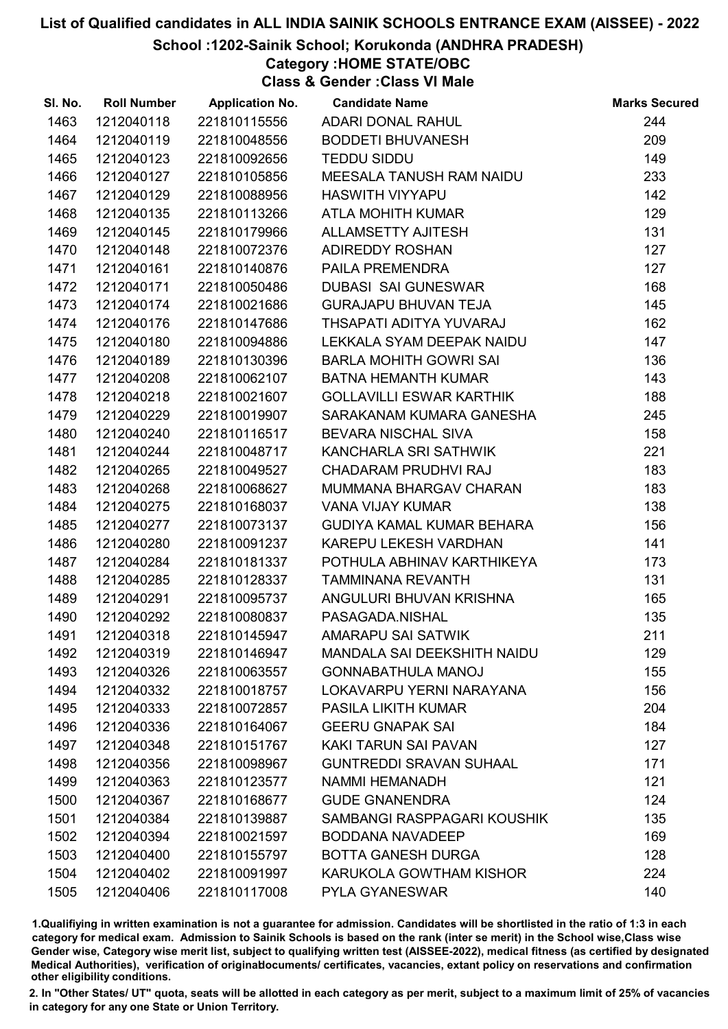### School :1202-Sainik School; Korukonda (ANDHRA PRADESH)

# Category :HOME STATE/OBC

Class & Gender :Class VI Male

| SI. No. | <b>Roll Number</b> | <b>Application No.</b> | <b>Candidate Name</b>              | <b>Marks Secured</b> |
|---------|--------------------|------------------------|------------------------------------|----------------------|
| 1463    | 1212040118         | 221810115556           | ADARI DONAL RAHUL                  | 244                  |
| 1464    | 1212040119         | 221810048556           | <b>BODDETI BHUVANESH</b>           | 209                  |
| 1465    | 1212040123         | 221810092656           | <b>TEDDU SIDDU</b>                 | 149                  |
| 1466    | 1212040127         | 221810105856           | MEESALA TANUSH RAM NAIDU           | 233                  |
| 1467    | 1212040129         | 221810088956           | <b>HASWITH VIYYAPU</b>             | 142                  |
| 1468    | 1212040135         | 221810113266           | ATLA MOHITH KUMAR                  | 129                  |
| 1469    | 1212040145         | 221810179966           | <b>ALLAMSETTY AJITESH</b>          | 131                  |
| 1470    | 1212040148         | 221810072376           | <b>ADIREDDY ROSHAN</b>             | 127                  |
| 1471    | 1212040161         | 221810140876           | <b>PAILA PREMENDRA</b>             | 127                  |
| 1472    | 1212040171         | 221810050486           | <b>DUBASI SAI GUNESWAR</b>         | 168                  |
| 1473    | 1212040174         | 221810021686           | <b>GURAJAPU BHUVAN TEJA</b>        | 145                  |
| 1474    | 1212040176         | 221810147686           | THSAPATI ADITYA YUVARAJ            | 162                  |
| 1475    | 1212040180         | 221810094886           | LEKKALA SYAM DEEPAK NAIDU          | 147                  |
| 1476    | 1212040189         | 221810130396           | <b>BARLA MOHITH GOWRI SAI</b>      | 136                  |
| 1477    | 1212040208         | 221810062107           | <b>BATNA HEMANTH KUMAR</b>         | 143                  |
| 1478    | 1212040218         | 221810021607           | <b>GOLLAVILLI ESWAR KARTHIK</b>    | 188                  |
| 1479    | 1212040229         | 221810019907           | SARAKANAM KUMARA GANESHA           | 245                  |
| 1480    | 1212040240         | 221810116517           | <b>BEVARA NISCHAL SIVA</b>         | 158                  |
| 1481    | 1212040244         | 221810048717           | KANCHARLA SRI SATHWIK              | 221                  |
| 1482    | 1212040265         | 221810049527           | CHADARAM PRUDHVI RAJ               | 183                  |
| 1483    | 1212040268         | 221810068627           | MUMMANA BHARGAV CHARAN             | 183                  |
| 1484    | 1212040275         | 221810168037           | <b>VANA VIJAY KUMAR</b>            | 138                  |
| 1485    | 1212040277         | 221810073137           | GUDIYA KAMAL KUMAR BEHARA          | 156                  |
| 1486    | 1212040280         | 221810091237           | KAREPU LEKESH VARDHAN              | 141                  |
| 1487    | 1212040284         | 221810181337           | POTHULA ABHINAV KARTHIKEYA         | 173                  |
| 1488    | 1212040285         | 221810128337           | <b>TAMMINANA REVANTH</b>           | 131                  |
| 1489    | 1212040291         | 221810095737           | ANGULURI BHUVAN KRISHNA            | 165                  |
| 1490    | 1212040292         | 221810080837           | PASAGADA.NISHAL                    | 135                  |
| 1491    | 1212040318         | 221810145947           | AMARAPU SAI SATWIK                 | 211                  |
| 1492    | 1212040319         | 221810146947           | <b>MANDALA SAI DEEKSHITH NAIDU</b> | 129                  |
| 1493    | 1212040326         | 221810063557           | <b>GONNABATHULA MANOJ</b>          | 155                  |
| 1494    | 1212040332         | 221810018757           | LOKAVARPU YERNI NARAYANA           | 156                  |
| 1495    | 1212040333         | 221810072857           | <b>PASILA LIKITH KUMAR</b>         | 204                  |
| 1496    | 1212040336         | 221810164067           | <b>GEERU GNAPAK SAI</b>            | 184                  |
| 1497    | 1212040348         | 221810151767           | KAKI TARUN SAI PAVAN               | 127                  |
| 1498    | 1212040356         | 221810098967           | <b>GUNTREDDI SRAVAN SUHAAL</b>     | 171                  |
| 1499    | 1212040363         | 221810123577           | NAMMI HEMANADH                     | 121                  |
| 1500    | 1212040367         | 221810168677           | <b>GUDE GNANENDRA</b>              | 124                  |
| 1501    | 1212040384         | 221810139887           | SAMBANGI RASPPAGARI KOUSHIK        | 135                  |
| 1502    | 1212040394         | 221810021597           | <b>BODDANA NAVADEEP</b>            | 169                  |
| 1503    | 1212040400         | 221810155797           | <b>BOTTA GANESH DURGA</b>          | 128                  |
| 1504    | 1212040402         | 221810091997           | KARUKOLA GOWTHAM KISHOR            | 224                  |
| 1505    | 1212040406         | 221810117008           | PYLA GYANESWAR                     | 140                  |

1.Qualifiying in written examination is not a guarantee for admission. Candidates will be shortlisted in the ratio of 1:3 in each category for medical exam. Admission to Sainik Schools is based on the rank (inter se merit) in the School wise,Class wise Gender wise, Category wise merit list, subject to qualifying written test (AISSEE-2022), medical fitness (as certified by designated Medical Authorities), verification of originablocuments/ certificates, vacancies, extant policy on reservations and confirmation other eligibility conditions.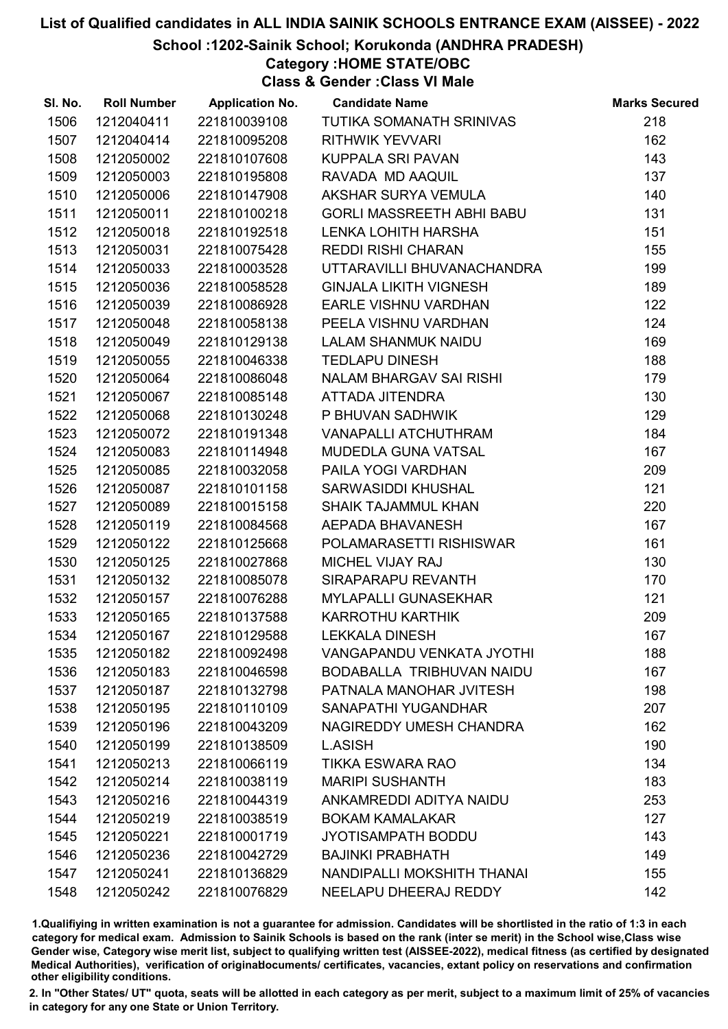School :1202-Sainik School; Korukonda (ANDHRA PRADESH)

Category :HOME STATE/OBC

Class & Gender :Class VI Male

| SI. No. | <b>Roll Number</b> | <b>Application No.</b> | <b>Candidate Name</b>            | <b>Marks Secured</b> |
|---------|--------------------|------------------------|----------------------------------|----------------------|
| 1506    | 1212040411         | 221810039108           | TUTIKA SOMANATH SRINIVAS         | 218                  |
| 1507    | 1212040414         | 221810095208           | <b>RITHWIK YEVVARI</b>           | 162                  |
| 1508    | 1212050002         | 221810107608           | KUPPALA SRI PAVAN                | 143                  |
| 1509    | 1212050003         | 221810195808           | RAVADA MD AAQUIL                 | 137                  |
| 1510    | 1212050006         | 221810147908           | AKSHAR SURYA VEMULA              | 140                  |
| 1511    | 1212050011         | 221810100218           | <b>GORLI MASSREETH ABHI BABU</b> | 131                  |
| 1512    | 1212050018         | 221810192518           | LENKA LOHITH HARSHA              | 151                  |
| 1513    | 1212050031         | 221810075428           | <b>REDDI RISHI CHARAN</b>        | 155                  |
| 1514    | 1212050033         | 221810003528           | UTTARAVILLI BHUVANACHANDRA       | 199                  |
| 1515    | 1212050036         | 221810058528           | <b>GINJALA LIKITH VIGNESH</b>    | 189                  |
| 1516    | 1212050039         | 221810086928           | <b>EARLE VISHNU VARDHAN</b>      | 122                  |
| 1517    | 1212050048         | 221810058138           | PEELA VISHNU VARDHAN             | 124                  |
| 1518    | 1212050049         | 221810129138           | LALAM SHANMUK NAIDU              | 169                  |
| 1519    | 1212050055         | 221810046338           | <b>TEDLAPU DINESH</b>            | 188                  |
| 1520    | 1212050064         | 221810086048           | NALAM BHARGAV SAI RISHI          | 179                  |
| 1521    | 1212050067         | 221810085148           | ATTADA JITENDRA                  | 130                  |
| 1522    | 1212050068         | 221810130248           | P BHUVAN SADHWIK                 | 129                  |
| 1523    | 1212050072         | 221810191348           | <b>VANAPALLI ATCHUTHRAM</b>      | 184                  |
| 1524    | 1212050083         | 221810114948           | MUDEDLA GUNA VATSAL              | 167                  |
| 1525    | 1212050085         | 221810032058           | PAILA YOGI VARDHAN               | 209                  |
| 1526    | 1212050087         | 221810101158           | SARWASIDDI KHUSHAL               | 121                  |
| 1527    | 1212050089         | 221810015158           | <b>SHAIK TAJAMMUL KHAN</b>       | 220                  |
| 1528    | 1212050119         | 221810084568           | AEPADA BHAVANESH                 | 167                  |
| 1529    | 1212050122         | 221810125668           | POLAMARASETTI RISHISWAR          | 161                  |
| 1530    | 1212050125         | 221810027868           | MICHEL VIJAY RAJ                 | 130                  |
| 1531    | 1212050132         | 221810085078           | SIRAPARAPU REVANTH               | 170                  |
| 1532    | 1212050157         | 221810076288           | <b>MYLAPALLI GUNASEKHAR</b>      | 121                  |
| 1533    | 1212050165         | 221810137588           | <b>KARROTHU KARTHIK</b>          | 209                  |
| 1534    | 1212050167         | 221810129588           | <b>LEKKALA DINESH</b>            | 167                  |
| 1535    | 1212050182         | 221810092498           | <b>VANGAPANDU VENKATA JYOTHI</b> | 188                  |
| 1536    | 1212050183         | 221810046598           | BODABALLA TRIBHUVAN NAIDU        | 167                  |
| 1537    | 1212050187         | 221810132798           | PATNALA MANOHAR JVITESH          | 198                  |
| 1538    | 1212050195         | 221810110109           | SANAPATHI YUGANDHAR              | 207                  |
| 1539    | 1212050196         | 221810043209           | NAGIREDDY UMESH CHANDRA          | 162                  |
| 1540    | 1212050199         | 221810138509           | L.ASISH                          | 190                  |
| 1541    | 1212050213         | 221810066119           | <b>TIKKA ESWARA RAO</b>          | 134                  |
| 1542    | 1212050214         | 221810038119           | <b>MARIPI SUSHANTH</b>           | 183                  |
| 1543    | 1212050216         | 221810044319           | ANKAMREDDI ADITYA NAIDU          | 253                  |
| 1544    | 1212050219         | 221810038519           | <b>BOKAM KAMALAKAR</b>           | 127                  |
| 1545    | 1212050221         | 221810001719           | <b>JYOTISAMPATH BODDU</b>        | 143                  |
| 1546    | 1212050236         | 221810042729           | <b>BAJINKI PRABHATH</b>          | 149                  |
| 1547    | 1212050241         | 221810136829           | NANDIPALLI MOKSHITH THANAI       | 155                  |
| 1548    | 1212050242         | 221810076829           | NEELAPU DHEERAJ REDDY            | 142                  |

1.Qualifiying in written examination is not a guarantee for admission. Candidates will be shortlisted in the ratio of 1:3 in each category for medical exam. Admission to Sainik Schools is based on the rank (inter se merit) in the School wise,Class wise Gender wise, Category wise merit list, subject to qualifying written test (AISSEE-2022), medical fitness (as certified by designated Medical Authorities), verification of originablocuments/ certificates, vacancies, extant policy on reservations and confirmation other eligibility conditions.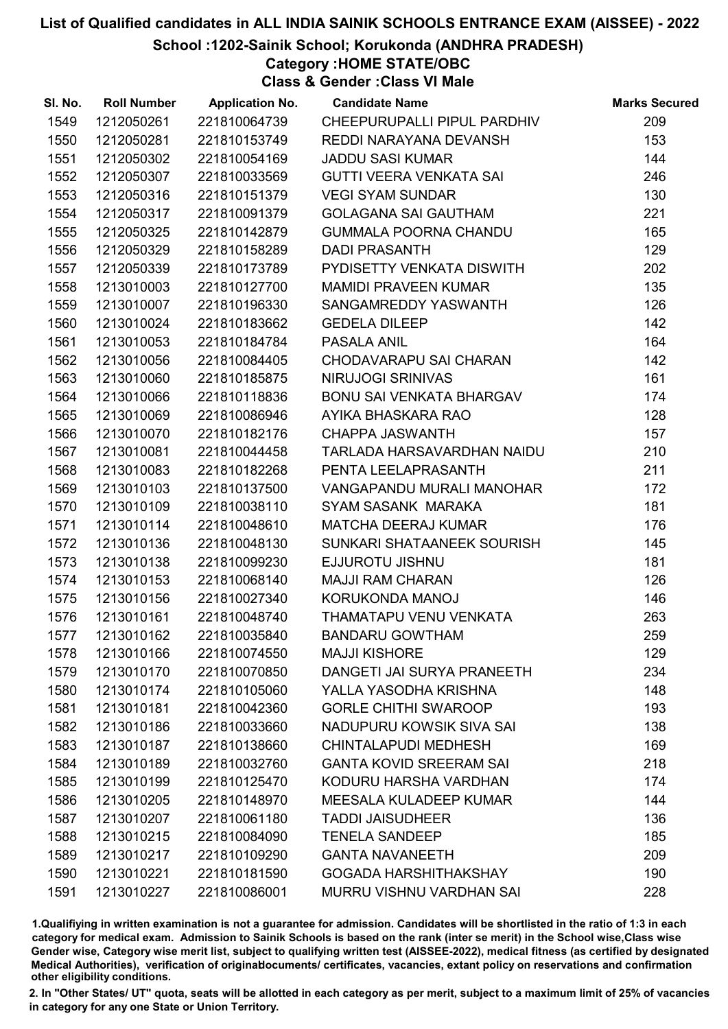School :1202-Sainik School; Korukonda (ANDHRA PRADESH)

Category :HOME STATE/OBC

Class & Gender :Class VI Male

| SI. No. | <b>Roll Number</b> | <b>Application No.</b> | <b>Candidate Name</b>           | <b>Marks Secured</b> |
|---------|--------------------|------------------------|---------------------------------|----------------------|
| 1549    | 1212050261         | 221810064739           | CHEEPURUPALLI PIPUL PARDHIV     | 209                  |
| 1550    | 1212050281         | 221810153749           | REDDI NARAYANA DEVANSH          | 153                  |
| 1551    | 1212050302         | 221810054169           | <b>JADDU SASI KUMAR</b>         | 144                  |
| 1552    | 1212050307         | 221810033569           | GUTTI VEERA VENKATA SAI         | 246                  |
| 1553    | 1212050316         | 221810151379           | <b>VEGI SYAM SUNDAR</b>         | 130                  |
| 1554    | 1212050317         | 221810091379           | <b>GOLAGANA SAI GAUTHAM</b>     | 221                  |
| 1555    | 1212050325         | 221810142879           | <b>GUMMALA POORNA CHANDU</b>    | 165                  |
| 1556    | 1212050329         | 221810158289           | <b>DADI PRASANTH</b>            | 129                  |
| 1557    | 1212050339         | 221810173789           | PYDISETTY VENKATA DISWITH       | 202                  |
| 1558    | 1213010003         | 221810127700           | <b>MAMIDI PRAVEEN KUMAR</b>     | 135                  |
| 1559    | 1213010007         | 221810196330           | SANGAMREDDY YASWANTH            | 126                  |
| 1560    | 1213010024         | 221810183662           | <b>GEDELA DILEEP</b>            | 142                  |
| 1561    | 1213010053         | 221810184784           | <b>PASALA ANIL</b>              | 164                  |
| 1562    | 1213010056         | 221810084405           | CHODAVARAPU SAI CHARAN          | 142                  |
| 1563    | 1213010060         | 221810185875           | NIRUJOGI SRINIVAS               | 161                  |
| 1564    | 1213010066         | 221810118836           | BONU SAI VENKATA BHARGAV        | 174                  |
| 1565    | 1213010069         | 221810086946           | AYIKA BHASKARA RAO              | 128                  |
| 1566    | 1213010070         | 221810182176           | <b>CHAPPA JASWANTH</b>          | 157                  |
| 1567    | 1213010081         | 221810044458           | TARLADA HARSAVARDHAN NAIDU      | 210                  |
| 1568    | 1213010083         | 221810182268           | PENTA LEELAPRASANTH             | 211                  |
| 1569    | 1213010103         | 221810137500           | VANGAPANDU MURALI MANOHAR       | 172                  |
| 1570    | 1213010109         | 221810038110           | SYAM SASANK MARAKA              | 181                  |
| 1571    | 1213010114         | 221810048610           | <b>MATCHA DEERAJ KUMAR</b>      | 176                  |
| 1572    | 1213010136         | 221810048130           | SUNKARI SHATAANEEK SOURISH      | 145                  |
| 1573    | 1213010138         | 221810099230           | EJJUROTU JISHNU                 | 181                  |
| 1574    | 1213010153         | 221810068140           | <b>MAJJI RAM CHARAN</b>         | 126                  |
| 1575    | 1213010156         | 221810027340           | KORUKONDA MANOJ                 | 146                  |
| 1576    | 1213010161         | 221810048740           | THAMATAPU VENU VENKATA          | 263                  |
| 1577    | 1213010162         | 221810035840           | <b>BANDARU GOWTHAM</b>          | 259                  |
| 1578    | 1213010166         | 221810074550           | <b>MAJJI KISHORE</b>            | 129                  |
| 1579    | 1213010170         | 221810070850           | DANGETI JAI SURYA PRANEETH      | 234                  |
| 1580    | 1213010174         | 221810105060           | YALLA YASODHA KRISHNA           | 148                  |
| 1581    | 1213010181         | 221810042360           | <b>GORLE CHITHI SWAROOP</b>     | 193                  |
| 1582    | 1213010186         | 221810033660           | NADUPURU KOWSIK SIVA SAI        | 138                  |
| 1583    | 1213010187         | 221810138660           | <b>CHINTALAPUDI MEDHESH</b>     | 169                  |
| 1584    | 1213010189         | 221810032760           | <b>GANTA KOVID SREERAM SAI</b>  | 218                  |
| 1585    | 1213010199         | 221810125470           | KODURU HARSHA VARDHAN           | 174                  |
| 1586    | 1213010205         | 221810148970           | <b>MEESALA KULADEEP KUMAR</b>   | 144                  |
| 1587    | 1213010207         | 221810061180           | <b>TADDI JAISUDHEER</b>         | 136                  |
| 1588    | 1213010215         | 221810084090           | <b>TENELA SANDEEP</b>           | 185                  |
| 1589    | 1213010217         | 221810109290           | <b>GANTA NAVANEETH</b>          | 209                  |
| 1590    | 1213010221         | 221810181590           | <b>GOGADA HARSHITHAKSHAY</b>    | 190                  |
| 1591    | 1213010227         | 221810086001           | <b>MURRU VISHNU VARDHAN SAI</b> | 228                  |

1.Qualifiying in written examination is not a guarantee for admission. Candidates will be shortlisted in the ratio of 1:3 in each category for medical exam. Admission to Sainik Schools is based on the rank (inter se merit) in the School wise,Class wise Gender wise, Category wise merit list, subject to qualifying written test (AISSEE-2022), medical fitness (as certified by designated Medical Authorities), verification of originablocuments/ certificates, vacancies, extant policy on reservations and confirmation other eligibility conditions.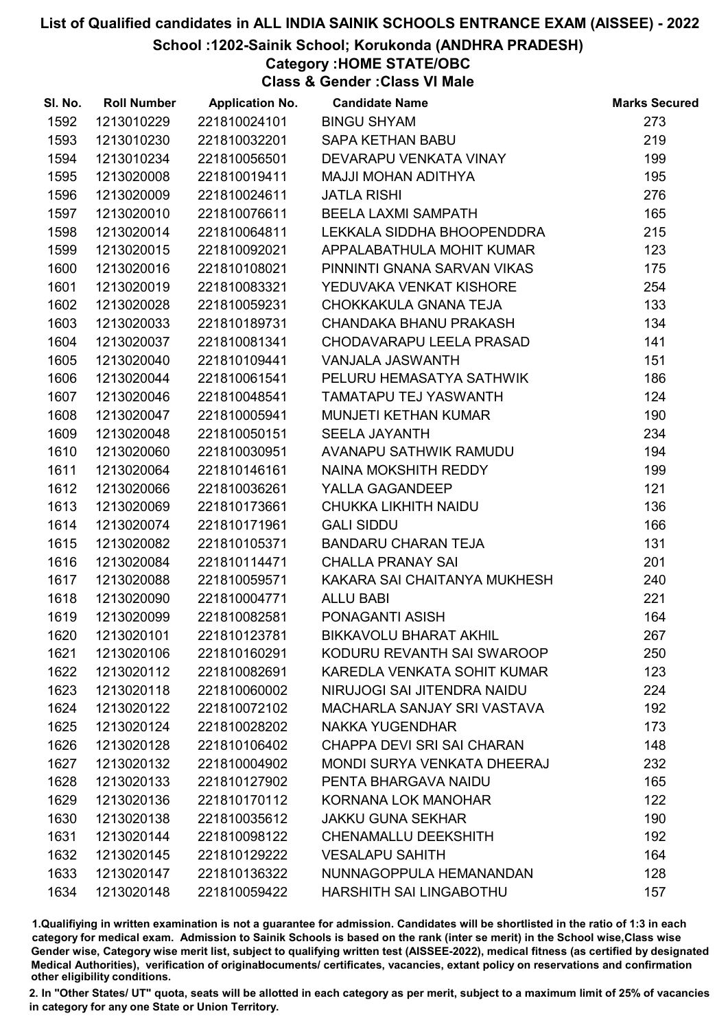School :1202-Sainik School; Korukonda (ANDHRA PRADESH)

# Category :HOME STATE/OBC

Class & Gender :Class VI Male

| SI. No. | <b>Roll Number</b> | <b>Application No.</b> | <b>Candidate Name</b>              | <b>Marks Secured</b> |
|---------|--------------------|------------------------|------------------------------------|----------------------|
| 1592    | 1213010229         | 221810024101           | <b>BINGU SHYAM</b>                 | 273                  |
| 1593    | 1213010230         | 221810032201           | <b>SAPA KETHAN BABU</b>            | 219                  |
| 1594    | 1213010234         | 221810056501           | DEVARAPU VENKATA VINAY             | 199                  |
| 1595    | 1213020008         | 221810019411           | <b>MAJJI MOHAN ADITHYA</b>         | 195                  |
| 1596    | 1213020009         | 221810024611           | <b>JATLA RISHI</b>                 | 276                  |
| 1597    | 1213020010         | 221810076611           | <b>BEELA LAXMI SAMPATH</b>         | 165                  |
| 1598    | 1213020014         | 221810064811           | LEKKALA SIDDHA BHOOPENDDRA         | 215                  |
| 1599    | 1213020015         | 221810092021           | APPALABATHULA MOHIT KUMAR          | 123                  |
| 1600    | 1213020016         | 221810108021           | PINNINTI GNANA SARVAN VIKAS        | 175                  |
| 1601    | 1213020019         | 221810083321           | YEDUVAKA VENKAT KISHORE            | 254                  |
| 1602    | 1213020028         | 221810059231           | CHOKKAKULA GNANA TEJA              | 133                  |
| 1603    | 1213020033         | 221810189731           | CHANDAKA BHANU PRAKASH             | 134                  |
| 1604    | 1213020037         | 221810081341           | CHODAVARAPU LEELA PRASAD           | 141                  |
| 1605    | 1213020040         | 221810109441           | VANJALA JASWANTH                   | 151                  |
| 1606    | 1213020044         | 221810061541           | PELURU HEMASATYA SATHWIK           | 186                  |
| 1607    | 1213020046         | 221810048541           | <b>TAMATAPU TEJ YASWANTH</b>       | 124                  |
| 1608    | 1213020047         | 221810005941           | <b>MUNJETI KETHAN KUMAR</b>        | 190                  |
| 1609    | 1213020048         | 221810050151           | <b>SEELA JAYANTH</b>               | 234                  |
| 1610    | 1213020060         | 221810030951           | AVANAPU SATHWIK RAMUDU             | 194                  |
| 1611    | 1213020064         | 221810146161           | NAINA MOKSHITH REDDY               | 199                  |
| 1612    | 1213020066         | 221810036261           | YALLA GAGANDEEP                    | 121                  |
| 1613    | 1213020069         | 221810173661           | CHUKKA LIKHITH NAIDU               | 136                  |
| 1614    | 1213020074         | 221810171961           | <b>GALI SIDDU</b>                  | 166                  |
| 1615    | 1213020082         | 221810105371           | <b>BANDARU CHARAN TEJA</b>         | 131                  |
| 1616    | 1213020084         | 221810114471           | <b>CHALLA PRANAY SAI</b>           | 201                  |
| 1617    | 1213020088         | 221810059571           | KAKARA SAI CHAITANYA MUKHESH       | 240                  |
| 1618    | 1213020090         | 221810004771           | <b>ALLU BABI</b>                   | 221                  |
| 1619    | 1213020099         | 221810082581           | PONAGANTI ASISH                    | 164                  |
| 1620    | 1213020101         | 221810123781           | <b>BIKKAVOLU BHARAT AKHIL</b>      | 267                  |
| 1621    | 1213020106         | 221810160291           | KODURU REVANTH SAI SWAROOP         | 250                  |
| 1622    | 1213020112         | 221810082691           | KAREDLA VENKATA SOHIT KUMAR        | 123                  |
| 1623    | 1213020118         | 221810060002           | NIRUJOGI SAI JITENDRA NAIDU        | 224                  |
| 1624    | 1213020122         | 221810072102           | MACHARLA SANJAY SRI VASTAVA        | 192                  |
| 1625    | 1213020124         | 221810028202           | <b>NAKKA YUGENDHAR</b>             | 173                  |
| 1626    | 1213020128         | 221810106402           | CHAPPA DEVI SRI SAI CHARAN         | 148                  |
| 1627    | 1213020132         | 221810004902           | <b>MONDI SURYA VENKATA DHEERAJ</b> | 232                  |
| 1628    | 1213020133         | 221810127902           | PENTA BHARGAVA NAIDU               | 165                  |
| 1629    | 1213020136         | 221810170112           | KORNANA LOK MANOHAR                | 122                  |
| 1630    | 1213020138         | 221810035612           | <b>JAKKU GUNA SEKHAR</b>           | 190                  |
| 1631    | 1213020144         | 221810098122           | <b>CHENAMALLU DEEKSHITH</b>        | 192                  |
| 1632    | 1213020145         | 221810129222           | <b>VESALAPU SAHITH</b>             | 164                  |
| 1633    | 1213020147         | 221810136322           | NUNNAGOPPULA HEMANANDAN            | 128                  |
| 1634    | 1213020148         | 221810059422           | HARSHITH SAI LINGABOTHU            | 157                  |

1.Qualifiying in written examination is not a guarantee for admission. Candidates will be shortlisted in the ratio of 1:3 in each category for medical exam. Admission to Sainik Schools is based on the rank (inter se merit) in the School wise,Class wise Gender wise, Category wise merit list, subject to qualifying written test (AISSEE-2022), medical fitness (as certified by designated Medical Authorities), verification of originablocuments/ certificates, vacancies, extant policy on reservations and confirmation other eligibility conditions.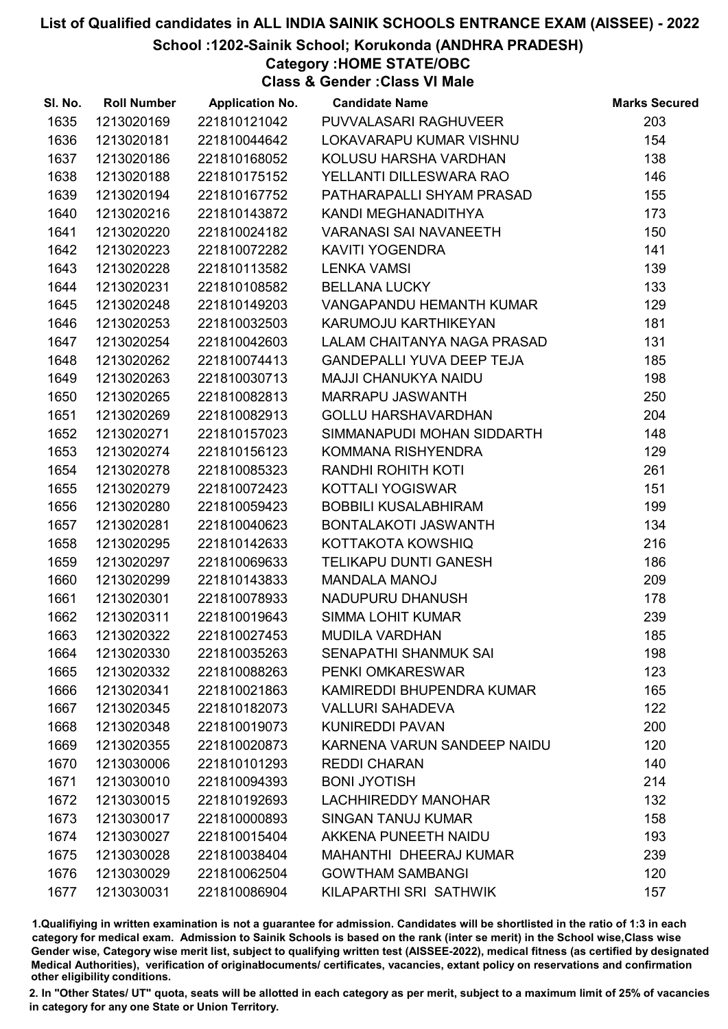School :1202-Sainik School; Korukonda (ANDHRA PRADESH)

Category :HOME STATE/OBC

Class & Gender :Class VI Male

| SI. No. | <b>Roll Number</b> | <b>Application No.</b> | <b>Candidate Name</b>            | <b>Marks Secured</b> |
|---------|--------------------|------------------------|----------------------------------|----------------------|
| 1635    | 1213020169         | 221810121042           | PUVVALASARI RAGHUVEER            | 203                  |
| 1636    | 1213020181         | 221810044642           | LOKAVARAPU KUMAR VISHNU          | 154                  |
| 1637    | 1213020186         | 221810168052           | KOLUSU HARSHA VARDHAN            | 138                  |
| 1638    | 1213020188         | 221810175152           | YELLANTI DILLESWARA RAO          | 146                  |
| 1639    | 1213020194         | 221810167752           | PATHARAPALLI SHYAM PRASAD        | 155                  |
| 1640    | 1213020216         | 221810143872           | KANDI MEGHANADITHYA              | 173                  |
| 1641    | 1213020220         | 221810024182           | <b>VARANASI SAI NAVANEETH</b>    | 150                  |
| 1642    | 1213020223         | 221810072282           | <b>KAVITI YOGENDRA</b>           | 141                  |
| 1643    | 1213020228         | 221810113582           | <b>LENKA VAMSI</b>               | 139                  |
| 1644    | 1213020231         | 221810108582           | <b>BELLANA LUCKY</b>             | 133                  |
| 1645    | 1213020248         | 221810149203           | <b>VANGAPANDU HEMANTH KUMAR</b>  | 129                  |
| 1646    | 1213020253         | 221810032503           | KARUMOJU KARTHIKEYAN             | 181                  |
| 1647    | 1213020254         | 221810042603           | LALAM CHAITANYA NAGA PRASAD      | 131                  |
| 1648    | 1213020262         | 221810074413           | <b>GANDEPALLI YUVA DEEP TEJA</b> | 185                  |
| 1649    | 1213020263         | 221810030713           | <b>MAJJI CHANUKYA NAIDU</b>      | 198                  |
| 1650    | 1213020265         | 221810082813           | <b>MARRAPU JASWANTH</b>          | 250                  |
| 1651    | 1213020269         | 221810082913           | <b>GOLLU HARSHAVARDHAN</b>       | 204                  |
| 1652    | 1213020271         | 221810157023           | SIMMANAPUDI MOHAN SIDDARTH       | 148                  |
| 1653    | 1213020274         | 221810156123           | KOMMANA RISHYENDRA               | 129                  |
| 1654    | 1213020278         | 221810085323           | RANDHI ROHITH KOTI               | 261                  |
| 1655    | 1213020279         | 221810072423           | KOTTALI YOGISWAR                 | 151                  |
| 1656    | 1213020280         | 221810059423           | <b>BOBBILI KUSALABHIRAM</b>      | 199                  |
| 1657    | 1213020281         | 221810040623           | BONTALAKOTI JASWANTH             | 134                  |
| 1658    | 1213020295         | 221810142633           | KOTTAKOTA KOWSHIQ                | 216                  |
| 1659    | 1213020297         | 221810069633           | TELIKAPU DUNTI GANESH            | 186                  |
| 1660    | 1213020299         | 221810143833           | <b>MANDALA MANOJ</b>             | 209                  |
| 1661    | 1213020301         | 221810078933           | NADUPURU DHANUSH                 | 178                  |
| 1662    | 1213020311         | 221810019643           | <b>SIMMA LOHIT KUMAR</b>         | 239                  |
| 1663    | 1213020322         | 221810027453           | <b>MUDILA VARDHAN</b>            | 185                  |
| 1664    | 1213020330         | 221810035263           | <b>SENAPATHI SHANMUK SAI</b>     | 198                  |
| 1665    | 1213020332         | 221810088263           | PENKI OMKARESWAR                 | 123                  |
| 1666    | 1213020341         | 221810021863           | KAMIREDDI BHUPENDRA KUMAR        | 165                  |
| 1667    | 1213020345         | 221810182073           | <b>VALLURI SAHADEVA</b>          | 122                  |
| 1668    | 1213020348         | 221810019073           | <b>KUNIREDDI PAVAN</b>           | 200                  |
| 1669    | 1213020355         | 221810020873           | KARNENA VARUN SANDEEP NAIDU      | 120                  |
| 1670    | 1213030006         | 221810101293           | <b>REDDI CHARAN</b>              | 140                  |
| 1671    | 1213030010         | 221810094393           | <b>BONI JYOTISH</b>              | 214                  |
| 1672    | 1213030015         | 221810192693           | <b>LACHHIREDDY MANOHAR</b>       | 132                  |
| 1673    | 1213030017         | 221810000893           | <b>SINGAN TANUJ KUMAR</b>        | 158                  |
| 1674    | 1213030027         | 221810015404           | AKKENA PUNEETH NAIDU             | 193                  |
| 1675    | 1213030028         | 221810038404           | <b>MAHANTHI DHEERAJ KUMAR</b>    | 239                  |
| 1676    | 1213030029         | 221810062504           | <b>GOWTHAM SAMBANGI</b>          | 120                  |
| 1677    | 1213030031         | 221810086904           | KILAPARTHI SRI SATHWIK           | 157                  |

1.Qualifiying in written examination is not a guarantee for admission. Candidates will be shortlisted in the ratio of 1:3 in each category for medical exam. Admission to Sainik Schools is based on the rank (inter se merit) in the School wise,Class wise Gender wise, Category wise merit list, subject to qualifying written test (AISSEE-2022), medical fitness (as certified by designated Medical Authorities), verification of originablocuments/ certificates, vacancies, extant policy on reservations and confirmation other eligibility conditions.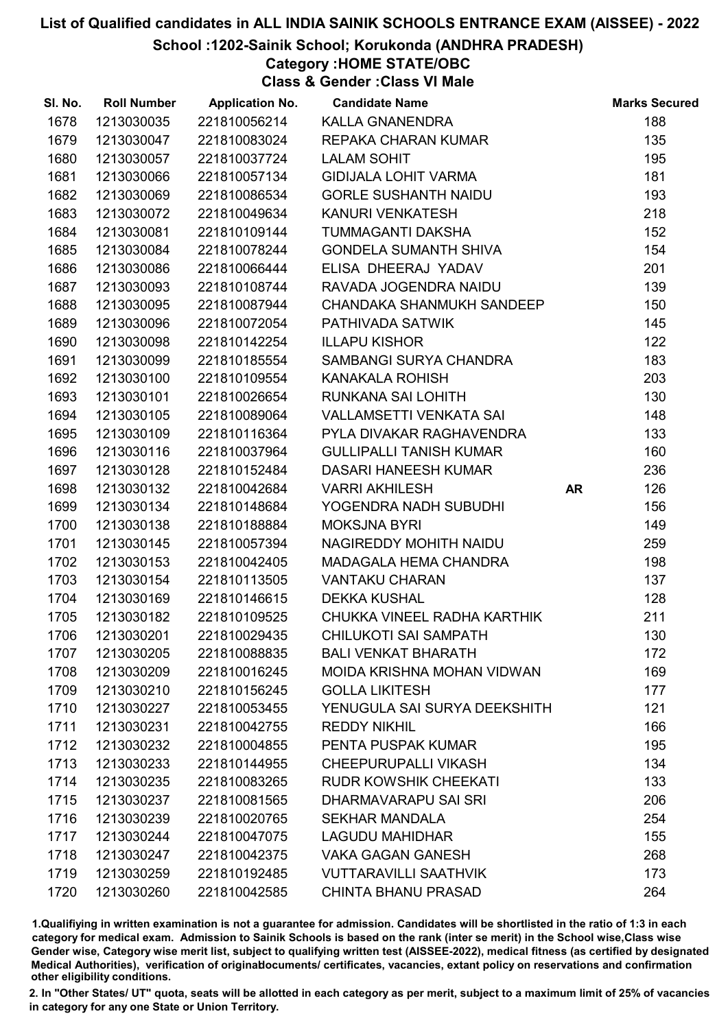#### School :1202-Sainik School; Korukonda (ANDHRA PRADESH)

## Category :HOME STATE/OBC

Class & Gender :Class VI Male

| SI. No. | <b>Roll Number</b> | <b>Application No.</b> | <b>Candidate Name</b>             |           | <b>Marks Secured</b> |
|---------|--------------------|------------------------|-----------------------------------|-----------|----------------------|
| 1678    | 1213030035         | 221810056214           | KALLA GNANENDRA                   |           | 188                  |
| 1679    | 1213030047         | 221810083024           | REPAKA CHARAN KUMAR               |           | 135                  |
| 1680    | 1213030057         | 221810037724           | <b>LALAM SOHIT</b>                |           | 195                  |
| 1681    | 1213030066         | 221810057134           | <b>GIDIJALA LOHIT VARMA</b>       |           | 181                  |
| 1682    | 1213030069         | 221810086534           | <b>GORLE SUSHANTH NAIDU</b>       |           | 193                  |
| 1683    | 1213030072         | 221810049634           | KANURI VENKATESH                  |           | 218                  |
| 1684    | 1213030081         | 221810109144           | TUMMAGANTI DAKSHA                 |           | 152                  |
| 1685    | 1213030084         | 221810078244           | <b>GONDELA SUMANTH SHIVA</b>      |           | 154                  |
| 1686    | 1213030086         | 221810066444           | ELISA DHEERAJ YADAV               |           | 201                  |
| 1687    | 1213030093         | 221810108744           | RAVADA JOGENDRA NAIDU             |           | 139                  |
| 1688    | 1213030095         | 221810087944           | CHANDAKA SHANMUKH SANDEEP         |           | 150                  |
| 1689    | 1213030096         | 221810072054           | PATHIVADA SATWIK                  |           | 145                  |
| 1690    | 1213030098         | 221810142254           | <b>ILLAPU KISHOR</b>              |           | 122                  |
| 1691    | 1213030099         | 221810185554           | SAMBANGI SURYA CHANDRA            |           | 183                  |
| 1692    | 1213030100         | 221810109554           | <b>KANAKALA ROHISH</b>            |           | 203                  |
| 1693    | 1213030101         | 221810026654           | <b>RUNKANA SAI LOHITH</b>         |           | 130                  |
| 1694    | 1213030105         | 221810089064           | VALLAMSETTI VENKATA SAI           |           | 148                  |
| 1695    | 1213030109         | 221810116364           | PYLA DIVAKAR RAGHAVENDRA          |           | 133                  |
| 1696    | 1213030116         | 221810037964           | <b>GULLIPALLI TANISH KUMAR</b>    |           | 160                  |
| 1697    | 1213030128         | 221810152484           | DASARI HANEESH KUMAR              |           | 236                  |
| 1698    | 1213030132         | 221810042684           | <b>VARRI AKHILESH</b>             | <b>AR</b> | 126                  |
| 1699    | 1213030134         | 221810148684           | YOGENDRA NADH SUBUDHI             |           | 156                  |
| 1700    | 1213030138         | 221810188884           | <b>MOKSJNA BYRI</b>               |           | 149                  |
| 1701    | 1213030145         | 221810057394           | NAGIREDDY MOHITH NAIDU            |           | 259                  |
| 1702    | 1213030153         | 221810042405           | MADAGALA HEMA CHANDRA             |           | 198                  |
| 1703    | 1213030154         | 221810113505           | VANTAKU CHARAN                    |           | 137                  |
| 1704    | 1213030169         | 221810146615           | <b>DEKKA KUSHAL</b>               |           | 128                  |
| 1705    | 1213030182         | 221810109525           | CHUKKA VINEEL RADHA KARTHIK       |           | 211                  |
| 1706    | 1213030201         | 221810029435           | <b>CHILUKOTI SAI SAMPATH</b>      |           | 130                  |
| 1707    | 1213030205         | 221810088835           | <b>BALI VENKAT BHARATH</b>        |           | 172                  |
| 1708    | 1213030209         | 221810016245           | <b>MOIDA KRISHNA MOHAN VIDWAN</b> |           | 169                  |
| 1709    | 1213030210         | 221810156245           | <b>GOLLA LIKITESH</b>             |           | 177                  |
| 1710    | 1213030227         | 221810053455           | YENUGULA SAI SURYA DEEKSHITH      |           | 121                  |
| 1711    | 1213030231         | 221810042755           | <b>REDDY NIKHIL</b>               |           | 166                  |
| 1712    | 1213030232         | 221810004855           | PENTA PUSPAK KUMAR                |           | 195                  |
| 1713    | 1213030233         | 221810144955           | <b>CHEEPURUPALLI VIKASH</b>       |           | 134                  |
| 1714    | 1213030235         | 221810083265           | <b>RUDR KOWSHIK CHEEKATI</b>      |           | 133                  |
| 1715    | 1213030237         | 221810081565           | DHARMAVARAPU SAI SRI              |           | 206                  |
| 1716    | 1213030239         | 221810020765           | <b>SEKHAR MANDALA</b>             |           | 254                  |
| 1717    | 1213030244         | 221810047075           | <b>LAGUDU MAHIDHAR</b>            |           | 155                  |
| 1718    | 1213030247         | 221810042375           | <b>VAKA GAGAN GANESH</b>          |           | 268                  |
| 1719    | 1213030259         | 221810192485           | <b>VUTTARAVILLI SAATHVIK</b>      |           | 173                  |
| 1720    | 1213030260         | 221810042585           | <b>CHINTA BHANU PRASAD</b>        |           | 264                  |

1.Qualifiying in written examination is not a guarantee for admission. Candidates will be shortlisted in the ratio of 1:3 in each category for medical exam. Admission to Sainik Schools is based on the rank (inter se merit) in the School wise,Class wise Gender wise, Category wise merit list, subject to qualifying written test (AISSEE-2022), medical fitness (as certified by designated Medical Authorities), verification of originablocuments/ certificates, vacancies, extant policy on reservations and confirmation other eligibility conditions.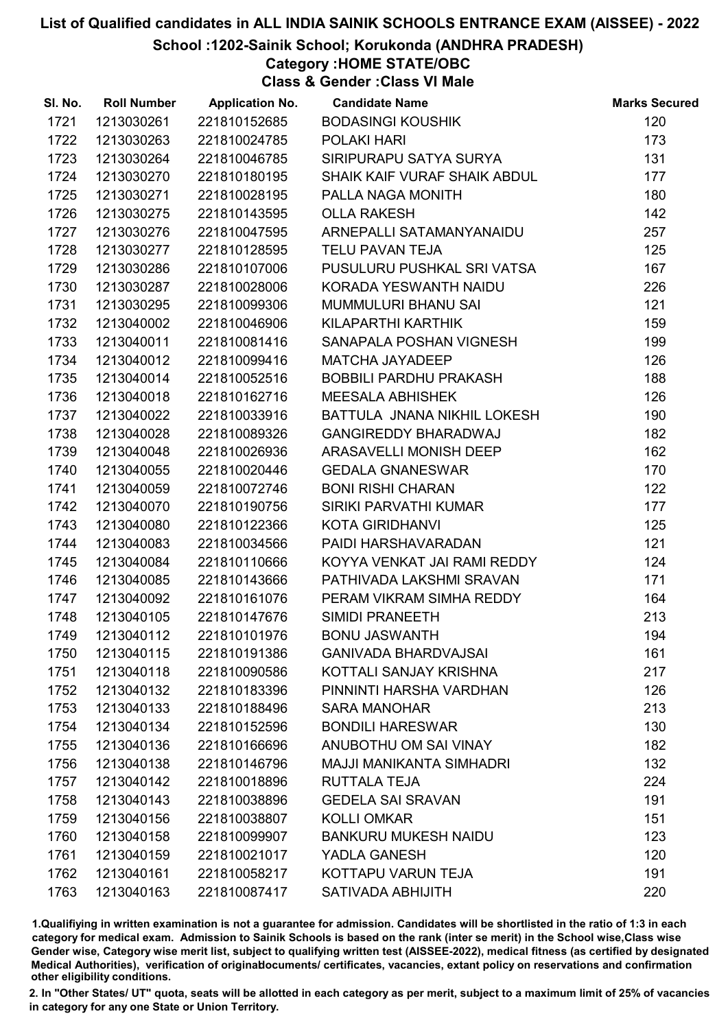#### School :1202-Sainik School; Korukonda (ANDHRA PRADESH)

## Category :HOME STATE/OBC

Class & Gender :Class VI Male

| SI. No. | <b>Roll Number</b> | <b>Application No.</b> | <b>Candidate Name</b>           | <b>Marks Secured</b> |
|---------|--------------------|------------------------|---------------------------------|----------------------|
| 1721    | 1213030261         | 221810152685           | <b>BODASINGI KOUSHIK</b>        | 120                  |
| 1722    | 1213030263         | 221810024785           | POLAKI HARI                     | 173                  |
| 1723    | 1213030264         | 221810046785           | SIRIPURAPU SATYA SURYA          | 131                  |
| 1724    | 1213030270         | 221810180195           | SHAIK KAIF VURAF SHAIK ABDUL    | 177                  |
| 1725    | 1213030271         | 221810028195           | PALLA NAGA MONITH               | 180                  |
| 1726    | 1213030275         | 221810143595           | <b>OLLA RAKESH</b>              | 142                  |
| 1727    | 1213030276         | 221810047595           | ARNEPALLI SATAMANYANAIDU        | 257                  |
| 1728    | 1213030277         | 221810128595           | <b>TELU PAVAN TEJA</b>          | 125                  |
| 1729    | 1213030286         | 221810107006           | PUSULURU PUSHKAL SRI VATSA      | 167                  |
| 1730    | 1213030287         | 221810028006           | KORADA YESWANTH NAIDU           | 226                  |
| 1731    | 1213030295         | 221810099306           | MUMMULURI BHANU SAI             | 121                  |
| 1732    | 1213040002         | 221810046906           | KILAPARTHI KARTHIK              | 159                  |
| 1733    | 1213040011         | 221810081416           | SANAPALA POSHAN VIGNESH         | 199                  |
| 1734    | 1213040012         | 221810099416           | <b>MATCHA JAYADEEP</b>          | 126                  |
| 1735    | 1213040014         | 221810052516           | BOBBILI PARDHU PRAKASH          | 188                  |
| 1736    | 1213040018         | 221810162716           | <b>MEESALA ABHISHEK</b>         | 126                  |
| 1737    | 1213040022         | 221810033916           | BATTULA JNANA NIKHIL LOKESH     | 190                  |
| 1738    | 1213040028         | 221810089326           | <b>GANGIREDDY BHARADWAJ</b>     | 182                  |
| 1739    | 1213040048         | 221810026936           | ARASAVELLI MONISH DEEP          | 162                  |
| 1740    | 1213040055         | 221810020446           | <b>GEDALA GNANESWAR</b>         | 170                  |
| 1741    | 1213040059         | 221810072746           | <b>BONI RISHI CHARAN</b>        | 122                  |
| 1742    | 1213040070         | 221810190756           | SIRIKI PARVATHI KUMAR           | 177                  |
| 1743    | 1213040080         | 221810122366           | <b>KOTA GIRIDHANVI</b>          | 125                  |
| 1744    | 1213040083         | 221810034566           | PAIDI HARSHAVARADAN             | 121                  |
| 1745    | 1213040084         | 221810110666           | KOYYA VENKAT JAI RAMI REDDY     | 124                  |
| 1746    | 1213040085         | 221810143666           | PATHIVADA LAKSHMI SRAVAN        | 171                  |
| 1747    | 1213040092         | 221810161076           | PERAM VIKRAM SIMHA REDDY        | 164                  |
| 1748    | 1213040105         | 221810147676           | <b>SIMIDI PRANEETH</b>          | 213                  |
| 1749    | 1213040112         | 221810101976           | <b>BONU JASWANTH</b>            | 194                  |
| 1750    | 1213040115         | 221810191386           | <b>GANIVADA BHARDVAJSAI</b>     | 161                  |
| 1751    | 1213040118         | 221810090586           | KOTTALI SANJAY KRISHNA          | 217                  |
| 1752    | 1213040132         | 221810183396           | PINNINTI HARSHA VARDHAN         | 126                  |
| 1753    | 1213040133         | 221810188496           | <b>SARA MANOHAR</b>             | 213                  |
| 1754    | 1213040134         | 221810152596           | <b>BONDILI HARESWAR</b>         | 130                  |
| 1755    | 1213040136         | 221810166696           | ANUBOTHU OM SAI VINAY           | 182                  |
| 1756    | 1213040138         | 221810146796           | <b>MAJJI MANIKANTA SIMHADRI</b> | 132                  |
| 1757    | 1213040142         | 221810018896           | <b>RUTTALA TEJA</b>             | 224                  |
| 1758    | 1213040143         | 221810038896           | <b>GEDELA SAI SRAVAN</b>        | 191                  |
| 1759    | 1213040156         | 221810038807           | <b>KOLLI OMKAR</b>              | 151                  |
| 1760    | 1213040158         | 221810099907           | <b>BANKURU MUKESH NAIDU</b>     | 123                  |
| 1761    | 1213040159         | 221810021017           | YADLA GANESH                    | 120                  |
| 1762    | 1213040161         | 221810058217           | KOTTAPU VARUN TEJA              | 191                  |
| 1763    | 1213040163         | 221810087417           | SATIVADA ABHIJITH               | 220                  |

1.Qualifiying in written examination is not a guarantee for admission. Candidates will be shortlisted in the ratio of 1:3 in each category for medical exam. Admission to Sainik Schools is based on the rank (inter se merit) in the School wise,Class wise Gender wise, Category wise merit list, subject to qualifying written test (AISSEE-2022), medical fitness (as certified by designated Medical Authorities), verification of originablocuments/ certificates, vacancies, extant policy on reservations and confirmation other eligibility conditions.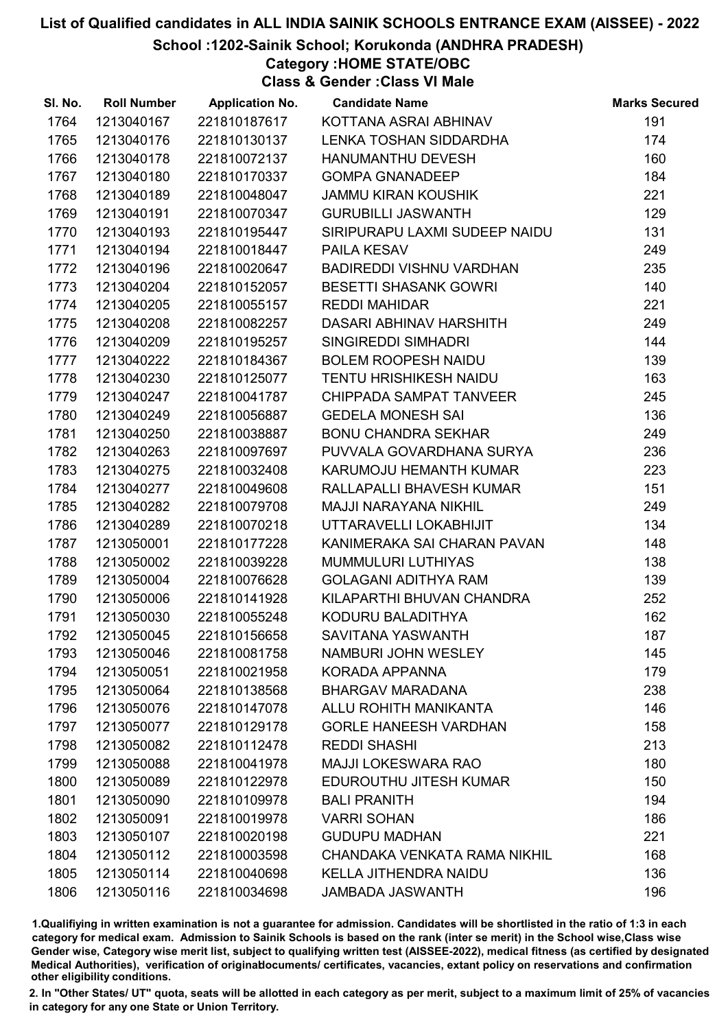School :1202-Sainik School; Korukonda (ANDHRA PRADESH)

Category :HOME STATE/OBC

Class & Gender :Class VI Male

| SI. No. | <b>Roll Number</b> | <b>Application No.</b> | <b>Candidate Name</b>           | <b>Marks Secured</b> |
|---------|--------------------|------------------------|---------------------------------|----------------------|
| 1764    | 1213040167         | 221810187617           | KOTTANA ASRAI ABHINAV           | 191                  |
| 1765    | 1213040176         | 221810130137           | LENKA TOSHAN SIDDARDHA          | 174                  |
| 1766    | 1213040178         | 221810072137           | <b>HANUMANTHU DEVESH</b>        | 160                  |
| 1767    | 1213040180         | 221810170337           | <b>GOMPA GNANADEEP</b>          | 184                  |
| 1768    | 1213040189         | 221810048047           | <b>JAMMU KIRAN KOUSHIK</b>      | 221                  |
| 1769    | 1213040191         | 221810070347           | <b>GURUBILLI JASWANTH</b>       | 129                  |
| 1770    | 1213040193         | 221810195447           | SIRIPURAPU LAXMI SUDEEP NAIDU   | 131                  |
| 1771    | 1213040194         | 221810018447           | <b>PAILA KESAV</b>              | 249                  |
| 1772    | 1213040196         | 221810020647           | <b>BADIREDDI VISHNU VARDHAN</b> | 235                  |
| 1773    | 1213040204         | 221810152057           | <b>BESETTI SHASANK GOWRI</b>    | 140                  |
| 1774    | 1213040205         | 221810055157           | <b>REDDI MAHIDAR</b>            | 221                  |
| 1775    | 1213040208         | 221810082257           | DASARI ABHINAV HARSHITH         | 249                  |
| 1776    | 1213040209         | 221810195257           | <b>SINGIREDDI SIMHADRI</b>      | 144                  |
| 1777    | 1213040222         | 221810184367           | <b>BOLEM ROOPESH NAIDU</b>      | 139                  |
| 1778    | 1213040230         | 221810125077           | <b>TENTU HRISHIKESH NAIDU</b>   | 163                  |
| 1779    | 1213040247         | 221810041787           | CHIPPADA SAMPAT TANVEER         | 245                  |
| 1780    | 1213040249         | 221810056887           | <b>GEDELA MONESH SAI</b>        | 136                  |
| 1781    | 1213040250         | 221810038887           | <b>BONU CHANDRA SEKHAR</b>      | 249                  |
| 1782    | 1213040263         | 221810097697           | PUVVALA GOVARDHANA SURYA        | 236                  |
| 1783    | 1213040275         | 221810032408           | KARUMOJU HEMANTH KUMAR          | 223                  |
| 1784    | 1213040277         | 221810049608           | RALLAPALLI BHAVESH KUMAR        | 151                  |
| 1785    | 1213040282         | 221810079708           | <b>MAJJI NARAYANA NIKHIL</b>    | 249                  |
| 1786    | 1213040289         | 221810070218           | UTTARAVELLI LOKABHIJIT          | 134                  |
| 1787    | 1213050001         | 221810177228           | KANIMERAKA SAI CHARAN PAVAN     | 148                  |
| 1788    | 1213050002         | 221810039228           | MUMMULURI LUTHIYAS              | 138                  |
| 1789    | 1213050004         | 221810076628           | <b>GOLAGANI ADITHYA RAM</b>     | 139                  |
| 1790    | 1213050006         | 221810141928           | KILAPARTHI BHUVAN CHANDRA       | 252                  |
| 1791    | 1213050030         | 221810055248           | KODURU BALADITHYA               | 162                  |
| 1792    | 1213050045         | 221810156658           | SAVITANA YASWANTH               | 187                  |
| 1793    | 1213050046         | 221810081758           | NAMBURI JOHN WESLEY             | 145                  |
| 1794    | 1213050051         | 221810021958           | KORADA APPANNA                  | 179                  |
| 1795    | 1213050064         | 221810138568           | <b>BHARGAV MARADANA</b>         | 238                  |
| 1796    | 1213050076         | 221810147078           | ALLU ROHITH MANIKANTA           | 146                  |
| 1797    | 1213050077         | 221810129178           | <b>GORLE HANEESH VARDHAN</b>    | 158                  |
| 1798    | 1213050082         | 221810112478           | <b>REDDI SHASHI</b>             | 213                  |
| 1799    | 1213050088         | 221810041978           | <b>MAJJI LOKESWARA RAO</b>      | 180                  |
| 1800    | 1213050089         | 221810122978           | EDUROUTHU JITESH KUMAR          | 150                  |
| 1801    | 1213050090         | 221810109978           | <b>BALI PRANITH</b>             | 194                  |
| 1802    | 1213050091         | 221810019978           | <b>VARRI SOHAN</b>              | 186                  |
| 1803    | 1213050107         | 221810020198           | <b>GUDUPU MADHAN</b>            | 221                  |
| 1804    | 1213050112         | 221810003598           | CHANDAKA VENKATA RAMA NIKHIL    | 168                  |
| 1805    | 1213050114         | 221810040698           | <b>KELLA JITHENDRA NAIDU</b>    | 136                  |
| 1806    | 1213050116         | 221810034698           | <b>JAMBADA JASWANTH</b>         | 196                  |

1.Qualifiying in written examination is not a guarantee for admission. Candidates will be shortlisted in the ratio of 1:3 in each category for medical exam. Admission to Sainik Schools is based on the rank (inter se merit) in the School wise,Class wise Gender wise, Category wise merit list, subject to qualifying written test (AISSEE-2022), medical fitness (as certified by designated Medical Authorities), verification of originablocuments/ certificates, vacancies, extant policy on reservations and confirmation other eligibility conditions.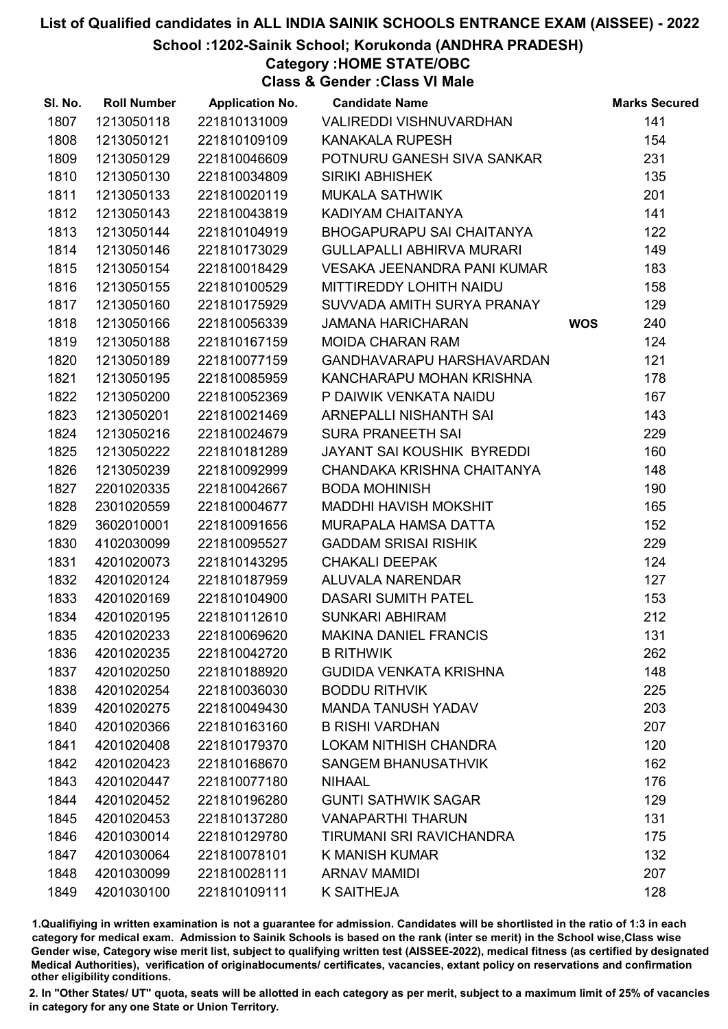School :1202-Sainik School; Korukonda (ANDHRA PRADESH)

## Category :HOME STATE/OBC

Class & Gender :Class VI Male

| SI. No. | <b>Roll Number</b> | <b>Application No.</b> | <b>Candidate Name</b>            |            | <b>Marks Secured</b> |
|---------|--------------------|------------------------|----------------------------------|------------|----------------------|
| 1807    | 1213050118         | 221810131009           | VALIREDDI VISHNUVARDHAN          |            | 141                  |
| 1808    | 1213050121         | 221810109109           | <b>KANAKALA RUPESH</b>           |            | 154                  |
| 1809    | 1213050129         | 221810046609           | POTNURU GANESH SIVA SANKAR       |            | 231                  |
| 1810    | 1213050130         | 221810034809           | <b>SIRIKI ABHISHEK</b>           |            | 135                  |
| 1811    | 1213050133         | 221810020119           | <b>MUKALA SATHWIK</b>            |            | 201                  |
| 1812    | 1213050143         | 221810043819           | KADIYAM CHAITANYA                |            | 141                  |
| 1813    | 1213050144         | 221810104919           | <b>BHOGAPURAPU SAI CHAITANYA</b> |            | 122                  |
| 1814    | 1213050146         | 221810173029           | <b>GULLAPALLI ABHIRVA MURARI</b> |            | 149                  |
| 1815    | 1213050154         | 221810018429           | VESAKA JEENANDRA PANI KUMAR      |            | 183                  |
| 1816    | 1213050155         | 221810100529           | MITTIREDDY LOHITH NAIDU          |            | 158                  |
| 1817    | 1213050160         | 221810175929           | SUVVADA AMITH SURYA PRANAY       |            | 129                  |
| 1818    | 1213050166         | 221810056339           | JAMANA HARICHARAN                | <b>WOS</b> | 240                  |
| 1819    | 1213050188         | 221810167159           | <b>MOIDA CHARAN RAM</b>          |            | 124                  |
| 1820    | 1213050189         | 221810077159           | GANDHAVARAPU HARSHAVARDAN        |            | 121                  |
| 1821    | 1213050195         | 221810085959           | KANCHARAPU MOHAN KRISHNA         |            | 178                  |
| 1822    | 1213050200         | 221810052369           | P DAIWIK VENKATA NAIDU           |            | 167                  |
| 1823    | 1213050201         | 221810021469           | ARNEPALLI NISHANTH SAI           |            | 143                  |
| 1824    | 1213050216         | 221810024679           | <b>SURA PRANEETH SAI</b>         |            | 229                  |
| 1825    | 1213050222         | 221810181289           | JAYANT SAI KOUSHIK BYREDDI       |            | 160                  |
| 1826    | 1213050239         | 221810092999           | CHANDAKA KRISHNA CHAITANYA       |            | 148                  |
| 1827    | 2201020335         | 221810042667           | <b>BODA MOHINISH</b>             |            | 190                  |
| 1828    | 2301020559         | 221810004677           | <b>MADDHI HAVISH MOKSHIT</b>     |            | 165                  |
| 1829    | 3602010001         | 221810091656           | MURAPALA HAMSA DATTA             |            | 152                  |
| 1830    | 4102030099         | 221810095527           | <b>GADDAM SRISAI RISHIK</b>      |            | 229                  |
| 1831    | 4201020073         | 221810143295           | <b>CHAKALI DEEPAK</b>            |            | 124                  |
| 1832    | 4201020124         | 221810187959           | <b>ALUVALA NARENDAR</b>          |            | 127                  |
| 1833    | 4201020169         | 221810104900           | <b>DASARI SUMITH PATEL</b>       |            | 153                  |
| 1834    | 4201020195         | 221810112610           | <b>SUNKARI ABHIRAM</b>           |            | 212                  |
| 1835    | 4201020233         | 221810069620           | <b>MAKINA DANIEL FRANCIS</b>     |            | 131                  |
| 1836    | 4201020235         | 221810042720           | <b>B RITHWIK</b>                 |            | 262                  |
| 1837    | 4201020250         | 221810188920           | <b>GUDIDA VENKATA KRISHNA</b>    |            | 148                  |
| 1838    | 4201020254         | 221810036030           | <b>BODDU RITHVIK</b>             |            | 225                  |
| 1839    | 4201020275         | 221810049430           | <b>MANDA TANUSH YADAV</b>        |            | 203                  |
| 1840    | 4201020366         | 221810163160           | <b>B RISHI VARDHAN</b>           |            | 207                  |
| 1841    | 4201020408         | 221810179370           | <b>LOKAM NITHISH CHANDRA</b>     |            | 120                  |
| 1842    | 4201020423         | 221810168670           | <b>SANGEM BHANUSATHVIK</b>       |            | 162                  |
| 1843    | 4201020447         | 221810077180           | <b>NIHAAL</b>                    |            | 176                  |
| 1844    | 4201020452         | 221810196280           | <b>GUNTI SATHWIK SAGAR</b>       |            | 129                  |
| 1845    | 4201020453         | 221810137280           | <b>VANAPARTHI THARUN</b>         |            | 131                  |
| 1846    | 4201030014         | 221810129780           | TIRUMANI SRI RAVICHANDRA         |            | 175                  |
| 1847    | 4201030064         | 221810078101           | K MANISH KUMAR                   |            | 132                  |
| 1848    | 4201030099         | 221810028111           | <b>ARNAV MAMIDI</b>              |            | 207                  |
| 1849    | 4201030100         | 221810109111           | K SAITHEJA                       |            | 128                  |

1.Qualifiying in written examination is not a guarantee for admission. Candidates will be shortlisted in the ratio of 1:3 in each category for medical exam. Admission to Sainik Schools is based on the rank (inter se merit) in the School wise,Class wise Gender wise, Category wise merit list, subject to qualifying written test (AISSEE-2022), medical fitness (as certified by designated Medical Authorities), verification of originablocuments/ certificates, vacancies, extant policy on reservations and confirmation other eligibility conditions.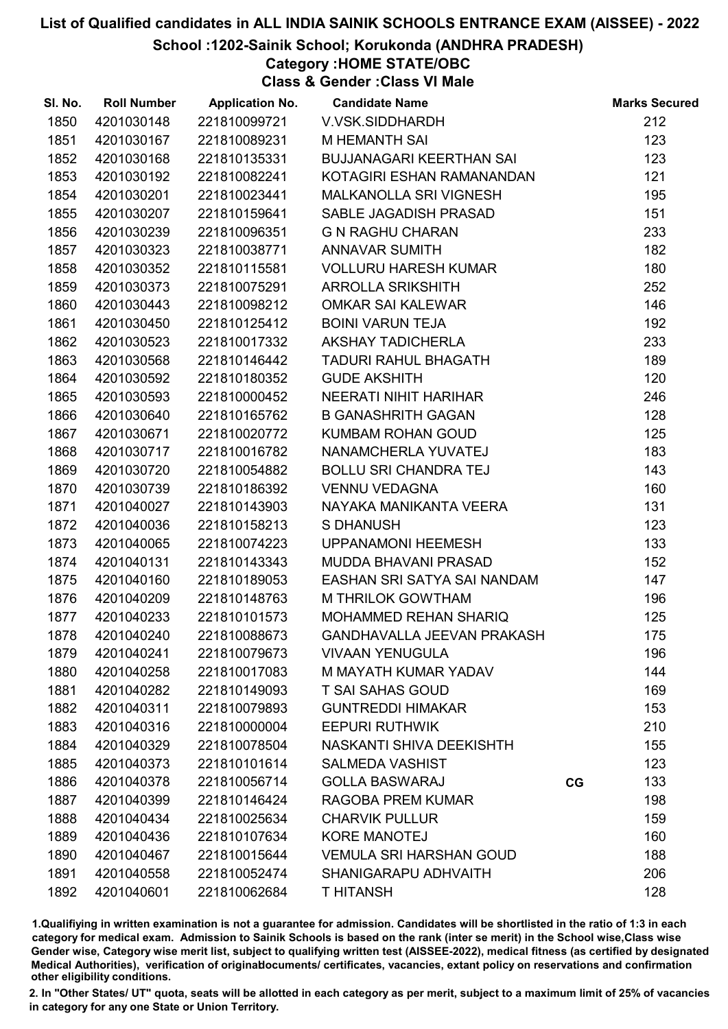#### School :1202-Sainik School; Korukonda (ANDHRA PRADESH)

Category :HOME STATE/OBC

Class & Gender :Class VI Male

| SI. No. | <b>Roll Number</b> | <b>Application No.</b> | <b>Candidate Name</b>             |    | <b>Marks Secured</b> |
|---------|--------------------|------------------------|-----------------------------------|----|----------------------|
| 1850    | 4201030148         | 221810099721           | V.VSK.SIDDHARDH                   |    | 212                  |
| 1851    | 4201030167         | 221810089231           | <b>M HEMANTH SAI</b>              |    | 123                  |
| 1852    | 4201030168         | 221810135331           | <b>BUJJANAGARI KEERTHAN SAI</b>   |    | 123                  |
| 1853    | 4201030192         | 221810082241           | KOTAGIRI ESHAN RAMANANDAN         |    | 121                  |
| 1854    | 4201030201         | 221810023441           | MALKANOLLA SRI VIGNESH            |    | 195                  |
| 1855    | 4201030207         | 221810159641           | SABLE JAGADISH PRASAD             |    | 151                  |
| 1856    | 4201030239         | 221810096351           | <b>G N RAGHU CHARAN</b>           |    | 233                  |
| 1857    | 4201030323         | 221810038771           | <b>ANNAVAR SUMITH</b>             |    | 182                  |
| 1858    | 4201030352         | 221810115581           | <b>VOLLURU HARESH KUMAR</b>       |    | 180                  |
| 1859    | 4201030373         | 221810075291           | <b>ARROLLA SRIKSHITH</b>          |    | 252                  |
| 1860    | 4201030443         | 221810098212           | <b>OMKAR SAI KALEWAR</b>          |    | 146                  |
| 1861    | 4201030450         | 221810125412           | <b>BOINI VARUN TEJA</b>           |    | 192                  |
| 1862    | 4201030523         | 221810017332           | AKSHAY TADICHERLA                 |    | 233                  |
| 1863    | 4201030568         | 221810146442           | <b>TADURI RAHUL BHAGATH</b>       |    | 189                  |
| 1864    | 4201030592         | 221810180352           | <b>GUDE AKSHITH</b>               |    | 120                  |
| 1865    | 4201030593         | 221810000452           | NEERATI NIHIT HARIHAR             |    | 246                  |
| 1866    | 4201030640         | 221810165762           | <b>B GANASHRITH GAGAN</b>         |    | 128                  |
| 1867    | 4201030671         | 221810020772           | <b>KUMBAM ROHAN GOUD</b>          |    | 125                  |
| 1868    | 4201030717         | 221810016782           | NANAMCHERLA YUVATEJ               |    | 183                  |
| 1869    | 4201030720         | 221810054882           | <b>BOLLU SRI CHANDRA TEJ</b>      |    | 143                  |
| 1870    | 4201030739         | 221810186392           | <b>VENNU VEDAGNA</b>              |    | 160                  |
| 1871    | 4201040027         | 221810143903           | NAYAKA MANIKANTA VEERA            |    | 131                  |
| 1872    | 4201040036         | 221810158213           | <b>S DHANUSH</b>                  |    | 123                  |
| 1873    | 4201040065         | 221810074223           | <b>UPPANAMONI HEEMESH</b>         |    | 133                  |
| 1874    | 4201040131         | 221810143343           | MUDDA BHAVANI PRASAD              |    | 152                  |
| 1875    | 4201040160         | 221810189053           | EASHAN SRI SATYA SAI NANDAM       |    | 147                  |
| 1876    | 4201040209         | 221810148763           | M THRILOK GOWTHAM                 |    | 196                  |
| 1877    | 4201040233         | 221810101573           | MOHAMMED REHAN SHARIQ             |    | 125                  |
| 1878    | 4201040240         | 221810088673           | <b>GANDHAVALLA JEEVAN PRAKASH</b> |    | 175                  |
| 1879    | 4201040241         | 221810079673           | <b>VIVAAN YENUGULA</b>            |    | 196                  |
| 1880    | 4201040258         | 221810017083           | M MAYATH KUMAR YADAV              |    | 144                  |
| 1881    | 4201040282         | 221810149093           | <b>T SAI SAHAS GOUD</b>           |    | 169                  |
| 1882    | 4201040311         | 221810079893           | <b>GUNTREDDI HIMAKAR</b>          |    | 153                  |
| 1883    | 4201040316         | 221810000004           | <b>EEPURI RUTHWIK</b>             |    | 210                  |
| 1884    | 4201040329         | 221810078504           | NASKANTI SHIVA DEEKISHTH          |    | 155                  |
| 1885    | 4201040373         | 221810101614           | <b>SALMEDA VASHIST</b>            |    | 123                  |
| 1886    | 4201040378         | 221810056714           | <b>GOLLA BASWARAJ</b>             | CG | 133                  |
| 1887    | 4201040399         | 221810146424           | <b>RAGOBA PREM KUMAR</b>          |    | 198                  |
| 1888    | 4201040434         | 221810025634           | <b>CHARVIK PULLUR</b>             |    | 159                  |
| 1889    | 4201040436         | 221810107634           | <b>KORE MANOTEJ</b>               |    | 160                  |
| 1890    | 4201040467         | 221810015644           | <b>VEMULA SRI HARSHAN GOUD</b>    |    | 188                  |
| 1891    | 4201040558         | 221810052474           | SHANIGARAPU ADHVAITH              |    | 206                  |
| 1892    | 4201040601         | 221810062684           | <b>THITANSH</b>                   |    | 128                  |

1.Qualifiying in written examination is not a guarantee for admission. Candidates will be shortlisted in the ratio of 1:3 in each category for medical exam. Admission to Sainik Schools is based on the rank (inter se merit) in the School wise,Class wise Gender wise, Category wise merit list, subject to qualifying written test (AISSEE-2022), medical fitness (as certified by designated Medical Authorities), verification of originablocuments/ certificates, vacancies, extant policy on reservations and confirmation other eligibility conditions.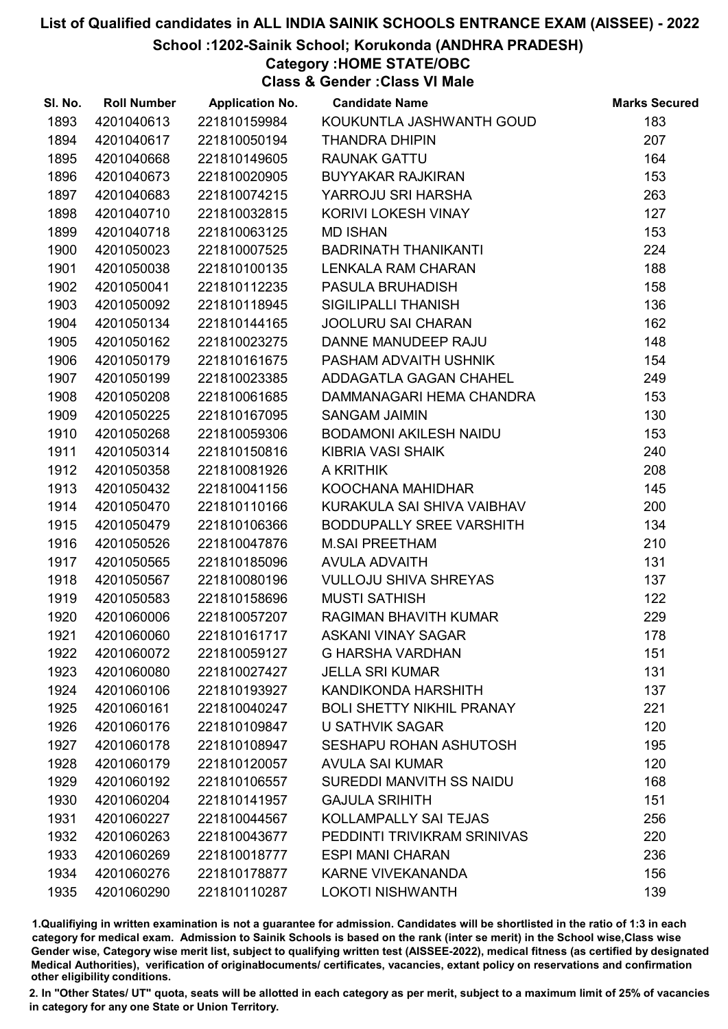School :1202-Sainik School; Korukonda (ANDHRA PRADESH)

Category :HOME STATE/OBC

Class & Gender :Class VI Male

| SI. No. | <b>Roll Number</b> | <b>Application No.</b> | <b>Candidate Name</b>            | <b>Marks Secured</b> |
|---------|--------------------|------------------------|----------------------------------|----------------------|
| 1893    | 4201040613         | 221810159984           | KOUKUNTLA JASHWANTH GOUD         | 183                  |
| 1894    | 4201040617         | 221810050194           | <b>THANDRA DHIPIN</b>            | 207                  |
| 1895    | 4201040668         | 221810149605           | <b>RAUNAK GATTU</b>              | 164                  |
| 1896    | 4201040673         | 221810020905           | <b>BUYYAKAR RAJKIRAN</b>         | 153                  |
| 1897    | 4201040683         | 221810074215           | YARROJU SRI HARSHA               | 263                  |
| 1898    | 4201040710         | 221810032815           | KORIVI LOKESH VINAY              | 127                  |
| 1899    | 4201040718         | 221810063125           | <b>MD ISHAN</b>                  | 153                  |
| 1900    | 4201050023         | 221810007525           | <b>BADRINATH THANIKANTI</b>      | 224                  |
| 1901    | 4201050038         | 221810100135           | <b>LENKALA RAM CHARAN</b>        | 188                  |
| 1902    | 4201050041         | 221810112235           | PASULA BRUHADISH                 | 158                  |
| 1903    | 4201050092         | 221810118945           | <b>SIGILIPALLI THANISH</b>       | 136                  |
| 1904    | 4201050134         | 221810144165           | JOOLURU SAI CHARAN               | 162                  |
| 1905    | 4201050162         | 221810023275           | DANNE MANUDEEP RAJU              | 148                  |
| 1906    | 4201050179         | 221810161675           | PASHAM ADVAITH USHNIK            | 154                  |
| 1907    | 4201050199         | 221810023385           | ADDAGATLA GAGAN CHAHEL           | 249                  |
| 1908    | 4201050208         | 221810061685           | DAMMANAGARI HEMA CHANDRA         | 153                  |
| 1909    | 4201050225         | 221810167095           | <b>SANGAM JAIMIN</b>             | 130                  |
| 1910    | 4201050268         | 221810059306           | <b>BODAMONI AKILESH NAIDU</b>    | 153                  |
| 1911    | 4201050314         | 221810150816           | KIBRIA VASI SHAIK                | 240                  |
| 1912    | 4201050358         | 221810081926           | A KRITHIK                        | 208                  |
| 1913    | 4201050432         | 221810041156           | KOOCHANA MAHIDHAR                | 145                  |
| 1914    | 4201050470         | 221810110166           | KURAKULA SAI SHIVA VAIBHAV       | 200                  |
| 1915    | 4201050479         | 221810106366           | BODDUPALLY SREE VARSHITH         | 134                  |
| 1916    | 4201050526         | 221810047876           | <b>M.SAI PREETHAM</b>            | 210                  |
| 1917    | 4201050565         | 221810185096           | <b>AVULA ADVAITH</b>             | 131                  |
| 1918    | 4201050567         | 221810080196           | <b>VULLOJU SHIVA SHREYAS</b>     | 137                  |
| 1919    | 4201050583         | 221810158696           | <b>MUSTI SATHISH</b>             | 122                  |
| 1920    | 4201060006         | 221810057207           | RAGIMAN BHAVITH KUMAR            | 229                  |
| 1921    | 4201060060         | 221810161717           | <b>ASKANI VINAY SAGAR</b>        | 178                  |
| 1922    | 4201060072         | 221810059127           | <b>G HARSHA VARDHAN</b>          | 151                  |
| 1923    | 4201060080         | 221810027427           | <b>JELLA SRI KUMAR</b>           | 131                  |
| 1924    | 4201060106         | 221810193927           | KANDIKONDA HARSHITH              | 137                  |
| 1925    | 4201060161         | 221810040247           | <b>BOLI SHETTY NIKHIL PRANAY</b> | 221                  |
| 1926    | 4201060176         | 221810109847           | <b>U SATHVIK SAGAR</b>           | 120                  |
| 1927    | 4201060178         | 221810108947           | SESHAPU ROHAN ASHUTOSH           | 195                  |
| 1928    | 4201060179         | 221810120057           | <b>AVULA SAI KUMAR</b>           | 120                  |
| 1929    | 4201060192         | 221810106557           | SUREDDI MANVITH SS NAIDU         | 168                  |
| 1930    | 4201060204         | 221810141957           | <b>GAJULA SRIHITH</b>            | 151                  |
| 1931    | 4201060227         | 221810044567           | KOLLAMPALLY SAI TEJAS            | 256                  |
| 1932    | 4201060263         | 221810043677           | PEDDINTI TRIVIKRAM SRINIVAS      | 220                  |
| 1933    | 4201060269         | 221810018777           | <b>ESPI MANI CHARAN</b>          | 236                  |
| 1934    | 4201060276         | 221810178877           | <b>KARNE VIVEKANANDA</b>         | 156                  |
| 1935    | 4201060290         | 221810110287           | <b>LOKOTI NISHWANTH</b>          | 139                  |

1.Qualifiying in written examination is not a guarantee for admission. Candidates will be shortlisted in the ratio of 1:3 in each category for medical exam. Admission to Sainik Schools is based on the rank (inter se merit) in the School wise,Class wise Gender wise, Category wise merit list, subject to qualifying written test (AISSEE-2022), medical fitness (as certified by designated Medical Authorities), verification of originablocuments/ certificates, vacancies, extant policy on reservations and confirmation other eligibility conditions.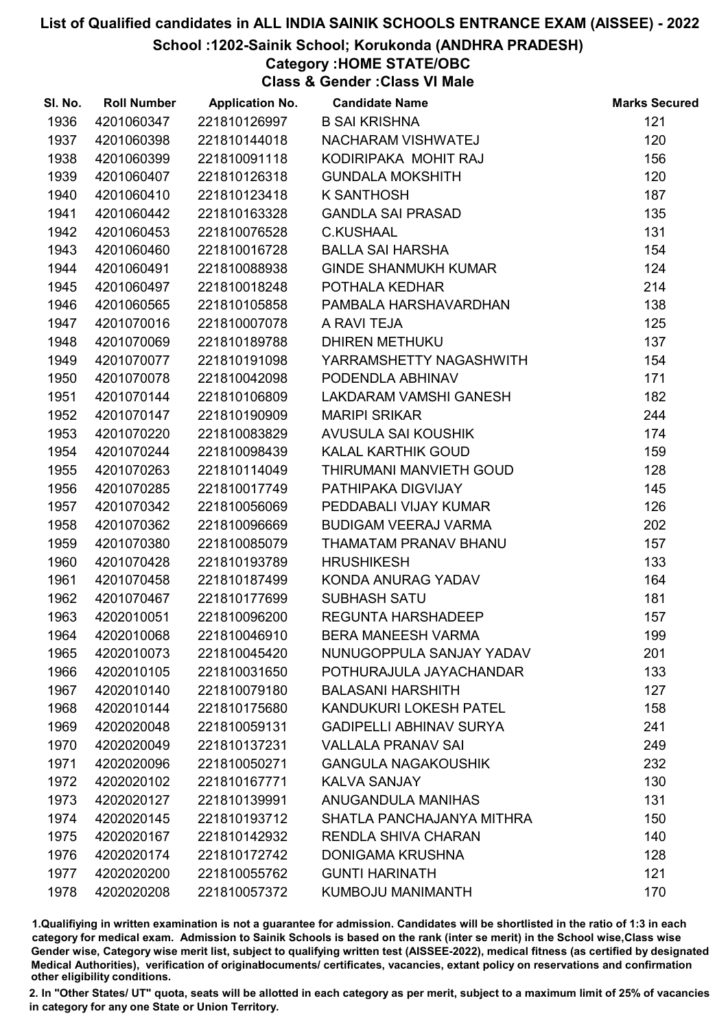#### School :1202-Sainik School; Korukonda (ANDHRA PRADESH)

## Category :HOME STATE/OBC

Class & Gender :Class VI Male

| SI. No. | <b>Roll Number</b> | <b>Application No.</b> | <b>Candidate Name</b>          | <b>Marks Secured</b> |
|---------|--------------------|------------------------|--------------------------------|----------------------|
| 1936    | 4201060347         | 221810126997           | <b>B SAI KRISHNA</b>           | 121                  |
| 1937    | 4201060398         | 221810144018           | NACHARAM VISHWATEJ             | 120                  |
| 1938    | 4201060399         | 221810091118           | KODIRIPAKA MOHIT RAJ           | 156                  |
| 1939    | 4201060407         | 221810126318           | <b>GUNDALA MOKSHITH</b>        | 120                  |
| 1940    | 4201060410         | 221810123418           | <b>K SANTHOSH</b>              | 187                  |
| 1941    | 4201060442         | 221810163328           | <b>GANDLA SAI PRASAD</b>       | 135                  |
| 1942    | 4201060453         | 221810076528           | <b>C.KUSHAAL</b>               | 131                  |
| 1943    | 4201060460         | 221810016728           | <b>BALLA SAI HARSHA</b>        | 154                  |
| 1944    | 4201060491         | 221810088938           | GINDE SHANMUKH KUMAR           | 124                  |
| 1945    | 4201060497         | 221810018248           | POTHALA KEDHAR                 | 214                  |
| 1946    | 4201060565         | 221810105858           | PAMBALA HARSHAVARDHAN          | 138                  |
| 1947    | 4201070016         | 221810007078           | A RAVI TEJA                    | 125                  |
| 1948    | 4201070069         | 221810189788           | <b>DHIREN METHUKU</b>          | 137                  |
| 1949    | 4201070077         | 221810191098           | YARRAMSHETTY NAGASHWITH        | 154                  |
| 1950    | 4201070078         | 221810042098           | PODENDLA ABHINAV               | 171                  |
| 1951    | 4201070144         | 221810106809           | LAKDARAM VAMSHI GANESH         | 182                  |
| 1952    | 4201070147         | 221810190909           | <b>MARIPI SRIKAR</b>           | 244                  |
| 1953    | 4201070220         | 221810083829           | AVUSULA SAI KOUSHIK            | 174                  |
| 1954    | 4201070244         | 221810098439           | KALAL KARTHIK GOUD             | 159                  |
| 1955    | 4201070263         | 221810114049           | THIRUMANI MANVIETH GOUD        | 128                  |
| 1956    | 4201070285         | 221810017749           | PATHIPAKA DIGVIJAY             | 145                  |
| 1957    | 4201070342         | 221810056069           | PEDDABALI VIJAY KUMAR          | 126                  |
| 1958    | 4201070362         | 221810096669           | <b>BUDIGAM VEERAJ VARMA</b>    | 202                  |
| 1959    | 4201070380         | 221810085079           | THAMATAM PRANAV BHANU          | 157                  |
| 1960    | 4201070428         | 221810193789           | <b>HRUSHIKESH</b>              | 133                  |
| 1961    | 4201070458         | 221810187499           | KONDA ANURAG YADAV             | 164                  |
| 1962    | 4201070467         | 221810177699           | <b>SUBHASH SATU</b>            | 181                  |
| 1963    | 4202010051         | 221810096200           | REGUNTA HARSHADEEP             | 157                  |
| 1964    | 4202010068         | 221810046910           | <b>BERA MANEESH VARMA</b>      | 199                  |
| 1965    | 4202010073         | 221810045420           | NUNUGOPPULA SANJAY YADAV       | 201                  |
| 1966    | 4202010105         | 221810031650           | POTHURAJULA JAYACHANDAR        | 133                  |
| 1967    | 4202010140         | 221810079180           | <b>BALASANI HARSHITH</b>       | 127                  |
| 1968    | 4202010144         | 221810175680           | <b>KANDUKURI LOKESH PATEL</b>  | 158                  |
| 1969    | 4202020048         | 221810059131           | <b>GADIPELLI ABHINAV SURYA</b> | 241                  |
| 1970    | 4202020049         | 221810137231           | <b>VALLALA PRANAV SAI</b>      | 249                  |
| 1971    | 4202020096         | 221810050271           | <b>GANGULA NAGAKOUSHIK</b>     | 232                  |
| 1972    | 4202020102         | 221810167771           | <b>KALVA SANJAY</b>            | 130                  |
| 1973    | 4202020127         | 221810139991           | ANUGANDULA MANIHAS             | 131                  |
| 1974    | 4202020145         | 221810193712           | SHATLA PANCHAJANYA MITHRA      | 150                  |
| 1975    | 4202020167         | 221810142932           | <b>RENDLA SHIVA CHARAN</b>     | 140                  |
| 1976    | 4202020174         | 221810172742           | <b>DONIGAMA KRUSHNA</b>        | 128                  |
| 1977    | 4202020200         | 221810055762           | <b>GUNTI HARINATH</b>          | 121                  |
| 1978    | 4202020208         | 221810057372           | KUMBOJU MANIMANTH              | 170                  |

1.Qualifiying in written examination is not a guarantee for admission. Candidates will be shortlisted in the ratio of 1:3 in each category for medical exam. Admission to Sainik Schools is based on the rank (inter se merit) in the School wise,Class wise Gender wise, Category wise merit list, subject to qualifying written test (AISSEE-2022), medical fitness (as certified by designated Medical Authorities), verification of originablocuments/ certificates, vacancies, extant policy on reservations and confirmation other eligibility conditions.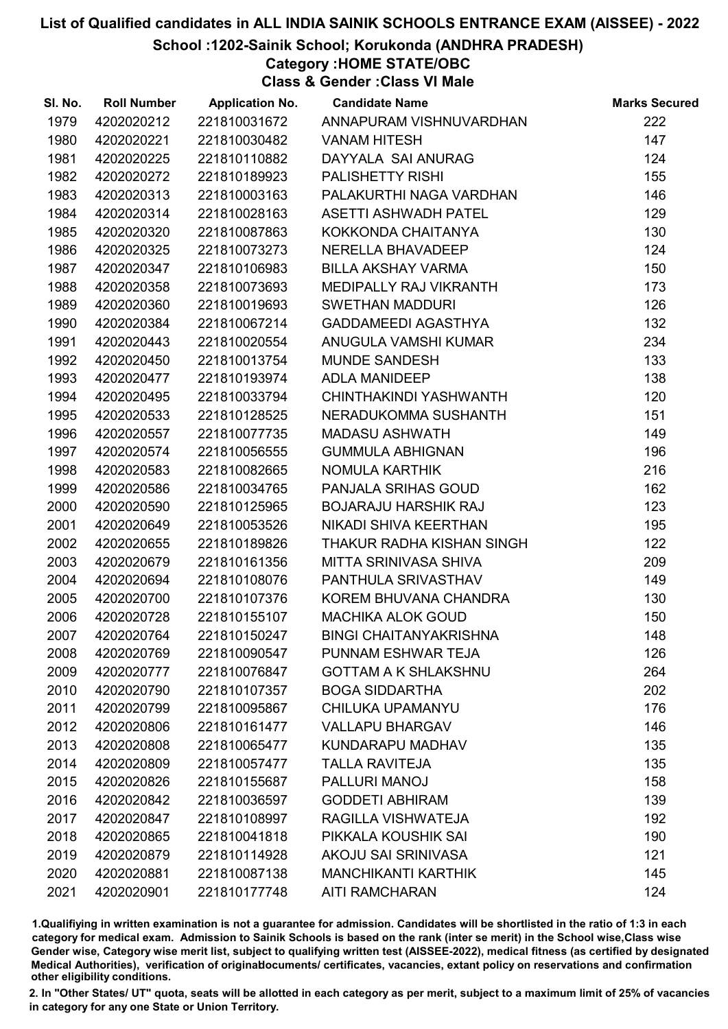School :1202-Sainik School; Korukonda (ANDHRA PRADESH)

Category :HOME STATE/OBC

Class & Gender :Class VI Male

| SI. No. | <b>Roll Number</b> | <b>Application No.</b> | <b>Candidate Name</b>         | <b>Marks Secured</b> |
|---------|--------------------|------------------------|-------------------------------|----------------------|
| 1979    | 4202020212         | 221810031672           | ANNAPURAM VISHNUVARDHAN       | 222                  |
| 1980    | 4202020221         | 221810030482           | <b>VANAM HITESH</b>           | 147                  |
| 1981    | 4202020225         | 221810110882           | DAYYALA SAI ANURAG            | 124                  |
| 1982    | 4202020272         | 221810189923           | <b>PALISHETTY RISHI</b>       | 155                  |
| 1983    | 4202020313         | 221810003163           | PALAKURTHI NAGA VARDHAN       | 146                  |
| 1984    | 4202020314         | 221810028163           | <b>ASETTI ASHWADH PATEL</b>   | 129                  |
| 1985    | 4202020320         | 221810087863           | KOKKONDA CHAITANYA            | 130                  |
| 1986    | 4202020325         | 221810073273           | NERELLA BHAVADEEP             | 124                  |
| 1987    | 4202020347         | 221810106983           | <b>BILLA AKSHAY VARMA</b>     | 150                  |
| 1988    | 4202020358         | 221810073693           | MEDIPALLY RAJ VIKRANTH        | 173                  |
| 1989    | 4202020360         | 221810019693           | <b>SWETHAN MADDURI</b>        | 126                  |
| 1990    | 4202020384         | 221810067214           | GADDAMEEDI AGASTHYA           | 132                  |
| 1991    | 4202020443         | 221810020554           | ANUGULA VAMSHI KUMAR          | 234                  |
| 1992    | 4202020450         | 221810013754           | <b>MUNDE SANDESH</b>          | 133                  |
| 1993    | 4202020477         | 221810193974           | <b>ADLA MANIDEEP</b>          | 138                  |
| 1994    | 4202020495         | 221810033794           | CHINTHAKINDI YASHWANTH        | 120                  |
| 1995    | 4202020533         | 221810128525           | NERADUKOMMA SUSHANTH          | 151                  |
| 1996    | 4202020557         | 221810077735           | <b>MADASU ASHWATH</b>         | 149                  |
| 1997    | 4202020574         | 221810056555           | <b>GUMMULA ABHIGNAN</b>       | 196                  |
| 1998    | 4202020583         | 221810082665           | NOMULA KARTHIK                | 216                  |
| 1999    | 4202020586         | 221810034765           | PANJALA SRIHAS GOUD           | 162                  |
| 2000    | 4202020590         | 221810125965           | <b>BOJARAJU HARSHIK RAJ</b>   | 123                  |
| 2001    | 4202020649         | 221810053526           | NIKADI SHIVA KEERTHAN         | 195                  |
| 2002    | 4202020655         | 221810189826           | THAKUR RADHA KISHAN SINGH     | 122                  |
| 2003    | 4202020679         | 221810161356           | MITTA SRINIVASA SHIVA         | 209                  |
| 2004    | 4202020694         | 221810108076           | PANTHULA SRIVASTHAV           | 149                  |
| 2005    | 4202020700         | 221810107376           | KOREM BHUVANA CHANDRA         | 130                  |
| 2006    | 4202020728         | 221810155107           | <b>MACHIKA ALOK GOUD</b>      | 150                  |
| 2007    | 4202020764         | 221810150247           | <b>BINGI CHAITANYAKRISHNA</b> | 148                  |
| 2008    | 4202020769         | 221810090547           | PUNNAM ESHWAR TEJA            | 126                  |
| 2009    | 4202020777         | 221810076847           | <b>GOTTAM A K SHLAKSHNU</b>   | 264                  |
| 2010    | 4202020790         | 221810107357           | <b>BOGA SIDDARTHA</b>         | 202                  |
| 2011    | 4202020799         | 221810095867           | CHILUKA UPAMANYU              | 176                  |
| 2012    | 4202020806         | 221810161477           | <b>VALLAPU BHARGAV</b>        | 146                  |
| 2013    | 4202020808         | 221810065477           | KUNDARAPU MADHAV              | 135                  |
| 2014    | 4202020809         | 221810057477           | <b>TALLA RAVITEJA</b>         | 135                  |
| 2015    | 4202020826         | 221810155687           | PALLURI MANOJ                 | 158                  |
| 2016    | 4202020842         | 221810036597           | <b>GODDETI ABHIRAM</b>        | 139                  |
| 2017    | 4202020847         | 221810108997           | RAGILLA VISHWATEJA            | 192                  |
| 2018    | 4202020865         | 221810041818           | PIKKALA KOUSHIK SAI           | 190                  |
| 2019    | 4202020879         | 221810114928           | AKOJU SAI SRINIVASA           | 121                  |
| 2020    | 4202020881         | 221810087138           | <b>MANCHIKANTI KARTHIK</b>    | 145                  |
| 2021    | 4202020901         | 221810177748           | <b>AITI RAMCHARAN</b>         | 124                  |

1.Qualifiying in written examination is not a guarantee for admission. Candidates will be shortlisted in the ratio of 1:3 in each category for medical exam. Admission to Sainik Schools is based on the rank (inter se merit) in the School wise,Class wise Gender wise, Category wise merit list, subject to qualifying written test (AISSEE-2022), medical fitness (as certified by designated Medical Authorities), verification of originablocuments/ certificates, vacancies, extant policy on reservations and confirmation other eligibility conditions.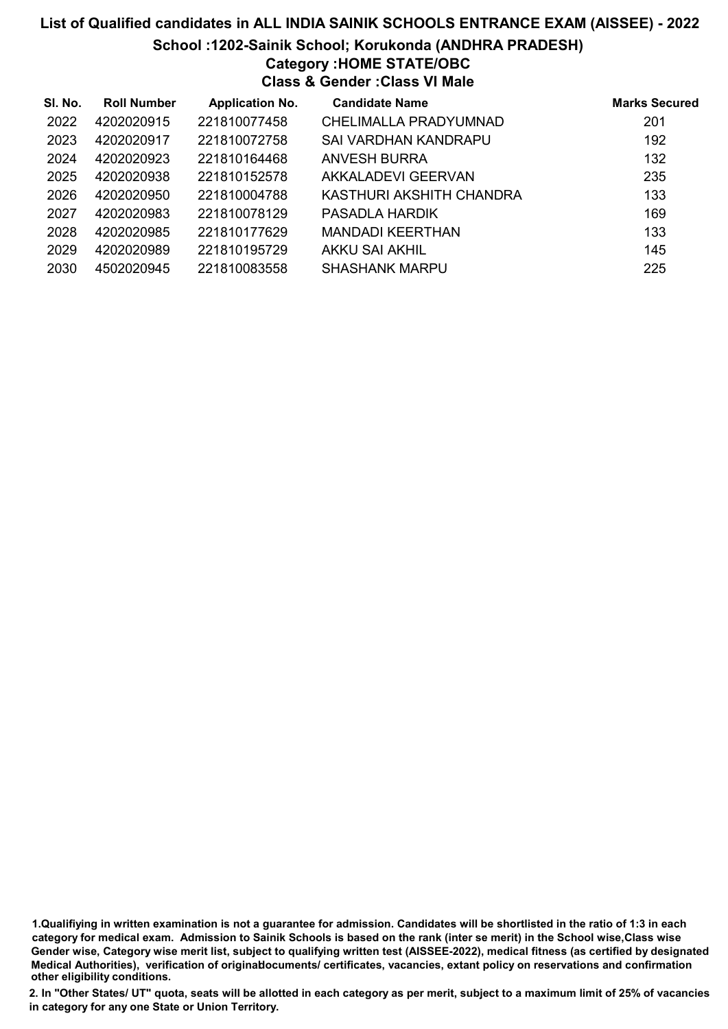# List of Qualified candidates in ALL INDIA SAINIK SCHOOLS ENTRANCE EXAM (AISSEE) - 2022 School :1202-Sainik School; Korukonda (ANDHRA PRADESH) Category :HOME STATE/OBC Class & Gender :Class VI Male

| SI. No. | <b>Roll Number</b> | <b>Application No.</b> | <b>Candidate Name</b>    | <b>Marks Secured</b> |
|---------|--------------------|------------------------|--------------------------|----------------------|
| 2022    | 4202020915         | 221810077458           | CHELIMALLA PRADYUMNAD    | 201                  |
| 2023    | 4202020917         | 221810072758           | SAI VARDHAN KANDRAPU     | 192                  |
| 2024    | 4202020923         | 221810164468           | ANVESH BURRA             | 132                  |
| 2025    | 4202020938         | 221810152578           | AKKALADEVI GEERVAN       | 235                  |
| 2026    | 4202020950         | 221810004788           | KASTHURI AKSHITH CHANDRA | 133                  |
| 2027    | 4202020983         | 221810078129           | PASADLA HARDIK           | 169                  |
| 2028    | 4202020985         | 221810177629           | <b>MANDADI KEERTHAN</b>  | 133                  |
| 2029    | 4202020989         | 221810195729           | <b>AKKU SAI AKHIL</b>    | 145                  |
| 2030    | 4502020945         | 221810083558           | <b>SHASHANK MARPU</b>    | 225                  |

1.Qualifiying in written examination is not a guarantee for admission. Candidates will be shortlisted in the ratio of 1:3 in each category for medical exam. Admission to Sainik Schools is based on the rank (inter se merit) in the School wise,Class wise Gender wise, Category wise merit list, subject to qualifying written test (AISSEE-2022), medical fitness (as certified by designated Medical Authorities), verification of originablocuments/ certificates, vacancies, extant policy on reservations and confirmation other eligibility conditions.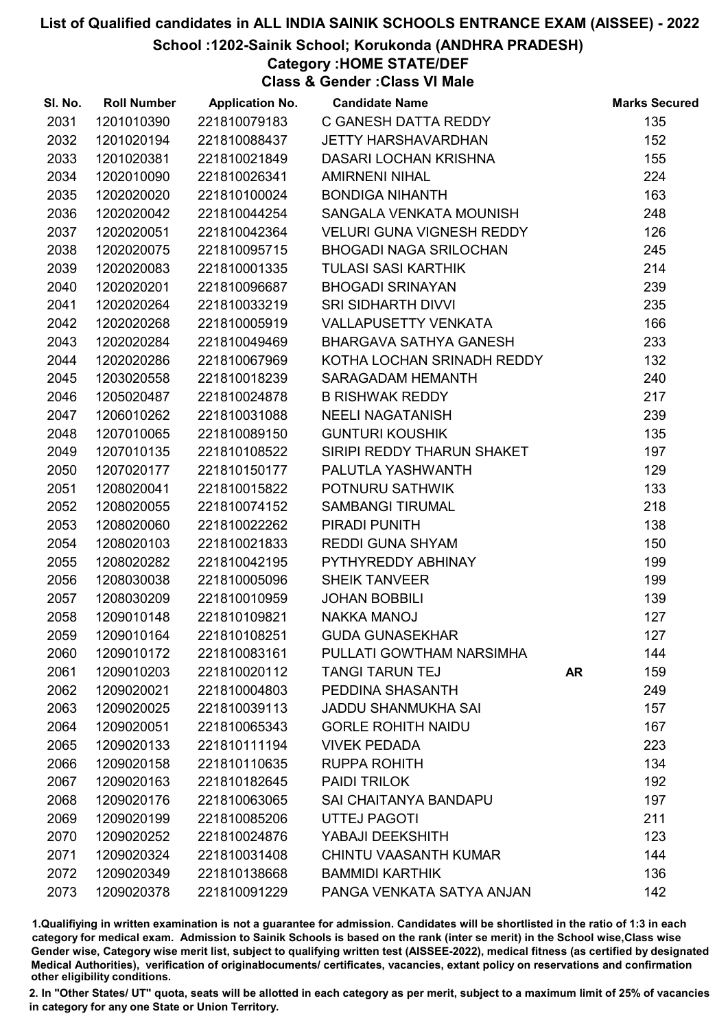#### School :1202-Sainik School; Korukonda (ANDHRA PRADESH)

# Category :HOME STATE/DEF

Class & Gender :Class VI Male

| SI. No. | <b>Roll Number</b> | <b>Application No.</b> | <b>Candidate Name</b>            |           | <b>Marks Secured</b> |
|---------|--------------------|------------------------|----------------------------------|-----------|----------------------|
| 2031    | 1201010390         | 221810079183           | C GANESH DATTA REDDY             |           | 135                  |
| 2032    | 1201020194         | 221810088437           | <b>JETTY HARSHAVARDHAN</b>       |           | 152                  |
| 2033    | 1201020381         | 221810021849           | DASARI LOCHAN KRISHNA            |           | 155                  |
| 2034    | 1202010090         | 221810026341           | <b>AMIRNENI NIHAL</b>            |           | 224                  |
| 2035    | 1202020020         | 221810100024           | <b>BONDIGA NIHANTH</b>           |           | 163                  |
| 2036    | 1202020042         | 221810044254           | SANGALA VENKATA MOUNISH          |           | 248                  |
| 2037    | 1202020051         | 221810042364           | <b>VELURI GUNA VIGNESH REDDY</b> |           | 126                  |
| 2038    | 1202020075         | 221810095715           | <b>BHOGADI NAGA SRILOCHAN</b>    |           | 245                  |
| 2039    | 1202020083         | 221810001335           | <b>TULASI SASI KARTHIK</b>       |           | 214                  |
| 2040    | 1202020201         | 221810096687           | <b>BHOGADI SRINAYAN</b>          |           | 239                  |
| 2041    | 1202020264         | 221810033219           | <b>SRI SIDHARTH DIVVI</b>        |           | 235                  |
| 2042    | 1202020268         | 221810005919           | VALLAPUSETTY VENKATA             |           | 166                  |
| 2043    | 1202020284         | 221810049469           | BHARGAVA SATHYA GANESH           |           | 233                  |
| 2044    | 1202020286         | 221810067969           | KOTHA LOCHAN SRINADH REDDY       |           | 132                  |
| 2045    | 1203020558         | 221810018239           | SARAGADAM HEMANTH                |           | 240                  |
| 2046    | 1205020487         | 221810024878           | <b>B RISHWAK REDDY</b>           |           | 217                  |
| 2047    | 1206010262         | 221810031088           | <b>NEELI NAGATANISH</b>          |           | 239                  |
| 2048    | 1207010065         | 221810089150           | <b>GUNTURI KOUSHIK</b>           |           | 135                  |
| 2049    | 1207010135         | 221810108522           | SIRIPI REDDY THARUN SHAKET       |           | 197                  |
| 2050    | 1207020177         | 221810150177           | PALUTLA YASHWANTH                |           | 129                  |
| 2051    | 1208020041         | 221810015822           | POTNURU SATHWIK                  |           | 133                  |
| 2052    | 1208020055         | 221810074152           | <b>SAMBANGI TIRUMAL</b>          |           | 218                  |
| 2053    | 1208020060         | 221810022262           | PIRADI PUNITH                    |           | 138                  |
| 2054    | 1208020103         | 221810021833           | <b>REDDI GUNA SHYAM</b>          |           | 150                  |
| 2055    | 1208020282         | 221810042195           | PYTHYREDDY ABHINAY               |           | 199                  |
| 2056    | 1208030038         | 221810005096           | <b>SHEIK TANVEER</b>             |           | 199                  |
| 2057    | 1208030209         | 221810010959           | <b>JOHAN BOBBILI</b>             |           | 139                  |
| 2058    | 1209010148         | 221810109821           | <b>NAKKA MANOJ</b>               |           | 127                  |
| 2059    | 1209010164         | 221810108251           | <b>GUDA GUNASEKHAR</b>           |           | 127                  |
| 2060    | 1209010172         | 221810083161           | PULLATI GOWTHAM NARSIMHA         |           | 144                  |
| 2061    | 1209010203         | 221810020112           | <b>TANGI TARUN TEJ</b>           | <b>AR</b> | 159                  |
| 2062    | 1209020021         | 221810004803           | PEDDINA SHASANTH                 |           | 249                  |
| 2063    | 1209020025         | 221810039113           | <b>JADDU SHANMUKHA SAI</b>       |           | 157                  |
| 2064    | 1209020051         | 221810065343           | <b>GORLE ROHITH NAIDU</b>        |           | 167                  |
| 2065    | 1209020133         | 221810111194           | <b>VIVEK PEDADA</b>              |           | 223                  |
| 2066    | 1209020158         | 221810110635           | <b>RUPPA ROHITH</b>              |           | 134                  |
| 2067    | 1209020163         | 221810182645           | PAIDI TRILOK                     |           | 192                  |
| 2068    | 1209020176         | 221810063065           | <b>SAI CHAITANYA BANDAPU</b>     |           | 197                  |
| 2069    | 1209020199         | 221810085206           | <b>UTTEJ PAGOTI</b>              |           | 211                  |
| 2070    | 1209020252         | 221810024876           | YABAJI DEEKSHITH                 |           | 123                  |
| 2071    | 1209020324         | 221810031408           | <b>CHINTU VAASANTH KUMAR</b>     |           | 144                  |
| 2072    | 1209020349         | 221810138668           | <b>BAMMIDI KARTHIK</b>           |           | 136                  |
| 2073    | 1209020378         | 221810091229           | PANGA VENKATA SATYA ANJAN        |           | 142                  |

1.Qualifiying in written examination is not a guarantee for admission. Candidates will be shortlisted in the ratio of 1:3 in each category for medical exam. Admission to Sainik Schools is based on the rank (inter se merit) in the School wise,Class wise Gender wise, Category wise merit list, subject to qualifying written test (AISSEE-2022), medical fitness (as certified by designated Medical Authorities), verification of originablocuments/ certificates, vacancies, extant policy on reservations and confirmation other eligibility conditions.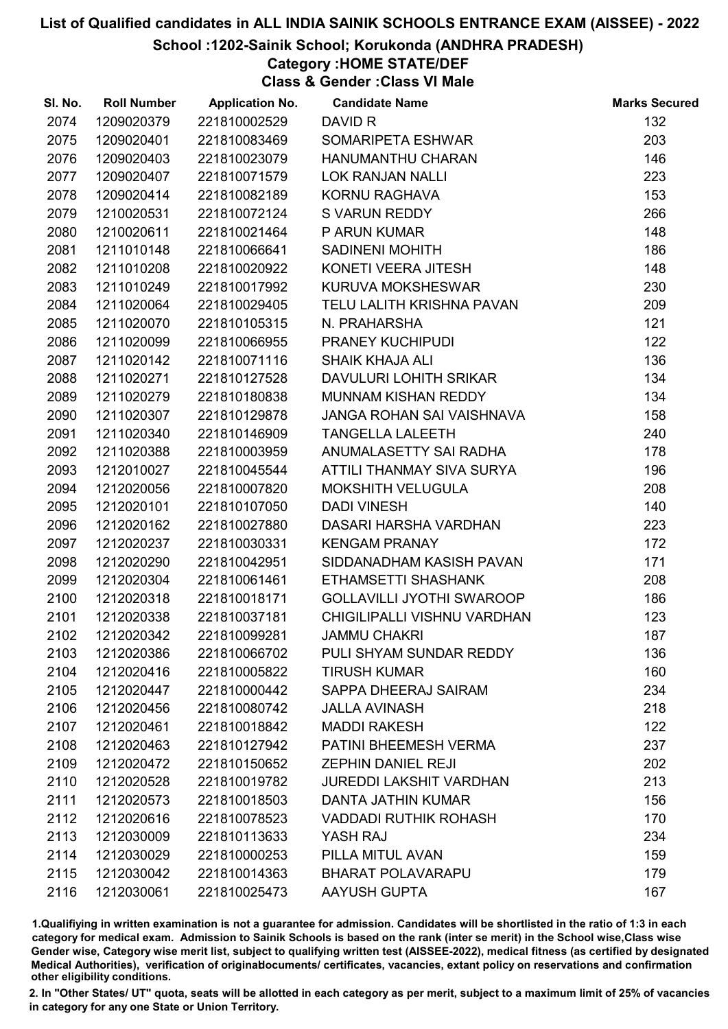#### School :1202-Sainik School; Korukonda (ANDHRA PRADESH)

# Category :HOME STATE/DEF

Class & Gender :Class VI Male

| SI. No. | <b>Roll Number</b> | <b>Application No.</b> | <b>Candidate Name</b>            | <b>Marks Secured</b> |
|---------|--------------------|------------------------|----------------------------------|----------------------|
| 2074    | 1209020379         | 221810002529           | DAVID R                          | 132                  |
| 2075    | 1209020401         | 221810083469           | SOMARIPETA ESHWAR                | 203                  |
| 2076    | 1209020403         | 221810023079           | HANUMANTHU CHARAN                | 146                  |
| 2077    | 1209020407         | 221810071579           | <b>LOK RANJAN NALLI</b>          | 223                  |
| 2078    | 1209020414         | 221810082189           | KORNU RAGHAVA                    | 153                  |
| 2079    | 1210020531         | 221810072124           | S VARUN REDDY                    | 266                  |
| 2080    | 1210020611         | 221810021464           | P ARUN KUMAR                     | 148                  |
| 2081    | 1211010148         | 221810066641           | <b>SADINENI MOHITH</b>           | 186                  |
| 2082    | 1211010208         | 221810020922           | KONETI VEERA JITESH              | 148                  |
| 2083    | 1211010249         | 221810017992           | KURUVA MOKSHESWAR                | 230                  |
| 2084    | 1211020064         | 221810029405           | TELU LALITH KRISHNA PAVAN        | 209                  |
| 2085    | 1211020070         | 221810105315           | N. PRAHARSHA                     | 121                  |
| 2086    | 1211020099         | 221810066955           | PRANEY KUCHIPUDI                 | 122                  |
| 2087    | 1211020142         | 221810071116           | <b>SHAIK KHAJA ALI</b>           | 136                  |
| 2088    | 1211020271         | 221810127528           | DAVULURI LOHITH SRIKAR           | 134                  |
| 2089    | 1211020279         | 221810180838           | <b>MUNNAM KISHAN REDDY</b>       | 134                  |
| 2090    | 1211020307         | 221810129878           | JANGA ROHAN SAI VAISHNAVA        | 158                  |
| 2091    | 1211020340         | 221810146909           | <b>TANGELLA LALEETH</b>          | 240                  |
| 2092    | 1211020388         | 221810003959           | ANUMALASETTY SAI RADHA           | 178                  |
| 2093    | 1212010027         | 221810045544           | ATTILI THANMAY SIVA SURYA        | 196                  |
| 2094    | 1212020056         | 221810007820           | <b>MOKSHITH VELUGULA</b>         | 208                  |
| 2095    | 1212020101         | 221810107050           | <b>DADI VINESH</b>               | 140                  |
| 2096    | 1212020162         | 221810027880           | DASARI HARSHA VARDHAN            | 223                  |
| 2097    | 1212020237         | 221810030331           | <b>KENGAM PRANAY</b>             | 172                  |
| 2098    | 1212020290         | 221810042951           | SIDDANADHAM KASISH PAVAN         | 171                  |
| 2099    | 1212020304         | 221810061461           | <b>ETHAMSETTI SHASHANK</b>       | 208                  |
| 2100    | 1212020318         | 221810018171           | <b>GOLLAVILLI JYOTHI SWAROOP</b> | 186                  |
| 2101    | 1212020338         | 221810037181           | CHIGILIPALLI VISHNU VARDHAN      | 123                  |
| 2102    | 1212020342         | 221810099281           | <b>JAMMU CHAKRI</b>              | 187                  |
| 2103    | 1212020386         | 221810066702           | PULI SHYAM SUNDAR REDDY          | 136                  |
| 2104    | 1212020416         | 221810005822           | <b>TIRUSH KUMAR</b>              | 160                  |
| 2105    | 1212020447         | 221810000442           | SAPPA DHEERAJ SAIRAM             | 234                  |
| 2106    | 1212020456         | 221810080742           | <b>JALLA AVINASH</b>             | 218                  |
| 2107    | 1212020461         | 221810018842           | <b>MADDI RAKESH</b>              | 122                  |
| 2108    | 1212020463         | 221810127942           | PATINI BHEEMESH VERMA            | 237                  |
| 2109    | 1212020472         | 221810150652           | <b>ZEPHIN DANIEL REJI</b>        | 202                  |
| 2110    | 1212020528         | 221810019782           | <b>JUREDDI LAKSHIT VARDHAN</b>   | 213                  |
| 2111    | 1212020573         | 221810018503           | <b>DANTA JATHIN KUMAR</b>        | 156                  |
| 2112    | 1212020616         | 221810078523           | <b>VADDADI RUTHIK ROHASH</b>     | 170                  |
| 2113    | 1212030009         | 221810113633           | YASH RAJ                         | 234                  |
| 2114    | 1212030029         | 221810000253           | PILLA MITUL AVAN                 | 159                  |
| 2115    | 1212030042         | 221810014363           | <b>BHARAT POLAVARAPU</b>         | 179                  |
| 2116    | 1212030061         | 221810025473           | <b>AAYUSH GUPTA</b>              | 167                  |

1.Qualifiying in written examination is not a guarantee for admission. Candidates will be shortlisted in the ratio of 1:3 in each category for medical exam. Admission to Sainik Schools is based on the rank (inter se merit) in the School wise,Class wise Gender wise, Category wise merit list, subject to qualifying written test (AISSEE-2022), medical fitness (as certified by designated Medical Authorities), verification of originablocuments/ certificates, vacancies, extant policy on reservations and confirmation other eligibility conditions.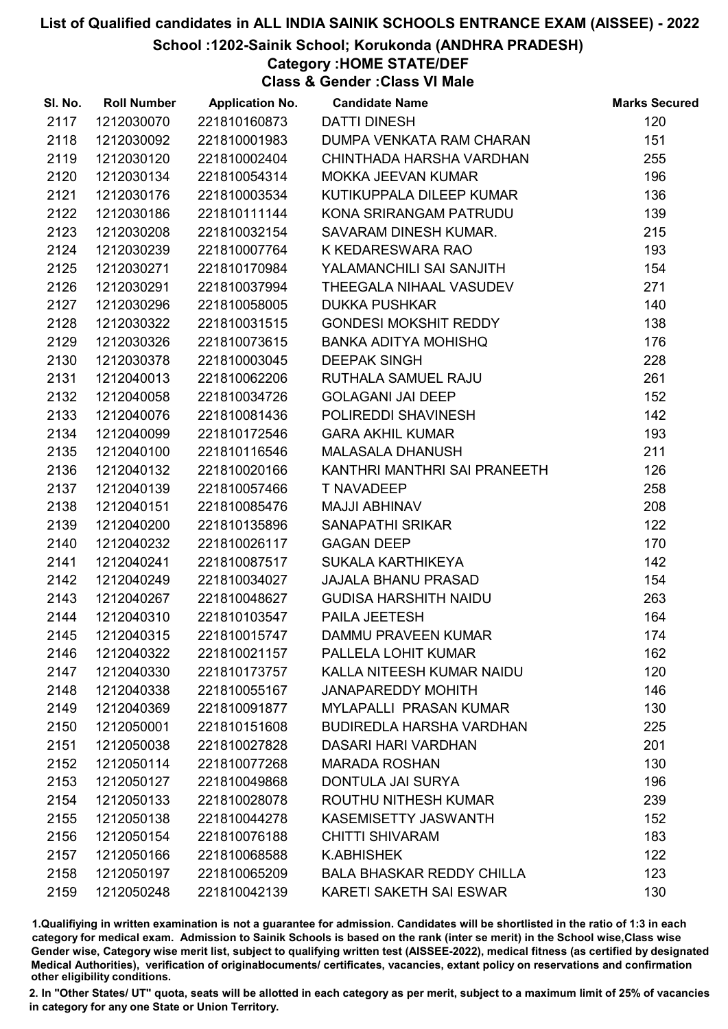School :1202-Sainik School; Korukonda (ANDHRA PRADESH)

Category :HOME STATE/DEF

Class & Gender :Class VI Male

| SI. No. | <b>Roll Number</b> | <b>Application No.</b> | <b>Candidate Name</b>            | <b>Marks Secured</b> |
|---------|--------------------|------------------------|----------------------------------|----------------------|
| 2117    | 1212030070         | 221810160873           | <b>DATTI DINESH</b>              | 120                  |
| 2118    | 1212030092         | 221810001983           | DUMPA VENKATA RAM CHARAN         | 151                  |
| 2119    | 1212030120         | 221810002404           | CHINTHADA HARSHA VARDHAN         | 255                  |
| 2120    | 1212030134         | 221810054314           | <b>MOKKA JEEVAN KUMAR</b>        | 196                  |
| 2121    | 1212030176         | 221810003534           | KUTIKUPPALA DILEEP KUMAR         | 136                  |
| 2122    | 1212030186         | 221810111144           | KONA SRIRANGAM PATRUDU           | 139                  |
| 2123    | 1212030208         | 221810032154           | SAVARAM DINESH KUMAR.            | 215                  |
| 2124    | 1212030239         | 221810007764           | K KEDARESWARA RAO                | 193                  |
| 2125    | 1212030271         | 221810170984           | YALAMANCHILI SAI SANJITH         | 154                  |
| 2126    | 1212030291         | 221810037994           | THEEGALA NIHAAL VASUDEV          | 271                  |
| 2127    | 1212030296         | 221810058005           | <b>DUKKA PUSHKAR</b>             | 140                  |
| 2128    | 1212030322         | 221810031515           | <b>GONDESI MOKSHIT REDDY</b>     | 138                  |
| 2129    | 1212030326         | 221810073615           | <b>BANKA ADITYA MOHISHQ</b>      | 176                  |
| 2130    | 1212030378         | 221810003045           | <b>DEEPAK SINGH</b>              | 228                  |
| 2131    | 1212040013         | 221810062206           | RUTHALA SAMUEL RAJU              | 261                  |
| 2132    | 1212040058         | 221810034726           | <b>GOLAGANI JAI DEEP</b>         | 152                  |
| 2133    | 1212040076         | 221810081436           | POLIREDDI SHAVINESH              | 142                  |
| 2134    | 1212040099         | 221810172546           | <b>GARA AKHIL KUMAR</b>          | 193                  |
| 2135    | 1212040100         | 221810116546           | <b>MALASALA DHANUSH</b>          | 211                  |
| 2136    | 1212040132         | 221810020166           | KANTHRI MANTHRI SAI PRANEETH     | 126                  |
| 2137    | 1212040139         | 221810057466           | T NAVADEEP                       | 258                  |
| 2138    | 1212040151         | 221810085476           | MAJJI ABHINAV                    | 208                  |
| 2139    | 1212040200         | 221810135896           | <b>SANAPATHI SRIKAR</b>          | 122                  |
| 2140    | 1212040232         | 221810026117           | <b>GAGAN DEEP</b>                | 170                  |
| 2141    | 1212040241         | 221810087517           | SUKALA KARTHIKEYA                | 142                  |
| 2142    | 1212040249         | 221810034027           | <b>JAJALA BHANU PRASAD</b>       | 154                  |
| 2143    | 1212040267         | 221810048627           | <b>GUDISA HARSHITH NAIDU</b>     | 263                  |
| 2144    | 1212040310         | 221810103547           | PAILA JEETESH                    | 164                  |
| 2145    | 1212040315         | 221810015747           | <b>DAMMU PRAVEEN KUMAR</b>       | 174                  |
| 2146    | 1212040322         | 221810021157           | PALLELA LOHIT KUMAR              | 162                  |
| 2147    | 1212040330         | 221810173757           | KALLA NITEESH KUMAR NAIDU        | 120                  |
| 2148    | 1212040338         | 221810055167           | <b>JANAPAREDDY MOHITH</b>        | 146                  |
| 2149    | 1212040369         | 221810091877           | <b>MYLAPALLI PRASAN KUMAR</b>    | 130                  |
| 2150    | 1212050001         | 221810151608           | <b>BUDIREDLA HARSHA VARDHAN</b>  | 225                  |
| 2151    | 1212050038         | 221810027828           | <b>DASARI HARI VARDHAN</b>       | 201                  |
| 2152    | 1212050114         | 221810077268           | <b>MARADA ROSHAN</b>             | 130                  |
| 2153    | 1212050127         | 221810049868           | DONTULA JAI SURYA                | 196                  |
| 2154    | 1212050133         | 221810028078           | ROUTHU NITHESH KUMAR             | 239                  |
| 2155    | 1212050138         | 221810044278           | <b>KASEMISETTY JASWANTH</b>      | 152                  |
| 2156    | 1212050154         | 221810076188           | <b>CHITTI SHIVARAM</b>           | 183                  |
| 2157    | 1212050166         | 221810068588           | <b>K.ABHISHEK</b>                | 122                  |
| 2158    | 1212050197         | 221810065209           | <b>BALA BHASKAR REDDY CHILLA</b> | 123                  |
| 2159    | 1212050248         | 221810042139           | <b>KARETI SAKETH SAI ESWAR</b>   | 130                  |

1.Qualifiying in written examination is not a guarantee for admission. Candidates will be shortlisted in the ratio of 1:3 in each category for medical exam. Admission to Sainik Schools is based on the rank (inter se merit) in the School wise,Class wise Gender wise, Category wise merit list, subject to qualifying written test (AISSEE-2022), medical fitness (as certified by designated Medical Authorities), verification of originablocuments/ certificates, vacancies, extant policy on reservations and confirmation other eligibility conditions.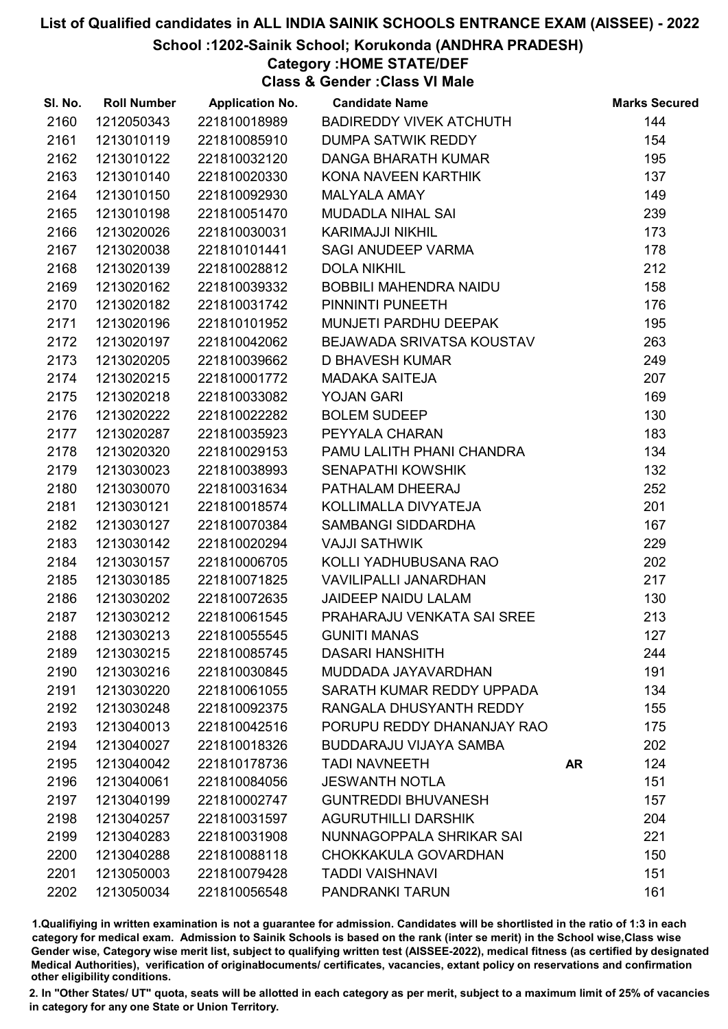School :1202-Sainik School; Korukonda (ANDHRA PRADESH)

# Category :HOME STATE/DEF

Class & Gender :Class VI Male

| SI. No. | <b>Roll Number</b> | <b>Application No.</b> | <b>Candidate Name</b>          |           | <b>Marks Secured</b> |
|---------|--------------------|------------------------|--------------------------------|-----------|----------------------|
| 2160    | 1212050343         | 221810018989           | <b>BADIREDDY VIVEK ATCHUTH</b> |           | 144                  |
| 2161    | 1213010119         | 221810085910           | <b>DUMPA SATWIK REDDY</b>      |           | 154                  |
| 2162    | 1213010122         | 221810032120           | <b>DANGA BHARATH KUMAR</b>     |           | 195                  |
| 2163    | 1213010140         | 221810020330           | KONA NAVEEN KARTHIK            |           | 137                  |
| 2164    | 1213010150         | 221810092930           | <b>MALYALA AMAY</b>            |           | 149                  |
| 2165    | 1213010198         | 221810051470           | <b>MUDADLA NIHAL SAI</b>       |           | 239                  |
| 2166    | 1213020026         | 221810030031           | <b>KARIMAJJI NIKHIL</b>        |           | 173                  |
| 2167    | 1213020038         | 221810101441           | SAGI ANUDEEP VARMA             |           | 178                  |
| 2168    | 1213020139         | 221810028812           | <b>DOLA NIKHIL</b>             |           | 212                  |
| 2169    | 1213020162         | 221810039332           | <b>BOBBILI MAHENDRA NAIDU</b>  |           | 158                  |
| 2170    | 1213020182         | 221810031742           | PINNINTI PUNEETH               |           | 176                  |
| 2171    | 1213020196         | 221810101952           | MUNJETI PARDHU DEEPAK          |           | 195                  |
| 2172    | 1213020197         | 221810042062           | BEJAWADA SRIVATSA KOUSTAV      |           | 263                  |
| 2173    | 1213020205         | 221810039662           | <b>D BHAVESH KUMAR</b>         |           | 249                  |
| 2174    | 1213020215         | 221810001772           | <b>MADAKA SAITEJA</b>          |           | 207                  |
| 2175    | 1213020218         | 221810033082           | YOJAN GARI                     |           | 169                  |
| 2176    | 1213020222         | 221810022282           | <b>BOLEM SUDEEP</b>            |           | 130                  |
| 2177    | 1213020287         | 221810035923           | PEYYALA CHARAN                 |           | 183                  |
| 2178    | 1213020320         | 221810029153           | PAMU LALITH PHANI CHANDRA      |           | 134                  |
| 2179    | 1213030023         | 221810038993           | <b>SENAPATHI KOWSHIK</b>       |           | 132                  |
| 2180    | 1213030070         | 221810031634           | PATHALAM DHEERAJ               |           | 252                  |
| 2181    | 1213030121         | 221810018574           | KOLLIMALLA DIVYATEJA           |           | 201                  |
| 2182    | 1213030127         | 221810070384           | SAMBANGI SIDDARDHA             |           | 167                  |
| 2183    | 1213030142         | 221810020294           | <b>VAJJI SATHWIK</b>           |           | 229                  |
| 2184    | 1213030157         | 221810006705           | KOLLI YADHUBUSANA RAO          |           | 202                  |
| 2185    | 1213030185         | 221810071825           | <b>VAVILIPALLI JANARDHAN</b>   |           | 217                  |
| 2186    | 1213030202         | 221810072635           | <b>JAIDEEP NAIDU LALAM</b>     |           | 130                  |
| 2187    | 1213030212         | 221810061545           | PRAHARAJU VENKATA SAI SREE     |           | 213                  |
| 2188    | 1213030213         | 221810055545           | <b>GUNITI MANAS</b>            |           | 127                  |
| 2189    | 1213030215         | 221810085745           | <b>DASARI HANSHITH</b>         |           | 244                  |
| 2190    | 1213030216         | 221810030845           | MUDDADA JAYAVARDHAN            |           | 191                  |
| 2191    | 1213030220         | 221810061055           | SARATH KUMAR REDDY UPPADA      |           | 134                  |
| 2192    | 1213030248         | 221810092375           | RANGALA DHUSYANTH REDDY        |           | 155                  |
| 2193    | 1213040013         | 221810042516           | PORUPU REDDY DHANANJAY RAO     |           | 175                  |
| 2194    | 1213040027         | 221810018326           | <b>BUDDARAJU VIJAYA SAMBA</b>  |           | 202                  |
| 2195    | 1213040042         | 221810178736           | <b>TADI NAVNEETH</b>           | <b>AR</b> | 124                  |
| 2196    | 1213040061         | 221810084056           | <b>JESWANTH NOTLA</b>          |           | 151                  |
| 2197    | 1213040199         | 221810002747           | <b>GUNTREDDI BHUVANESH</b>     |           | 157                  |
| 2198    | 1213040257         | 221810031597           | <b>AGURUTHILLI DARSHIK</b>     |           | 204                  |
| 2199    | 1213040283         | 221810031908           | NUNNAGOPPALA SHRIKAR SAI       |           | 221                  |
| 2200    | 1213040288         | 221810088118           | CHOKKAKULA GOVARDHAN           |           | 150                  |
| 2201    | 1213050003         | 221810079428           | <b>TADDI VAISHNAVI</b>         |           | 151                  |
| 2202    | 1213050034         | 221810056548           | PANDRANKI TARUN                |           | 161                  |

1.Qualifiying in written examination is not a guarantee for admission. Candidates will be shortlisted in the ratio of 1:3 in each category for medical exam. Admission to Sainik Schools is based on the rank (inter se merit) in the School wise,Class wise Gender wise, Category wise merit list, subject to qualifying written test (AISSEE-2022), medical fitness (as certified by designated Medical Authorities), verification of originablocuments/ certificates, vacancies, extant policy on reservations and confirmation other eligibility conditions.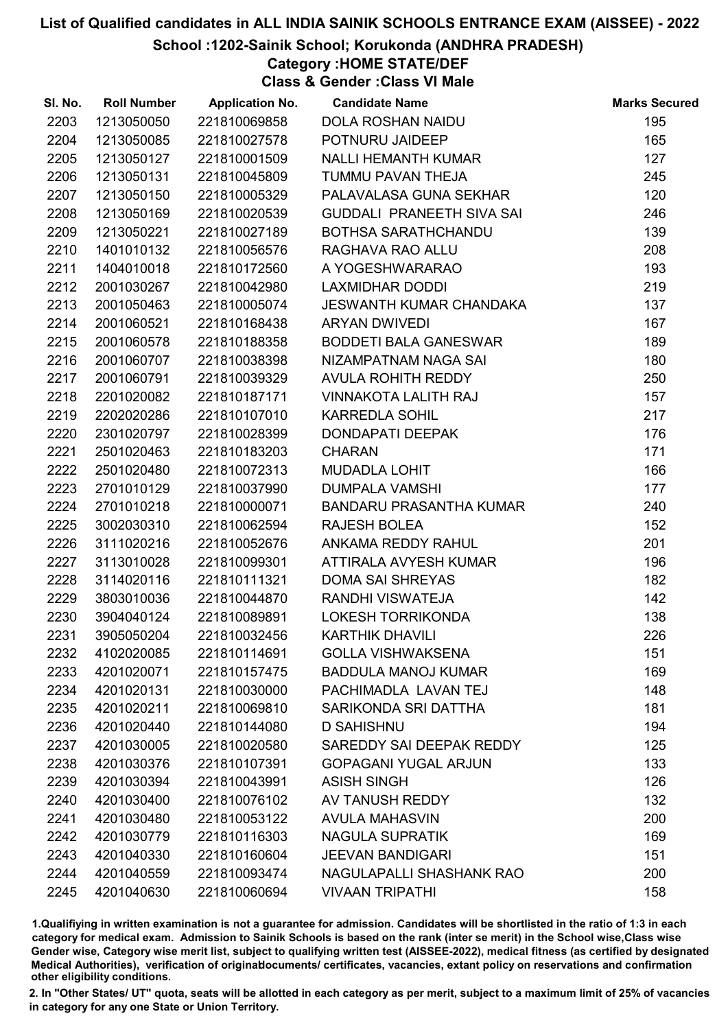#### School :1202-Sainik School; Korukonda (ANDHRA PRADESH)

# Category :HOME STATE/DEF

Class & Gender :Class VI Male

| SI. No. | <b>Roll Number</b> | <b>Application No.</b> | <b>Candidate Name</b>          | <b>Marks Secured</b> |
|---------|--------------------|------------------------|--------------------------------|----------------------|
| 2203    | 1213050050         | 221810069858           | <b>DOLA ROSHAN NAIDU</b>       | 195                  |
| 2204    | 1213050085         | 221810027578           | POTNURU JAIDEEP                | 165                  |
| 2205    | 1213050127         | 221810001509           | <b>NALLI HEMANTH KUMAR</b>     | 127                  |
| 2206    | 1213050131         | 221810045809           | <b>TUMMU PAVAN THEJA</b>       | 245                  |
| 2207    | 1213050150         | 221810005329           | PALAVALASA GUNA SEKHAR         | 120                  |
| 2208    | 1213050169         | 221810020539           | GUDDALI PRANEETH SIVA SAI      | 246                  |
| 2209    | 1213050221         | 221810027189           | BOTHSA SARATHCHANDU            | 139                  |
| 2210    | 1401010132         | 221810056576           | RAGHAVA RAO ALLU               | 208                  |
| 2211    | 1404010018         | 221810172560           | A YOGESHWARARAO                | 193                  |
| 2212    | 2001030267         | 221810042980           | <b>LAXMIDHAR DODDI</b>         | 219                  |
| 2213    | 2001050463         | 221810005074           | JESWANTH KUMAR CHANDAKA        | 137                  |
| 2214    | 2001060521         | 221810168438           | <b>ARYAN DWIVEDI</b>           | 167                  |
| 2215    | 2001060578         | 221810188358           | <b>BODDETI BALA GANESWAR</b>   | 189                  |
| 2216    | 2001060707         | 221810038398           | NIZAMPATNAM NAGA SAI           | 180                  |
| 2217    | 2001060791         | 221810039329           | AVULA ROHITH REDDY             | 250                  |
| 2218    | 2201020082         | 221810187171           | <b>VINNAKOTA LALITH RAJ</b>    | 157                  |
| 2219    | 2202020286         | 221810107010           | <b>KARREDLA SOHIL</b>          | 217                  |
| 2220    | 2301020797         | 221810028399           | <b>DONDAPATI DEEPAK</b>        | 176                  |
| 2221    | 2501020463         | 221810183203           | <b>CHARAN</b>                  | 171                  |
| 2222    | 2501020480         | 221810072313           | <b>MUDADLA LOHIT</b>           | 166                  |
| 2223    | 2701010129         | 221810037990           | <b>DUMPALA VAMSHI</b>          | 177                  |
| 2224    | 2701010218         | 221810000071           | <b>BANDARU PRASANTHA KUMAR</b> | 240                  |
| 2225    | 3002030310         | 221810062594           | <b>RAJESH BOLEA</b>            | 152                  |
| 2226    | 3111020216         | 221810052676           | ANKAMA REDDY RAHUL             | 201                  |
| 2227    | 3113010028         | 221810099301           | ATTIRALA AVYESH KUMAR          | 196                  |
| 2228    | 3114020116         | 221810111321           | <b>DOMA SAI SHREYAS</b>        | 182                  |
| 2229    | 3803010036         | 221810044870           | RANDHI VISWATEJA               | 142                  |
| 2230    | 3904040124         | 221810089891           | LOKESH TORRIKONDA              | 138                  |
| 2231    | 3905050204         | 221810032456           | <b>KARTHIK DHAVILI</b>         | 226                  |
| 2232    | 4102020085         | 221810114691           | <b>GOLLA VISHWAKSENA</b>       | 151                  |
| 2233    | 4201020071         | 221810157475           | <b>BADDULA MANOJ KUMAR</b>     | 169                  |
| 2234    | 4201020131         | 221810030000           | PACHIMADLA LAVAN TEJ           | 148                  |
| 2235    | 4201020211         | 221810069810           | SARIKONDA SRI DATTHA           | 181                  |
| 2236    | 4201020440         | 221810144080           | <b>D SAHISHNU</b>              | 194                  |
| 2237    | 4201030005         | 221810020580           | SAREDDY SAI DEEPAK REDDY       | 125                  |
| 2238    | 4201030376         | 221810107391           | <b>GOPAGANI YUGAL ARJUN</b>    | 133                  |
| 2239    | 4201030394         | 221810043991           | <b>ASISH SINGH</b>             | 126                  |
| 2240    | 4201030400         | 221810076102           | AV TANUSH REDDY                | 132                  |
| 2241    | 4201030480         | 221810053122           | <b>AVULA MAHASVIN</b>          | 200                  |
| 2242    | 4201030779         | 221810116303           | <b>NAGULA SUPRATIK</b>         | 169                  |
| 2243    | 4201040330         | 221810160604           | <b>JEEVAN BANDIGARI</b>        | 151                  |
| 2244    | 4201040559         | 221810093474           | NAGULAPALLI SHASHANK RAO       | 200                  |
| 2245    | 4201040630         | 221810060694           | <b>VIVAAN TRIPATHI</b>         | 158                  |

1.Qualifiying in written examination is not a guarantee for admission. Candidates will be shortlisted in the ratio of 1:3 in each category for medical exam. Admission to Sainik Schools is based on the rank (inter se merit) in the School wise,Class wise Gender wise, Category wise merit list, subject to qualifying written test (AISSEE-2022), medical fitness (as certified by designated Medical Authorities), verification of originablocuments/ certificates, vacancies, extant policy on reservations and confirmation other eligibility conditions.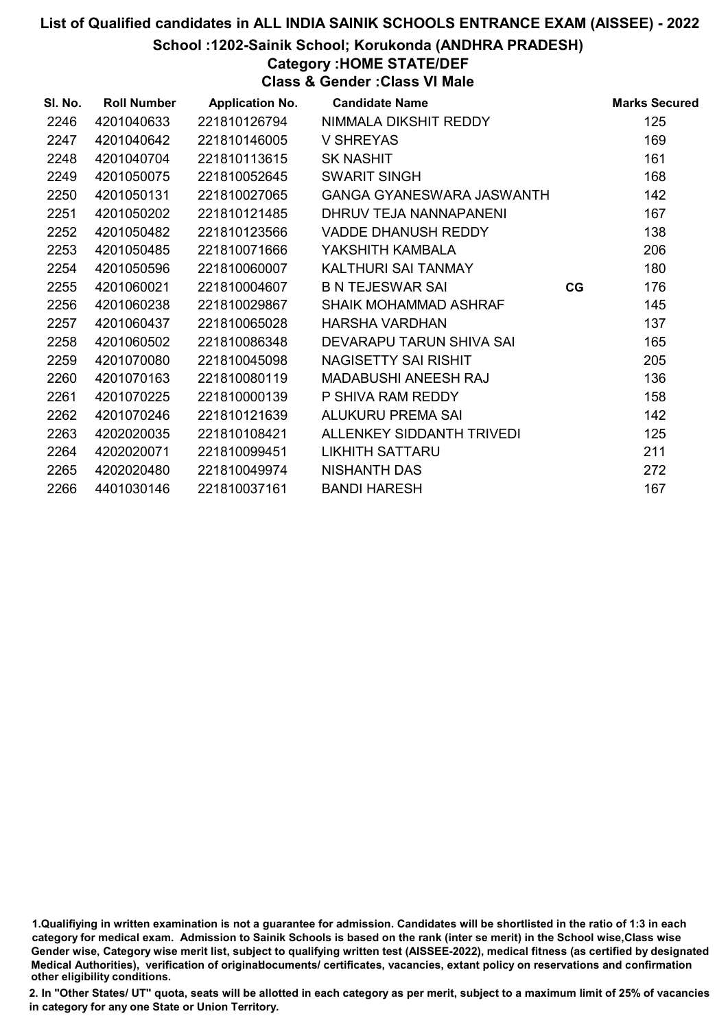School :1202-Sainik School; Korukonda (ANDHRA PRADESH)

# Category :HOME STATE/DEF

Class & Gender :Class VI Male

| SI. No. | <b>Roll Number</b> | <b>Application No.</b> | <b>Candidate Name</b>            |    | <b>Marks Secured</b> |
|---------|--------------------|------------------------|----------------------------------|----|----------------------|
| 2246    | 4201040633         | 221810126794           | NIMMALA DIKSHIT REDDY            |    | 125                  |
| 2247    | 4201040642         | 221810146005           | <b>V SHREYAS</b>                 |    | 169                  |
| 2248    | 4201040704         | 221810113615           | <b>SK NASHIT</b>                 |    | 161                  |
| 2249    | 4201050075         | 221810052645           | <b>SWARIT SINGH</b>              |    | 168                  |
| 2250    | 4201050131         | 221810027065           | <b>GANGA GYANESWARA JASWANTH</b> |    | 142                  |
| 2251    | 4201050202         | 221810121485           | DHRUV TEJA NANNAPANENI           |    | 167                  |
| 2252    | 4201050482         | 221810123566           | <b>VADDE DHANUSH REDDY</b>       |    | 138                  |
| 2253    | 4201050485         | 221810071666           | YAKSHITH KAMBALA                 |    | 206                  |
| 2254    | 4201050596         | 221810060007           | KALTHURI SAI TANMAY              |    | 180                  |
| 2255    | 4201060021         | 221810004607           | <b>B N TEJESWAR SAI</b>          | CG | 176                  |
| 2256    | 4201060238         | 221810029867           | SHAIK MOHAMMAD ASHRAF            |    | 145                  |
| 2257    | 4201060437         | 221810065028           | <b>HARSHA VARDHAN</b>            |    | 137                  |
| 2258    | 4201060502         | 221810086348           | DEVARAPU TARUN SHIVA SAI         |    | 165                  |
| 2259    | 4201070080         | 221810045098           | NAGISETTY SAI RISHIT             |    | 205                  |
| 2260    | 4201070163         | 221810080119           | <b>MADABUSHI ANEESH RAJ</b>      |    | 136                  |
| 2261    | 4201070225         | 221810000139           | P SHIVA RAM REDDY                |    | 158                  |
| 2262    | 4201070246         | 221810121639           | ALUKURU PREMA SAI                |    | 142                  |
| 2263    | 4202020035         | 221810108421           | ALLENKEY SIDDANTH TRIVEDI        |    | 125                  |
| 2264    | 4202020071         | 221810099451           | <b>LIKHITH SATTARU</b>           |    | 211                  |
| 2265    | 4202020480         | 221810049974           | <b>NISHANTH DAS</b>              |    | 272                  |
| 2266    | 4401030146         | 221810037161           | <b>BANDI HARESH</b>              |    | 167                  |

<sup>1.</sup>Qualifiying in written examination is not a guarantee for admission. Candidates will be shortlisted in the ratio of 1:3 in each category for medical exam. Admission to Sainik Schools is based on the rank (inter se merit) in the School wise,Class wise Gender wise, Category wise merit list, subject to qualifying written test (AISSEE-2022), medical fitness (as certified by designated Medical Authorities), verification of originablocuments/ certificates, vacancies, extant policy on reservations and confirmation other eligibility conditions.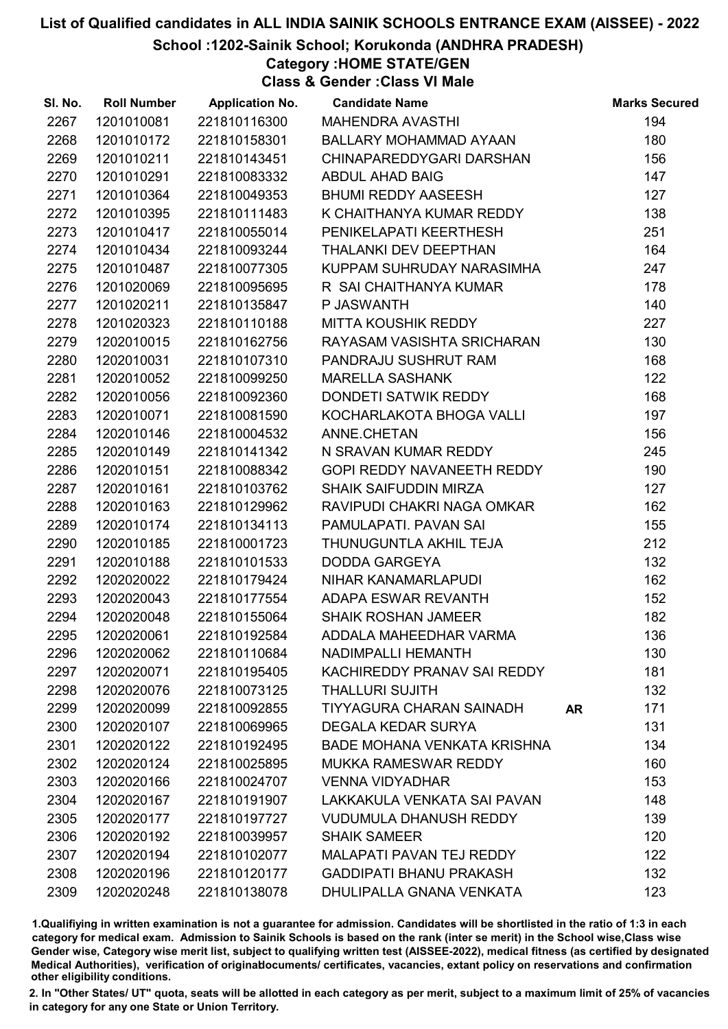#### School :1202-Sainik School; Korukonda (ANDHRA PRADESH)

### Category :HOME STATE/GEN

Class & Gender :Class VI Male

| SI. No. | <b>Roll Number</b> | <b>Application No.</b> | <b>Candidate Name</b>              |    | <b>Marks Secured</b> |
|---------|--------------------|------------------------|------------------------------------|----|----------------------|
| 2267    | 1201010081         | 221810116300           | <b>MAHENDRA AVASTHI</b>            |    | 194                  |
| 2268    | 1201010172         | 221810158301           | BALLARY MOHAMMAD AYAAN             |    | 180                  |
| 2269    | 1201010211         | 221810143451           | CHINAPAREDDYGARI DARSHAN           |    | 156                  |
| 2270    | 1201010291         | 221810083332           | <b>ABDUL AHAD BAIG</b>             |    | 147                  |
| 2271    | 1201010364         | 221810049353           | <b>BHUMI REDDY AASEESH</b>         |    | 127                  |
| 2272    | 1201010395         | 221810111483           | K CHAITHANYA KUMAR REDDY           |    | 138                  |
| 2273    | 1201010417         | 221810055014           | PENIKELAPATI KEERTHESH             |    | 251                  |
| 2274    | 1201010434         | 221810093244           | THALANKI DEV DEEPTHAN              |    | 164                  |
| 2275    | 1201010487         | 221810077305           | KUPPAM SUHRUDAY NARASIMHA          |    | 247                  |
| 2276    | 1201020069         | 221810095695           | R SAI CHAITHANYA KUMAR             |    | 178                  |
| 2277    | 1201020211         | 221810135847           | P JASWANTH                         |    | 140                  |
| 2278    | 1201020323         | 221810110188           | MITTA KOUSHIK REDDY                |    | 227                  |
| 2279    | 1202010015         | 221810162756           | RAYASAM VASISHTA SRICHARAN         |    | 130                  |
| 2280    | 1202010031         | 221810107310           | PANDRAJU SUSHRUT RAM               |    | 168                  |
| 2281    | 1202010052         | 221810099250           | <b>MARELLA SASHANK</b>             |    | 122                  |
| 2282    | 1202010056         | 221810092360           | DONDETI SATWIK REDDY               |    | 168                  |
| 2283    | 1202010071         | 221810081590           | KOCHARLAKOTA BHOGA VALLI           |    | 197                  |
| 2284    | 1202010146         | 221810004532           | ANNE.CHETAN                        |    | 156                  |
| 2285    | 1202010149         | 221810141342           | N SRAVAN KUMAR REDDY               |    | 245                  |
| 2286    | 1202010151         | 221810088342           | GOPI REDDY NAVANEETH REDDY         |    | 190                  |
| 2287    | 1202010161         | 221810103762           | <b>SHAIK SAIFUDDIN MIRZA</b>       |    | 127                  |
| 2288    | 1202010163         | 221810129962           | RAVIPUDI CHAKRI NAGA OMKAR         |    | 162                  |
| 2289    | 1202010174         | 221810134113           | PAMULAPATI. PAVAN SAI              |    | 155                  |
| 2290    | 1202010185         | 221810001723           | THUNUGUNTLA AKHIL TEJA             |    | 212                  |
| 2291    | 1202010188         | 221810101533           | <b>DODDA GARGEYA</b>               |    | 132                  |
| 2292    | 1202020022         | 221810179424           | NIHAR KANAMARLAPUDI                |    | 162                  |
| 2293    | 1202020043         | 221810177554           | ADAPA ESWAR REVANTH                |    | 152                  |
| 2294    | 1202020048         | 221810155064           | <b>SHAIK ROSHAN JAMEER</b>         |    | 182                  |
| 2295    | 1202020061         | 221810192584           | ADDALA MAHEEDHAR VARMA             |    | 136                  |
| 2296    | 1202020062         | 221810110684           | NADIMPALLI HEMANTH                 |    | 130                  |
| 2297    | 1202020071         | 221810195405           | KACHIREDDY PRANAV SAI REDDY        |    | 181                  |
| 2298    | 1202020076         | 221810073125           | <b>THALLURI SUJITH</b>             |    | 132                  |
| 2299    | 1202020099         | 221810092855           | <b>TIYYAGURA CHARAN SAINADH</b>    | AR | 171                  |
| 2300    | 1202020107         | 221810069965           | <b>DEGALA KEDAR SURYA</b>          |    | 131                  |
| 2301    | 1202020122         | 221810192495           | <b>BADE MOHANA VENKATA KRISHNA</b> |    | 134                  |
| 2302    | 1202020124         | 221810025895           | <b>MUKKA RAMESWAR REDDY</b>        |    | 160                  |
| 2303    | 1202020166         | 221810024707           | <b>VENNA VIDYADHAR</b>             |    | 153                  |
| 2304    | 1202020167         | 221810191907           | LAKKAKULA VENKATA SAI PAVAN        |    | 148                  |
| 2305    | 1202020177         | 221810197727           | <b>VUDUMULA DHANUSH REDDY</b>      |    | 139                  |
| 2306    | 1202020192         | 221810039957           | <b>SHAIK SAMEER</b>                |    | 120                  |
| 2307    | 1202020194         | 221810102077           | <b>MALAPATI PAVAN TEJ REDDY</b>    |    | 122                  |
| 2308    | 1202020196         | 221810120177           | <b>GADDIPATI BHANU PRAKASH</b>     |    | 132                  |
| 2309    | 1202020248         | 221810138078           | DHULIPALLA GNANA VENKATA           |    | 123                  |

1.Qualifiying in written examination is not a guarantee for admission. Candidates will be shortlisted in the ratio of 1:3 in each category for medical exam. Admission to Sainik Schools is based on the rank (inter se merit) in the School wise,Class wise Gender wise, Category wise merit list, subject to qualifying written test (AISSEE-2022), medical fitness (as certified by designated Medical Authorities), verification of originablocuments/ certificates, vacancies, extant policy on reservations and confirmation other eligibility conditions.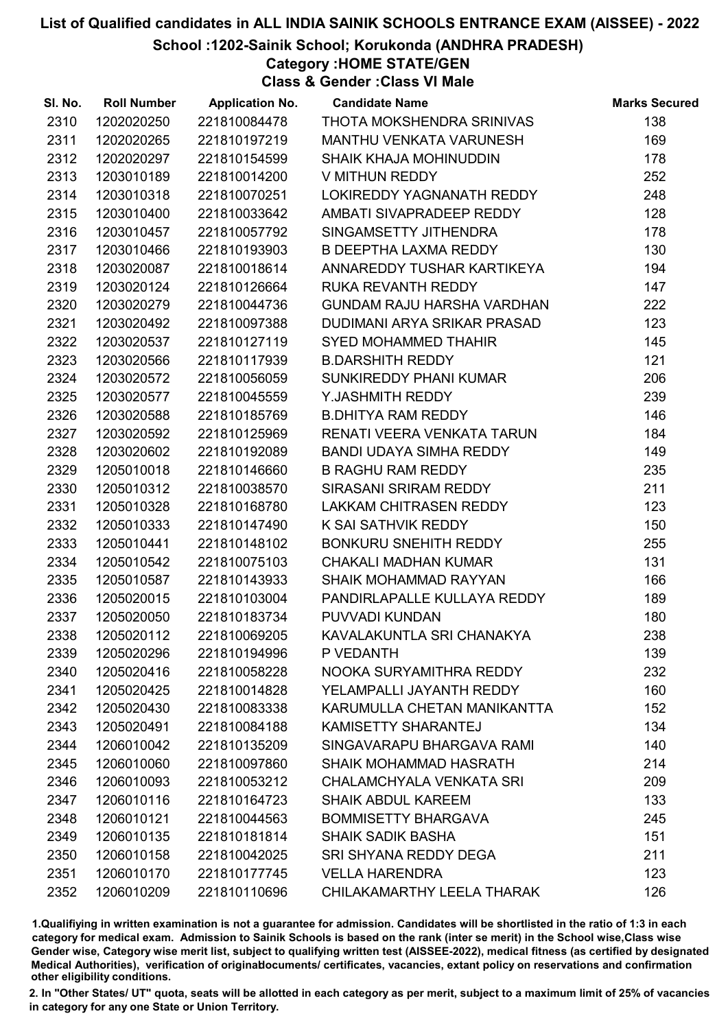School :1202-Sainik School; Korukonda (ANDHRA PRADESH)

Category :HOME STATE/GEN

Class & Gender :Class VI Male

| SI. No. | <b>Roll Number</b> | <b>Application No.</b> | <b>Candidate Name</b>             | <b>Marks Secured</b> |
|---------|--------------------|------------------------|-----------------------------------|----------------------|
| 2310    | 1202020250         | 221810084478           | THOTA MOKSHENDRA SRINIVAS         | 138                  |
| 2311    | 1202020265         | 221810197219           | MANTHU VENKATA VARUNESH           | 169                  |
| 2312    | 1202020297         | 221810154599           | <b>SHAIK KHAJA MOHINUDDIN</b>     | 178                  |
| 2313    | 1203010189         | 221810014200           | V MITHUN REDDY                    | 252                  |
| 2314    | 1203010318         | 221810070251           | LOKIREDDY YAGNANATH REDDY         | 248                  |
| 2315    | 1203010400         | 221810033642           | AMBATI SIVAPRADEEP REDDY          | 128                  |
| 2316    | 1203010457         | 221810057792           | SINGAMSETTY JITHENDRA             | 178                  |
| 2317    | 1203010466         | 221810193903           | <b>B DEEPTHA LAXMA REDDY</b>      | 130                  |
| 2318    | 1203020087         | 221810018614           | ANNAREDDY TUSHAR KARTIKEYA        | 194                  |
| 2319    | 1203020124         | 221810126664           | RUKA REVANTH REDDY                | 147                  |
| 2320    | 1203020279         | 221810044736           | <b>GUNDAM RAJU HARSHA VARDHAN</b> | 222                  |
| 2321    | 1203020492         | 221810097388           | DUDIMANI ARYA SRIKAR PRASAD       | 123                  |
| 2322    | 1203020537         | 221810127119           | <b>SYED MOHAMMED THAHIR</b>       | 145                  |
| 2323    | 1203020566         | 221810117939           | <b>B.DARSHITH REDDY</b>           | 121                  |
| 2324    | 1203020572         | 221810056059           | SUNKIREDDY PHANI KUMAR            | 206                  |
| 2325    | 1203020577         | 221810045559           | Y.JASHMITH REDDY                  | 239                  |
| 2326    | 1203020588         | 221810185769           | <b>B.DHITYA RAM REDDY</b>         | 146                  |
| 2327    | 1203020592         | 221810125969           | RENATI VEERA VENKATA TARUN        | 184                  |
| 2328    | 1203020602         | 221810192089           | BANDI UDAYA SIMHA REDDY           | 149                  |
| 2329    | 1205010018         | 221810146660           | <b>B RAGHU RAM REDDY</b>          | 235                  |
| 2330    | 1205010312         | 221810038570           | SIRASANI SRIRAM REDDY             | 211                  |
| 2331    | 1205010328         | 221810168780           | LAKKAM CHITRASEN REDDY            | 123                  |
| 2332    | 1205010333         | 221810147490           | K SAI SATHVIK REDDY               | 150                  |
| 2333    | 1205010441         | 221810148102           | <b>BONKURU SNEHITH REDDY</b>      | 255                  |
| 2334    | 1205010542         | 221810075103           | <b>CHAKALI MADHAN KUMAR</b>       | 131                  |
| 2335    | 1205010587         | 221810143933           | <b>SHAIK MOHAMMAD RAYYAN</b>      | 166                  |
| 2336    | 1205020015         | 221810103004           | PANDIRLAPALLE KULLAYA REDDY       | 189                  |
| 2337    | 1205020050         | 221810183734           | PUVVADI KUNDAN                    | 180                  |
| 2338    | 1205020112         | 221810069205           | KAVALAKUNTLA SRI CHANAKYA         | 238                  |
| 2339    | 1205020296         | 221810194996           | P VEDANTH                         | 139                  |
| 2340    | 1205020416         | 221810058228           | NOOKA SURYAMITHRA REDDY           | 232                  |
| 2341    | 1205020425         | 221810014828           | YELAMPALLI JAYANTH REDDY          | 160                  |
| 2342    | 1205020430         | 221810083338           | KARUMULLA CHETAN MANIKANTTA       | 152                  |
| 2343    | 1205020491         | 221810084188           | <b>KAMISETTY SHARANTEJ</b>        | 134                  |
| 2344    | 1206010042         | 221810135209           | SINGAVARAPU BHARGAVA RAMI         | 140                  |
| 2345    | 1206010060         | 221810097860           | SHAIK MOHAMMAD HASRATH            | 214                  |
| 2346    | 1206010093         | 221810053212           | CHALAMCHYALA VENKATA SRI          | 209                  |
| 2347    | 1206010116         | 221810164723           | <b>SHAIK ABDUL KAREEM</b>         | 133                  |
| 2348    | 1206010121         | 221810044563           | <b>BOMMISETTY BHARGAVA</b>        | 245                  |
| 2349    | 1206010135         | 221810181814           | <b>SHAIK SADIK BASHA</b>          | 151                  |
| 2350    | 1206010158         | 221810042025           | SRI SHYANA REDDY DEGA             | 211                  |
| 2351    | 1206010170         | 221810177745           | <b>VELLA HARENDRA</b>             | 123                  |
| 2352    | 1206010209         | 221810110696           | CHILAKAMARTHY LEELA THARAK        | 126                  |

1.Qualifiying in written examination is not a guarantee for admission. Candidates will be shortlisted in the ratio of 1:3 in each category for medical exam. Admission to Sainik Schools is based on the rank (inter se merit) in the School wise,Class wise Gender wise, Category wise merit list, subject to qualifying written test (AISSEE-2022), medical fitness (as certified by designated Medical Authorities), verification of originablocuments/ certificates, vacancies, extant policy on reservations and confirmation other eligibility conditions.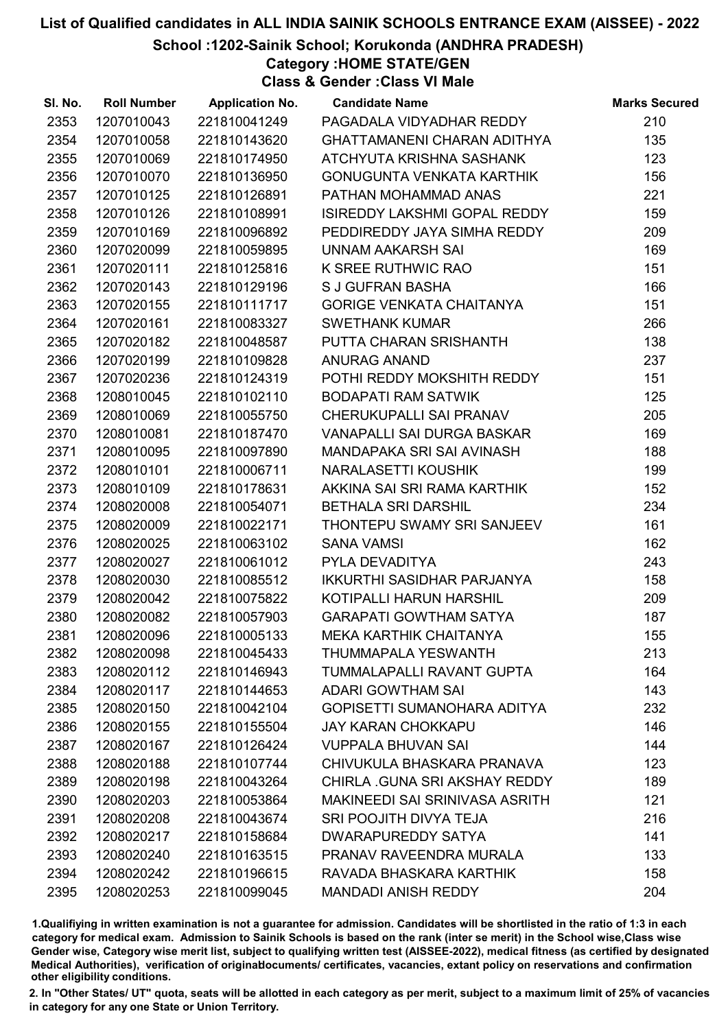School :1202-Sainik School; Korukonda (ANDHRA PRADESH)

Category :HOME STATE/GEN

Class & Gender :Class VI Male

| SI. No. | <b>Roll Number</b> | <b>Application No.</b> | <b>Candidate Name</b>                | <b>Marks Secured</b> |
|---------|--------------------|------------------------|--------------------------------------|----------------------|
| 2353    | 1207010043         | 221810041249           | PAGADALA VIDYADHAR REDDY             | 210                  |
| 2354    | 1207010058         | 221810143620           | <b>GHATTAMANENI CHARAN ADITHYA</b>   | 135                  |
| 2355    | 1207010069         | 221810174950           | ATCHYUTA KRISHNA SASHANK             | 123                  |
| 2356    | 1207010070         | 221810136950           | GONUGUNTA VENKATA KARTHIK            | 156                  |
| 2357    | 1207010125         | 221810126891           | PATHAN MOHAMMAD ANAS                 | 221                  |
| 2358    | 1207010126         | 221810108991           | <b>ISIREDDY LAKSHMI GOPAL REDDY</b>  | 159                  |
| 2359    | 1207010169         | 221810096892           | PEDDIREDDY JAYA SIMHA REDDY          | 209                  |
| 2360    | 1207020099         | 221810059895           | UNNAM AAKARSH SAI                    | 169                  |
| 2361    | 1207020111         | 221810125816           | K SREE RUTHWIC RAO                   | 151                  |
| 2362    | 1207020143         | 221810129196           | <b>S J GUFRAN BASHA</b>              | 166                  |
| 2363    | 1207020155         | 221810111717           | <b>GORIGE VENKATA CHAITANYA</b>      | 151                  |
| 2364    | 1207020161         | 221810083327           | <b>SWETHANK KUMAR</b>                | 266                  |
| 2365    | 1207020182         | 221810048587           | PUTTA CHARAN SRISHANTH               | 138                  |
| 2366    | 1207020199         | 221810109828           | <b>ANURAG ANAND</b>                  | 237                  |
| 2367    | 1207020236         | 221810124319           | POTHI REDDY MOKSHITH REDDY           | 151                  |
| 2368    | 1208010045         | 221810102110           | <b>BODAPATI RAM SATWIK</b>           | 125                  |
| 2369    | 1208010069         | 221810055750           | CHERUKUPALLI SAI PRANAV              | 205                  |
| 2370    | 1208010081         | 221810187470           | <b>VANAPALLI SAI DURGA BASKAR</b>    | 169                  |
| 2371    | 1208010095         | 221810097890           | MANDAPAKA SRI SAI AVINASH            | 188                  |
| 2372    | 1208010101         | 221810006711           | NARALASETTI KOUSHIK                  | 199                  |
| 2373    | 1208010109         | 221810178631           | AKKINA SAI SRI RAMA KARTHIK          | 152                  |
| 2374    | 1208020008         | 221810054071           | <b>BETHALA SRI DARSHIL</b>           | 234                  |
| 2375    | 1208020009         | 221810022171           | THONTEPU SWAMY SRI SANJEEV           | 161                  |
| 2376    | 1208020025         | 221810063102           | <b>SANA VAMSI</b>                    | 162                  |
| 2377    | 1208020027         | 221810061012           | PYLA DEVADITYA                       | 243                  |
| 2378    | 1208020030         | 221810085512           | <b>IKKURTHI SASIDHAR PARJANYA</b>    | 158                  |
| 2379    | 1208020042         | 221810075822           | KOTIPALLI HARUN HARSHIL              | 209                  |
| 2380    | 1208020082         | 221810057903           | <b>GARAPATI GOWTHAM SATYA</b>        | 187                  |
| 2381    | 1208020096         | 221810005133           | <b>MEKA KARTHIK CHAITANYA</b>        | 155                  |
| 2382    | 1208020098         | 221810045433           | THUMMAPALA YESWANTH                  | 213                  |
| 2383    | 1208020112         | 221810146943           | TUMMALAPALLI RAVANT GUPTA            | 164                  |
| 2384    | 1208020117         | 221810144653           | <b>ADARI GOWTHAM SAI</b>             | 143                  |
| 2385    | 1208020150         | 221810042104           | GOPISETTI SUMANOHARA ADITYA          | 232                  |
| 2386    | 1208020155         | 221810155504           | <b>JAY KARAN CHOKKAPU</b>            | 146                  |
| 2387    | 1208020167         | 221810126424           | <b>VUPPALA BHUVAN SAI</b>            | 144                  |
| 2388    | 1208020188         | 221810107744           | CHIVUKULA BHASKARA PRANAVA           | 123                  |
| 2389    | 1208020198         | 221810043264           | <b>CHIRLA .GUNA SRI AKSHAY REDDY</b> | 189                  |
| 2390    | 1208020203         | 221810053864           | MAKINEEDI SAI SRINIVASA ASRITH       | 121                  |
| 2391    | 1208020208         | 221810043674           | SRI POOJITH DIVYA TEJA               | 216                  |
| 2392    | 1208020217         | 221810158684           | <b>DWARAPUREDDY SATYA</b>            | 141                  |
| 2393    | 1208020240         | 221810163515           | PRANAV RAVEENDRA MURALA              | 133                  |
| 2394    | 1208020242         | 221810196615           | RAVADA BHASKARA KARTHIK              | 158                  |
| 2395    | 1208020253         | 221810099045           | <b>MANDADI ANISH REDDY</b>           | 204                  |

1.Qualifiying in written examination is not a guarantee for admission. Candidates will be shortlisted in the ratio of 1:3 in each category for medical exam. Admission to Sainik Schools is based on the rank (inter se merit) in the School wise,Class wise Gender wise, Category wise merit list, subject to qualifying written test (AISSEE-2022), medical fitness (as certified by designated Medical Authorities), verification of originablocuments/ certificates, vacancies, extant policy on reservations and confirmation other eligibility conditions.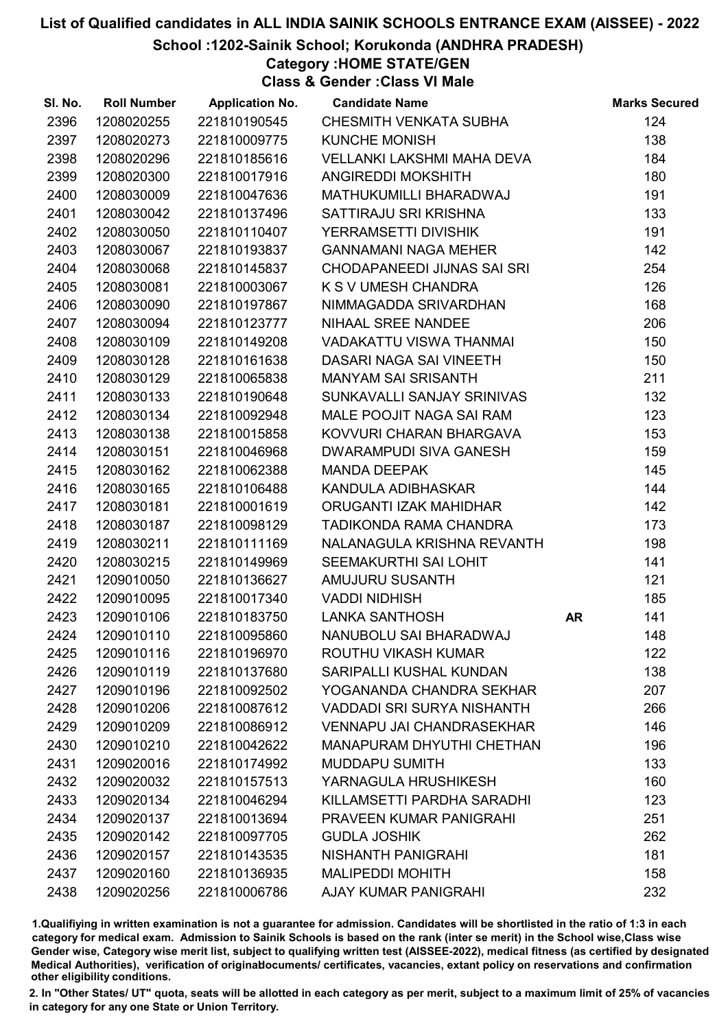#### School :1202-Sainik School; Korukonda (ANDHRA PRADESH)

### Category :HOME STATE/GEN

Class & Gender :Class VI Male

| SI. No. | <b>Roll Number</b> | <b>Application No.</b> | <b>Candidate Name</b>             |    | <b>Marks Secured</b> |
|---------|--------------------|------------------------|-----------------------------------|----|----------------------|
| 2396    | 1208020255         | 221810190545           | CHESMITH VENKATA SUBHA            |    | 124                  |
| 2397    | 1208020273         | 221810009775           | <b>KUNCHE MONISH</b>              |    | 138                  |
| 2398    | 1208020296         | 221810185616           | <b>VELLANKI LAKSHMI MAHA DEVA</b> |    | 184                  |
| 2399    | 1208020300         | 221810017916           | <b>ANGIREDDI MOKSHITH</b>         |    | 180                  |
| 2400    | 1208030009         | 221810047636           | MATHUKUMILLI BHARADWAJ            |    | 191                  |
| 2401    | 1208030042         | 221810137496           | SATTIRAJU SRI KRISHNA             |    | 133                  |
| 2402    | 1208030050         | 221810110407           | YERRAMSETTI DIVISHIK              |    | 191                  |
| 2403    | 1208030067         | 221810193837           | <b>GANNAMANI NAGA MEHER</b>       |    | 142                  |
| 2404    | 1208030068         | 221810145837           | CHODAPANEEDI JIJNAS SAI SRI       |    | 254                  |
| 2405    | 1208030081         | 221810003067           | K S V UMESH CHANDRA               |    | 126                  |
| 2406    | 1208030090         | 221810197867           | NIMMAGADDA SRIVARDHAN             |    | 168                  |
| 2407    | 1208030094         | 221810123777           | NIHAAL SREE NANDEE                |    | 206                  |
| 2408    | 1208030109         | 221810149208           | VADAKATTU VISWA THANMAI           |    | 150                  |
| 2409    | 1208030128         | 221810161638           | DASARI NAGA SAI VINEETH           |    | 150                  |
| 2410    | 1208030129         | 221810065838           | <b>MANYAM SAI SRISANTH</b>        |    | 211                  |
| 2411    | 1208030133         | 221810190648           | SUNKAVALLI SANJAY SRINIVAS        |    | 132                  |
| 2412    | 1208030134         | 221810092948           | MALE POOJIT NAGA SAI RAM          |    | 123                  |
| 2413    | 1208030138         | 221810015858           | KOVVURI CHARAN BHARGAVA           |    | 153                  |
| 2414    | 1208030151         | 221810046968           | <b>DWARAMPUDI SIVA GANESH</b>     |    | 159                  |
| 2415    | 1208030162         | 221810062388           | <b>MANDA DEEPAK</b>               |    | 145                  |
| 2416    | 1208030165         | 221810106488           | KANDULA ADIBHASKAR                |    | 144                  |
| 2417    | 1208030181         | 221810001619           | ORUGANTI IZAK MAHIDHAR            |    | 142                  |
| 2418    | 1208030187         | 221810098129           | TADIKONDA RAMA CHANDRA            |    | 173                  |
| 2419    | 1208030211         | 221810111169           | NALANAGULA KRISHNA REVANTH        |    | 198                  |
| 2420    | 1208030215         | 221810149969           | SEEMAKURTHI SAI LOHIT             |    | 141                  |
| 2421    | 1209010050         | 221810136627           | AMUJURU SUSANTH                   |    | 121                  |
| 2422    | 1209010095         | 221810017340           | <b>VADDI NIDHISH</b>              |    | 185                  |
| 2423    | 1209010106         | 221810183750           | LANKA SANTHOSH                    | AR | 141                  |
| 2424    | 1209010110         | 221810095860           | NANUBOLU SAI BHARADWAJ            |    | 148                  |
| 2425    | 1209010116         | 221810196970           | ROUTHU VIKASH KUMAR               |    | 122                  |
| 2426    | 1209010119         | 221810137680           | SARIPALLI KUSHAL KUNDAN           |    | 138                  |
| 2427    | 1209010196         | 221810092502           | YOGANANDA CHANDRA SEKHAR          |    | 207                  |
| 2428    | 1209010206         | 221810087612           | <b>VADDADI SRI SURYA NISHANTH</b> |    | 266                  |
| 2429    | 1209010209         | 221810086912           | <b>VENNAPU JAI CHANDRASEKHAR</b>  |    | 146                  |
| 2430    | 1209010210         | 221810042622           | <b>MANAPURAM DHYUTHI CHETHAN</b>  |    | 196                  |
| 2431    | 1209020016         | 221810174992           | <b>MUDDAPU SUMITH</b>             |    | 133                  |
| 2432    | 1209020032         | 221810157513           | YARNAGULA HRUSHIKESH              |    | 160                  |
| 2433    | 1209020134         | 221810046294           | KILLAMSETTI PARDHA SARADHI        |    | 123                  |
| 2434    | 1209020137         | 221810013694           | <b>PRAVEEN KUMAR PANIGRAHI</b>    |    | 251                  |
| 2435    | 1209020142         | 221810097705           | <b>GUDLA JOSHIK</b>               |    | 262                  |
| 2436    | 1209020157         | 221810143535           | NISHANTH PANIGRAHI                |    | 181                  |
| 2437    | 1209020160         | 221810136935           | <b>MALIPEDDI MOHITH</b>           |    | 158                  |
| 2438    | 1209020256         | 221810006786           | <b>AJAY KUMAR PANIGRAHI</b>       |    | 232                  |

1.Qualifiying in written examination is not a guarantee for admission. Candidates will be shortlisted in the ratio of 1:3 in each category for medical exam. Admission to Sainik Schools is based on the rank (inter se merit) in the School wise,Class wise Gender wise, Category wise merit list, subject to qualifying written test (AISSEE-2022), medical fitness (as certified by designated Medical Authorities), verification of originablocuments/ certificates, vacancies, extant policy on reservations and confirmation other eligibility conditions.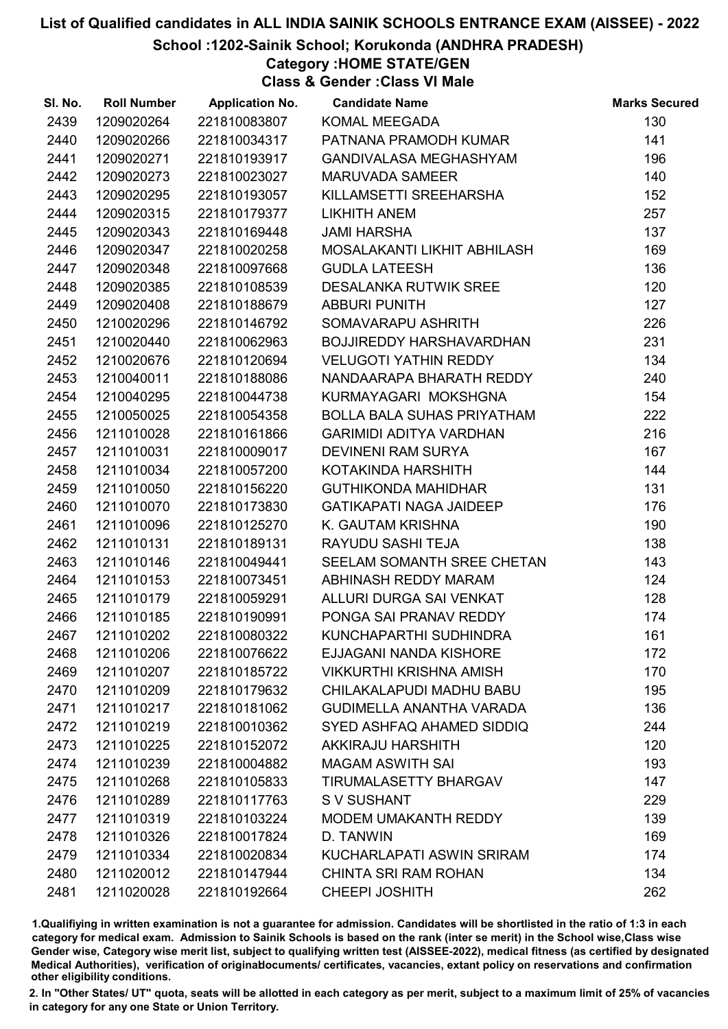#### School :1202-Sainik School; Korukonda (ANDHRA PRADESH)

### Category :HOME STATE/GEN

Class & Gender :Class VI Male

| SI. No. | <b>Roll Number</b> | <b>Application No.</b> | <b>Candidate Name</b>             | <b>Marks Secured</b> |
|---------|--------------------|------------------------|-----------------------------------|----------------------|
| 2439    | 1209020264         | 221810083807           | KOMAL MEEGADA                     | 130                  |
| 2440    | 1209020266         | 221810034317           | PATNANA PRAMODH KUMAR             | 141                  |
| 2441    | 1209020271         | 221810193917           | <b>GANDIVALASA MEGHASHYAM</b>     | 196                  |
| 2442    | 1209020273         | 221810023027           | <b>MARUVADA SAMEER</b>            | 140                  |
| 2443    | 1209020295         | 221810193057           | KILLAMSETTI SREEHARSHA            | 152                  |
| 2444    | 1209020315         | 221810179377           | <b>LIKHITH ANEM</b>               | 257                  |
| 2445    | 1209020343         | 221810169448           | <b>JAMI HARSHA</b>                | 137                  |
| 2446    | 1209020347         | 221810020258           | MOSALAKANTI LIKHIT ABHILASH       | 169                  |
| 2447    | 1209020348         | 221810097668           | <b>GUDLA LATEESH</b>              | 136                  |
| 2448    | 1209020385         | 221810108539           | <b>DESALANKA RUTWIK SREE</b>      | 120                  |
| 2449    | 1209020408         | 221810188679           | <b>ABBURI PUNITH</b>              | 127                  |
| 2450    | 1210020296         | 221810146792           | SOMAVARAPU ASHRITH                | 226                  |
| 2451    | 1210020440         | 221810062963           | BOJJIREDDY HARSHAVARDHAN          | 231                  |
| 2452    | 1210020676         | 221810120694           | <b>VELUGOTI YATHIN REDDY</b>      | 134                  |
| 2453    | 1210040011         | 221810188086           | NANDAARAPA BHARATH REDDY          | 240                  |
| 2454    | 1210040295         | 221810044738           | KURMAYAGARI MOKSHGNA              | 154                  |
| 2455    | 1210050025         | 221810054358           | <b>BOLLA BALA SUHAS PRIYATHAM</b> | 222                  |
| 2456    | 1211010028         | 221810161866           | <b>GARIMIDI ADITYA VARDHAN</b>    | 216                  |
| 2457    | 1211010031         | 221810009017           | DEVINENI RAM SURYA                | 167                  |
| 2458    | 1211010034         | 221810057200           | KOTAKINDA HARSHITH                | 144                  |
| 2459    | 1211010050         | 221810156220           | <b>GUTHIKONDA MAHIDHAR</b>        | 131                  |
| 2460    | 1211010070         | 221810173830           | <b>GATIKAPATI NAGA JAIDEEP</b>    | 176                  |
| 2461    | 1211010096         | 221810125270           | K. GAUTAM KRISHNA                 | 190                  |
| 2462    | 1211010131         | 221810189131           | RAYUDU SASHI TEJA                 | 138                  |
| 2463    | 1211010146         | 221810049441           | SEELAM SOMANTH SREE CHETAN        | 143                  |
| 2464    | 1211010153         | 221810073451           | ABHINASH REDDY MARAM              | 124                  |
| 2465    | 1211010179         | 221810059291           | ALLURI DURGA SAI VENKAT           | 128                  |
| 2466    | 1211010185         | 221810190991           | PONGA SAI PRANAV REDDY            | 174                  |
| 2467    | 1211010202         | 221810080322           | KUNCHAPARTHI SUDHINDRA            | 161                  |
| 2468    | 1211010206         | 221810076622           | EJJAGANI NANDA KISHORE            | 172                  |
| 2469    | 1211010207         | 221810185722           | <b>VIKKURTHI KRISHNA AMISH</b>    | 170                  |
| 2470    | 1211010209         | 221810179632           | CHILAKALAPUDI MADHU BABU          | 195                  |
| 2471    | 1211010217         | 221810181062           | <b>GUDIMELLA ANANTHA VARADA</b>   | 136                  |
| 2472    | 1211010219         | 221810010362           | SYED ASHFAQ AHAMED SIDDIQ         | 244                  |
| 2473    | 1211010225         | 221810152072           | AKKIRAJU HARSHITH                 | 120                  |
| 2474    | 1211010239         | 221810004882           | <b>MAGAM ASWITH SAI</b>           | 193                  |
| 2475    | 1211010268         | 221810105833           | <b>TIRUMALASETTY BHARGAV</b>      | 147                  |
| 2476    | 1211010289         | 221810117763           | S V SUSHANT                       | 229                  |
| 2477    | 1211010319         | 221810103224           | <b>MODEM UMAKANTH REDDY</b>       | 139                  |
| 2478    | 1211010326         | 221810017824           | D. TANWIN                         | 169                  |
| 2479    | 1211010334         | 221810020834           | KUCHARLAPATI ASWIN SRIRAM         | 174                  |
| 2480    | 1211020012         | 221810147944           | <b>CHINTA SRI RAM ROHAN</b>       | 134                  |
| 2481    | 1211020028         | 221810192664           | <b>CHEEPI JOSHITH</b>             | 262                  |

1.Qualifiying in written examination is not a guarantee for admission. Candidates will be shortlisted in the ratio of 1:3 in each category for medical exam. Admission to Sainik Schools is based on the rank (inter se merit) in the School wise,Class wise Gender wise, Category wise merit list, subject to qualifying written test (AISSEE-2022), medical fitness (as certified by designated Medical Authorities), verification of originablocuments/ certificates, vacancies, extant policy on reservations and confirmation other eligibility conditions.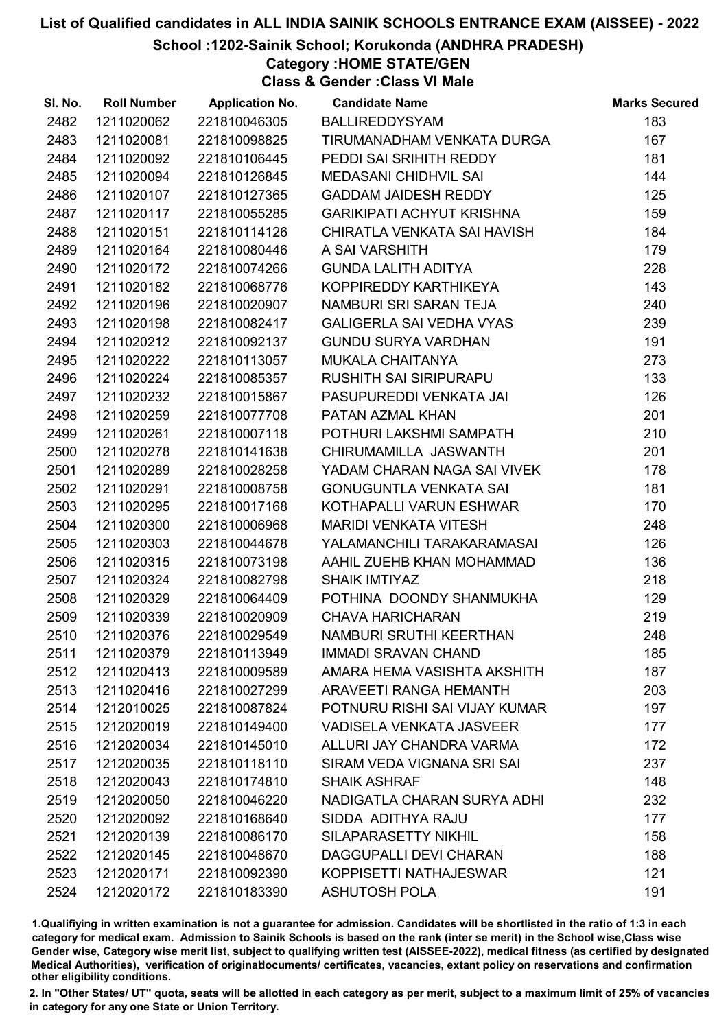School :1202-Sainik School; Korukonda (ANDHRA PRADESH)

Category :HOME STATE/GEN

Class & Gender :Class VI Male

| SI. No. | <b>Roll Number</b> | <b>Application No.</b> | <b>Candidate Name</b>            | <b>Marks Secured</b> |
|---------|--------------------|------------------------|----------------------------------|----------------------|
| 2482    | 1211020062         | 221810046305           | BALLIREDDYSYAM                   | 183                  |
| 2483    | 1211020081         | 221810098825           | TIRUMANADHAM VENKATA DURGA       | 167                  |
| 2484    | 1211020092         | 221810106445           | PEDDI SAI SRIHITH REDDY          | 181                  |
| 2485    | 1211020094         | 221810126845           | <b>MEDASANI CHIDHVIL SAI</b>     | 144                  |
| 2486    | 1211020107         | 221810127365           | <b>GADDAM JAIDESH REDDY</b>      | 125                  |
| 2487    | 1211020117         | 221810055285           | <b>GARIKIPATI ACHYUT KRISHNA</b> | 159                  |
| 2488    | 1211020151         | 221810114126           | CHIRATLA VENKATA SAI HAVISH      | 184                  |
| 2489    | 1211020164         | 221810080446           | A SAI VARSHITH                   | 179                  |
| 2490    | 1211020172         | 221810074266           | <b>GUNDA LALITH ADITYA</b>       | 228                  |
| 2491    | 1211020182         | 221810068776           | KOPPIREDDY KARTHIKEYA            | 143                  |
| 2492    | 1211020196         | 221810020907           | NAMBURI SRI SARAN TEJA           | 240                  |
| 2493    | 1211020198         | 221810082417           | <b>GALIGERLA SAI VEDHA VYAS</b>  | 239                  |
| 2494    | 1211020212         | 221810092137           | <b>GUNDU SURYA VARDHAN</b>       | 191                  |
| 2495    | 1211020222         | 221810113057           | MUKALA CHAITANYA                 | 273                  |
| 2496    | 1211020224         | 221810085357           | <b>RUSHITH SAI SIRIPURAPU</b>    | 133                  |
| 2497    | 1211020232         | 221810015867           | PASUPUREDDI VENKATA JAI          | 126                  |
| 2498    | 1211020259         | 221810077708           | PATAN AZMAL KHAN                 | 201                  |
| 2499    | 1211020261         | 221810007118           | POTHURI LAKSHMI SAMPATH          | 210                  |
| 2500    | 1211020278         | 221810141638           | CHIRUMAMILLA JASWANTH            | 201                  |
| 2501    | 1211020289         | 221810028258           | YADAM CHARAN NAGA SAI VIVEK      | 178                  |
| 2502    | 1211020291         | 221810008758           | <b>GONUGUNTLA VENKATA SAI</b>    | 181                  |
| 2503    | 1211020295         | 221810017168           | KOTHAPALLI VARUN ESHWAR          | 170                  |
| 2504    | 1211020300         | 221810006968           | <b>MARIDI VENKATA VITESH</b>     | 248                  |
| 2505    | 1211020303         | 221810044678           | YALAMANCHILI TARAKARAMASAI       | 126                  |
| 2506    | 1211020315         | 221810073198           | AAHIL ZUEHB KHAN MOHAMMAD        | 136                  |
| 2507    | 1211020324         | 221810082798           | <b>SHAIK IMTIYAZ</b>             | 218                  |
| 2508    | 1211020329         | 221810064409           | POTHINA DOONDY SHANMUKHA         | 129                  |
| 2509    | 1211020339         | 221810020909           | <b>CHAVA HARICHARAN</b>          | 219                  |
| 2510    | 1211020376         | 221810029549           | NAMBURI SRUTHI KEERTHAN          | 248                  |
| 2511    | 1211020379         | 221810113949           | <b>IMMADI SRAVAN CHAND</b>       | 185                  |
| 2512    | 1211020413         | 221810009589           | AMARA HEMA VASISHTA AKSHITH      | 187                  |
| 2513    | 1211020416         | 221810027299           | <b>ARAVEETI RANGA HEMANTH</b>    | 203                  |
| 2514    | 1212010025         | 221810087824           | POTNURU RISHI SAI VIJAY KUMAR    | 197                  |
| 2515    | 1212020019         | 221810149400           | <b>VADISELA VENKATA JASVEER</b>  | 177                  |
| 2516    | 1212020034         | 221810145010           | ALLURI JAY CHANDRA VARMA         | 172                  |
| 2517    | 1212020035         | 221810118110           | SIRAM VEDA VIGNANA SRI SAI       | 237                  |
| 2518    | 1212020043         | 221810174810           | <b>SHAIK ASHRAF</b>              | 148                  |
| 2519    | 1212020050         | 221810046220           | NADIGATLA CHARAN SURYA ADHI      | 232                  |
| 2520    | 1212020092         | 221810168640           | SIDDA ADITHYA RAJU               | 177                  |
| 2521    | 1212020139         | 221810086170           | SILAPARASETTY NIKHIL             | 158                  |
| 2522    | 1212020145         | 221810048670           | DAGGUPALLI DEVI CHARAN           | 188                  |
| 2523    | 1212020171         | 221810092390           | KOPPISETTI NATHAJESWAR           | 121                  |
| 2524    | 1212020172         | 221810183390           | <b>ASHUTOSH POLA</b>             | 191                  |

1.Qualifiying in written examination is not a guarantee for admission. Candidates will be shortlisted in the ratio of 1:3 in each category for medical exam. Admission to Sainik Schools is based on the rank (inter se merit) in the School wise,Class wise Gender wise, Category wise merit list, subject to qualifying written test (AISSEE-2022), medical fitness (as certified by designated Medical Authorities), verification of originablocuments/ certificates, vacancies, extant policy on reservations and confirmation other eligibility conditions.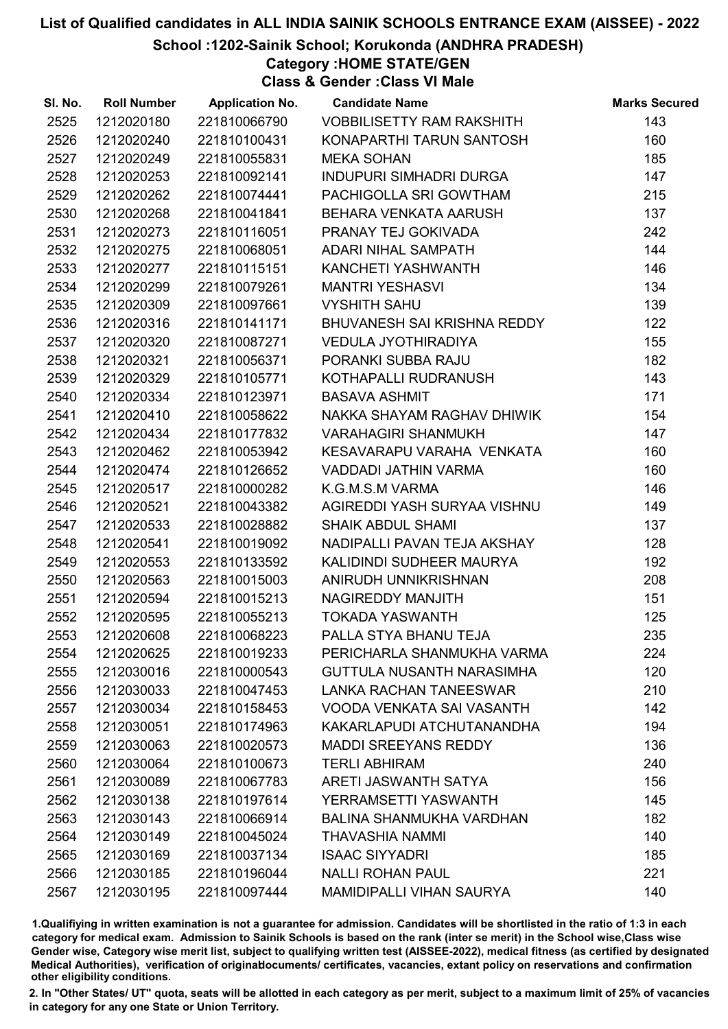#### School :1202-Sainik School; Korukonda (ANDHRA PRADESH)

Category :HOME STATE/GEN

Class & Gender :Class VI Male

| SI. No. | <b>Roll Number</b> | <b>Application No.</b> | <b>Candidate Name</b>            | <b>Marks Secured</b> |
|---------|--------------------|------------------------|----------------------------------|----------------------|
| 2525    | 1212020180         | 221810066790           | <b>VOBBILISETTY RAM RAKSHITH</b> | 143                  |
| 2526    | 1212020240         | 221810100431           | KONAPARTHI TARUN SANTOSH         | 160                  |
| 2527    | 1212020249         | 221810055831           | <b>MEKA SOHAN</b>                | 185                  |
| 2528    | 1212020253         | 221810092141           | <b>INDUPURI SIMHADRI DURGA</b>   | 147                  |
| 2529    | 1212020262         | 221810074441           | PACHIGOLLA SRI GOWTHAM           | 215                  |
| 2530    | 1212020268         | 221810041841           | BEHARA VENKATA AARUSH            | 137                  |
| 2531    | 1212020273         | 221810116051           | PRANAY TEJ GOKIVADA              | 242                  |
| 2532    | 1212020275         | 221810068051           | <b>ADARI NIHAL SAMPATH</b>       | 144                  |
| 2533    | 1212020277         | 221810115151           | KANCHETI YASHWANTH               | 146                  |
| 2534    | 1212020299         | 221810079261           | <b>MANTRI YESHASVI</b>           | 134                  |
| 2535    | 1212020309         | 221810097661           | <b>VYSHITH SAHU</b>              | 139                  |
| 2536    | 1212020316         | 221810141171           | BHUVANESH SAI KRISHNA REDDY      | 122                  |
| 2537    | 1212020320         | 221810087271           | <b>VEDULA JYOTHIRADIYA</b>       | 155                  |
| 2538    | 1212020321         | 221810056371           | PORANKI SUBBA RAJU               | 182                  |
| 2539    | 1212020329         | 221810105771           | KOTHAPALLI RUDRANUSH             | 143                  |
| 2540    | 1212020334         | 221810123971           | <b>BASAVA ASHMIT</b>             | 171                  |
| 2541    | 1212020410         | 221810058622           | NAKKA SHAYAM RAGHAV DHIWIK       | 154                  |
| 2542    | 1212020434         | 221810177832           | <b>VARAHAGIRI SHANMUKH</b>       | 147                  |
| 2543    | 1212020462         | 221810053942           | KESAVARAPU VARAHA VENKATA        | 160                  |
| 2544    | 1212020474         | 221810126652           | VADDADI JATHIN VARMA             | 160                  |
| 2545    | 1212020517         | 221810000282           | K.G.M.S.M VARMA                  | 146                  |
| 2546    | 1212020521         | 221810043382           | AGIREDDI YASH SURYAA VISHNU      | 149                  |
| 2547    | 1212020533         | 221810028882           | <b>SHAIK ABDUL SHAMI</b>         | 137                  |
| 2548    | 1212020541         | 221810019092           | NADIPALLI PAVAN TEJA AKSHAY      | 128                  |
| 2549    | 1212020553         | 221810133592           | KALIDINDI SUDHEER MAURYA         | 192                  |
| 2550    | 1212020563         | 221810015003           | ANIRUDH UNNIKRISHNAN             | 208                  |
| 2551    | 1212020594         | 221810015213           | NAGIREDDY MANJITH                | 151                  |
| 2552    | 1212020595         | 221810055213           | <b>TOKADA YASWANTH</b>           | 125                  |
| 2553    | 1212020608         | 221810068223           | PALLA STYA BHANU TEJA            | 235                  |
| 2554    | 1212020625         | 221810019233           | PERICHARLA SHANMUKHA VARMA       | 224                  |
| 2555    | 1212030016         | 221810000543           | <b>GUTTULA NUSANTH NARASIMHA</b> | 120                  |
| 2556    | 1212030033         | 221810047453           | <b>LANKA RACHAN TANEESWAR</b>    | 210                  |
| 2557    | 1212030034         | 221810158453           | VOODA VENKATA SAI VASANTH        | 142                  |
| 2558    | 1212030051         | 221810174963           | KAKARLAPUDI ATCHUTANANDHA        | 194                  |
| 2559    | 1212030063         | 221810020573           | <b>MADDI SREEYANS REDDY</b>      | 136                  |
| 2560    | 1212030064         | 221810100673           | <b>TERLI ABHIRAM</b>             | 240                  |
| 2561    | 1212030089         | 221810067783           | ARETI JASWANTH SATYA             | 156                  |
| 2562    | 1212030138         | 221810197614           | YERRAMSETTI YASWANTH             | 145                  |
| 2563    | 1212030143         | 221810066914           | <b>BALINA SHANMUKHA VARDHAN</b>  | 182                  |
| 2564    | 1212030149         | 221810045024           | THAVASHIA NAMMI                  | 140                  |
| 2565    | 1212030169         | 221810037134           | <b>ISAAC SIYYADRI</b>            | 185                  |
| 2566    | 1212030185         | 221810196044           | <b>NALLI ROHAN PAUL</b>          | 221                  |
| 2567    | 1212030195         | 221810097444           | <b>MAMIDIPALLI VIHAN SAURYA</b>  | 140                  |

1.Qualifiying in written examination is not a guarantee for admission. Candidates will be shortlisted in the ratio of 1:3 in each category for medical exam. Admission to Sainik Schools is based on the rank (inter se merit) in the School wise,Class wise Gender wise, Category wise merit list, subject to qualifying written test (AISSEE-2022), medical fitness (as certified by designated Medical Authorities), verification of originablocuments/ certificates, vacancies, extant policy on reservations and confirmation other eligibility conditions.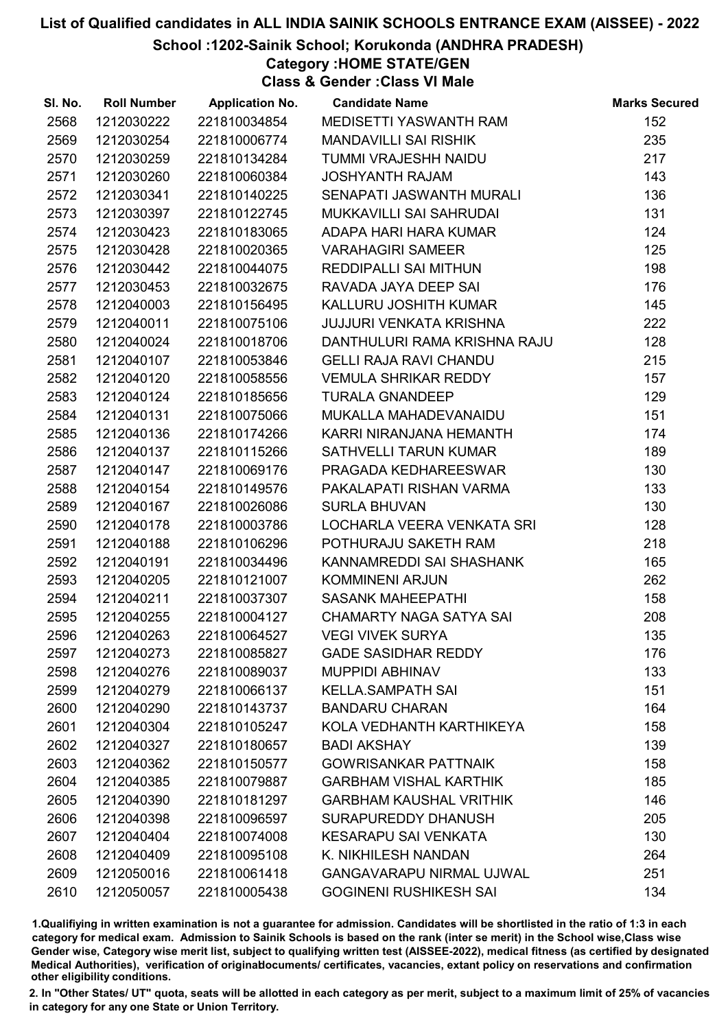School :1202-Sainik School; Korukonda (ANDHRA PRADESH)

Category :HOME STATE/GEN

Class & Gender :Class VI Male

| SI. No. | <b>Roll Number</b> | <b>Application No.</b> | <b>Candidate Name</b>           | <b>Marks Secured</b> |
|---------|--------------------|------------------------|---------------------------------|----------------------|
| 2568    | 1212030222         | 221810034854           | MEDISETTI YASWANTH RAM          | 152                  |
| 2569    | 1212030254         | 221810006774           | <b>MANDAVILLI SAI RISHIK</b>    | 235                  |
| 2570    | 1212030259         | 221810134284           | TUMMI VRAJESHH NAIDU            | 217                  |
| 2571    | 1212030260         | 221810060384           | <b>JOSHYANTH RAJAM</b>          | 143                  |
| 2572    | 1212030341         | 221810140225           | SENAPATI JASWANTH MURALI        | 136                  |
| 2573    | 1212030397         | 221810122745           | MUKKAVILLI SAI SAHRUDAI         | 131                  |
| 2574    | 1212030423         | 221810183065           | ADAPA HARI HARA KUMAR           | 124                  |
| 2575    | 1212030428         | 221810020365           | <b>VARAHAGIRI SAMEER</b>        | 125                  |
| 2576    | 1212030442         | 221810044075           | <b>REDDIPALLI SAI MITHUN</b>    | 198                  |
| 2577    | 1212030453         | 221810032675           | RAVADA JAYA DEEP SAI            | 176                  |
| 2578    | 1212040003         | 221810156495           | KALLURU JOSHITH KUMAR           | 145                  |
| 2579    | 1212040011         | 221810075106           | <b>JUJJURI VENKATA KRISHNA</b>  | 222                  |
| 2580    | 1212040024         | 221810018706           | DANTHULURI RAMA KRISHNA RAJU    | 128                  |
| 2581    | 1212040107         | 221810053846           | <b>GELLI RAJA RAVI CHANDU</b>   | 215                  |
| 2582    | 1212040120         | 221810058556           | <b>VEMULA SHRIKAR REDDY</b>     | 157                  |
| 2583    | 1212040124         | 221810185656           | <b>TURALA GNANDEEP</b>          | 129                  |
| 2584    | 1212040131         | 221810075066           | MUKALLA MAHADEVANAIDU           | 151                  |
| 2585    | 1212040136         | 221810174266           | KARRI NIRANJANA HEMANTH         | 174                  |
| 2586    | 1212040137         | 221810115266           | SATHVELLI TARUN KUMAR           | 189                  |
| 2587    | 1212040147         | 221810069176           | PRAGADA KEDHAREESWAR            | 130                  |
| 2588    | 1212040154         | 221810149576           | PAKALAPATI RISHAN VARMA         | 133                  |
| 2589    | 1212040167         | 221810026086           | <b>SURLA BHUVAN</b>             | 130                  |
| 2590    | 1212040178         | 221810003786           | LOCHARLA VEERA VENKATA SRI      | 128                  |
| 2591    | 1212040188         | 221810106296           | POTHURAJU SAKETH RAM            | 218                  |
| 2592    | 1212040191         | 221810034496           | KANNAMREDDI SAI SHASHANK        | 165                  |
| 2593    | 1212040205         | 221810121007           | <b>KOMMINENI ARJUN</b>          | 262                  |
| 2594    | 1212040211         | 221810037307           | <b>SASANK MAHEEPATHI</b>        | 158                  |
| 2595    | 1212040255         | 221810004127           | <b>CHAMARTY NAGA SATYA SAI</b>  | 208                  |
| 2596    | 1212040263         | 221810064527           | <b>VEGI VIVEK SURYA</b>         | 135                  |
| 2597    | 1212040273         | 221810085827           | <b>GADE SASIDHAR REDDY</b>      | 176                  |
| 2598    | 1212040276         | 221810089037           | <b>MUPPIDI ABHINAV</b>          | 133                  |
| 2599    | 1212040279         | 221810066137           | <b>KELLA.SAMPATH SAI</b>        | 151                  |
| 2600    | 1212040290         | 221810143737           | <b>BANDARU CHARAN</b>           | 164                  |
| 2601    | 1212040304         | 221810105247           | KOLA VEDHANTH KARTHIKEYA        | 158                  |
| 2602    | 1212040327         | 221810180657           | <b>BADI AKSHAY</b>              | 139                  |
| 2603    | 1212040362         | 221810150577           | <b>GOWRISANKAR PATTNAIK</b>     | 158                  |
| 2604    | 1212040385         | 221810079887           | <b>GARBHAM VISHAL KARTHIK</b>   | 185                  |
| 2605    | 1212040390         | 221810181297           | <b>GARBHAM KAUSHAL VRITHIK</b>  | 146                  |
| 2606    | 1212040398         | 221810096597           | <b>SURAPUREDDY DHANUSH</b>      | 205                  |
| 2607    | 1212040404         | 221810074008           | <b>KESARAPU SAI VENKATA</b>     | 130                  |
| 2608    | 1212040409         | 221810095108           | K. NIKHILESH NANDAN             | 264                  |
| 2609    | 1212050016         | 221810061418           | <b>GANGAVARAPU NIRMAL UJWAL</b> | 251                  |
| 2610    | 1212050057         | 221810005438           | <b>GOGINENI RUSHIKESH SAI</b>   | 134                  |

1.Qualifiying in written examination is not a guarantee for admission. Candidates will be shortlisted in the ratio of 1:3 in each category for medical exam. Admission to Sainik Schools is based on the rank (inter se merit) in the School wise,Class wise Gender wise, Category wise merit list, subject to qualifying written test (AISSEE-2022), medical fitness (as certified by designated Medical Authorities), verification of originablocuments/ certificates, vacancies, extant policy on reservations and confirmation other eligibility conditions.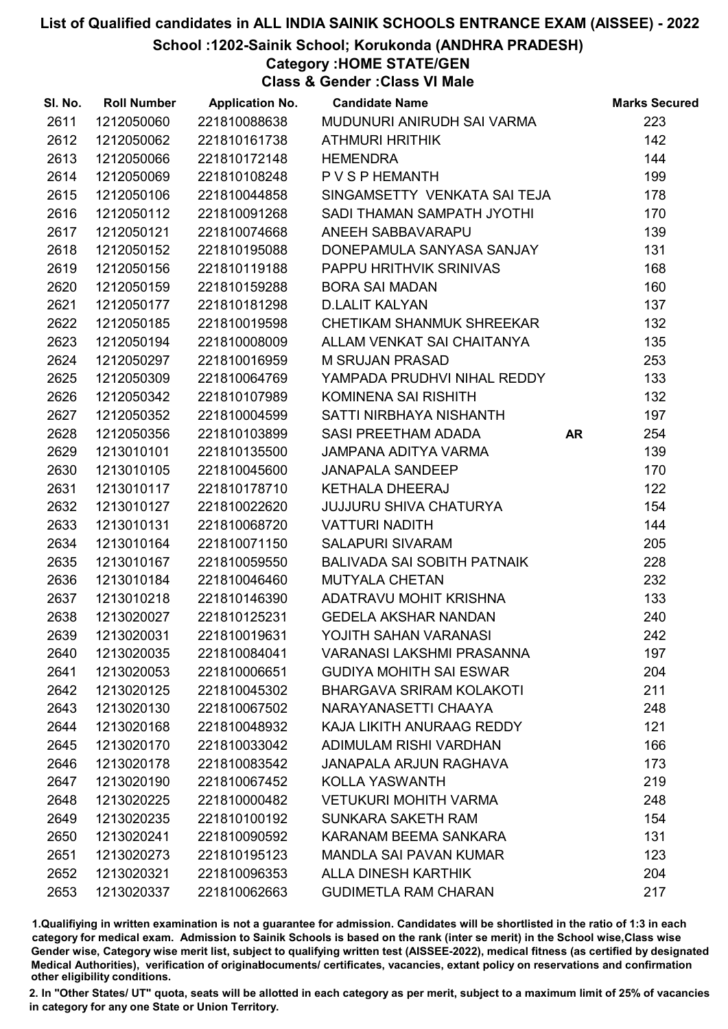#### School :1202-Sainik School; Korukonda (ANDHRA PRADESH)

## Category :HOME STATE/GEN

Class & Gender :Class VI Male

| SI. No. | <b>Roll Number</b> | <b>Application No.</b> | <b>Candidate Name</b>              |    | <b>Marks Secured</b> |
|---------|--------------------|------------------------|------------------------------------|----|----------------------|
| 2611    | 1212050060         | 221810088638           | MUDUNURI ANIRUDH SAI VARMA         |    | 223                  |
| 2612    | 1212050062         | 221810161738           | <b>ATHMURI HRITHIK</b>             |    | 142                  |
| 2613    | 1212050066         | 221810172148           | <b>HEMENDRA</b>                    |    | 144                  |
| 2614    | 1212050069         | 221810108248           | P V S P HEMANTH                    |    | 199                  |
| 2615    | 1212050106         | 221810044858           | SINGAMSETTY VENKATA SAI TEJA       |    | 178                  |
| 2616    | 1212050112         | 221810091268           | SADI THAMAN SAMPATH JYOTHI         |    | 170                  |
| 2617    | 1212050121         | 221810074668           | ANEEH SABBAVARAPU                  |    | 139                  |
| 2618    | 1212050152         | 221810195088           | DONEPAMULA SANYASA SANJAY          |    | 131                  |
| 2619    | 1212050156         | 221810119188           | PAPPU HRITHVIK SRINIVAS            |    | 168                  |
| 2620    | 1212050159         | 221810159288           | <b>BORA SAI MADAN</b>              |    | 160                  |
| 2621    | 1212050177         | 221810181298           | <b>D.LALIT KALYAN</b>              |    | 137                  |
| 2622    | 1212050185         | 221810019598           | CHETIKAM SHANMUK SHREEKAR          |    | 132                  |
| 2623    | 1212050194         | 221810008009           | ALLAM VENKAT SAI CHAITANYA         |    | 135                  |
| 2624    | 1212050297         | 221810016959           | <b>M SRUJAN PRASAD</b>             |    | 253                  |
| 2625    | 1212050309         | 221810064769           | YAMPADA PRUDHVI NIHAL REDDY        |    | 133                  |
| 2626    | 1212050342         | 221810107989           | KOMINENA SAI RISHITH               |    | 132                  |
| 2627    | 1212050352         | 221810004599           | SATTI NIRBHAYA NISHANTH            |    | 197                  |
| 2628    | 1212050356         | 221810103899           | SASI PREETHAM ADADA                | AR | 254                  |
| 2629    | 1213010101         | 221810135500           | JAMPANA ADITYA VARMA               |    | 139                  |
| 2630    | 1213010105         | 221810045600           | <b>JANAPALA SANDEEP</b>            |    | 170                  |
| 2631    | 1213010117         | 221810178710           | <b>KETHALA DHEERAJ</b>             |    | 122                  |
| 2632    | 1213010127         | 221810022620           | <b>JUJJURU SHIVA CHATURYA</b>      |    | 154                  |
| 2633    | 1213010131         | 221810068720           | <b>VATTURI NADITH</b>              |    | 144                  |
| 2634    | 1213010164         | 221810071150           | <b>SALAPURI SIVARAM</b>            |    | 205                  |
| 2635    | 1213010167         | 221810059550           | <b>BALIVADA SAI SOBITH PATNAIK</b> |    | 228                  |
| 2636    | 1213010184         | 221810046460           | <b>MUTYALA CHETAN</b>              |    | 232                  |
| 2637    | 1213010218         | 221810146390           | ADATRAVU MOHIT KRISHNA             |    | 133                  |
| 2638    | 1213020027         | 221810125231           | <b>GEDELA AKSHAR NANDAN</b>        |    | 240                  |
| 2639    | 1213020031         | 221810019631           | YOJITH SAHAN VARANASI              |    | 242                  |
| 2640    | 1213020035         | 221810084041           | <b>VARANASI LAKSHMI PRASANNA</b>   |    | 197                  |
| 2641    | 1213020053         | 221810006651           | <b>GUDIYA MOHITH SAI ESWAR</b>     |    | 204                  |
| 2642    | 1213020125         | 221810045302           | <b>BHARGAVA SRIRAM KOLAKOTI</b>    |    | 211                  |
| 2643    | 1213020130         | 221810067502           | NARAYANASETTI CHAAYA               |    | 248                  |
| 2644    | 1213020168         | 221810048932           | KAJA LIKITH ANURAAG REDDY          |    | 121                  |
| 2645    | 1213020170         | 221810033042           | ADIMULAM RISHI VARDHAN             |    | 166                  |
| 2646    | 1213020178         | 221810083542           | <b>JANAPALA ARJUN RAGHAVA</b>      |    | 173                  |
| 2647    | 1213020190         | 221810067452           | <b>KOLLA YASWANTH</b>              |    | 219                  |
| 2648    | 1213020225         | 221810000482           | <b>VETUKURI MOHITH VARMA</b>       |    | 248                  |
| 2649    | 1213020235         | 221810100192           | SUNKARA SAKETH RAM                 |    | 154                  |
| 2650    | 1213020241         | 221810090592           | KARANAM BEEMA SANKARA              |    | 131                  |
| 2651    | 1213020273         | 221810195123           | <b>MANDLA SAI PAVAN KUMAR</b>      |    | 123                  |
| 2652    | 1213020321         | 221810096353           | <b>ALLA DINESH KARTHIK</b>         |    | 204                  |
| 2653    | 1213020337         | 221810062663           | <b>GUDIMETLA RAM CHARAN</b>        |    | 217                  |

1.Qualifiying in written examination is not a guarantee for admission. Candidates will be shortlisted in the ratio of 1:3 in each category for medical exam. Admission to Sainik Schools is based on the rank (inter se merit) in the School wise,Class wise Gender wise, Category wise merit list, subject to qualifying written test (AISSEE-2022), medical fitness (as certified by designated Medical Authorities), verification of originablocuments/ certificates, vacancies, extant policy on reservations and confirmation other eligibility conditions.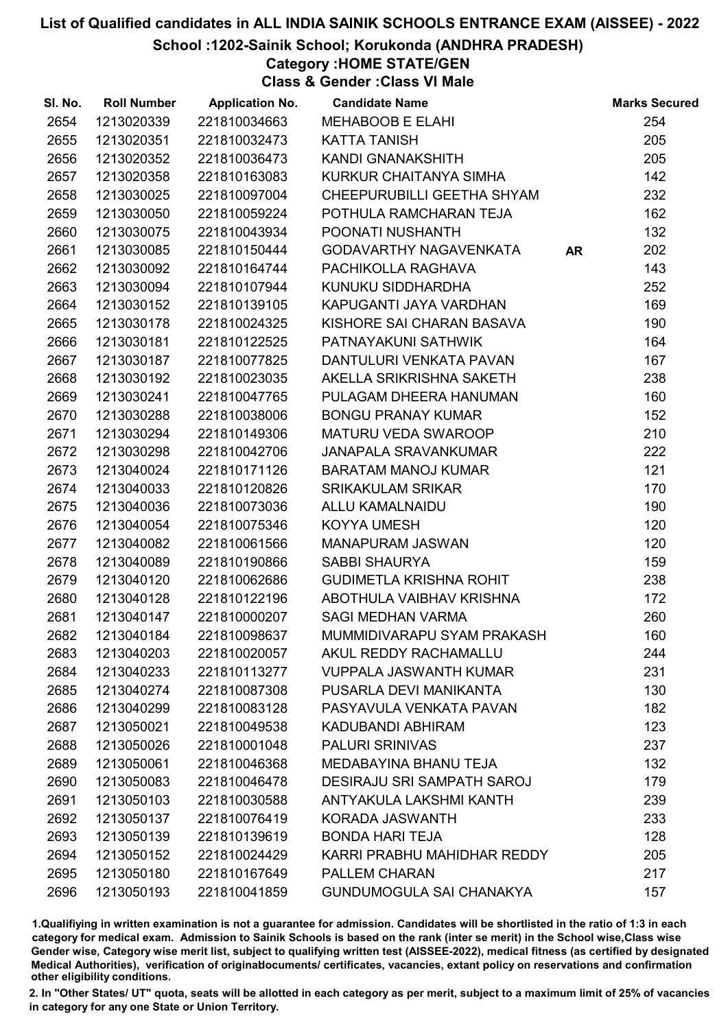#### School :1202-Sainik School; Korukonda (ANDHRA PRADESH)

Category :HOME STATE/GEN

Class & Gender :Class VI Male

| SI. No. | <b>Roll Number</b> | <b>Application No.</b> | <b>Candidate Name</b>             |           | <b>Marks Secured</b> |
|---------|--------------------|------------------------|-----------------------------------|-----------|----------------------|
| 2654    | 1213020339         | 221810034663           | <b>MEHABOOB E ELAHI</b>           |           | 254                  |
| 2655    | 1213020351         | 221810032473           | <b>KATTA TANISH</b>               |           | 205                  |
| 2656    | 1213020352         | 221810036473           | KANDI GNANAKSHITH                 |           | 205                  |
| 2657    | 1213020358         | 221810163083           | KURKUR CHAITANYA SIMHA            |           | 142                  |
| 2658    | 1213030025         | 221810097004           | CHEEPURUBILLI GEETHA SHYAM        |           | 232                  |
| 2659    | 1213030050         | 221810059224           | POTHULA RAMCHARAN TEJA            |           | 162                  |
| 2660    | 1213030075         | 221810043934           | POONATI NUSHANTH                  |           | 132                  |
| 2661    | 1213030085         | 221810150444           | <b>GODAVARTHY NAGAVENKATA</b>     | <b>AR</b> | 202                  |
| 2662    | 1213030092         | 221810164744           | PACHIKOLLA RAGHAVA                |           | 143                  |
| 2663    | 1213030094         | 221810107944           | KUNUKU SIDDHARDHA                 |           | 252                  |
| 2664    | 1213030152         | 221810139105           | KAPUGANTI JAYA VARDHAN            |           | 169                  |
| 2665    | 1213030178         | 221810024325           | KISHORE SAI CHARAN BASAVA         |           | 190                  |
| 2666    | 1213030181         | 221810122525           | PATNAYAKUNI SATHWIK               |           | 164                  |
| 2667    | 1213030187         | 221810077825           | DANTULURI VENKATA PAVAN           |           | 167                  |
| 2668    | 1213030192         | 221810023035           | AKELLA SRIKRISHNA SAKETH          |           | 238                  |
| 2669    | 1213030241         | 221810047765           | PULAGAM DHEERA HANUMAN            |           | 160                  |
| 2670    | 1213030288         | 221810038006           | <b>BONGU PRANAY KUMAR</b>         |           | 152                  |
| 2671    | 1213030294         | 221810149306           | <b>MATURU VEDA SWAROOP</b>        |           | 210                  |
| 2672    | 1213030298         | 221810042706           | <b>JANAPALA SRAVANKUMAR</b>       |           | 222                  |
| 2673    | 1213040024         | 221810171126           | <b>BARATAM MANOJ KUMAR</b>        |           | 121                  |
| 2674    | 1213040033         | 221810120826           | <b>SRIKAKULAM SRIKAR</b>          |           | 170                  |
| 2675    | 1213040036         | 221810073036           | <b>ALLU KAMALNAIDU</b>            |           | 190                  |
| 2676    | 1213040054         | 221810075346           | <b>KOYYA UMESH</b>                |           | 120                  |
| 2677    | 1213040082         | 221810061566           | <b>MANAPURAM JASWAN</b>           |           | 120                  |
| 2678    | 1213040089         | 221810190866           | <b>SABBI SHAURYA</b>              |           | 159                  |
| 2679    | 1213040120         | 221810062686           | <b>GUDIMETLA KRISHNA ROHIT</b>    |           | 238                  |
| 2680    | 1213040128         | 221810122196           | ABOTHULA VAIBHAV KRISHNA          |           | 172                  |
| 2681    | 1213040147         | 221810000207           | <b>SAGI MEDHAN VARMA</b>          |           | 260                  |
| 2682    | 1213040184         | 221810098637           | MUMMIDIVARAPU SYAM PRAKASH        |           | 160                  |
| 2683    | 1213040203         | 221810020057           | AKUL REDDY RACHAMALLU             |           | 244                  |
| 2684    | 1213040233         | 221810113277           | <b>VUPPALA JASWANTH KUMAR</b>     |           | 231                  |
| 2685    | 1213040274         | 221810087308           | PUSARLA DEVI MANIKANTA            |           | 130                  |
| 2686    | 1213040299         | 221810083128           | PASYAVULA VENKATA PAVAN           |           | 182                  |
| 2687    | 1213050021         | 221810049538           | KADUBANDI ABHIRAM                 |           | 123                  |
| 2688    | 1213050026         | 221810001048           | <b>PALURI SRINIVAS</b>            |           | 237                  |
| 2689    | 1213050061         | 221810046368           | MEDABAYINA BHANU TEJA             |           | 132                  |
| 2690    | 1213050083         | 221810046478           | <b>DESIRAJU SRI SAMPATH SAROJ</b> |           | 179                  |
| 2691    | 1213050103         | 221810030588           | ANTYAKULA LAKSHMI KANTH           |           | 239                  |
| 2692    | 1213050137         | 221810076419           | KORADA JASWANTH                   |           | 233                  |
| 2693    | 1213050139         | 221810139619           | <b>BONDA HARI TEJA</b>            |           | 128                  |
| 2694    | 1213050152         | 221810024429           | KARRI PRABHU MAHIDHAR REDDY       |           | 205                  |
| 2695    | 1213050180         | 221810167649           | PALLEM CHARAN                     |           | 217                  |
| 2696    | 1213050193         | 221810041859           | <b>GUNDUMOGULA SAI CHANAKYA</b>   |           | 157                  |

1.Qualifiying in written examination is not a guarantee for admission. Candidates will be shortlisted in the ratio of 1:3 in each category for medical exam. Admission to Sainik Schools is based on the rank (inter se merit) in the School wise,Class wise Gender wise, Category wise merit list, subject to qualifying written test (AISSEE-2022), medical fitness (as certified by designated Medical Authorities), verification of originablocuments/ certificates, vacancies, extant policy on reservations and confirmation other eligibility conditions.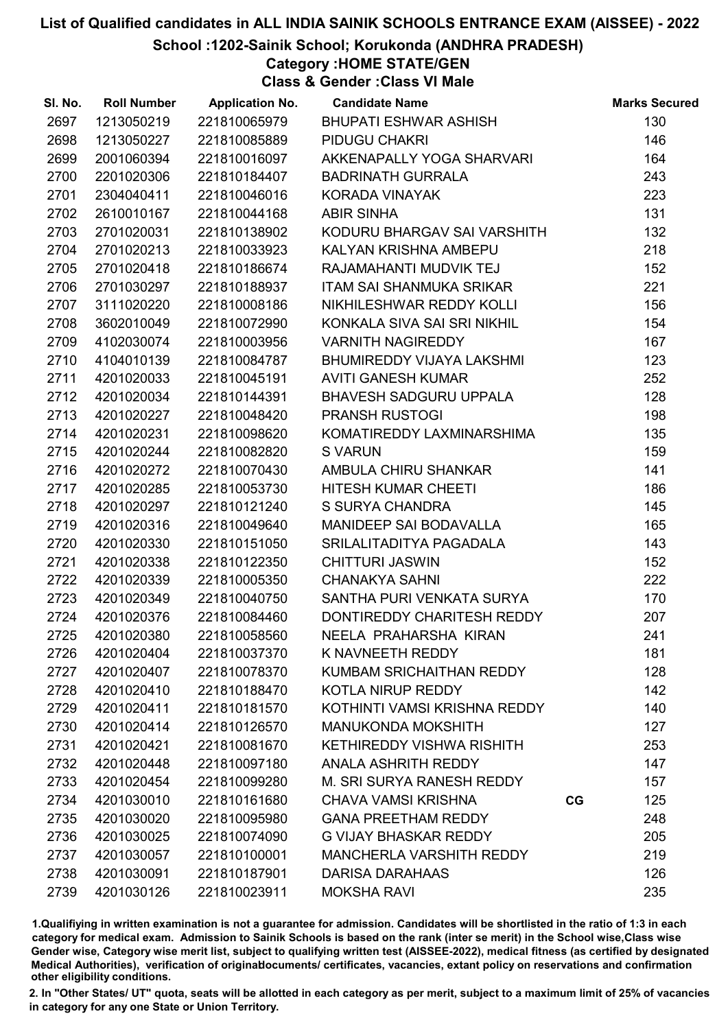#### School :1202-Sainik School; Korukonda (ANDHRA PRADESH)

### Category :HOME STATE/GEN

Class & Gender :Class VI Male

| SI. No. | <b>Roll Number</b> | <b>Application No.</b> | <b>Candidate Name</b>            |             | <b>Marks Secured</b> |
|---------|--------------------|------------------------|----------------------------------|-------------|----------------------|
| 2697    | 1213050219         | 221810065979           | BHUPATI ESHWAR ASHISH            |             | 130                  |
| 2698    | 1213050227         | 221810085889           | PIDUGU CHAKRI                    |             | 146                  |
| 2699    | 2001060394         | 221810016097           | AKKENAPALLY YOGA SHARVARI        |             | 164                  |
| 2700    | 2201020306         | 221810184407           | <b>BADRINATH GURRALA</b>         |             | 243                  |
| 2701    | 2304040411         | 221810046016           | KORADA VINAYAK                   |             | 223                  |
| 2702    | 2610010167         | 221810044168           | <b>ABIR SINHA</b>                |             | 131                  |
| 2703    | 2701020031         | 221810138902           | KODURU BHARGAV SAI VARSHITH      |             | 132                  |
| 2704    | 2701020213         | 221810033923           | KALYAN KRISHNA AMBEPU            |             | 218                  |
| 2705    | 2701020418         | 221810186674           | RAJAMAHANTI MUDVIK TEJ           |             | 152                  |
| 2706    | 2701030297         | 221810188937           | ITAM SAI SHANMUKA SRIKAR         |             | 221                  |
| 2707    | 3111020220         | 221810008186           | NIKHILESHWAR REDDY KOLLI         |             | 156                  |
| 2708    | 3602010049         | 221810072990           | KONKALA SIVA SAI SRI NIKHIL      |             | 154                  |
| 2709    | 4102030074         | 221810003956           | <b>VARNITH NAGIREDDY</b>         |             | 167                  |
| 2710    | 4104010139         | 221810084787           | BHUMIREDDY VIJAYA LAKSHMI        |             | 123                  |
| 2711    | 4201020033         | 221810045191           | <b>AVITI GANESH KUMAR</b>        |             | 252                  |
| 2712    | 4201020034         | 221810144391           | BHAVESH SADGURU UPPALA           |             | 128                  |
| 2713    | 4201020227         | 221810048420           | <b>PRANSH RUSTOGI</b>            |             | 198                  |
| 2714    | 4201020231         | 221810098620           | KOMATIREDDY LAXMINARSHIMA        |             | 135                  |
| 2715    | 4201020244         | 221810082820           | <b>S VARUN</b>                   |             | 159                  |
| 2716    | 4201020272         | 221810070430           | AMBULA CHIRU SHANKAR             |             | 141                  |
| 2717    | 4201020285         | 221810053730           | HITESH KUMAR CHEETI              |             | 186                  |
| 2718    | 4201020297         | 221810121240           | S SURYA CHANDRA                  |             | 145                  |
| 2719    | 4201020316         | 221810049640           | MANIDEEP SAI BODAVALLA           |             | 165                  |
| 2720    | 4201020330         | 221810151050           | SRILALITADITYA PAGADALA          |             | 143                  |
| 2721    | 4201020338         | 221810122350           | <b>CHITTURI JASWIN</b>           |             | 152                  |
| 2722    | 4201020339         | 221810005350           | <b>CHANAKYA SAHNI</b>            |             | 222                  |
| 2723    | 4201020349         | 221810040750           | SANTHA PURI VENKATA SURYA        |             | 170                  |
| 2724    | 4201020376         | 221810084460           | DONTIREDDY CHARITESH REDDY       |             | 207                  |
| 2725    | 4201020380         | 221810058560           | NEELA PRAHARSHA KIRAN            |             | 241                  |
| 2726    | 4201020404         | 221810037370           | K NAVNEETH REDDY                 |             | 181                  |
| 2727    | 4201020407         | 221810078370           | KUMBAM SRICHAITHAN REDDY         |             | 128                  |
| 2728    | 4201020410         | 221810188470           | KOTLA NIRUP REDDY                |             | 142                  |
| 2729    | 4201020411         | 221810181570           | KOTHINTI VAMSI KRISHNA REDDY     |             | 140                  |
| 2730    | 4201020414         | 221810126570           | <b>MANUKONDA MOKSHITH</b>        |             | 127                  |
| 2731    | 4201020421         | 221810081670           | <b>KETHIREDDY VISHWA RISHITH</b> |             | 253                  |
| 2732    | 4201020448         | 221810097180           | <b>ANALA ASHRITH REDDY</b>       |             | 147                  |
| 2733    | 4201020454         | 221810099280           | M. SRI SURYA RANESH REDDY        |             | 157                  |
| 2734    | 4201030010         | 221810161680           | <b>CHAVA VAMSI KRISHNA</b>       | $_{\rm CG}$ | 125                  |
| 2735    | 4201030020         | 221810095980           | <b>GANA PREETHAM REDDY</b>       |             | 248                  |
| 2736    | 4201030025         | 221810074090           | <b>G VIJAY BHASKAR REDDY</b>     |             | 205                  |
| 2737    | 4201030057         | 221810100001           | <b>MANCHERLA VARSHITH REDDY</b>  |             | 219                  |
| 2738    | 4201030091         | 221810187901           | <b>DARISA DARAHAAS</b>           |             | 126                  |
| 2739    | 4201030126         | 221810023911           | <b>MOKSHA RAVI</b>               |             | 235                  |

1.Qualifiying in written examination is not a guarantee for admission. Candidates will be shortlisted in the ratio of 1:3 in each category for medical exam. Admission to Sainik Schools is based on the rank (inter se merit) in the School wise,Class wise Gender wise, Category wise merit list, subject to qualifying written test (AISSEE-2022), medical fitness (as certified by designated Medical Authorities), verification of originablocuments/ certificates, vacancies, extant policy on reservations and confirmation other eligibility conditions.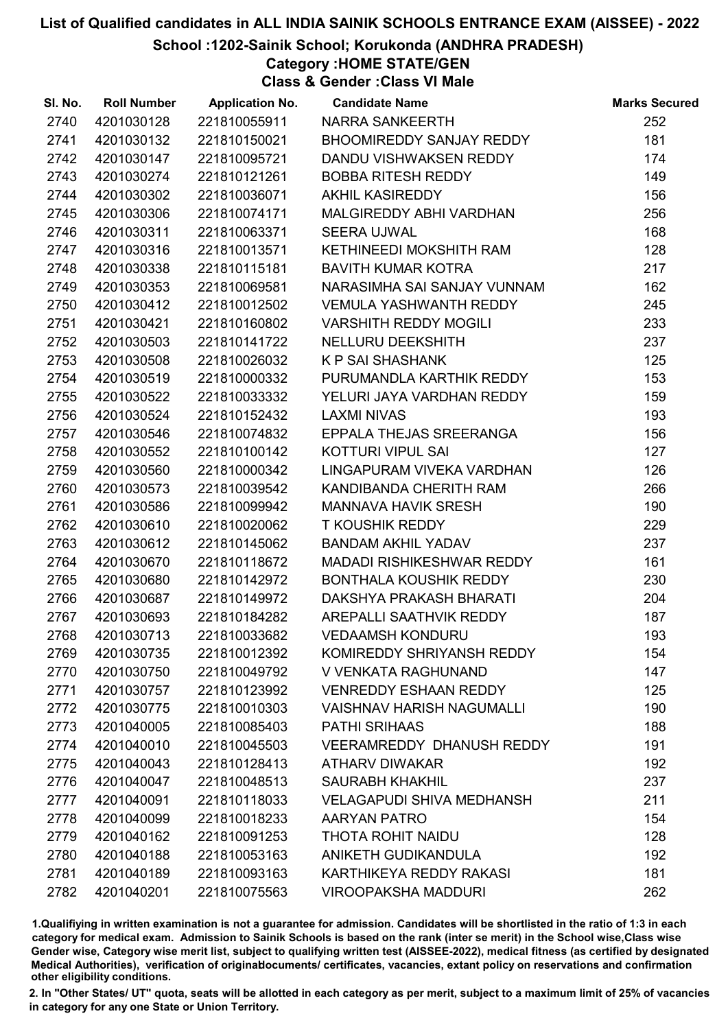School :1202-Sainik School; Korukonda (ANDHRA PRADESH)

Category :HOME STATE/GEN

Class & Gender :Class VI Male

| SI. No. | <b>Roll Number</b> | <b>Application No.</b> | <b>Candidate Name</b>            | <b>Marks Secured</b> |
|---------|--------------------|------------------------|----------------------------------|----------------------|
| 2740    | 4201030128         | 221810055911           | <b>NARRA SANKEERTH</b>           | 252                  |
| 2741    | 4201030132         | 221810150021           | <b>BHOOMIREDDY SANJAY REDDY</b>  | 181                  |
| 2742    | 4201030147         | 221810095721           | DANDU VISHWAKSEN REDDY           | 174                  |
| 2743    | 4201030274         | 221810121261           | <b>BOBBA RITESH REDDY</b>        | 149                  |
| 2744    | 4201030302         | 221810036071           | <b>AKHIL KASIREDDY</b>           | 156                  |
| 2745    | 4201030306         | 221810074171           | MALGIREDDY ABHI VARDHAN          | 256                  |
| 2746    | 4201030311         | 221810063371           | <b>SEERA UJWAL</b>               | 168                  |
| 2747    | 4201030316         | 221810013571           | KETHINEEDI MOKSHITH RAM          | 128                  |
| 2748    | 4201030338         | 221810115181           | <b>BAVITH KUMAR KOTRA</b>        | 217                  |
| 2749    | 4201030353         | 221810069581           | NARASIMHA SAI SANJAY VUNNAM      | 162                  |
| 2750    | 4201030412         | 221810012502           | <b>VEMULA YASHWANTH REDDY</b>    | 245                  |
| 2751    | 4201030421         | 221810160802           | <b>VARSHITH REDDY MOGILI</b>     | 233                  |
| 2752    | 4201030503         | 221810141722           | NELLURU DEEKSHITH                | 237                  |
| 2753    | 4201030508         | 221810026032           | <b>K P SAI SHASHANK</b>          | 125                  |
| 2754    | 4201030519         | 221810000332           | PURUMANDLA KARTHIK REDDY         | 153                  |
| 2755    | 4201030522         | 221810033332           | YELURI JAYA VARDHAN REDDY        | 159                  |
| 2756    | 4201030524         | 221810152432           | LAXMI NIVAS                      | 193                  |
| 2757    | 4201030546         | 221810074832           | EPPALA THEJAS SREERANGA          | 156                  |
| 2758    | 4201030552         | 221810100142           | <b>KOTTURI VIPUL SAI</b>         | 127                  |
| 2759    | 4201030560         | 221810000342           | LINGAPURAM VIVEKA VARDHAN        | 126                  |
| 2760    | 4201030573         | 221810039542           | KANDIBANDA CHERITH RAM           | 266                  |
| 2761    | 4201030586         | 221810099942           | <b>MANNAVA HAVIK SRESH</b>       | 190                  |
| 2762    | 4201030610         | 221810020062           | <b>T KOUSHIK REDDY</b>           | 229                  |
| 2763    | 4201030612         | 221810145062           | <b>BANDAM AKHIL YADAV</b>        | 237                  |
| 2764    | 4201030670         | 221810118672           | MADADI RISHIKESHWAR REDDY        | 161                  |
| 2765    | 4201030680         | 221810142972           | <b>BONTHALA KOUSHIK REDDY</b>    | 230                  |
| 2766    | 4201030687         | 221810149972           | DAKSHYA PRAKASH BHARATI          | 204                  |
| 2767    | 4201030693         | 221810184282           | AREPALLI SAATHVIK REDDY          | 187                  |
| 2768    | 4201030713         | 221810033682           | <b>VEDAAMSH KONDURU</b>          | 193                  |
| 2769    | 4201030735         | 221810012392           | KOMIREDDY SHRIYANSH REDDY        | 154                  |
| 2770    | 4201030750         | 221810049792           | V VENKATA RAGHUNAND              | 147                  |
| 2771    | 4201030757         | 221810123992           | <b>VENREDDY ESHAAN REDDY</b>     | 125                  |
| 2772    | 4201030775         | 221810010303           | <b>VAISHNAV HARISH NAGUMALLI</b> | 190                  |
| 2773    | 4201040005         | 221810085403           | <b>PATHI SRIHAAS</b>             | 188                  |
| 2774    | 4201040010         | 221810045503           | <b>VEERAMREDDY DHANUSH REDDY</b> | 191                  |
| 2775    | 4201040043         | 221810128413           | <b>ATHARV DIWAKAR</b>            | 192                  |
| 2776    | 4201040047         | 221810048513           | <b>SAURABH KHAKHIL</b>           | 237                  |
| 2777    | 4201040091         | 221810118033           | <b>VELAGAPUDI SHIVA MEDHANSH</b> | 211                  |
| 2778    | 4201040099         | 221810018233           | AARYAN PATRO                     | 154                  |
| 2779    | 4201040162         | 221810091253           | <b>THOTA ROHIT NAIDU</b>         | 128                  |
| 2780    | 4201040188         | 221810053163           | ANIKETH GUDIKANDULA              | 192                  |
| 2781    | 4201040189         | 221810093163           | KARTHIKEYA REDDY RAKASI          | 181                  |
| 2782    | 4201040201         | 221810075563           | <b>VIROOPAKSHA MADDURI</b>       | 262                  |

1.Qualifiying in written examination is not a guarantee for admission. Candidates will be shortlisted in the ratio of 1:3 in each category for medical exam. Admission to Sainik Schools is based on the rank (inter se merit) in the School wise,Class wise Gender wise, Category wise merit list, subject to qualifying written test (AISSEE-2022), medical fitness (as certified by designated Medical Authorities), verification of originablocuments/ certificates, vacancies, extant policy on reservations and confirmation other eligibility conditions.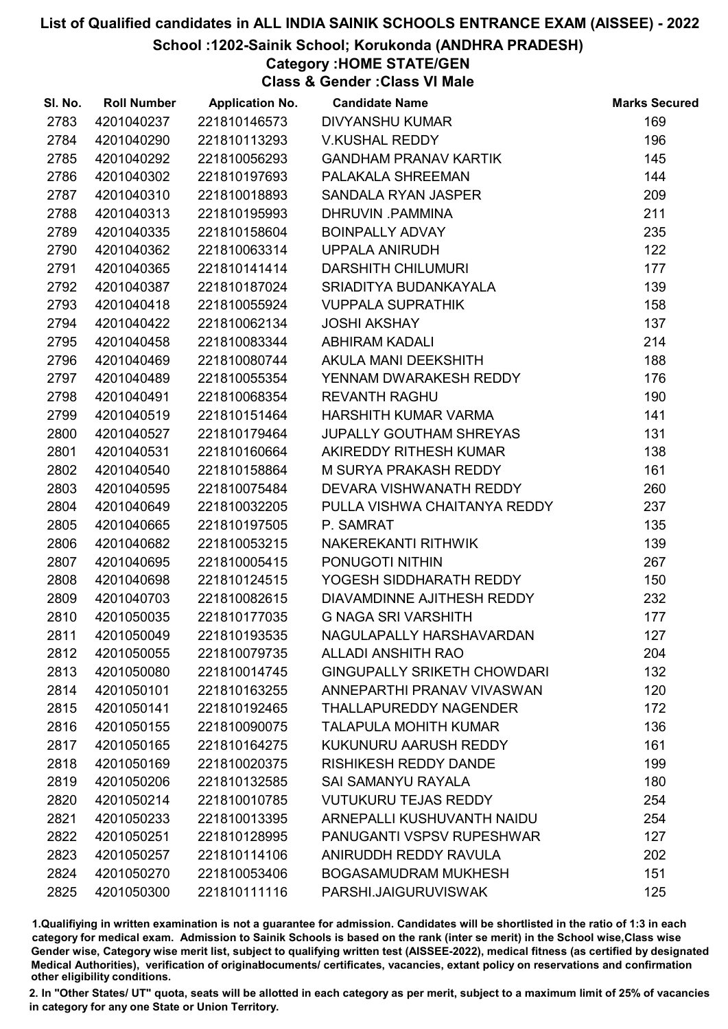#### School :1202-Sainik School; Korukonda (ANDHRA PRADESH)

Category :HOME STATE/GEN

Class & Gender :Class VI Male

| SI. No. | <b>Roll Number</b> | <b>Application No.</b> | <b>Candidate Name</b>              | <b>Marks Secured</b> |
|---------|--------------------|------------------------|------------------------------------|----------------------|
| 2783    | 4201040237         | 221810146573           | <b>DIVYANSHU KUMAR</b>             | 169                  |
| 2784    | 4201040290         | 221810113293           | <b>V.KUSHAL REDDY</b>              | 196                  |
| 2785    | 4201040292         | 221810056293           | <b>GANDHAM PRANAV KARTIK</b>       | 145                  |
| 2786    | 4201040302         | 221810197693           | PALAKALA SHREEMAN                  | 144                  |
| 2787    | 4201040310         | 221810018893           | SANDALA RYAN JASPER                | 209                  |
| 2788    | 4201040313         | 221810195993           | DHRUVIN PAMMINA                    | 211                  |
| 2789    | 4201040335         | 221810158604           | <b>BOINPALLY ADVAY</b>             | 235                  |
| 2790    | 4201040362         | 221810063314           | <b>UPPALA ANIRUDH</b>              | 122                  |
| 2791    | 4201040365         | 221810141414           | <b>DARSHITH CHILUMURI</b>          | 177                  |
| 2792    | 4201040387         | 221810187024           | SRIADITYA BUDANKAYALA              | 139                  |
| 2793    | 4201040418         | 221810055924           | <b>VUPPALA SUPRATHIK</b>           | 158                  |
| 2794    | 4201040422         | 221810062134           | <b>JOSHI AKSHAY</b>                | 137                  |
| 2795    | 4201040458         | 221810083344           | <b>ABHIRAM KADALI</b>              | 214                  |
| 2796    | 4201040469         | 221810080744           | AKULA MANI DEEKSHITH               | 188                  |
| 2797    | 4201040489         | 221810055354           | YENNAM DWARAKESH REDDY             | 176                  |
| 2798    | 4201040491         | 221810068354           | <b>REVANTH RAGHU</b>               | 190                  |
| 2799    | 4201040519         | 221810151464           | HARSHITH KUMAR VARMA               | 141                  |
| 2800    | 4201040527         | 221810179464           | <b>JUPALLY GOUTHAM SHREYAS</b>     | 131                  |
| 2801    | 4201040531         | 221810160664           | AKIREDDY RITHESH KUMAR             | 138                  |
| 2802    | 4201040540         | 221810158864           | M SURYA PRAKASH REDDY              | 161                  |
| 2803    | 4201040595         | 221810075484           | DEVARA VISHWANATH REDDY            | 260                  |
| 2804    | 4201040649         | 221810032205           | PULLA VISHWA CHAITANYA REDDY       | 237                  |
| 2805    | 4201040665         | 221810197505           | P. SAMRAT                          | 135                  |
| 2806    | 4201040682         | 221810053215           | NAKEREKANTI RITHWIK                | 139                  |
| 2807    | 4201040695         | 221810005415           | PONUGOTI NITHIN                    | 267                  |
| 2808    | 4201040698         | 221810124515           | YOGESH SIDDHARATH REDDY            | 150                  |
| 2809    | 4201040703         | 221810082615           | DIAVAMDINNE AJITHESH REDDY         | 232                  |
| 2810    | 4201050035         | 221810177035           | <b>G NAGA SRI VARSHITH</b>         | 177                  |
| 2811    | 4201050049         | 221810193535           | NAGULAPALLY HARSHAVARDAN           | 127                  |
| 2812    | 4201050055         | 221810079735           | <b>ALLADI ANSHITH RAO</b>          | 204                  |
| 2813    | 4201050080         | 221810014745           | <b>GINGUPALLY SRIKETH CHOWDARI</b> | 132                  |
| 2814    | 4201050101         | 221810163255           | ANNEPARTHI PRANAV VIVASWAN         | 120                  |
| 2815    | 4201050141         | 221810192465           | <b>THALLAPUREDDY NAGENDER</b>      | 172                  |
| 2816    | 4201050155         | 221810090075           | <b>TALAPULA MOHITH KUMAR</b>       | 136                  |
| 2817    | 4201050165         | 221810164275           | KUKUNURU AARUSH REDDY              | 161                  |
| 2818    | 4201050169         | 221810020375           | <b>RISHIKESH REDDY DANDE</b>       | 199                  |
| 2819    | 4201050206         | 221810132585           | <b>SAI SAMANYU RAYALA</b>          | 180                  |
| 2820    | 4201050214         | 221810010785           | <b>VUTUKURU TEJAS REDDY</b>        | 254                  |
| 2821    | 4201050233         | 221810013395           | ARNEPALLI KUSHUVANTH NAIDU         | 254                  |
| 2822    | 4201050251         | 221810128995           | PANUGANTI VSPSV RUPESHWAR          | 127                  |
| 2823    | 4201050257         | 221810114106           | ANIRUDDH REDDY RAVULA              | 202                  |
| 2824    | 4201050270         | 221810053406           | <b>BOGASAMUDRAM MUKHESH</b>        | 151                  |
| 2825    | 4201050300         | 221810111116           | PARSHI.JAIGURUVISWAK               | 125                  |

1.Qualifiying in written examination is not a guarantee for admission. Candidates will be shortlisted in the ratio of 1:3 in each category for medical exam. Admission to Sainik Schools is based on the rank (inter se merit) in the School wise,Class wise Gender wise, Category wise merit list, subject to qualifying written test (AISSEE-2022), medical fitness (as certified by designated Medical Authorities), verification of originablocuments/ certificates, vacancies, extant policy on reservations and confirmation other eligibility conditions.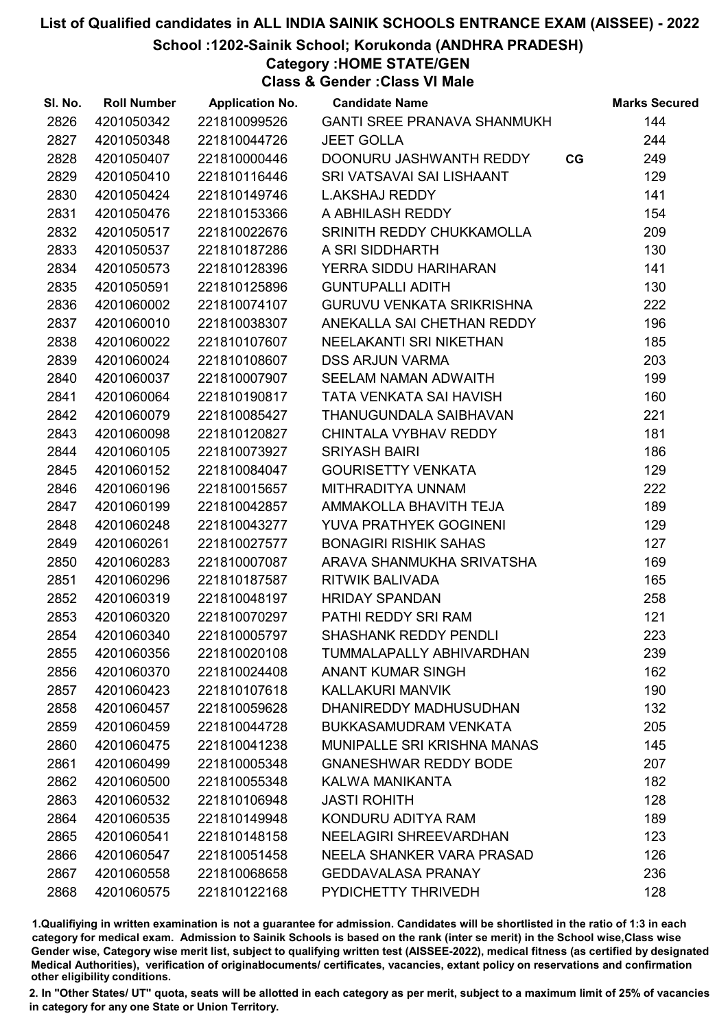School :1202-Sainik School; Korukonda (ANDHRA PRADESH)

Category :HOME STATE/GEN

Class & Gender :Class VI Male

| SI. No. | <b>Roll Number</b> | <b>Application No.</b> | <b>Candidate Name</b>              |    | <b>Marks Secured</b> |
|---------|--------------------|------------------------|------------------------------------|----|----------------------|
| 2826    | 4201050342         | 221810099526           | <b>GANTI SREE PRANAVA SHANMUKH</b> |    | 144                  |
| 2827    | 4201050348         | 221810044726           | <b>JEET GOLLA</b>                  |    | 244                  |
| 2828    | 4201050407         | 221810000446           | DOONURU JASHWANTH REDDY            | CG | 249                  |
| 2829    | 4201050410         | 221810116446           | SRI VATSAVAI SAI LISHAANT          |    | 129                  |
| 2830    | 4201050424         | 221810149746           | <b>L.AKSHAJ REDDY</b>              |    | 141                  |
| 2831    | 4201050476         | 221810153366           | A ABHILASH REDDY                   |    | 154                  |
| 2832    | 4201050517         | 221810022676           | SRINITH REDDY CHUKKAMOLLA          |    | 209                  |
| 2833    | 4201050537         | 221810187286           | A SRI SIDDHARTH                    |    | 130                  |
| 2834    | 4201050573         | 221810128396           | YERRA SIDDU HARIHARAN              |    | 141                  |
| 2835    | 4201050591         | 221810125896           | <b>GUNTUPALLI ADITH</b>            |    | 130                  |
| 2836    | 4201060002         | 221810074107           | <b>GURUVU VENKATA SRIKRISHNA</b>   |    | 222                  |
| 2837    | 4201060010         | 221810038307           | ANEKALLA SAI CHETHAN REDDY         |    | 196                  |
| 2838    | 4201060022         | 221810107607           | NEELAKANTI SRI NIKETHAN            |    | 185                  |
| 2839    | 4201060024         | 221810108607           | <b>DSS ARJUN VARMA</b>             |    | 203                  |
| 2840    | 4201060037         | 221810007907           | SEELAM NAMAN ADWAITH               |    | 199                  |
| 2841    | 4201060064         | 221810190817           | TATA VENKATA SAI HAVISH            |    | 160                  |
| 2842    | 4201060079         | 221810085427           | THANUGUNDALA SAIBHAVAN             |    | 221                  |
| 2843    | 4201060098         | 221810120827           | CHINTALA VYBHAV REDDY              |    | 181                  |
| 2844    | 4201060105         | 221810073927           | <b>SRIYASH BAIRI</b>               |    | 186                  |
| 2845    | 4201060152         | 221810084047           | <b>GOURISETTY VENKATA</b>          |    | 129                  |
| 2846    | 4201060196         | 221810015657           | MITHRADITYA UNNAM                  |    | 222                  |
| 2847    | 4201060199         | 221810042857           | AMMAKOLLA BHAVITH TEJA             |    | 189                  |
| 2848    | 4201060248         | 221810043277           | YUVA PRATHYEK GOGINENI             |    | 129                  |
| 2849    | 4201060261         | 221810027577           | <b>BONAGIRI RISHIK SAHAS</b>       |    | 127                  |
| 2850    | 4201060283         | 221810007087           | ARAVA SHANMUKHA SRIVATSHA          |    | 169                  |
| 2851    | 4201060296         | 221810187587           | RITWIK BALIVADA                    |    | 165                  |
| 2852    | 4201060319         | 221810048197           | <b>HRIDAY SPANDAN</b>              |    | 258                  |
| 2853    | 4201060320         | 221810070297           | PATHI REDDY SRI RAM                |    | 121                  |
| 2854    | 4201060340         | 221810005797           | <b>SHASHANK REDDY PENDLI</b>       |    | 223                  |
| 2855    | 4201060356         | 221810020108           | TUMMALAPALLY ABHIVARDHAN           |    | 239                  |
| 2856    | 4201060370         | 221810024408           | <b>ANANT KUMAR SINGH</b>           |    | 162                  |
| 2857    | 4201060423         | 221810107618           | KALLAKURI MANVIK                   |    | 190                  |
| 2858    | 4201060457         | 221810059628           | DHANIREDDY MADHUSUDHAN             |    | 132                  |
| 2859    | 4201060459         | 221810044728           | <b>BUKKASAMUDRAM VENKATA</b>       |    | 205                  |
| 2860    | 4201060475         | 221810041238           | <b>MUNIPALLE SRI KRISHNA MANAS</b> |    | 145                  |
| 2861    | 4201060499         | 221810005348           | <b>GNANESHWAR REDDY BODE</b>       |    | 207                  |
| 2862    | 4201060500         | 221810055348           | KALWA MANIKANTA                    |    | 182                  |
| 2863    | 4201060532         | 221810106948           | <b>JASTI ROHITH</b>                |    | 128                  |
| 2864    | 4201060535         | 221810149948           | KONDURU ADITYA RAM                 |    | 189                  |
| 2865    | 4201060541         | 221810148158           | NEELAGIRI SHREEVARDHAN             |    | 123                  |
| 2866    | 4201060547         | 221810051458           | NEELA SHANKER VARA PRASAD          |    | 126                  |
| 2867    | 4201060558         | 221810068658           | <b>GEDDAVALASA PRANAY</b>          |    | 236                  |
| 2868    | 4201060575         | 221810122168           | PYDICHETTY THRIVEDH                |    | 128                  |

1.Qualifiying in written examination is not a guarantee for admission. Candidates will be shortlisted in the ratio of 1:3 in each category for medical exam. Admission to Sainik Schools is based on the rank (inter se merit) in the School wise,Class wise Gender wise, Category wise merit list, subject to qualifying written test (AISSEE-2022), medical fitness (as certified by designated Medical Authorities), verification of originablocuments/ certificates, vacancies, extant policy on reservations and confirmation other eligibility conditions.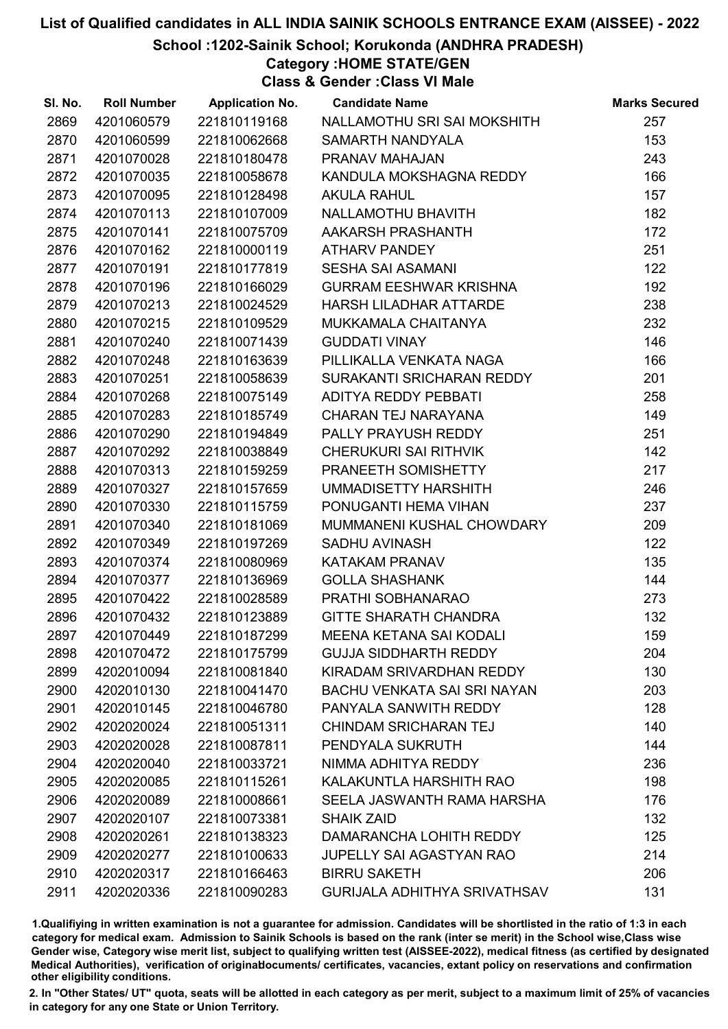#### School :1202-Sainik School; Korukonda (ANDHRA PRADESH)

Category :HOME STATE/GEN

Class & Gender :Class VI Male

| SI. No. | <b>Roll Number</b> | <b>Application No.</b> | <b>Candidate Name</b>               | <b>Marks Secured</b> |
|---------|--------------------|------------------------|-------------------------------------|----------------------|
| 2869    | 4201060579         | 221810119168           | NALLAMOTHU SRI SAI MOKSHITH         | 257                  |
| 2870    | 4201060599         | 221810062668           | SAMARTH NANDYALA                    | 153                  |
| 2871    | 4201070028         | 221810180478           | PRANAV MAHAJAN                      | 243                  |
| 2872    | 4201070035         | 221810058678           | KANDULA MOKSHAGNA REDDY             | 166                  |
| 2873    | 4201070095         | 221810128498           | <b>AKULA RAHUL</b>                  | 157                  |
| 2874    | 4201070113         | 221810107009           | NALLAMOTHU BHAVITH                  | 182                  |
| 2875    | 4201070141         | 221810075709           | AAKARSH PRASHANTH                   | 172                  |
| 2876    | 4201070162         | 221810000119           | <b>ATHARV PANDEY</b>                | 251                  |
| 2877    | 4201070191         | 221810177819           | <b>SESHA SAI ASAMANI</b>            | 122                  |
| 2878    | 4201070196         | 221810166029           | <b>GURRAM EESHWAR KRISHNA</b>       | 192                  |
| 2879    | 4201070213         | 221810024529           | HARSH LILADHAR ATTARDE              | 238                  |
| 2880    | 4201070215         | 221810109529           | MUKKAMALA CHAITANYA                 | 232                  |
| 2881    | 4201070240         | 221810071439           | <b>GUDDATI VINAY</b>                | 146                  |
| 2882    | 4201070248         | 221810163639           | PILLIKALLA VENKATA NAGA             | 166                  |
| 2883    | 4201070251         | 221810058639           | SURAKANTI SRICHARAN REDDY           | 201                  |
| 2884    | 4201070268         | 221810075149           | ADITYA REDDY PEBBATI                | 258                  |
| 2885    | 4201070283         | 221810185749           | CHARAN TEJ NARAYANA                 | 149                  |
| 2886    | 4201070290         | 221810194849           | PALLY PRAYUSH REDDY                 | 251                  |
| 2887    | 4201070292         | 221810038849           | <b>CHERUKURI SAI RITHVIK</b>        | 142                  |
| 2888    | 4201070313         | 221810159259           | PRANEETH SOMISHETTY                 | 217                  |
| 2889    | 4201070327         | 221810157659           | UMMADISETTY HARSHITH                | 246                  |
| 2890    | 4201070330         | 221810115759           | PONUGANTI HEMA VIHAN                | 237                  |
| 2891    | 4201070340         | 221810181069           | MUMMANENI KUSHAL CHOWDARY           | 209                  |
| 2892    | 4201070349         | 221810197269           | <b>SADHU AVINASH</b>                | 122                  |
| 2893    | 4201070374         | 221810080969           | KATAKAM PRANAV                      | 135                  |
| 2894    | 4201070377         | 221810136969           | <b>GOLLA SHASHANK</b>               | 144                  |
| 2895    | 4201070422         | 221810028589           | PRATHI SOBHANARAO                   | 273                  |
| 2896    | 4201070432         | 221810123889           | <b>GITTE SHARATH CHANDRA</b>        | 132                  |
| 2897    | 4201070449         | 221810187299           | <b>MEENA KETANA SAI KODALI</b>      | 159                  |
| 2898    | 4201070472         | 221810175799           | <b>GUJJA SIDDHARTH REDDY</b>        | 204                  |
| 2899    | 4202010094         | 221810081840           | KIRADAM SRIVARDHAN REDDY            | 130                  |
| 2900    | 4202010130         | 221810041470           | <b>BACHU VENKATA SAI SRI NAYAN</b>  | 203                  |
| 2901    | 4202010145         | 221810046780           | PANYALA SANWITH REDDY               | 128                  |
| 2902    | 4202020024         | 221810051311           | CHINDAM SRICHARAN TEJ               | 140                  |
| 2903    | 4202020028         | 221810087811           | PENDYALA SUKRUTH                    | 144                  |
| 2904    | 4202020040         | 221810033721           | NIMMA ADHITYA REDDY                 | 236                  |
| 2905    | 4202020085         | 221810115261           | KALAKUNTLA HARSHITH RAO             | 198                  |
| 2906    | 4202020089         | 221810008661           | SEELA JASWANTH RAMA HARSHA          | 176                  |
| 2907    | 4202020107         | 221810073381           | <b>SHAIK ZAID</b>                   | 132                  |
| 2908    | 4202020261         | 221810138323           | DAMARANCHA LOHITH REDDY             | 125                  |
| 2909    | 4202020277         | 221810100633           | <b>JUPELLY SAI AGASTYAN RAO</b>     | 214                  |
| 2910    | 4202020317         | 221810166463           | <b>BIRRU SAKETH</b>                 | 206                  |
| 2911    | 4202020336         | 221810090283           | <b>GURIJALA ADHITHYA SRIVATHSAV</b> | 131                  |

1.Qualifiying in written examination is not a guarantee for admission. Candidates will be shortlisted in the ratio of 1:3 in each category for medical exam. Admission to Sainik Schools is based on the rank (inter se merit) in the School wise,Class wise Gender wise, Category wise merit list, subject to qualifying written test (AISSEE-2022), medical fitness (as certified by designated Medical Authorities), verification of originablocuments/ certificates, vacancies, extant policy on reservations and confirmation other eligibility conditions.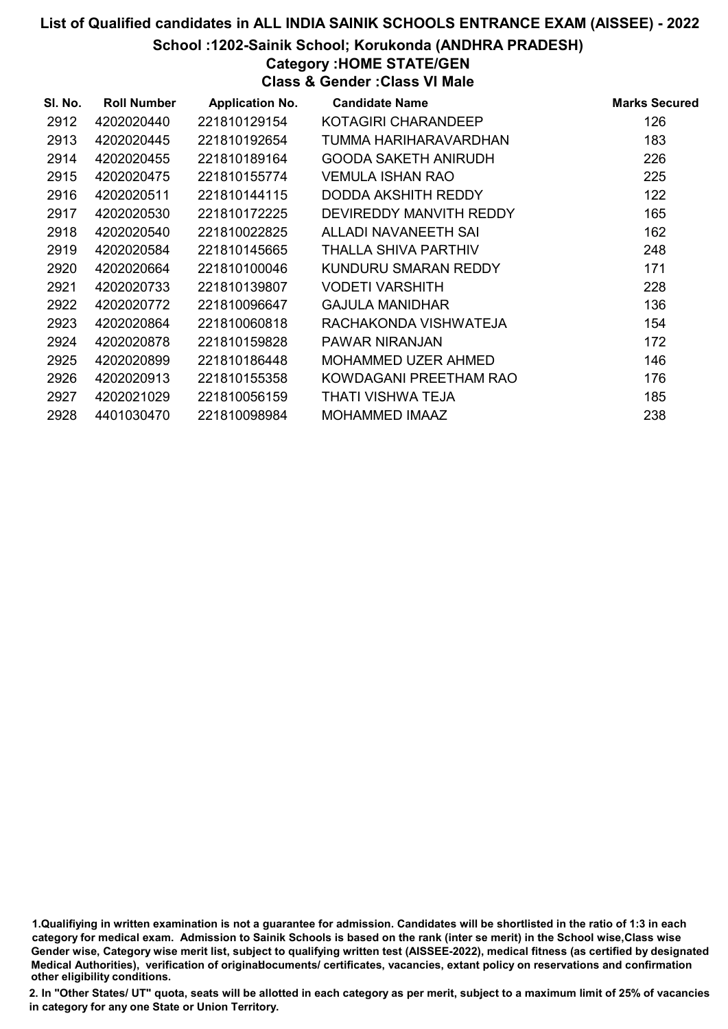School :1202-Sainik School; Korukonda (ANDHRA PRADESH)

Category :HOME STATE/GEN

Class & Gender :Class VI Male

| SI. No. | <b>Roll Number</b> | <b>Application No.</b> | <b>Candidate Name</b>   | <b>Marks Secured</b> |
|---------|--------------------|------------------------|-------------------------|----------------------|
| 2912    | 4202020440         | 221810129154           | KOTAGIRI CHARANDEEP     | 126                  |
| 2913    | 4202020445         | 221810192654           | TUMMA HARIHARAVARDHAN   | 183                  |
| 2914    | 4202020455         | 221810189164           | GOODA SAKETH ANIRUDH    | 226                  |
| 2915    | 4202020475         | 221810155774           | VEMULA ISHAN RAO        | 225                  |
| 2916    | 4202020511         | 221810144115           | DODDA AKSHITH REDDY     | 122                  |
| 2917    | 4202020530         | 221810172225           | DEVIREDDY MANVITH REDDY | 165                  |
| 2918    | 4202020540         | 221810022825           | ALLADI NAVANEETH SAI    | 162                  |
| 2919    | 4202020584         | 221810145665           | THALLA SHIVA PARTHIV    | 248                  |
| 2920    | 4202020664         | 221810100046           | KUNDURU SMARAN REDDY    | 171                  |
| 2921    | 4202020733         | 221810139807           | VODETI VARSHITH         | 228                  |
| 2922    | 4202020772         | 221810096647           | <b>GAJULA MANIDHAR</b>  | 136                  |
| 2923    | 4202020864         | 221810060818           | RACHAKONDA VISHWATEJA   | 154                  |
| 2924    | 4202020878         | 221810159828           | PAWAR NIRANJAN          | 172                  |
| 2925    | 4202020899         | 221810186448           | MOHAMMED UZER AHMED     | 146                  |
| 2926    | 4202020913         | 221810155358           | KOWDAGANI PREETHAM RAO  | 176                  |
| 2927    | 4202021029         | 221810056159           | THATI VISHWA TEJA       | 185                  |
| 2928    | 4401030470         | 221810098984           | <b>MOHAMMED IMAAZ</b>   | 238                  |

1.Qualifiying in written examination is not a guarantee for admission. Candidates will be shortlisted in the ratio of 1:3 in each category for medical exam. Admission to Sainik Schools is based on the rank (inter se merit) in the School wise,Class wise Gender wise, Category wise merit list, subject to qualifying written test (AISSEE-2022), medical fitness (as certified by designated Medical Authorities), verification of originablocuments/ certificates, vacancies, extant policy on reservations and confirmation other eligibility conditions.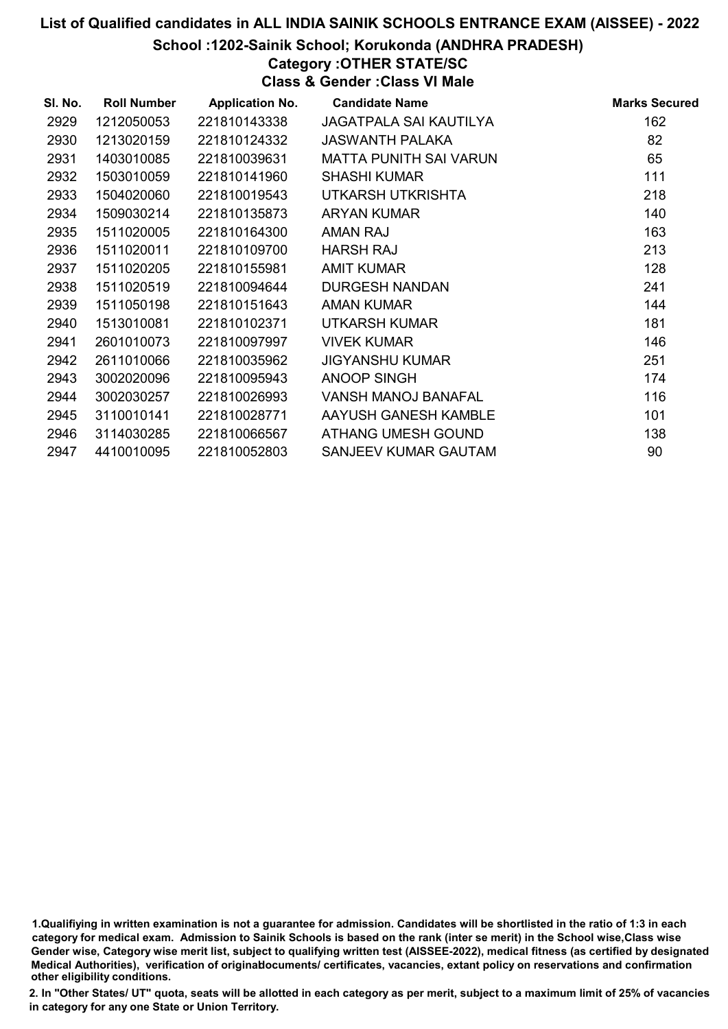#### School :1202-Sainik School; Korukonda (ANDHRA PRADESH)

### Category :OTHER STATE/SC

Class & Gender :Class VI Male

| SI. No. | <b>Roll Number</b> | <b>Application No.</b> | <b>Candidate Name</b>         | <b>Marks Secured</b> |
|---------|--------------------|------------------------|-------------------------------|----------------------|
| 2929    | 1212050053         | 221810143338           | <b>JAGATPALA SAI KAUTILYA</b> | 162                  |
| 2930    | 1213020159         | 221810124332           | <b>JASWANTH PALAKA</b>        | 82                   |
| 2931    | 1403010085         | 221810039631           | <b>MATTA PUNITH SAI VARUN</b> | 65                   |
| 2932    | 1503010059         | 221810141960           | <b>SHASHI KUMAR</b>           | 111                  |
| 2933    | 1504020060         | 221810019543           | UTKARSH UTKRISHTA             | 218                  |
| 2934    | 1509030214         | 221810135873           | <b>ARYAN KUMAR</b>            | 140                  |
| 2935    | 1511020005         | 221810164300           | <b>AMAN RAJ</b>               | 163                  |
| 2936    | 1511020011         | 221810109700           | <b>HARSH RAJ</b>              | 213                  |
| 2937    | 1511020205         | 221810155981           | <b>AMIT KUMAR</b>             | 128                  |
| 2938    | 1511020519         | 221810094644           | <b>DURGESH NANDAN</b>         | 241                  |
| 2939    | 1511050198         | 221810151643           | <b>AMAN KUMAR</b>             | 144                  |
| 2940    | 1513010081         | 221810102371           | UTKARSH KUMAR                 | 181                  |
| 2941    | 2601010073         | 221810097997           | <b>VIVEK KUMAR</b>            | 146                  |
| 2942    | 2611010066         | 221810035962           | <b>JIGYANSHU KUMAR</b>        | 251                  |
| 2943    | 3002020096         | 221810095943           | <b>ANOOP SINGH</b>            | 174                  |
| 2944    | 3002030257         | 221810026993           | <b>VANSH MANOJ BANAFAL</b>    | 116                  |
| 2945    | 3110010141         | 221810028771           | AAYUSH GANESH KAMBLE          | 101                  |
| 2946    | 3114030285         | 221810066567           | ATHANG UMESH GOUND            | 138                  |
| 2947    | 4410010095         | 221810052803           | SANJEEV KUMAR GAUTAM          | 90                   |

1.Qualifiying in written examination is not a guarantee for admission. Candidates will be shortlisted in the ratio of 1:3 in each category for medical exam. Admission to Sainik Schools is based on the rank (inter se merit) in the School wise,Class wise Gender wise, Category wise merit list, subject to qualifying written test (AISSEE-2022), medical fitness (as certified by designated Medical Authorities), verification of originablocuments/ certificates, vacancies, extant policy on reservations and confirmation other eligibility conditions.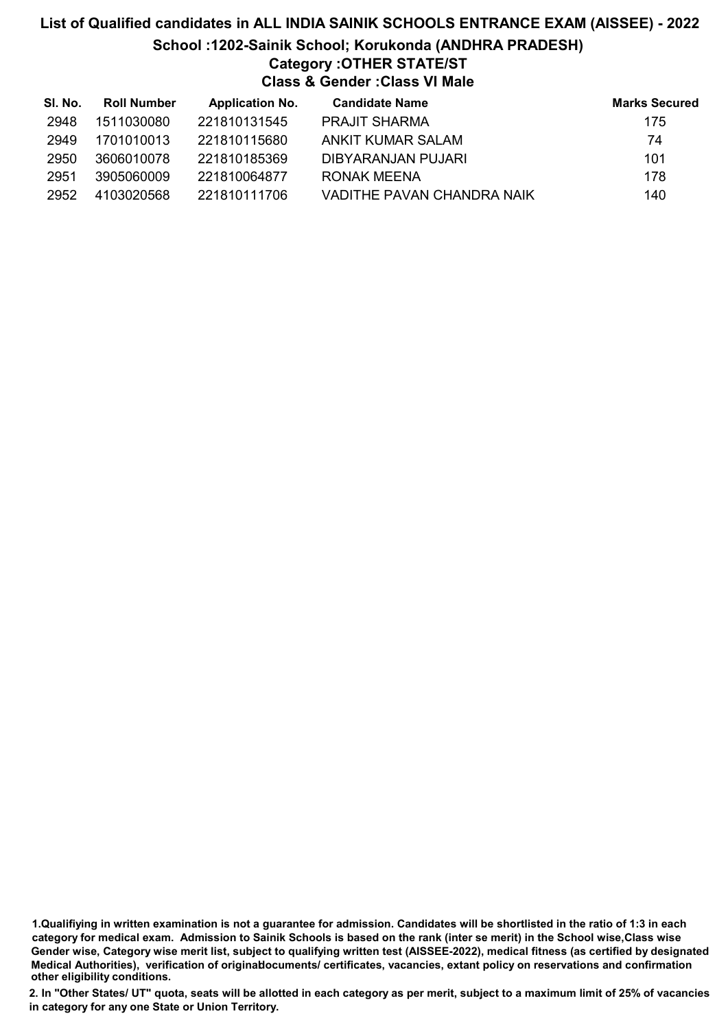# List of Qualified candidates in ALL INDIA SAINIK SCHOOLS ENTRANCE EXAM (AISSEE) - 2022 School :1202-Sainik School; Korukonda (ANDHRA PRADESH) Category :OTHER STATE/ST Class & Gender :Class VI Male

| SI. No. | <b>Roll Number</b> | <b>Application No.</b> | <b>Candidate Name</b>      | <b>Marks Secured</b> |
|---------|--------------------|------------------------|----------------------------|----------------------|
| 2948    | 1511030080         | 221810131545           | <b>PRAJIT SHARMA</b>       | 175                  |
| 2949    | 1701010013         | 221810115680           | ANKIT KUMAR SALAM          | 74                   |
| 2950    | 3606010078         | 221810185369           | DIBYARANJAN PUJARI         | 101                  |
| 2951    | 3905060009         | 221810064877           | RONAK MEENA                | 178                  |
| 2952    | 4103020568         | 221810111706           | VADITHE PAVAN CHANDRA NAIK | 140                  |

1.Qualifiying in written examination is not a guarantee for admission. Candidates will be shortlisted in the ratio of 1:3 in each category for medical exam. Admission to Sainik Schools is based on the rank (inter se merit) in the School wise,Class wise Gender wise, Category wise merit list, subject to qualifying written test (AISSEE-2022), medical fitness (as certified by designated Medical Authorities), verification of originablocuments/ certificates, vacancies, extant policy on reservations and confirmation other eligibility conditions.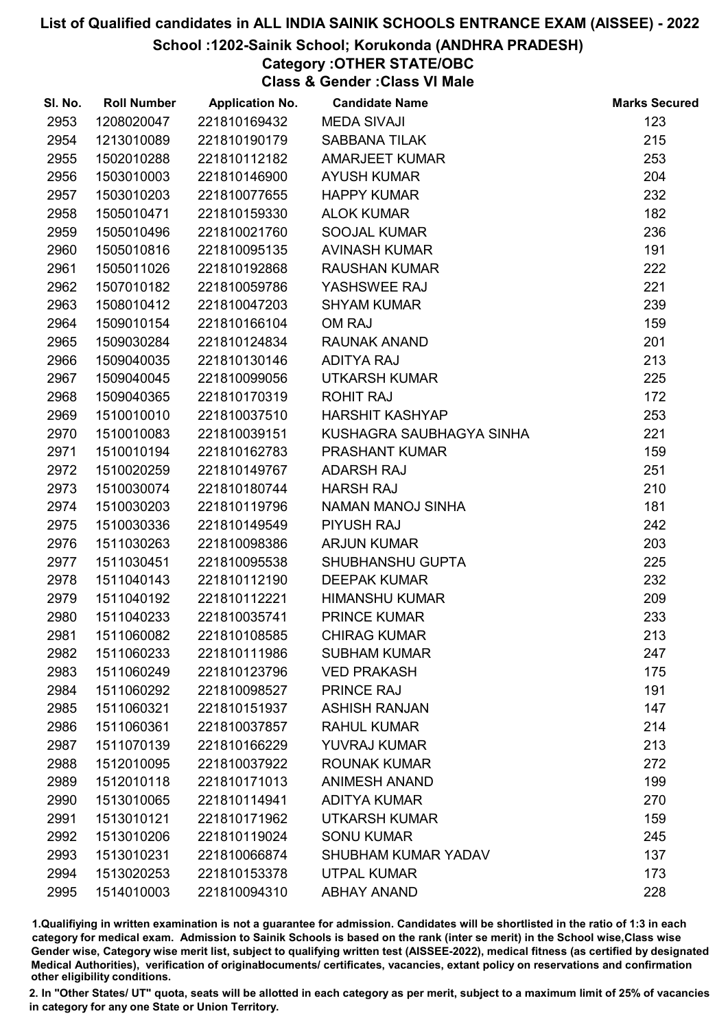#### School :1202-Sainik School; Korukonda (ANDHRA PRADESH)

# Category :OTHER STATE/OBC

Class & Gender :Class VI Male

| SI. No. | <b>Roll Number</b> | <b>Application No.</b> | <b>Candidate Name</b>      | <b>Marks Secured</b> |
|---------|--------------------|------------------------|----------------------------|----------------------|
| 2953    | 1208020047         | 221810169432           | <b>MEDA SIVAJI</b>         | 123                  |
| 2954    | 1213010089         | 221810190179           | <b>SABBANA TILAK</b>       | 215                  |
| 2955    | 1502010288         | 221810112182           | <b>AMARJEET KUMAR</b>      | 253                  |
| 2956    | 1503010003         | 221810146900           | <b>AYUSH KUMAR</b>         | 204                  |
| 2957    | 1503010203         | 221810077655           | <b>HAPPY KUMAR</b>         | 232                  |
| 2958    | 1505010471         | 221810159330           | <b>ALOK KUMAR</b>          | 182                  |
| 2959    | 1505010496         | 221810021760           | SOOJAL KUMAR               | 236                  |
| 2960    | 1505010816         | 221810095135           | <b>AVINASH KUMAR</b>       | 191                  |
| 2961    | 1505011026         | 221810192868           | <b>RAUSHAN KUMAR</b>       | 222                  |
| 2962    | 1507010182         | 221810059786           | YASHSWEE RAJ               | 221                  |
| 2963    | 1508010412         | 221810047203           | <b>SHYAM KUMAR</b>         | 239                  |
| 2964    | 1509010154         | 221810166104           | OM RAJ                     | 159                  |
| 2965    | 1509030284         | 221810124834           | <b>RAUNAK ANAND</b>        | 201                  |
| 2966    | 1509040035         | 221810130146           | <b>ADITYA RAJ</b>          | 213                  |
| 2967    | 1509040045         | 221810099056           | <b>UTKARSH KUMAR</b>       | 225                  |
| 2968    | 1509040365         | 221810170319           | <b>ROHIT RAJ</b>           | 172                  |
| 2969    | 1510010010         | 221810037510           | <b>HARSHIT KASHYAP</b>     | 253                  |
| 2970    | 1510010083         | 221810039151           | KUSHAGRA SAUBHAGYA SINHA   | 221                  |
| 2971    | 1510010194         | 221810162783           | <b>PRASHANT KUMAR</b>      | 159                  |
| 2972    | 1510020259         | 221810149767           | <b>ADARSH RAJ</b>          | 251                  |
| 2973    | 1510030074         | 221810180744           | <b>HARSH RAJ</b>           | 210                  |
| 2974    | 1510030203         | 221810119796           | NAMAN MANOJ SINHA          | 181                  |
| 2975    | 1510030336         | 221810149549           | <b>PIYUSH RAJ</b>          | 242                  |
| 2976    | 1511030263         | 221810098386           | <b>ARJUN KUMAR</b>         | 203                  |
| 2977    | 1511030451         | 221810095538           | SHUBHANSHU GUPTA           | 225                  |
| 2978    | 1511040143         | 221810112190           | <b>DEEPAK KUMAR</b>        | 232                  |
| 2979    | 1511040192         | 221810112221           | <b>HIMANSHU KUMAR</b>      | 209                  |
| 2980    | 1511040233         | 221810035741           | <b>PRINCE KUMAR</b>        | 233                  |
| 2981    | 1511060082         | 221810108585           | <b>CHIRAG KUMAR</b>        | 213                  |
| 2982    | 1511060233         | 221810111986           | <b>SUBHAM KUMAR</b>        | 247                  |
| 2983    | 1511060249         | 221810123796           | <b>VED PRAKASH</b>         | 175                  |
| 2984    | 1511060292         | 221810098527           | <b>PRINCE RAJ</b>          | 191                  |
| 2985    | 1511060321         | 221810151937           | <b>ASHISH RANJAN</b>       | 147                  |
| 2986    | 1511060361         | 221810037857           | <b>RAHUL KUMAR</b>         | 214                  |
| 2987    | 1511070139         | 221810166229           | YUVRAJ KUMAR               | 213                  |
| 2988    | 1512010095         | 221810037922           | <b>ROUNAK KUMAR</b>        | 272                  |
| 2989    | 1512010118         | 221810171013           | <b>ANIMESH ANAND</b>       | 199                  |
| 2990    | 1513010065         | 221810114941           | <b>ADITYA KUMAR</b>        | 270                  |
| 2991    | 1513010121         | 221810171962           | <b>UTKARSH KUMAR</b>       | 159                  |
| 2992    | 1513010206         | 221810119024           | <b>SONU KUMAR</b>          | 245                  |
| 2993    | 1513010231         | 221810066874           | <b>SHUBHAM KUMAR YADAV</b> | 137                  |
| 2994    | 1513020253         | 221810153378           | <b>UTPAL KUMAR</b>         | 173                  |
| 2995    | 1514010003         | 221810094310           | <b>ABHAY ANAND</b>         | 228                  |

1.Qualifiying in written examination is not a guarantee for admission. Candidates will be shortlisted in the ratio of 1:3 in each category for medical exam. Admission to Sainik Schools is based on the rank (inter se merit) in the School wise,Class wise Gender wise, Category wise merit list, subject to qualifying written test (AISSEE-2022), medical fitness (as certified by designated Medical Authorities), verification of originablocuments/ certificates, vacancies, extant policy on reservations and confirmation other eligibility conditions.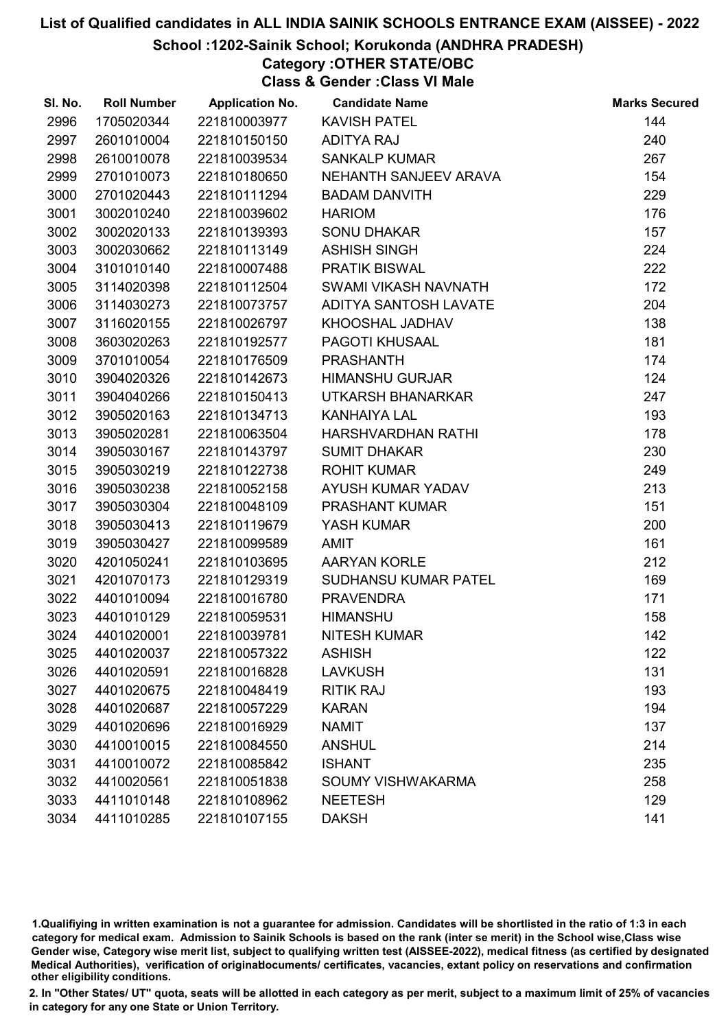#### School :1202-Sainik School; Korukonda (ANDHRA PRADESH)

# Category :OTHER STATE/OBC

Class & Gender :Class VI Male

| SI. No. | <b>Roll Number</b> | <b>Application No.</b> | <b>Candidate Name</b>  | <b>Marks Secured</b> |
|---------|--------------------|------------------------|------------------------|----------------------|
| 2996    | 1705020344         | 221810003977           | <b>KAVISH PATEL</b>    | 144                  |
| 2997    | 2601010004         | 221810150150           | <b>ADITYA RAJ</b>      | 240                  |
| 2998    | 2610010078         | 221810039534           | <b>SANKALP KUMAR</b>   | 267                  |
| 2999    | 2701010073         | 221810180650           | NEHANTH SANJEEV ARAVA  | 154                  |
| 3000    | 2701020443         | 221810111294           | <b>BADAM DANVITH</b>   | 229                  |
| 3001    | 3002010240         | 221810039602           | <b>HARIOM</b>          | 176                  |
| 3002    | 3002020133         | 221810139393           | <b>SONU DHAKAR</b>     | 157                  |
| 3003    | 3002030662         | 221810113149           | <b>ASHISH SINGH</b>    | 224                  |
| 3004    | 3101010140         | 221810007488           | <b>PRATIK BISWAL</b>   | 222                  |
| 3005    | 3114020398         | 221810112504           | SWAMI VIKASH NAVNATH   | 172                  |
| 3006    | 3114030273         | 221810073757           | ADITYA SANTOSH LAVATE  | 204                  |
| 3007    | 3116020155         | 221810026797           | KHOOSHAL JADHAV        | 138                  |
| 3008    | 3603020263         | 221810192577           | PAGOTI KHUSAAL         | 181                  |
| 3009    | 3701010054         | 221810176509           | <b>PRASHANTH</b>       | 174                  |
| 3010    | 3904020326         | 221810142673           | <b>HIMANSHU GURJAR</b> | 124                  |
| 3011    | 3904040266         | 221810150413           | UTKARSH BHANARKAR      | 247                  |
| 3012    | 3905020163         | 221810134713           | <b>KANHAIYA LAL</b>    | 193                  |
| 3013    | 3905020281         | 221810063504           | HARSHVARDHAN RATHI     | 178                  |
| 3014    | 3905030167         | 221810143797           | <b>SUMIT DHAKAR</b>    | 230                  |
| 3015    | 3905030219         | 221810122738           | <b>ROHIT KUMAR</b>     | 249                  |
| 3016    | 3905030238         | 221810052158           | AYUSH KUMAR YADAV      | 213                  |
| 3017    | 3905030304         | 221810048109           | PRASHANT KUMAR         | 151                  |
| 3018    | 3905030413         | 221810119679           | YASH KUMAR             | 200                  |
| 3019    | 3905030427         | 221810099589           | <b>AMIT</b>            | 161                  |
| 3020    | 4201050241         | 221810103695           | <b>AARYAN KORLE</b>    | 212                  |
| 3021    | 4201070173         | 221810129319           | SUDHANSU KUMAR PATEL   | 169                  |
| 3022    | 4401010094         | 221810016780           | <b>PRAVENDRA</b>       | 171                  |
| 3023    | 4401010129         | 221810059531           | <b>HIMANSHU</b>        | 158                  |
| 3024    | 4401020001         | 221810039781           | <b>NITESH KUMAR</b>    | 142                  |
| 3025    | 4401020037         | 221810057322           | <b>ASHISH</b>          | 122                  |
| 3026    | 4401020591         | 221810016828           | <b>LAVKUSH</b>         | 131                  |
| 3027    | 4401020675         | 221810048419           | <b>RITIK RAJ</b>       | 193                  |
| 3028    | 4401020687         | 221810057229           | <b>KARAN</b>           | 194                  |
| 3029    | 4401020696         | 221810016929           | <b>NAMIT</b>           | 137                  |
| 3030    | 4410010015         | 221810084550           | <b>ANSHUL</b>          | 214                  |
| 3031    | 4410010072         | 221810085842           | <b>ISHANT</b>          | 235                  |
| 3032    | 4410020561         | 221810051838           | SOUMY VISHWAKARMA      | 258                  |
| 3033    | 4411010148         | 221810108962           | <b>NEETESH</b>         | 129                  |
| 3034    | 4411010285         | 221810107155           | <b>DAKSH</b>           | 141                  |

1.Qualifiying in written examination is not a guarantee for admission. Candidates will be shortlisted in the ratio of 1:3 in each category for medical exam. Admission to Sainik Schools is based on the rank (inter se merit) in the School wise,Class wise Gender wise, Category wise merit list, subject to qualifying written test (AISSEE-2022), medical fitness (as certified by designated Medical Authorities), verification of originablocuments/ certificates, vacancies, extant policy on reservations and confirmation other eligibility conditions.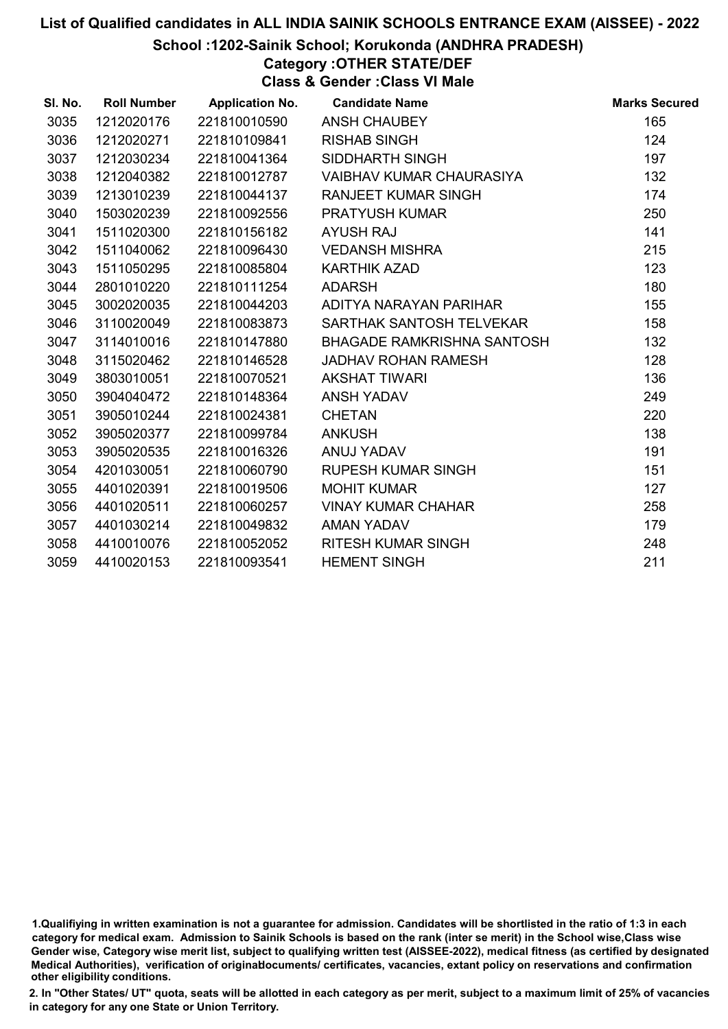School :1202-Sainik School; Korukonda (ANDHRA PRADESH)

# Category :OTHER STATE/DEF

Class & Gender :Class VI Male

| SI. No. | <b>Roll Number</b> | <b>Application No.</b> | <b>Candidate Name</b>             | <b>Marks Secured</b> |
|---------|--------------------|------------------------|-----------------------------------|----------------------|
| 3035    | 1212020176         | 221810010590           | <b>ANSH CHAUBEY</b>               | 165                  |
| 3036    | 1212020271         | 221810109841           | <b>RISHAB SINGH</b>               | 124                  |
| 3037    | 1212030234         | 221810041364           | SIDDHARTH SINGH                   | 197                  |
| 3038    | 1212040382         | 221810012787           | VAIBHAV KUMAR CHAURASIYA          | 132                  |
| 3039    | 1213010239         | 221810044137           | <b>RANJEET KUMAR SINGH</b>        | 174                  |
| 3040    | 1503020239         | 221810092556           | <b>PRATYUSH KUMAR</b>             | 250                  |
| 3041    | 1511020300         | 221810156182           | <b>AYUSH RAJ</b>                  | 141                  |
| 3042    | 1511040062         | 221810096430           | <b>VEDANSH MISHRA</b>             | 215                  |
| 3043    | 1511050295         | 221810085804           | <b>KARTHIK AZAD</b>               | 123                  |
| 3044    | 2801010220         | 221810111254           | <b>ADARSH</b>                     | 180                  |
| 3045    | 3002020035         | 221810044203           | ADITYA NARAYAN PARIHAR            | 155                  |
| 3046    | 3110020049         | 221810083873           | SARTHAK SANTOSH TELVEKAR          | 158                  |
| 3047    | 3114010016         | 221810147880           | <b>BHAGADE RAMKRISHNA SANTOSH</b> | 132                  |
| 3048    | 3115020462         | 221810146528           | JADHAV ROHAN RAMESH               | 128                  |
| 3049    | 3803010051         | 221810070521           | <b>AKSHAT TIWARI</b>              | 136                  |
| 3050    | 3904040472         | 221810148364           | <b>ANSH YADAV</b>                 | 249                  |
| 3051    | 3905010244         | 221810024381           | <b>CHETAN</b>                     | 220                  |
| 3052    | 3905020377         | 221810099784           | <b>ANKUSH</b>                     | 138                  |
| 3053    | 3905020535         | 221810016326           | ANUJ YADAV                        | 191                  |
| 3054    | 4201030051         | 221810060790           | <b>RUPESH KUMAR SINGH</b>         | 151                  |
| 3055    | 4401020391         | 221810019506           | <b>MOHIT KUMAR</b>                | 127                  |
| 3056    | 4401020511         | 221810060257           | <b>VINAY KUMAR CHAHAR</b>         | 258                  |
| 3057    | 4401030214         | 221810049832           | AMAN YADAV                        | 179                  |
| 3058    | 4410010076         | 221810052052           | <b>RITESH KUMAR SINGH</b>         | 248                  |
| 3059    | 4410020153         | 221810093541           | <b>HEMENT SINGH</b>               | 211                  |

1.Qualifiying in written examination is not a guarantee for admission. Candidates will be shortlisted in the ratio of 1:3 in each category for medical exam. Admission to Sainik Schools is based on the rank (inter se merit) in the School wise,Class wise Gender wise, Category wise merit list, subject to qualifying written test (AISSEE-2022), medical fitness (as certified by designated Medical Authorities), verification of originablocuments/ certificates, vacancies, extant policy on reservations and confirmation other eligibility conditions.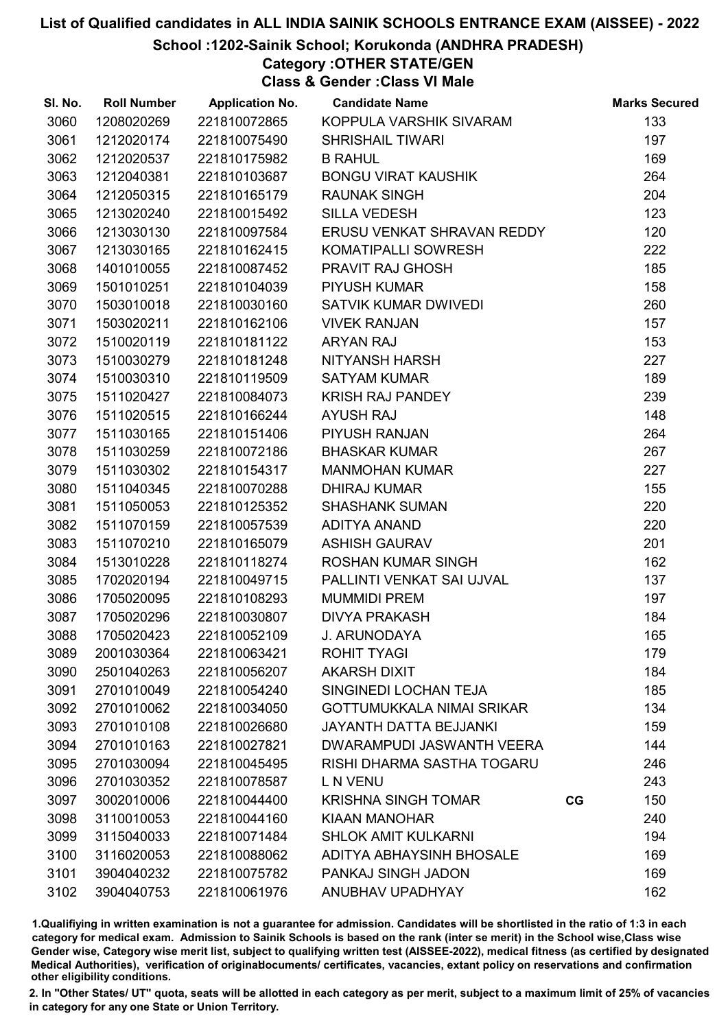#### School :1202-Sainik School; Korukonda (ANDHRA PRADESH)

# Category :OTHER STATE/GEN

Class & Gender :Class VI Male

| SI. No. | <b>Roll Number</b> | <b>Application No.</b> | <b>Candidate Name</b>            |    | <b>Marks Secured</b> |
|---------|--------------------|------------------------|----------------------------------|----|----------------------|
| 3060    | 1208020269         | 221810072865           | KOPPULA VARSHIK SIVARAM          |    | 133                  |
| 3061    | 1212020174         | 221810075490           | <b>SHRISHAIL TIWARI</b>          |    | 197                  |
| 3062    | 1212020537         | 221810175982           | <b>B RAHUL</b>                   |    | 169                  |
| 3063    | 1212040381         | 221810103687           | <b>BONGU VIRAT KAUSHIK</b>       |    | 264                  |
| 3064    | 1212050315         | 221810165179           | <b>RAUNAK SINGH</b>              |    | 204                  |
| 3065    | 1213020240         | 221810015492           | <b>SILLA VEDESH</b>              |    | 123                  |
| 3066    | 1213030130         | 221810097584           | ERUSU VENKAT SHRAVAN REDDY       |    | 120                  |
| 3067    | 1213030165         | 221810162415           | KOMATIPALLI SOWRESH              |    | 222                  |
| 3068    | 1401010055         | 221810087452           | <b>PRAVIT RAJ GHOSH</b>          |    | 185                  |
| 3069    | 1501010251         | 221810104039           | <b>PIYUSH KUMAR</b>              |    | 158                  |
| 3070    | 1503010018         | 221810030160           | SATVIK KUMAR DWIVEDI             |    | 260                  |
| 3071    | 1503020211         | 221810162106           | <b>VIVEK RANJAN</b>              |    | 157                  |
| 3072    | 1510020119         | 221810181122           | <b>ARYAN RAJ</b>                 |    | 153                  |
| 3073    | 1510030279         | 221810181248           | NITYANSH HARSH                   |    | 227                  |
| 3074    | 1510030310         | 221810119509           | <b>SATYAM KUMAR</b>              |    | 189                  |
| 3075    | 1511020427         | 221810084073           | KRISH RAJ PANDEY                 |    | 239                  |
| 3076    | 1511020515         | 221810166244           | <b>AYUSH RAJ</b>                 |    | 148                  |
| 3077    | 1511030165         | 221810151406           | PIYUSH RANJAN                    |    | 264                  |
| 3078    | 1511030259         | 221810072186           | <b>BHASKAR KUMAR</b>             |    | 267                  |
| 3079    | 1511030302         | 221810154317           | <b>MANMOHAN KUMAR</b>            |    | 227                  |
| 3080    | 1511040345         | 221810070288           | <b>DHIRAJ KUMAR</b>              |    | 155                  |
| 3081    | 1511050053         | 221810125352           | <b>SHASHANK SUMAN</b>            |    | 220                  |
| 3082    | 1511070159         | 221810057539           | <b>ADITYA ANAND</b>              |    | 220                  |
| 3083    | 1511070210         | 221810165079           | <b>ASHISH GAURAV</b>             |    | 201                  |
| 3084    | 1513010228         | 221810118274           | <b>ROSHAN KUMAR SINGH</b>        |    | 162                  |
| 3085    | 1702020194         | 221810049715           | PALLINTI VENKAT SAI UJVAL        |    | 137                  |
| 3086    | 1705020095         | 221810108293           | <b>MUMMIDI PREM</b>              |    | 197                  |
| 3087    | 1705020296         | 221810030807           | <b>DIVYA PRAKASH</b>             |    | 184                  |
| 3088    | 1705020423         | 221810052109           | J. ARUNODAYA                     |    | 165                  |
| 3089    | 2001030364         | 221810063421           | <b>ROHIT TYAGI</b>               |    | 179                  |
| 3090    | 2501040263         | 221810056207           | <b>AKARSH DIXIT</b>              |    | 184                  |
| 3091    | 2701010049         | 221810054240           | SINGINEDI LOCHAN TEJA            |    | 185                  |
| 3092    | 2701010062         | 221810034050           | <b>GOTTUMUKKALA NIMAI SRIKAR</b> |    | 134                  |
| 3093    | 2701010108         | 221810026680           | <b>JAYANTH DATTA BEJJANKI</b>    |    | 159                  |
| 3094    | 2701010163         | 221810027821           | DWARAMPUDI JASWANTH VEERA        |    | 144                  |
| 3095    | 2701030094         | 221810045495           | RISHI DHARMA SASTHA TOGARU       |    | 246                  |
| 3096    | 2701030352         | 221810078587           | L N VENU                         |    | 243                  |
| 3097    | 3002010006         | 221810044400           | <b>KRISHNA SINGH TOMAR</b>       | CG | 150                  |
| 3098    | 3110010053         | 221810044160           | <b>KIAAN MANOHAR</b>             |    | 240                  |
| 3099    | 3115040033         | 221810071484           | <b>SHLOK AMIT KULKARNI</b>       |    | 194                  |
| 3100    | 3116020053         | 221810088062           | <b>ADITYA ABHAYSINH BHOSALE</b>  |    | 169                  |
| 3101    | 3904040232         | 221810075782           | PANKAJ SINGH JADON               |    | 169                  |
| 3102    | 3904040753         | 221810061976           | ANUBHAV UPADHYAY                 |    | 162                  |

1.Qualifiying in written examination is not a guarantee for admission. Candidates will be shortlisted in the ratio of 1:3 in each category for medical exam. Admission to Sainik Schools is based on the rank (inter se merit) in the School wise,Class wise Gender wise, Category wise merit list, subject to qualifying written test (AISSEE-2022), medical fitness (as certified by designated Medical Authorities), verification of originablocuments/ certificates, vacancies, extant policy on reservations and confirmation other eligibility conditions.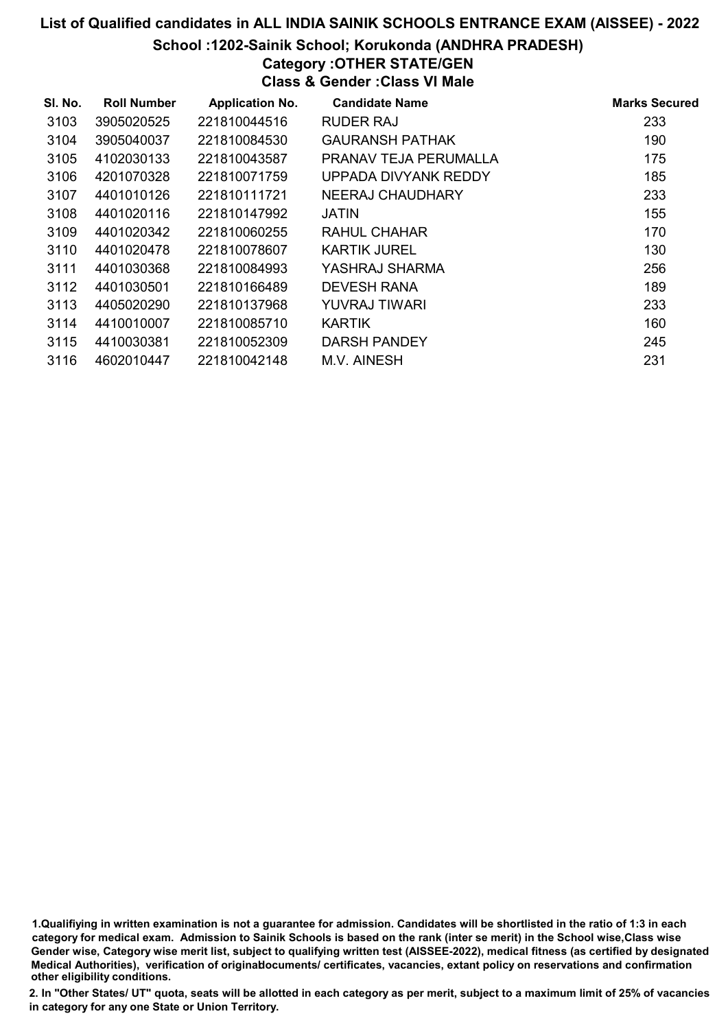#### School :1202-Sainik School; Korukonda (ANDHRA PRADESH)

#### Category :OTHER STATE/GEN Class & Gender :Class VI Male

| SI. No. | <b>Roll Number</b> | <b>Application No.</b> | <b>Candidate Name</b>   | <b>Marks Secured</b> |
|---------|--------------------|------------------------|-------------------------|----------------------|
| 3103    | 3905020525         | 221810044516           | <b>RUDER RAJ</b>        | 233                  |
| 3104    | 3905040037         | 221810084530           | <b>GAURANSH PATHAK</b>  | 190                  |
| 3105    | 4102030133         | 221810043587           | PRANAV TEJA PERUMALLA   | 175                  |
| 3106    | 4201070328         | 221810071759           | UPPADA DIVYANK REDDY    | 185                  |
| 3107    | 4401010126         | 221810111721           | <b>NEERAJ CHAUDHARY</b> | 233                  |
| 3108    | 4401020116         | 221810147992           | JATIN                   | 155                  |
| 3109    | 4401020342         | 221810060255           | RAHUL CHAHAR            | 170                  |
| 3110    | 4401020478         | 221810078607           | <b>KARTIK JUREL</b>     | 130                  |
| 3111    | 4401030368         | 221810084993           | YASHRAJ SHARMA          | 256                  |
| 3112    | 4401030501         | 221810166489           | <b>DEVESH RANA</b>      | 189                  |
| 3113    | 4405020290         | 221810137968           | YUVRAJ TIWARI           | 233                  |
| 3114    | 4410010007         | 221810085710           | <b>KARTIK</b>           | 160                  |
| 3115    | 4410030381         | 221810052309           | DARSH PANDEY            | 245                  |
| 3116    | 4602010447         | 221810042148           | M.V. AINESH             | 231                  |

1.Qualifiying in written examination is not a guarantee for admission. Candidates will be shortlisted in the ratio of 1:3 in each category for medical exam. Admission to Sainik Schools is based on the rank (inter se merit) in the School wise,Class wise Gender wise, Category wise merit list, subject to qualifying written test (AISSEE-2022), medical fitness (as certified by designated Medical Authorities), verification of originablocuments/ certificates, vacancies, extant policy on reservations and confirmation other eligibility conditions.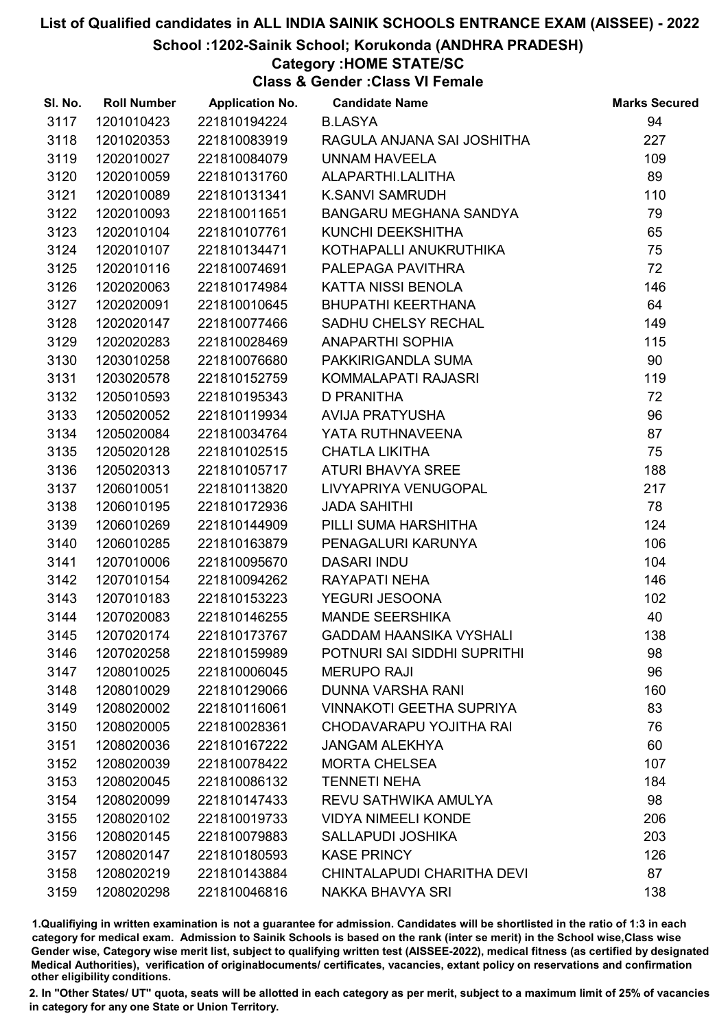#### School :1202-Sainik School; Korukonda (ANDHRA PRADESH)

#### Category :HOME STATE/SC

Class & Gender :Class VI Female

| SI. No. | <b>Roll Number</b> | <b>Application No.</b> | <b>Candidate Name</b>           | <b>Marks Secured</b> |
|---------|--------------------|------------------------|---------------------------------|----------------------|
| 3117    | 1201010423         | 221810194224           | <b>B.LASYA</b>                  | 94                   |
| 3118    | 1201020353         | 221810083919           | RAGULA ANJANA SAI JOSHITHA      | 227                  |
| 3119    | 1202010027         | 221810084079           | <b>UNNAM HAVEELA</b>            | 109                  |
| 3120    | 1202010059         | 221810131760           | ALAPARTHI.LALITHA               | 89                   |
| 3121    | 1202010089         | 221810131341           | <b>K.SANVI SAMRUDH</b>          | 110                  |
| 3122    | 1202010093         | 221810011651           | BANGARU MEGHANA SANDYA          | 79                   |
| 3123    | 1202010104         | 221810107761           | KUNCHI DEEKSHITHA               | 65                   |
| 3124    | 1202010107         | 221810134471           | KOTHAPALLI ANUKRUTHIKA          | 75                   |
| 3125    | 1202010116         | 221810074691           | PALEPAGA PAVITHRA               | 72                   |
| 3126    | 1202020063         | 221810174984           | KATTA NISSI BENOLA              | 146                  |
| 3127    | 1202020091         | 221810010645           | <b>BHUPATHI KEERTHANA</b>       | 64                   |
| 3128    | 1202020147         | 221810077466           | SADHU CHELSY RECHAL             | 149                  |
| 3129    | 1202020283         | 221810028469           | <b>ANAPARTHI SOPHIA</b>         | 115                  |
| 3130    | 1203010258         | 221810076680           | PAKKIRIGANDLA SUMA              | 90                   |
| 3131    | 1203020578         | 221810152759           | KOMMALAPATI RAJASRI             | 119                  |
| 3132    | 1205010593         | 221810195343           | <b>D PRANITHA</b>               | 72                   |
| 3133    | 1205020052         | 221810119934           | AVIJA PRATYUSHA                 | 96                   |
| 3134    | 1205020084         | 221810034764           | YATA RUTHNAVEENA                | 87                   |
| 3135    | 1205020128         | 221810102515           | <b>CHATLA LIKITHA</b>           | 75                   |
| 3136    | 1205020313         | 221810105717           | ATURI BHAVYA SREE               | 188                  |
| 3137    | 1206010051         | 221810113820           | LIVYAPRIYA VENUGOPAL            | 217                  |
| 3138    | 1206010195         | 221810172936           | <b>JADA SAHITHI</b>             | 78                   |
| 3139    | 1206010269         | 221810144909           | PILLI SUMA HARSHITHA            | 124                  |
| 3140    | 1206010285         | 221810163879           | PENAGALURI KARUNYA              | 106                  |
| 3141    | 1207010006         | 221810095670           | <b>DASARI INDU</b>              | 104                  |
| 3142    | 1207010154         | 221810094262           | RAYAPATI NEHA                   | 146                  |
| 3143    | 1207010183         | 221810153223           | YEGURI JESOONA                  | 102                  |
| 3144    | 1207020083         | 221810146255           | <b>MANDE SEERSHIKA</b>          | 40                   |
| 3145    | 1207020174         | 221810173767           | <b>GADDAM HAANSIKA VYSHALI</b>  | 138                  |
| 3146    | 1207020258         | 221810159989           | POTNURI SAI SIDDHI SUPRITHI     | 98                   |
| 3147    | 1208010025         | 221810006045           | <b>MERUPO RAJI</b>              | 96                   |
| 3148    | 1208010029         | 221810129066           | <b>DUNNA VARSHA RANI</b>        | 160                  |
| 3149    | 1208020002         | 221810116061           | <b>VINNAKOTI GEETHA SUPRIYA</b> | 83                   |
| 3150    | 1208020005         | 221810028361           | CHODAVARAPU YOJITHA RAI         | 76                   |
| 3151    | 1208020036         | 221810167222           | <b>JANGAM ALEKHYA</b>           | 60                   |
| 3152    | 1208020039         | 221810078422           | <b>MORTA CHELSEA</b>            | 107                  |
| 3153    | 1208020045         | 221810086132           | <b>TENNETI NEHA</b>             | 184                  |
| 3154    | 1208020099         | 221810147433           | REVU SATHWIKA AMULYA            | 98                   |
| 3155    | 1208020102         | 221810019733           | <b>VIDYA NIMEELI KONDE</b>      | 206                  |
| 3156    | 1208020145         | 221810079883           | <b>SALLAPUDI JOSHIKA</b>        | 203                  |
| 3157    | 1208020147         | 221810180593           | <b>KASE PRINCY</b>              | 126                  |
| 3158    | 1208020219         | 221810143884           | CHINTALAPUDI CHARITHA DEVI      | 87                   |
| 3159    | 1208020298         | 221810046816           | <b>NAKKA BHAVYA SRI</b>         | 138                  |

1.Qualifiying in written examination is not a guarantee for admission. Candidates will be shortlisted in the ratio of 1:3 in each category for medical exam. Admission to Sainik Schools is based on the rank (inter se merit) in the School wise,Class wise Gender wise, Category wise merit list, subject to qualifying written test (AISSEE-2022), medical fitness (as certified by designated Medical Authorities), verification of originablocuments/ certificates, vacancies, extant policy on reservations and confirmation other eligibility conditions.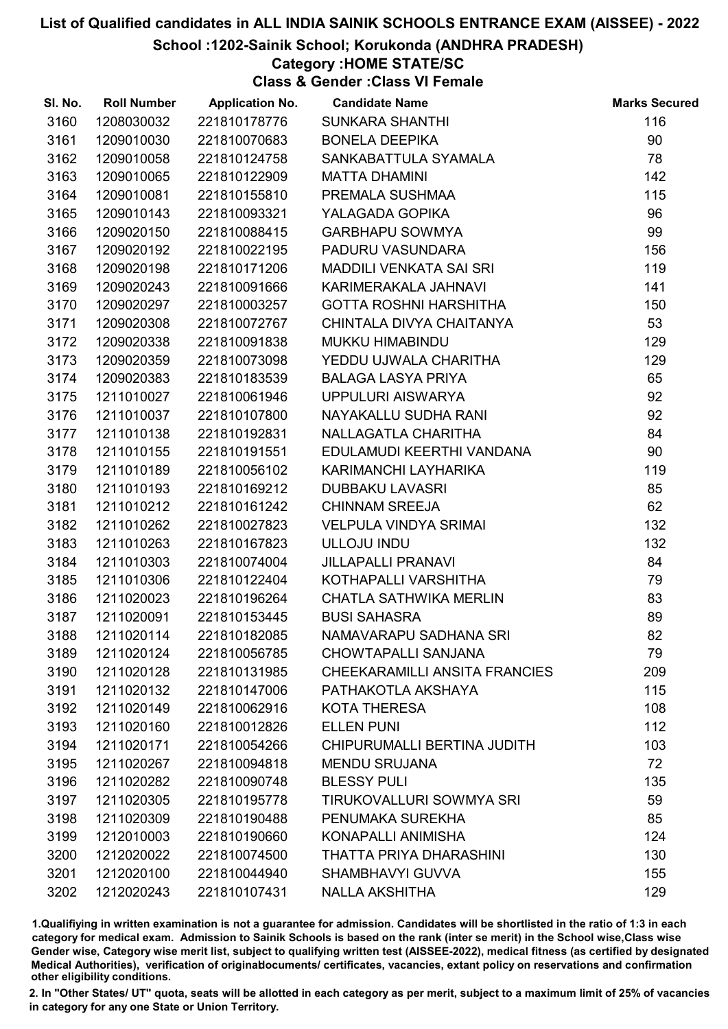#### School :1202-Sainik School; Korukonda (ANDHRA PRADESH)

#### Category :HOME STATE/SC

Class & Gender :Class VI Female

| SI. No. | <b>Roll Number</b> | <b>Application No.</b> | <b>Candidate Name</b>                | <b>Marks Secured</b> |
|---------|--------------------|------------------------|--------------------------------------|----------------------|
| 3160    | 1208030032         | 221810178776           | <b>SUNKARA SHANTHI</b>               | 116                  |
| 3161    | 1209010030         | 221810070683           | <b>BONELA DEEPIKA</b>                | 90                   |
| 3162    | 1209010058         | 221810124758           | SANKABATTULA SYAMALA                 | 78                   |
| 3163    | 1209010065         | 221810122909           | <b>MATTA DHAMINI</b>                 | 142                  |
| 3164    | 1209010081         | 221810155810           | PREMALA SUSHMAA                      | 115                  |
| 3165    | 1209010143         | 221810093321           | YALAGADA GOPIKA                      | 96                   |
| 3166    | 1209020150         | 221810088415           | <b>GARBHAPU SOWMYA</b>               | 99                   |
| 3167    | 1209020192         | 221810022195           | PADURU VASUNDARA                     | 156                  |
| 3168    | 1209020198         | 221810171206           | MADDILI VENKATA SAI SRI              | 119                  |
| 3169    | 1209020243         | 221810091666           | KARIMERAKALA JAHNAVI                 | 141                  |
| 3170    | 1209020297         | 221810003257           | <b>GOTTA ROSHNI HARSHITHA</b>        | 150                  |
| 3171    | 1209020308         | 221810072767           | CHINTALA DIVYA CHAITANYA             | 53                   |
| 3172    | 1209020338         | 221810091838           | MUKKU HIMABINDU                      | 129                  |
| 3173    | 1209020359         | 221810073098           | YEDDU UJWALA CHARITHA                | 129                  |
| 3174    | 1209020383         | 221810183539           | <b>BALAGA LASYA PRIYA</b>            | 65                   |
| 3175    | 1211010027         | 221810061946           | UPPULURI AISWARYA                    | 92                   |
| 3176    | 1211010037         | 221810107800           | NAYAKALLU SUDHA RANI                 | 92                   |
| 3177    | 1211010138         | 221810192831           | NALLAGATLA CHARITHA                  | 84                   |
| 3178    | 1211010155         | 221810191551           | EDULAMUDI KEERTHI VANDANA            | 90                   |
| 3179    | 1211010189         | 221810056102           | KARIMANCHI LAYHARIKA                 | 119                  |
| 3180    | 1211010193         | 221810169212           | <b>DUBBAKU LAVASRI</b>               | 85                   |
| 3181    | 1211010212         | 221810161242           | <b>CHINNAM SREEJA</b>                | 62                   |
| 3182    | 1211010262         | 221810027823           | VELPULA VINDYA SRIMAI                | 132                  |
| 3183    | 1211010263         | 221810167823           | ULLOJU INDU                          | 132                  |
| 3184    | 1211010303         | 221810074004           | <b>JILLAPALLI PRANAVI</b>            | 84                   |
| 3185    | 1211010306         | 221810122404           | KOTHAPALLI VARSHITHA                 | 79                   |
| 3186    | 1211020023         | 221810196264           | CHATLA SATHWIKA MERLIN               | 83                   |
| 3187    | 1211020091         | 221810153445           | <b>BUSI SAHASRA</b>                  | 89                   |
| 3188    | 1211020114         | 221810182085           | NAMAVARAPU SADHANA SRI               | 82                   |
| 3189    | 1211020124         | 221810056785           | <b>CHOWTAPALLI SANJANA</b>           | 79                   |
| 3190    | 1211020128         | 221810131985           | <b>CHEEKARAMILLI ANSITA FRANCIES</b> | 209                  |
| 3191    | 1211020132         | 221810147006           | PATHAKOTLA AKSHAYA                   | 115                  |
| 3192    | 1211020149         | 221810062916           | <b>KOTA THERESA</b>                  | 108                  |
| 3193    | 1211020160         | 221810012826           | <b>ELLEN PUNI</b>                    | 112                  |
| 3194    | 1211020171         | 221810054266           | CHIPURUMALLI BERTINA JUDITH          | 103                  |
| 3195    | 1211020267         | 221810094818           | <b>MENDU SRUJANA</b>                 | 72                   |
| 3196    | 1211020282         | 221810090748           | <b>BLESSY PULI</b>                   | 135                  |
| 3197    | 1211020305         | 221810195778           | <b>TIRUKOVALLURI SOWMYA SRI</b>      | 59                   |
| 3198    | 1211020309         | 221810190488           | PENUMAKA SUREKHA                     | 85                   |
| 3199    | 1212010003         | 221810190660           | KONAPALLI ANIMISHA                   | 124                  |
| 3200    | 1212020022         | 221810074500           | THATTA PRIYA DHARASHINI              | 130                  |
| 3201    | 1212020100         | 221810044940           | SHAMBHAVYI GUVVA                     | 155                  |
| 3202    | 1212020243         | 221810107431           | <b>NALLA AKSHITHA</b>                | 129                  |

1.Qualifiying in written examination is not a guarantee for admission. Candidates will be shortlisted in the ratio of 1:3 in each category for medical exam. Admission to Sainik Schools is based on the rank (inter se merit) in the School wise,Class wise Gender wise, Category wise merit list, subject to qualifying written test (AISSEE-2022), medical fitness (as certified by designated Medical Authorities), verification of originablocuments/ certificates, vacancies, extant policy on reservations and confirmation other eligibility conditions.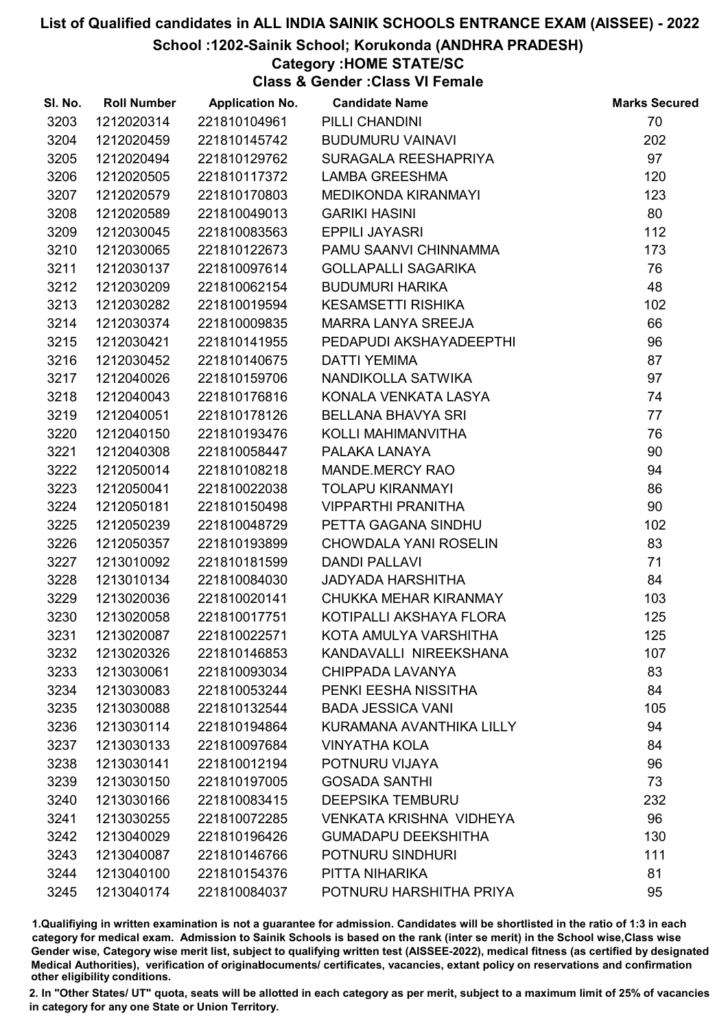#### School :1202-Sainik School; Korukonda (ANDHRA PRADESH)

#### Category :HOME STATE/SC

Class & Gender :Class VI Female

| SI. No. | <b>Roll Number</b> | <b>Application No.</b> | <b>Candidate Name</b>      | <b>Marks Secured</b> |
|---------|--------------------|------------------------|----------------------------|----------------------|
| 3203    | 1212020314         | 221810104961           | PILLI CHANDINI             | 70                   |
| 3204    | 1212020459         | 221810145742           | <b>BUDUMURU VAINAVI</b>    | 202                  |
| 3205    | 1212020494         | 221810129762           | SURAGALA REESHAPRIYA       | 97                   |
| 3206    | 1212020505         | 221810117372           | <b>LAMBA GREESHMA</b>      | 120                  |
| 3207    | 1212020579         | 221810170803           | MEDIKONDA KIRANMAYI        | 123                  |
| 3208    | 1212020589         | 221810049013           | <b>GARIKI HASINI</b>       | 80                   |
| 3209    | 1212030045         | 221810083563           | <b>EPPILI JAYASRI</b>      | 112                  |
| 3210    | 1212030065         | 221810122673           | PAMU SAANVI CHINNAMMA      | 173                  |
| 3211    | 1212030137         | 221810097614           | <b>GOLLAPALLI SAGARIKA</b> | 76                   |
| 3212    | 1212030209         | 221810062154           | <b>BUDUMURI HARIKA</b>     | 48                   |
| 3213    | 1212030282         | 221810019594           | KESAMSETTI RISHIKA         | 102                  |
| 3214    | 1212030374         | 221810009835           | MARRA LANYA SREEJA         | 66                   |
| 3215    | 1212030421         | 221810141955           | PEDAPUDI AKSHAYADEEPTHI    | 96                   |
| 3216    | 1212030452         | 221810140675           | <b>DATTI YEMIMA</b>        | 87                   |
| 3217    | 1212040026         | 221810159706           | NANDIKOLLA SATWIKA         | 97                   |
| 3218    | 1212040043         | 221810176816           | KONALA VENKATA LASYA       | 74                   |
| 3219    | 1212040051         | 221810178126           | <b>BELLANA BHAVYA SRI</b>  | 77                   |
| 3220    | 1212040150         | 221810193476           | KOLLI MAHIMANVITHA         | 76                   |
| 3221    | 1212040308         | 221810058447           | PALAKA LANAYA              | 90                   |
| 3222    | 1212050014         | 221810108218           | MANDE.MERCY RAO            | 94                   |
| 3223    | 1212050041         | 221810022038           | <b>TOLAPU KIRANMAYI</b>    | 86                   |
| 3224    | 1212050181         | 221810150498           | <b>VIPPARTHI PRANITHA</b>  | 90                   |
| 3225    | 1212050239         | 221810048729           | PETTA GAGANA SINDHU        | 102                  |
| 3226    | 1212050357         | 221810193899           | CHOWDALA YANI ROSELIN      | 83                   |
| 3227    | 1213010092         | 221810181599           | <b>DANDI PALLAVI</b>       | 71                   |
| 3228    | 1213010134         | 221810084030           | <b>JADYADA HARSHITHA</b>   | 84                   |
| 3229    | 1213020036         | 221810020141           | CHUKKA MEHAR KIRANMAY      | 103                  |
| 3230    | 1213020058         | 221810017751           | KOTIPALLI AKSHAYA FLORA    | 125                  |
| 3231    | 1213020087         | 221810022571           | KOTA AMULYA VARSHITHA      | 125                  |
| 3232    | 1213020326         | 221810146853           | KANDAVALLI NIREEKSHANA     | 107                  |
| 3233    | 1213030061         | 221810093034           | CHIPPADA LAVANYA           | 83                   |
| 3234    | 1213030083         | 221810053244           | PENKI EESHA NISSITHA       | 84                   |
| 3235    | 1213030088         | 221810132544           | <b>BADA JESSICA VANI</b>   | 105                  |
| 3236    | 1213030114         | 221810194864           | KURAMANA AVANTHIKA LILLY   | 94                   |
| 3237    | 1213030133         | 221810097684           | <b>VINYATHA KOLA</b>       | 84                   |
| 3238    | 1213030141         | 221810012194           | POTNURU VIJAYA             | 96                   |
| 3239    | 1213030150         | 221810197005           | <b>GOSADA SANTHI</b>       | 73                   |
| 3240    | 1213030166         | 221810083415           | <b>DEEPSIKA TEMBURU</b>    | 232                  |
| 3241    | 1213030255         | 221810072285           | VENKATA KRISHNA VIDHEYA    | 96                   |
| 3242    | 1213040029         | 221810196426           | <b>GUMADAPU DEEKSHITHA</b> | 130                  |
| 3243    | 1213040087         | 221810146766           | POTNURU SINDHURI           | 111                  |
| 3244    | 1213040100         | 221810154376           | PITTA NIHARIKA             | 81                   |
| 3245    | 1213040174         | 221810084037           | POTNURU HARSHITHA PRIYA    | 95                   |

1.Qualifiying in written examination is not a guarantee for admission. Candidates will be shortlisted in the ratio of 1:3 in each category for medical exam. Admission to Sainik Schools is based on the rank (inter se merit) in the School wise,Class wise Gender wise, Category wise merit list, subject to qualifying written test (AISSEE-2022), medical fitness (as certified by designated Medical Authorities), verification of originablocuments/ certificates, vacancies, extant policy on reservations and confirmation other eligibility conditions.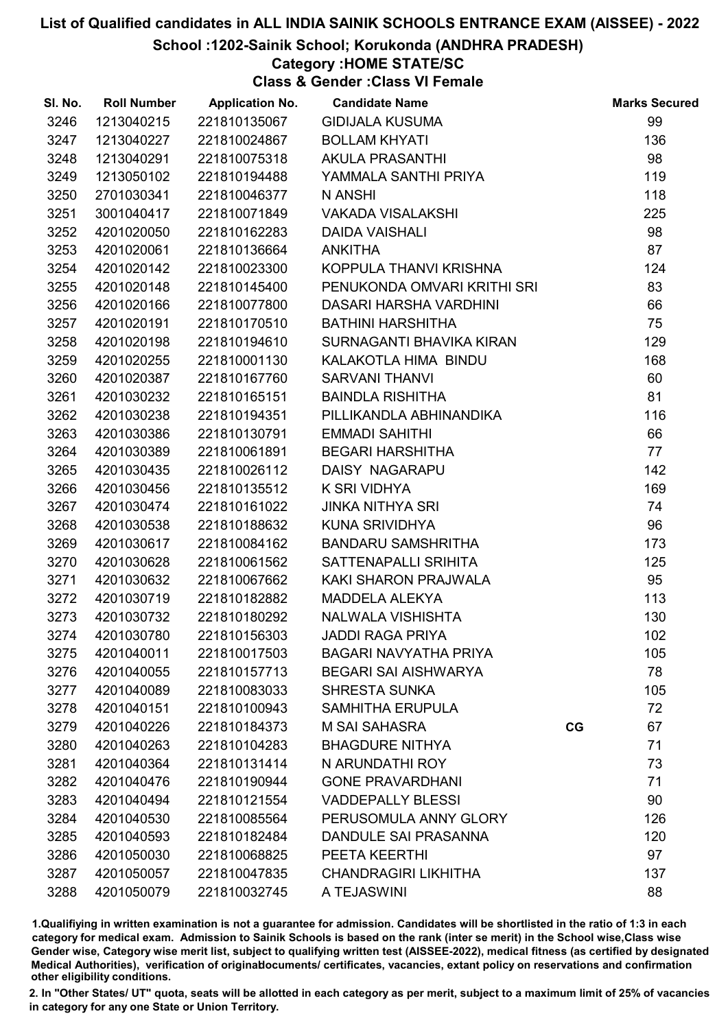#### School :1202-Sainik School; Korukonda (ANDHRA PRADESH)

#### Category :HOME STATE/SC

Class & Gender :Class VI Female

| SI. No. | <b>Roll Number</b> | <b>Application No.</b> | <b>Candidate Name</b>        |    | <b>Marks Secured</b> |
|---------|--------------------|------------------------|------------------------------|----|----------------------|
| 3246    | 1213040215         | 221810135067           | <b>GIDIJALA KUSUMA</b>       |    | 99                   |
| 3247    | 1213040227         | 221810024867           | <b>BOLLAM KHYATI</b>         |    | 136                  |
| 3248    | 1213040291         | 221810075318           | <b>AKULA PRASANTHI</b>       |    | 98                   |
| 3249    | 1213050102         | 221810194488           | YAMMALA SANTHI PRIYA         |    | 119                  |
| 3250    | 2701030341         | 221810046377           | N ANSHI                      |    | 118                  |
| 3251    | 3001040417         | 221810071849           | <b>VAKADA VISALAKSHI</b>     |    | 225                  |
| 3252    | 4201020050         | 221810162283           | <b>DAIDA VAISHALI</b>        |    | 98                   |
| 3253    | 4201020061         | 221810136664           | <b>ANKITHA</b>               |    | 87                   |
| 3254    | 4201020142         | 221810023300           | KOPPULA THANVI KRISHNA       |    | 124                  |
| 3255    | 4201020148         | 221810145400           | PENUKONDA OMVARI KRITHI SRI  |    | 83                   |
| 3256    | 4201020166         | 221810077800           | DASARI HARSHA VARDHINI       |    | 66                   |
| 3257    | 4201020191         | 221810170510           | <b>BATHINI HARSHITHA</b>     |    | 75                   |
| 3258    | 4201020198         | 221810194610           | SURNAGANTI BHAVIKA KIRAN     |    | 129                  |
| 3259    | 4201020255         | 221810001130           | KALAKOTLA HIMA BINDU         |    | 168                  |
| 3260    | 4201020387         | 221810167760           | <b>SARVANI THANVI</b>        |    | 60                   |
| 3261    | 4201030232         | 221810165151           | <b>BAINDLA RISHITHA</b>      |    | 81                   |
| 3262    | 4201030238         | 221810194351           | PILLIKANDLA ABHINANDIKA      |    | 116                  |
| 3263    | 4201030386         | 221810130791           | <b>EMMADI SAHITHI</b>        |    | 66                   |
| 3264    | 4201030389         | 221810061891           | <b>BEGARI HARSHITHA</b>      |    | 77                   |
| 3265    | 4201030435         | 221810026112           | DAISY NAGARAPU               |    | 142                  |
| 3266    | 4201030456         | 221810135512           | K SRI VIDHYA                 |    | 169                  |
| 3267    | 4201030474         | 221810161022           | <b>JINKA NITHYA SRI</b>      |    | 74                   |
| 3268    | 4201030538         | 221810188632           | <b>KUNA SRIVIDHYA</b>        |    | 96                   |
| 3269    | 4201030617         | 221810084162           | <b>BANDARU SAMSHRITHA</b>    |    | 173                  |
| 3270    | 4201030628         | 221810061562           | SATTENAPALLI SRIHITA         |    | 125                  |
| 3271    | 4201030632         | 221810067662           | KAKI SHARON PRAJWALA         |    | 95                   |
| 3272    | 4201030719         | 221810182882           | <b>MADDELA ALEKYA</b>        |    | 113                  |
| 3273    | 4201030732         | 221810180292           | NALWALA VISHISHTA            |    | 130                  |
| 3274    | 4201030780         | 221810156303           | <b>JADDI RAGA PRIYA</b>      |    | 102                  |
| 3275    | 4201040011         | 221810017503           | <b>BAGARI NAVYATHA PRIYA</b> |    | 105                  |
| 3276    | 4201040055         | 221810157713           | <b>BEGARI SAI AISHWARYA</b>  |    | 78                   |
| 3277    | 4201040089         | 221810083033           | <b>SHRESTA SUNKA</b>         |    | 105                  |
| 3278    | 4201040151         | 221810100943           | <b>SAMHITHA ERUPULA</b>      |    | 72                   |
| 3279    | 4201040226         | 221810184373           | <b>M SAI SAHASRA</b>         | CG | 67                   |
| 3280    | 4201040263         | 221810104283           | <b>BHAGDURE NITHYA</b>       |    | 71                   |
| 3281    | 4201040364         | 221810131414           | N ARUNDATHI ROY              |    | 73                   |
| 3282    | 4201040476         | 221810190944           | <b>GONE PRAVARDHANI</b>      |    | 71                   |
| 3283    | 4201040494         | 221810121554           | <b>VADDEPALLY BLESSI</b>     |    | 90                   |
| 3284    | 4201040530         | 221810085564           | PERUSOMULA ANNY GLORY        |    | 126                  |
| 3285    | 4201040593         | 221810182484           | DANDULE SAI PRASANNA         |    | 120                  |
| 3286    | 4201050030         | 221810068825           | PEETA KEERTHI                |    | 97                   |
| 3287    | 4201050057         | 221810047835           | <b>CHANDRAGIRI LIKHITHA</b>  |    | 137                  |
| 3288    | 4201050079         | 221810032745           | A TEJASWINI                  |    | 88                   |

1.Qualifiying in written examination is not a guarantee for admission. Candidates will be shortlisted in the ratio of 1:3 in each category for medical exam. Admission to Sainik Schools is based on the rank (inter se merit) in the School wise,Class wise Gender wise, Category wise merit list, subject to qualifying written test (AISSEE-2022), medical fitness (as certified by designated Medical Authorities), verification of originablocuments/ certificates, vacancies, extant policy on reservations and confirmation other eligibility conditions.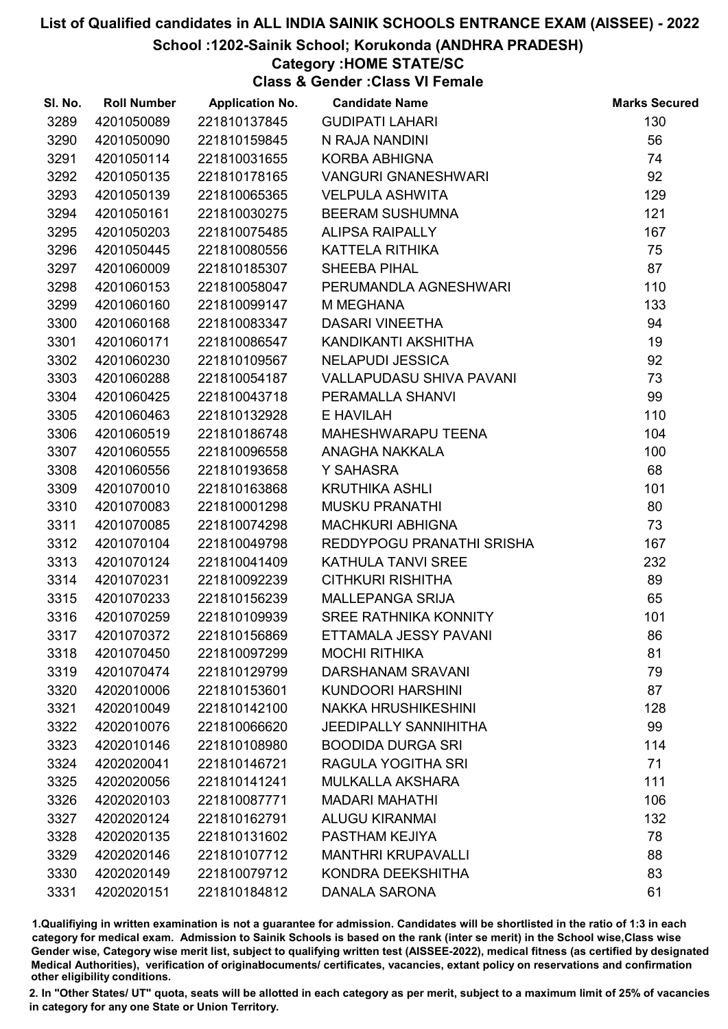School :1202-Sainik School; Korukonda (ANDHRA PRADESH)

### Category :HOME STATE/SC

Class & Gender :Class VI Female

| SI. No. | <b>Roll Number</b> | <b>Application No.</b> | <b>Candidate Name</b>        | <b>Marks Secured</b> |
|---------|--------------------|------------------------|------------------------------|----------------------|
| 3289    | 4201050089         | 221810137845           | <b>GUDIPATI LAHARI</b>       | 130                  |
| 3290    | 4201050090         | 221810159845           | N RAJA NANDINI               | 56                   |
| 3291    | 4201050114         | 221810031655           | <b>KORBA ABHIGNA</b>         | 74                   |
| 3292    | 4201050135         | 221810178165           | <b>VANGURI GNANESHWARI</b>   | 92                   |
| 3293    | 4201050139         | 221810065365           | <b>VELPULA ASHWITA</b>       | 129                  |
| 3294    | 4201050161         | 221810030275           | <b>BEERAM SUSHUMNA</b>       | 121                  |
| 3295    | 4201050203         | 221810075485           | <b>ALIPSA RAIPALLY</b>       | 167                  |
| 3296    | 4201050445         | 221810080556           | KATTELA RITHIKA              | 75                   |
| 3297    | 4201060009         | 221810185307           | <b>SHEEBA PIHAL</b>          | 87                   |
| 3298    | 4201060153         | 221810058047           | PERUMANDLA AGNESHWARI        | 110                  |
| 3299    | 4201060160         | 221810099147           | M MEGHANA                    | 133                  |
| 3300    | 4201060168         | 221810083347           | <b>DASARI VINEETHA</b>       | 94                   |
| 3301    | 4201060171         | 221810086547           | KANDIKANTI AKSHITHA          | 19                   |
| 3302    | 4201060230         | 221810109567           | <b>NELAPUDI JESSICA</b>      | 92                   |
| 3303    | 4201060288         | 221810054187           | VALLAPUDASU SHIVA PAVANI     | 73                   |
| 3304    | 4201060425         | 221810043718           | PERAMALLA SHANVI             | 99                   |
| 3305    | 4201060463         | 221810132928           | E HAVILAH                    | 110                  |
| 3306    | 4201060519         | 221810186748           | MAHESHWARAPU TEENA           | 104                  |
| 3307    | 4201060555         | 221810096558           | ANAGHA NAKKALA               | 100                  |
| 3308    | 4201060556         | 221810193658           | Y SAHASRA                    | 68                   |
| 3309    | 4201070010         | 221810163868           | KRUTHIKA ASHLI               | 101                  |
| 3310    | 4201070083         | 221810001298           | <b>MUSKU PRANATHI</b>        | 80                   |
| 3311    | 4201070085         | 221810074298           | <b>MACHKURI ABHIGNA</b>      | 73                   |
| 3312    | 4201070104         | 221810049798           | REDDYPOGU PRANATHI SRISHA    | 167                  |
| 3313    | 4201070124         | 221810041409           | KATHULA TANVI SREE           | 232                  |
| 3314    | 4201070231         | 221810092239           | <b>CITHKURI RISHITHA</b>     | 89                   |
| 3315    | 4201070233         | 221810156239           | <b>MALLEPANGA SRIJA</b>      | 65                   |
| 3316    | 4201070259         | 221810109939           | SREE RATHNIKA KONNITY        | 101                  |
| 3317    | 4201070372         | 221810156869           | ETTAMALA JESSY PAVANI        | 86                   |
| 3318    | 4201070450         | 221810097299           | <b>MOCHI RITHIKA</b>         | 81                   |
| 3319    | 4201070474         | 221810129799           | <b>DARSHANAM SRAVANI</b>     | 79                   |
| 3320    | 4202010006         | 221810153601           | <b>KUNDOORI HARSHINI</b>     | 87                   |
| 3321    | 4202010049         | 221810142100           | <b>NAKKA HRUSHIKESHINI</b>   | 128                  |
| 3322    | 4202010076         | 221810066620           | <b>JEEDIPALLY SANNIHITHA</b> | 99                   |
| 3323    | 4202010146         | 221810108980           | <b>BOODIDA DURGA SRI</b>     | 114                  |
| 3324    | 4202020041         | 221810146721           | RAGULA YOGITHA SRI           | 71                   |
| 3325    | 4202020056         | 221810141241           | <b>MULKALLA AKSHARA</b>      | 111                  |
| 3326    | 4202020103         | 221810087771           | <b>MADARI MAHATHI</b>        | 106                  |
| 3327    | 4202020124         | 221810162791           | <b>ALUGU KIRANMAI</b>        | 132                  |
| 3328    | 4202020135         | 221810131602           | PASTHAM KEJIYA               | 78                   |
| 3329    | 4202020146         | 221810107712           | <b>MANTHRI KRUPAVALLI</b>    | 88                   |
| 3330    | 4202020149         | 221810079712           | KONDRA DEEKSHITHA            | 83                   |
| 3331    | 4202020151         | 221810184812           | <b>DANALA SARONA</b>         | 61                   |

1.Qualifiying in written examination is not a guarantee for admission. Candidates will be shortlisted in the ratio of 1:3 in each category for medical exam. Admission to Sainik Schools is based on the rank (inter se merit) in the School wise,Class wise Gender wise, Category wise merit list, subject to qualifying written test (AISSEE-2022), medical fitness (as certified by designated Medical Authorities), verification of originablocuments/ certificates, vacancies, extant policy on reservations and confirmation other eligibility conditions.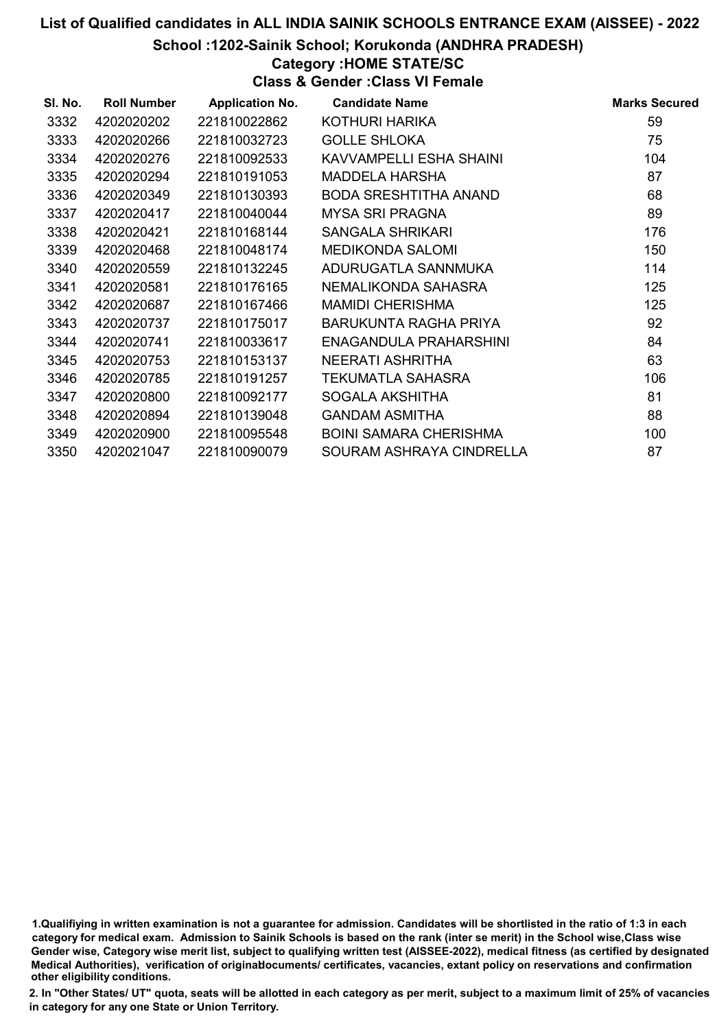#### School :1202-Sainik School; Korukonda (ANDHRA PRADESH)

#### Category :HOME STATE/SC

Class & Gender :Class VI Female

| SI. No. | <b>Roll Number</b> | <b>Application No.</b> | <b>Candidate Name</b>         | <b>Marks Secured</b> |
|---------|--------------------|------------------------|-------------------------------|----------------------|
| 3332    | 4202020202         | 221810022862           | KOTHURI HARIKA                | 59                   |
| 3333    | 4202020266         | 221810032723           | <b>GOLLE SHLOKA</b>           | 75                   |
| 3334    | 4202020276         | 221810092533           | KAVVAMPELLI ESHA SHAINI       | 104                  |
| 3335    | 4202020294         | 221810191053           | MADDELA HARSHA                | 87                   |
| 3336    | 4202020349         | 221810130393           | BODA SRESHTITHA ANAND         | 68                   |
| 3337    | 4202020417         | 221810040044           | <b>MYSA SRI PRAGNA</b>        | 89                   |
| 3338    | 4202020421         | 221810168144           | SANGALA SHRIKARI              | 176                  |
| 3339    | 4202020468         | 221810048174           | <b>MEDIKONDA SALOMI</b>       | 150                  |
| 3340    | 4202020559         | 221810132245           | ADURUGATLA SANNMUKA           | 114                  |
| 3341    | 4202020581         | 221810176165           | NEMALIKONDA SAHASRA           | 125                  |
| 3342    | 4202020687         | 221810167466           | <b>MAMIDI CHERISHMA</b>       | 125                  |
| 3343    | 4202020737         | 221810175017           | BARUKUNTA RAGHA PRIYA         | 92                   |
| 3344    | 4202020741         | 221810033617           | ENAGANDULA PRAHARSHINI        | 84                   |
| 3345    | 4202020753         | 221810153137           | NEERATI ASHRITHA              | 63                   |
| 3346    | 4202020785         | 221810191257           | TEKUMATLA SAHASRA             | 106                  |
| 3347    | 4202020800         | 221810092177           | SOGALA AKSHITHA               | 81                   |
| 3348    | 4202020894         | 221810139048           | <b>GANDAM ASMITHA</b>         | 88                   |
| 3349    | 4202020900         | 221810095548           | <b>BOINI SAMARA CHERISHMA</b> | 100                  |
| 3350    | 4202021047         | 221810090079           | SOURAM ASHRAYA CINDRELLA      | 87                   |

1.Qualifiying in written examination is not a guarantee for admission. Candidates will be shortlisted in the ratio of 1:3 in each category for medical exam. Admission to Sainik Schools is based on the rank (inter se merit) in the School wise,Class wise Gender wise, Category wise merit list, subject to qualifying written test (AISSEE-2022), medical fitness (as certified by designated Medical Authorities), verification of originablocuments/ certificates, vacancies, extant policy on reservations and confirmation other eligibility conditions.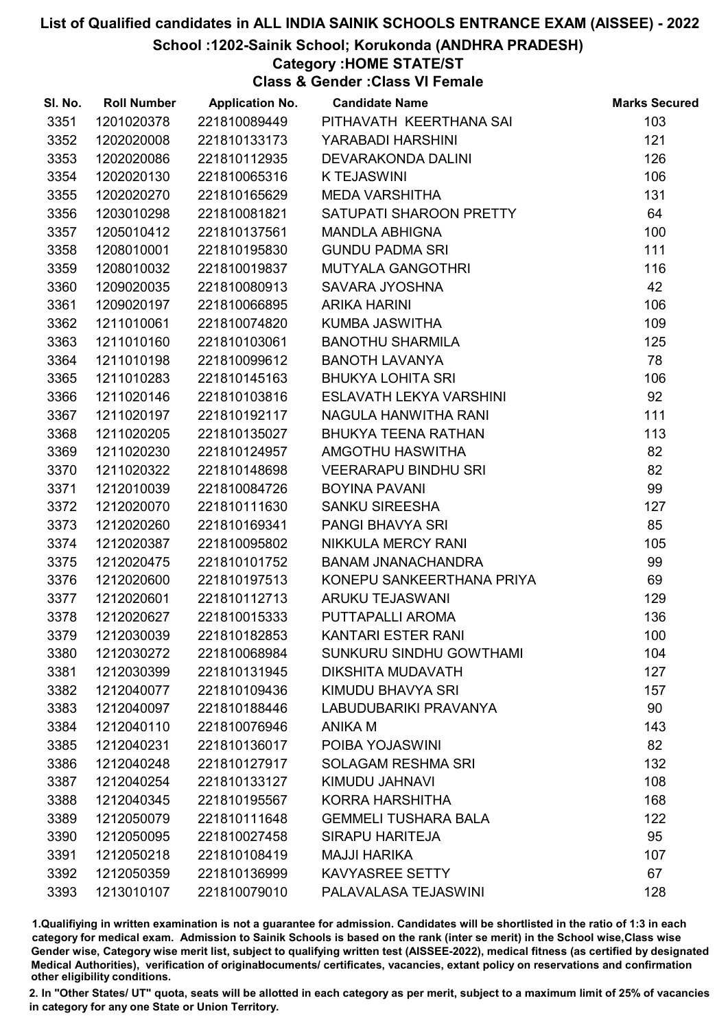School :1202-Sainik School; Korukonda (ANDHRA PRADESH)

Category :HOME STATE/ST

Class & Gender :Class VI Female

| SI. No. | <b>Roll Number</b> | <b>Application No.</b> | <b>Candidate Name</b>          | <b>Marks Secured</b> |
|---------|--------------------|------------------------|--------------------------------|----------------------|
| 3351    | 1201020378         | 221810089449           | PITHAVATH KEERTHANA SAI        | 103                  |
| 3352    | 1202020008         | 221810133173           | YARABADI HARSHINI              | 121                  |
| 3353    | 1202020086         | 221810112935           | <b>DEVARAKONDA DALINI</b>      | 126                  |
| 3354    | 1202020130         | 221810065316           | <b>K TEJASWINI</b>             | 106                  |
| 3355    | 1202020270         | 221810165629           | <b>MEDA VARSHITHA</b>          | 131                  |
| 3356    | 1203010298         | 221810081821           | SATUPATI SHAROON PRETTY        | 64                   |
| 3357    | 1205010412         | 221810137561           | <b>MANDLA ABHIGNA</b>          | 100                  |
| 3358    | 1208010001         | 221810195830           | <b>GUNDU PADMA SRI</b>         | 111                  |
| 3359    | 1208010032         | 221810019837           | <b>MUTYALA GANGOTHRI</b>       | 116                  |
| 3360    | 1209020035         | 221810080913           | SAVARA JYOSHNA                 | 42                   |
| 3361    | 1209020197         | 221810066895           | <b>ARIKA HARINI</b>            | 106                  |
| 3362    | 1211010061         | 221810074820           | KUMBA JASWITHA                 | 109                  |
| 3363    | 1211010160         | 221810103061           | <b>BANOTHU SHARMILA</b>        | 125                  |
| 3364    | 1211010198         | 221810099612           | <b>BANOTH LAVANYA</b>          | 78                   |
| 3365    | 1211010283         | 221810145163           | <b>BHUKYA LOHITA SRI</b>       | 106                  |
| 3366    | 1211020146         | 221810103816           | ESLAVATH LEKYA VARSHINI        | 92                   |
| 3367    | 1211020197         | 221810192117           | NAGULA HANWITHA RANI           | 111                  |
| 3368    | 1211020205         | 221810135027           | <b>BHUKYA TEENA RATHAN</b>     | 113                  |
| 3369    | 1211020230         | 221810124957           | AMGOTHU HASWITHA               | 82                   |
| 3370    | 1211020322         | 221810148698           | <b>VEERARAPU BINDHU SRI</b>    | 82                   |
| 3371    | 1212010039         | 221810084726           | <b>BOYINA PAVANI</b>           | 99                   |
| 3372    | 1212020070         | 221810111630           | <b>SANKU SIREESHA</b>          | 127                  |
| 3373    | 1212020260         | 221810169341           | PANGI BHAVYA SRI               | 85                   |
| 3374    | 1212020387         | 221810095802           | NIKKULA MERCY RANI             | 105                  |
| 3375    | 1212020475         | 221810101752           | <b>BANAM JNANACHANDRA</b>      | 99                   |
| 3376    | 1212020600         | 221810197513           | KONEPU SANKEERTHANA PRIYA      | 69                   |
| 3377    | 1212020601         | 221810112713           | ARUKU TEJASWANI                | 129                  |
| 3378    | 1212020627         | 221810015333           | PUTTAPALLI AROMA               | 136                  |
| 3379    | 1212030039         | 221810182853           | KANTARI ESTER RANI             | 100                  |
| 3380    | 1212030272         | 221810068984           | <b>SUNKURU SINDHU GOWTHAMI</b> | 104                  |
| 3381    | 1212030399         | 221810131945           | DIKSHITA MUDAVATH              | 127                  |
| 3382    | 1212040077         | 221810109436           | KIMUDU BHAVYA SRI              | 157                  |
| 3383    | 1212040097         | 221810188446           | LABUDUBARIKI PRAVANYA          | 90                   |
| 3384    | 1212040110         | 221810076946           | ANIKA M                        | 143                  |
| 3385    | 1212040231         | 221810136017           | POIBA YOJASWINI                | 82                   |
| 3386    | 1212040248         | 221810127917           | <b>SOLAGAM RESHMA SRI</b>      | 132                  |
| 3387    | 1212040254         | 221810133127           | KIMUDU JAHNAVI                 | 108                  |
| 3388    | 1212040345         | 221810195567           | <b>KORRA HARSHITHA</b>         | 168                  |
| 3389    | 1212050079         | 221810111648           | <b>GEMMELI TUSHARA BALA</b>    | 122                  |
| 3390    | 1212050095         | 221810027458           | <b>SIRAPU HARITEJA</b>         | 95                   |
| 3391    | 1212050218         | 221810108419           | <b>MAJJI HARIKA</b>            | 107                  |
| 3392    | 1212050359         | 221810136999           | <b>KAVYASREE SETTY</b>         | 67                   |
| 3393    | 1213010107         | 221810079010           | PALAVALASA TEJASWINI           | 128                  |

1.Qualifiying in written examination is not a guarantee for admission. Candidates will be shortlisted in the ratio of 1:3 in each category for medical exam. Admission to Sainik Schools is based on the rank (inter se merit) in the School wise,Class wise Gender wise, Category wise merit list, subject to qualifying written test (AISSEE-2022), medical fitness (as certified by designated Medical Authorities), verification of originablocuments/ certificates, vacancies, extant policy on reservations and confirmation other eligibility conditions.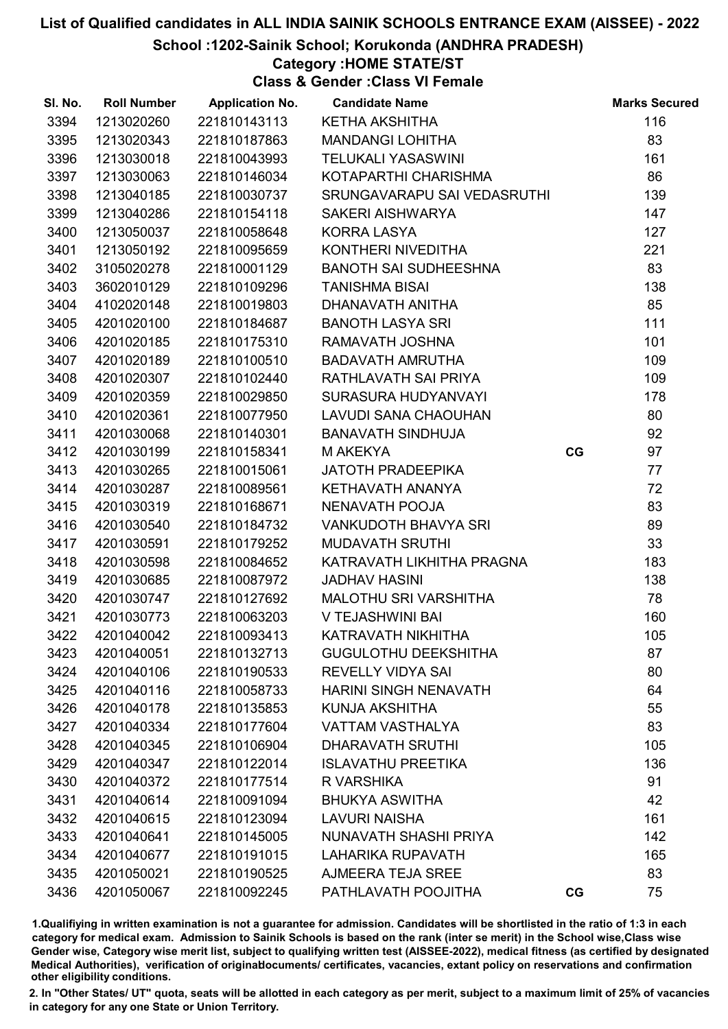School :1202-Sainik School; Korukonda (ANDHRA PRADESH)

#### Category :HOME STATE/ST

Class & Gender :Class VI Female

| SI. No. | <b>Roll Number</b> | <b>Application No.</b> | <b>Candidate Name</b>        |    | <b>Marks Secured</b> |
|---------|--------------------|------------------------|------------------------------|----|----------------------|
| 3394    | 1213020260         | 221810143113           | KETHA AKSHITHA               |    | 116                  |
| 3395    | 1213020343         | 221810187863           | <b>MANDANGI LOHITHA</b>      |    | 83                   |
| 3396    | 1213030018         | 221810043993           | <b>TELUKALI YASASWINI</b>    |    | 161                  |
| 3397    | 1213030063         | 221810146034           | KOTAPARTHI CHARISHMA         |    | 86                   |
| 3398    | 1213040185         | 221810030737           | SRUNGAVARAPU SAI VEDASRUTHI  |    | 139                  |
| 3399    | 1213040286         | 221810154118           | SAKERI AISHWARYA             |    | 147                  |
| 3400    | 1213050037         | 221810058648           | <b>KORRA LASYA</b>           |    | 127                  |
| 3401    | 1213050192         | 221810095659           | KONTHERI NIVEDITHA           |    | 221                  |
| 3402    | 3105020278         | 221810001129           | <b>BANOTH SAI SUDHEESHNA</b> |    | 83                   |
| 3403    | 3602010129         | 221810109296           | <b>TANISHMA BISAI</b>        |    | 138                  |
| 3404    | 4102020148         | 221810019803           | DHANAVATH ANITHA             |    | 85                   |
| 3405    | 4201020100         | 221810184687           | <b>BANOTH LASYA SRI</b>      |    | 111                  |
| 3406    | 4201020185         | 221810175310           | RAMAVATH JOSHNA              |    | 101                  |
| 3407    | 4201020189         | 221810100510           | <b>BADAVATH AMRUTHA</b>      |    | 109                  |
| 3408    | 4201020307         | 221810102440           | RATHLAVATH SAI PRIYA         |    | 109                  |
| 3409    | 4201020359         | 221810029850           | SURASURA HUDYANVAYI          |    | 178                  |
| 3410    | 4201020361         | 221810077950           | LAVUDI SANA CHAOUHAN         |    | 80                   |
| 3411    | 4201030068         | 221810140301           | <b>BANAVATH SINDHUJA</b>     |    | 92                   |
| 3412    | 4201030199         | 221810158341           | M AKEKYA                     | CG | 97                   |
| 3413    | 4201030265         | 221810015061           | <b>JATOTH PRADEEPIKA</b>     |    | 77                   |
| 3414    | 4201030287         | 221810089561           | KETHAVATH ANANYA             |    | 72                   |
| 3415    | 4201030319         | 221810168671           | NENAVATH POOJA               |    | 83                   |
| 3416    | 4201030540         | 221810184732           | VANKUDOTH BHAVYA SRI         |    | 89                   |
| 3417    | 4201030591         | 221810179252           | <b>MUDAVATH SRUTHI</b>       |    | 33                   |
| 3418    | 4201030598         | 221810084652           | KATRAVATH LIKHITHA PRAGNA    |    | 183                  |
| 3419    | 4201030685         | 221810087972           | <b>JADHAV HASINI</b>         |    | 138                  |
| 3420    | 4201030747         | 221810127692           | MALOTHU SRI VARSHITHA        |    | 78                   |
| 3421    | 4201030773         | 221810063203           | V TEJASHWINI BAI             |    | 160                  |
| 3422    | 4201040042         | 221810093413           | KATRAVATH NIKHITHA           |    | 105                  |
| 3423    | 4201040051         | 221810132713           | <b>GUGULOTHU DEEKSHITHA</b>  |    | 87                   |
| 3424    | 4201040106         | 221810190533           | <b>REVELLY VIDYA SAI</b>     |    | 80                   |
| 3425    | 4201040116         | 221810058733           | <b>HARINI SINGH NENAVATH</b> |    | 64                   |
| 3426    | 4201040178         | 221810135853           | KUNJA AKSHITHA               |    | 55                   |
| 3427    | 4201040334         | 221810177604           | <b>VATTAM VASTHALYA</b>      |    | 83                   |
| 3428    | 4201040345         | 221810106904           | <b>DHARAVATH SRUTHI</b>      |    | 105                  |
| 3429    | 4201040347         | 221810122014           | <b>ISLAVATHU PREETIKA</b>    |    | 136                  |
| 3430    | 4201040372         | 221810177514           | R VARSHIKA                   |    | 91                   |
| 3431    | 4201040614         | 221810091094           | <b>BHUKYA ASWITHA</b>        |    | 42                   |
| 3432    | 4201040615         | 221810123094           | <b>LAVURI NAISHA</b>         |    | 161                  |
| 3433    | 4201040641         | 221810145005           | NUNAVATH SHASHI PRIYA        |    | 142                  |
| 3434    | 4201040677         | 221810191015           | <b>LAHARIKA RUPAVATH</b>     |    | 165                  |
| 3435    | 4201050021         | 221810190525           | AJMEERA TEJA SREE            |    | 83                   |
| 3436    | 4201050067         | 221810092245           | PATHLAVATH POOJITHA          | CG | 75                   |

1.Qualifiying in written examination is not a guarantee for admission. Candidates will be shortlisted in the ratio of 1:3 in each category for medical exam. Admission to Sainik Schools is based on the rank (inter se merit) in the School wise,Class wise Gender wise, Category wise merit list, subject to qualifying written test (AISSEE-2022), medical fitness (as certified by designated Medical Authorities), verification of originablocuments/ certificates, vacancies, extant policy on reservations and confirmation other eligibility conditions.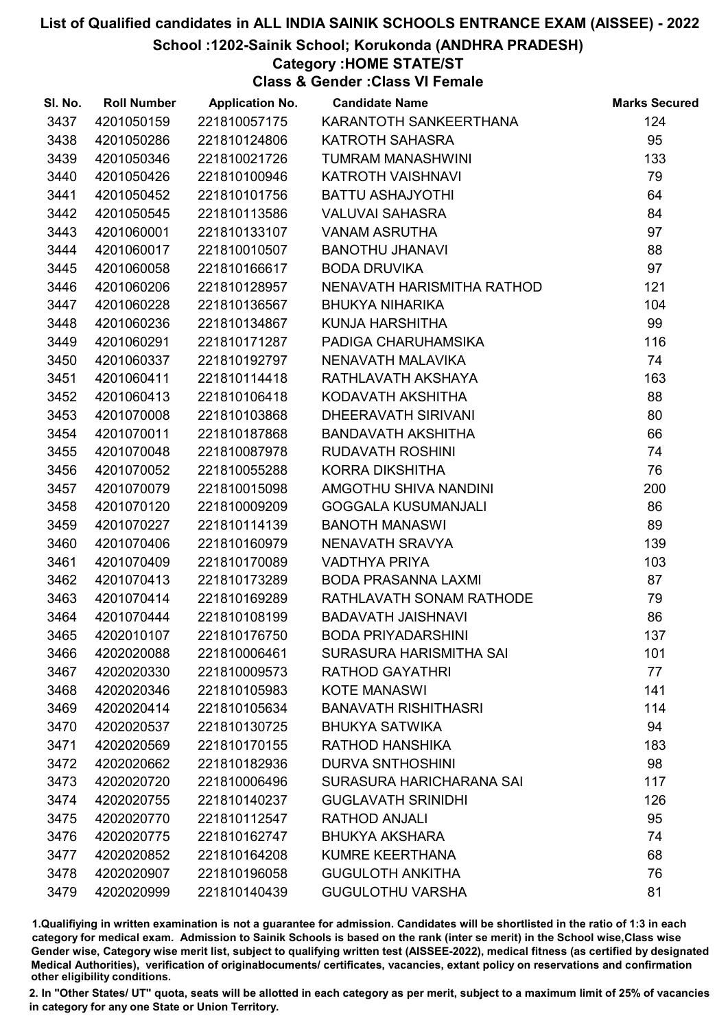School :1202-Sainik School; Korukonda (ANDHRA PRADESH)

Category :HOME STATE/ST

Class & Gender :Class VI Female

| SI. No. | <b>Roll Number</b> | <b>Application No.</b> | <b>Candidate Name</b>       | <b>Marks Secured</b> |
|---------|--------------------|------------------------|-----------------------------|----------------------|
| 3437    | 4201050159         | 221810057175           | KARANTOTH SANKEERTHANA      | 124                  |
| 3438    | 4201050286         | 221810124806           | <b>KATROTH SAHASRA</b>      | 95                   |
| 3439    | 4201050346         | 221810021726           | <b>TUMRAM MANASHWINI</b>    | 133                  |
| 3440    | 4201050426         | 221810100946           | KATROTH VAISHNAVI           | 79                   |
| 3441    | 4201050452         | 221810101756           | BATTU ASHAJYOTHI            | 64                   |
| 3442    | 4201050545         | 221810113586           | <b>VALUVAI SAHASRA</b>      | 84                   |
| 3443    | 4201060001         | 221810133107           | <b>VANAM ASRUTHA</b>        | 97                   |
| 3444    | 4201060017         | 221810010507           | <b>BANOTHU JHANAVI</b>      | 88                   |
| 3445    | 4201060058         | 221810166617           | <b>BODA DRUVIKA</b>         | 97                   |
| 3446    | 4201060206         | 221810128957           | NENAVATH HARISMITHA RATHOD  | 121                  |
| 3447    | 4201060228         | 221810136567           | <b>BHUKYA NIHARIKA</b>      | 104                  |
| 3448    | 4201060236         | 221810134867           | KUNJA HARSHITHA             | 99                   |
| 3449    | 4201060291         | 221810171287           | PADIGA CHARUHAMSIKA         | 116                  |
| 3450    | 4201060337         | 221810192797           | NENAVATH MALAVIKA           | 74                   |
| 3451    | 4201060411         | 221810114418           | RATHLAVATH AKSHAYA          | 163                  |
| 3452    | 4201060413         | 221810106418           | KODAVATH AKSHITHA           | 88                   |
| 3453    | 4201070008         | 221810103868           | DHEERAVATH SIRIVANI         | 80                   |
| 3454    | 4201070011         | 221810187868           | <b>BANDAVATH AKSHITHA</b>   | 66                   |
| 3455    | 4201070048         | 221810087978           | <b>RUDAVATH ROSHINI</b>     | 74                   |
| 3456    | 4201070052         | 221810055288           | KORRA DIKSHITHA             | 76                   |
| 3457    | 4201070079         | 221810015098           | AMGOTHU SHIVA NANDINI       | 200                  |
| 3458    | 4201070120         | 221810009209           | <b>GOGGALA KUSUMANJALI</b>  | 86                   |
| 3459    | 4201070227         | 221810114139           | <b>BANOTH MANASWI</b>       | 89                   |
| 3460    | 4201070406         | 221810160979           | NENAVATH SRAVYA             | 139                  |
| 3461    | 4201070409         | 221810170089           | <b>VADTHYA PRIYA</b>        | 103                  |
| 3462    | 4201070413         | 221810173289           | <b>BODA PRASANNA LAXMI</b>  | 87                   |
| 3463    | 4201070414         | 221810169289           | RATHLAVATH SONAM RATHODE    | 79                   |
| 3464    | 4201070444         | 221810108199           | <b>BADAVATH JAISHNAVI</b>   | 86                   |
| 3465    | 4202010107         | 221810176750           | <b>BODA PRIYADARSHINI</b>   | 137                  |
| 3466    | 4202020088         | 221810006461           | SURASURA HARISMITHA SAI     | 101                  |
| 3467    | 4202020330         | 221810009573           | <b>RATHOD GAYATHRI</b>      | 77                   |
| 3468    | 4202020346         | 221810105983           | <b>KOTE MANASWI</b>         | 141                  |
| 3469    | 4202020414         | 221810105634           | <b>BANAVATH RISHITHASRI</b> | 114                  |
| 3470    | 4202020537         | 221810130725           | <b>BHUKYA SATWIKA</b>       | 94                   |
| 3471    | 4202020569         | 221810170155           | RATHOD HANSHIKA             | 183                  |
| 3472    | 4202020662         | 221810182936           | <b>DURVA SNTHOSHINI</b>     | 98                   |
| 3473    | 4202020720         | 221810006496           | SURASURA HARICHARANA SAI    | 117                  |
| 3474    | 4202020755         | 221810140237           | <b>GUGLAVATH SRINIDHI</b>   | 126                  |
| 3475    | 4202020770         | 221810112547           | <b>RATHOD ANJALI</b>        | 95                   |
| 3476    | 4202020775         | 221810162747           | <b>BHUKYA AKSHARA</b>       | 74                   |
| 3477    | 4202020852         | 221810164208           | <b>KUMRE KEERTHANA</b>      | 68                   |
| 3478    | 4202020907         | 221810196058           | <b>GUGULOTH ANKITHA</b>     | 76                   |
| 3479    | 4202020999         | 221810140439           | <b>GUGULOTHU VARSHA</b>     | 81                   |

1.Qualifiying in written examination is not a guarantee for admission. Candidates will be shortlisted in the ratio of 1:3 in each category for medical exam. Admission to Sainik Schools is based on the rank (inter se merit) in the School wise,Class wise Gender wise, Category wise merit list, subject to qualifying written test (AISSEE-2022), medical fitness (as certified by designated Medical Authorities), verification of originablocuments/ certificates, vacancies, extant policy on reservations and confirmation other eligibility conditions.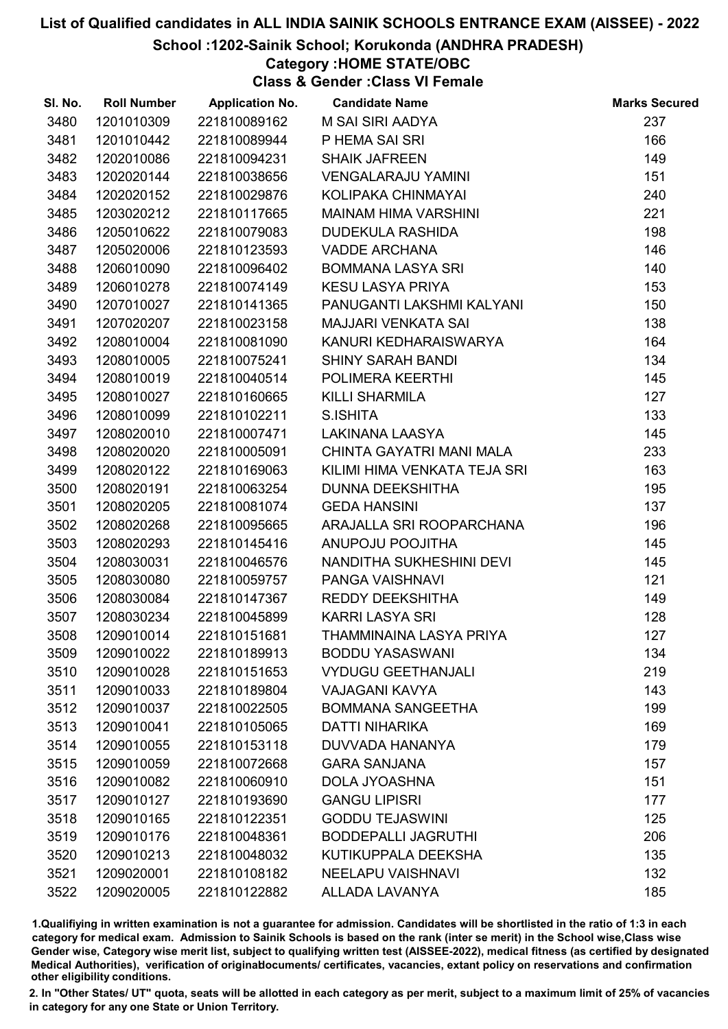School :1202-Sainik School; Korukonda (ANDHRA PRADESH)

### Category :HOME STATE/OBC

Class & Gender :Class VI Female

| SI. No. | <b>Roll Number</b> | <b>Application No.</b> | <b>Candidate Name</b>        | <b>Marks Secured</b> |
|---------|--------------------|------------------------|------------------------------|----------------------|
| 3480    | 1201010309         | 221810089162           | M SAI SIRI AADYA             | 237                  |
| 3481    | 1201010442         | 221810089944           | P HEMA SAI SRI               | 166                  |
| 3482    | 1202010086         | 221810094231           | <b>SHAIK JAFREEN</b>         | 149                  |
| 3483    | 1202020144         | 221810038656           | <b>VENGALARAJU YAMINI</b>    | 151                  |
| 3484    | 1202020152         | 221810029876           | KOLIPAKA CHINMAYAI           | 240                  |
| 3485    | 1203020212         | 221810117665           | <b>MAINAM HIMA VARSHINI</b>  | 221                  |
| 3486    | 1205010622         | 221810079083           | <b>DUDEKULA RASHIDA</b>      | 198                  |
| 3487    | 1205020006         | 221810123593           | <b>VADDE ARCHANA</b>         | 146                  |
| 3488    | 1206010090         | 221810096402           | <b>BOMMANA LASYA SRI</b>     | 140                  |
| 3489    | 1206010278         | 221810074149           | <b>KESU LASYA PRIYA</b>      | 153                  |
| 3490    | 1207010027         | 221810141365           | PANUGANTI LAKSHMI KALYANI    | 150                  |
| 3491    | 1207020207         | 221810023158           | <b>MAJJARI VENKATA SAI</b>   | 138                  |
| 3492    | 1208010004         | 221810081090           | KANURI KEDHARAISWARYA        | 164                  |
| 3493    | 1208010005         | 221810075241           | <b>SHINY SARAH BANDI</b>     | 134                  |
| 3494    | 1208010019         | 221810040514           | POLIMERA KEERTHI             | 145                  |
| 3495    | 1208010027         | 221810160665           | <b>KILLI SHARMILA</b>        | 127                  |
| 3496    | 1208010099         | 221810102211           | S.ISHITA                     | 133                  |
| 3497    | 1208020010         | 221810007471           | <b>LAKINANA LAASYA</b>       | 145                  |
| 3498    | 1208020020         | 221810005091           | CHINTA GAYATRI MANI MALA     | 233                  |
| 3499    | 1208020122         | 221810169063           | KILIMI HIMA VENKATA TEJA SRI | 163                  |
| 3500    | 1208020191         | 221810063254           | DUNNA DEEKSHITHA             | 195                  |
| 3501    | 1208020205         | 221810081074           | <b>GEDA HANSINI</b>          | 137                  |
| 3502    | 1208020268         | 221810095665           | ARAJALLA SRI ROOPARCHANA     | 196                  |
| 3503    | 1208020293         | 221810145416           | ANUPOJU POOJITHA             | 145                  |
| 3504    | 1208030031         | 221810046576           | NANDITHA SUKHESHINI DEVI     | 145                  |
| 3505    | 1208030080         | 221810059757           | PANGA VAISHNAVI              | 121                  |
| 3506    | 1208030084         | 221810147367           | REDDY DEEKSHITHA             | 149                  |
| 3507    | 1208030234         | 221810045899           | <b>KARRI LASYA SRI</b>       | 128                  |
| 3508    | 1209010014         | 221810151681           | THAMMINAINA LASYA PRIYA      | 127                  |
| 3509    | 1209010022         | 221810189913           | <b>BODDU YASASWANI</b>       | 134                  |
| 3510    | 1209010028         | 221810151653           | <b>VYDUGU GEETHANJALI</b>    | 219                  |
| 3511    | 1209010033         | 221810189804           | <b>VAJAGANI KAVYA</b>        | 143                  |
| 3512    | 1209010037         | 221810022505           | <b>BOMMANA SANGEETHA</b>     | 199                  |
| 3513    | 1209010041         | 221810105065           | <b>DATTI NIHARIKA</b>        | 169                  |
| 3514    | 1209010055         | 221810153118           | DUVVADA HANANYA              | 179                  |
| 3515    | 1209010059         | 221810072668           | <b>GARA SANJANA</b>          | 157                  |
| 3516    | 1209010082         | 221810060910           | <b>DOLA JYOASHNA</b>         | 151                  |
| 3517    | 1209010127         | 221810193690           | <b>GANGU LIPISRI</b>         | 177                  |
| 3518    | 1209010165         | 221810122351           | <b>GODDU TEJASWINI</b>       | 125                  |
| 3519    | 1209010176         | 221810048361           | <b>BODDEPALLI JAGRUTHI</b>   | 206                  |
| 3520    | 1209010213         | 221810048032           | KUTIKUPPALA DEEKSHA          | 135                  |
| 3521    | 1209020001         | 221810108182           | <b>NEELAPU VAISHNAVI</b>     | 132                  |
| 3522    | 1209020005         | 221810122882           | ALLADA LAVANYA               | 185                  |

1.Qualifiying in written examination is not a guarantee for admission. Candidates will be shortlisted in the ratio of 1:3 in each category for medical exam. Admission to Sainik Schools is based on the rank (inter se merit) in the School wise,Class wise Gender wise, Category wise merit list, subject to qualifying written test (AISSEE-2022), medical fitness (as certified by designated Medical Authorities), verification of originablocuments/ certificates, vacancies, extant policy on reservations and confirmation other eligibility conditions.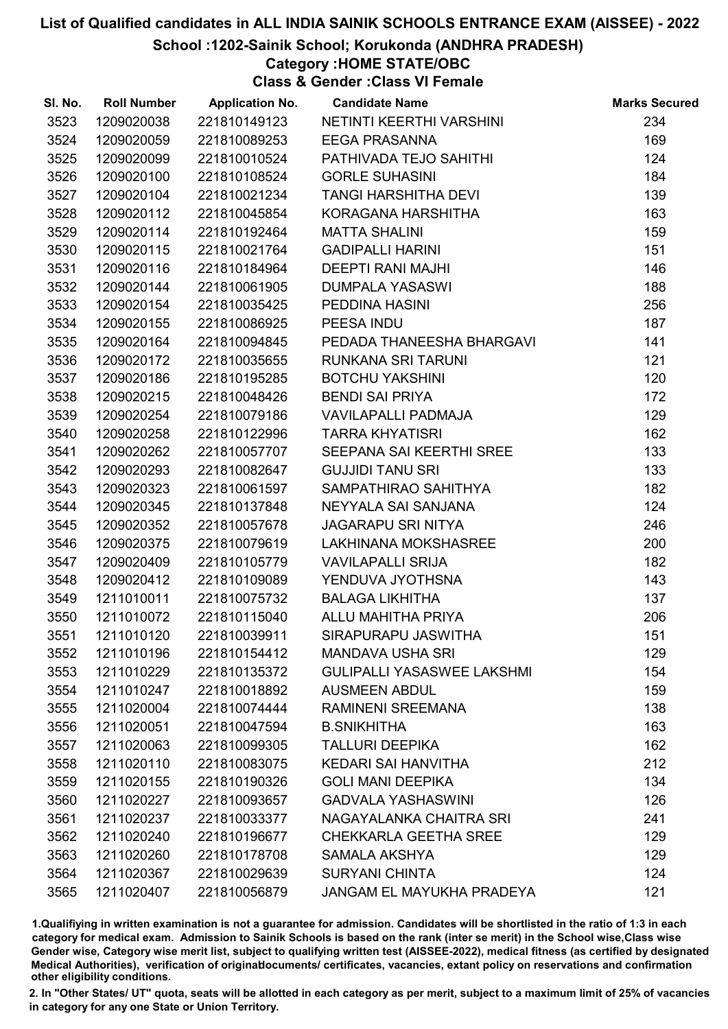#### School :1202-Sainik School; Korukonda (ANDHRA PRADESH)

#### Category :HOME STATE/OBC

Class & Gender :Class VI Female

| SI. No. | <b>Roll Number</b> | <b>Application No.</b> | <b>Candidate Name</b>             | <b>Marks Secured</b> |
|---------|--------------------|------------------------|-----------------------------------|----------------------|
| 3523    | 1209020038         | 221810149123           | NETINTI KEERTHI VARSHINI          | 234                  |
| 3524    | 1209020059         | 221810089253           | <b>EEGA PRASANNA</b>              | 169                  |
| 3525    | 1209020099         | 221810010524           | PATHIVADA TEJO SAHITHI            | 124                  |
| 3526    | 1209020100         | 221810108524           | <b>GORLE SUHASINI</b>             | 184                  |
| 3527    | 1209020104         | 221810021234           | <b>TANGI HARSHITHA DEVI</b>       | 139                  |
| 3528    | 1209020112         | 221810045854           | KORAGANA HARSHITHA                | 163                  |
| 3529    | 1209020114         | 221810192464           | <b>MATTA SHALINI</b>              | 159                  |
| 3530    | 1209020115         | 221810021764           | <b>GADIPALLI HARINI</b>           | 151                  |
| 3531    | 1209020116         | 221810184964           | <b>DEEPTI RANI MAJHI</b>          | 146                  |
| 3532    | 1209020144         | 221810061905           | <b>DUMPALA YASASWI</b>            | 188                  |
| 3533    | 1209020154         | 221810035425           | PEDDINA HASINI                    | 256                  |
| 3534    | 1209020155         | 221810086925           | PEESA INDU                        | 187                  |
| 3535    | 1209020164         | 221810094845           | PEDADA THANEESHA BHARGAVI         | 141                  |
| 3536    | 1209020172         | 221810035655           | RUNKANA SRI TARUNI                | 121                  |
| 3537    | 1209020186         | 221810195285           | <b>BOTCHU YAKSHINI</b>            | 120                  |
| 3538    | 1209020215         | 221810048426           | <b>BENDI SAI PRIYA</b>            | 172                  |
| 3539    | 1209020254         | 221810079186           | VAVILAPALLI PADMAJA               | 129                  |
| 3540    | 1209020258         | 221810122996           | <b>TARRA KHYATISRI</b>            | 162                  |
| 3541    | 1209020262         | 221810057707           | SEEPANA SAI KEERTHI SREE          | 133                  |
| 3542    | 1209020293         | 221810082647           | <b>GUJJIDI TANU SRI</b>           | 133                  |
| 3543    | 1209020323         | 221810061597           | SAMPATHIRAO SAHITHYA              | 182                  |
| 3544    | 1209020345         | 221810137848           | NEYYALA SAI SANJANA               | 124                  |
| 3545    | 1209020352         | 221810057678           | <b>JAGARAPU SRI NITYA</b>         | 246                  |
| 3546    | 1209020375         | 221810079619           | LAKHINANA MOKSHASREE              | 200                  |
| 3547    | 1209020409         | 221810105779           | <b>VAVILAPALLI SRIJA</b>          | 182                  |
| 3548    | 1209020412         | 221810109089           | YENDUVA JYOTHSNA                  | 143                  |
| 3549    | 1211010011         | 221810075732           | <b>BALAGA LIKHITHA</b>            | 137                  |
| 3550    | 1211010072         | 221810115040           | ALLU MAHITHA PRIYA                | 206                  |
| 3551    | 1211010120         | 221810039911           | SIRAPURAPU JASWITHA               | 151                  |
| 3552    | 1211010196         | 221810154412           | <b>MANDAVA USHA SRI</b>           | 129                  |
| 3553    | 1211010229         | 221810135372           | <b>GULIPALLI YASASWEE LAKSHMI</b> | 154                  |
| 3554    | 1211010247         | 221810018892           | <b>AUSMEEN ABDUL</b>              | 159                  |
| 3555    | 1211020004         | 221810074444           | <b>RAMINENI SREEMANA</b>          | 138                  |
| 3556    | 1211020051         | 221810047594           | <b>B.SNIKHITHA</b>                | 163                  |
| 3557    | 1211020063         | 221810099305           | <b>TALLURI DEEPIKA</b>            | 162                  |
| 3558    | 1211020110         | 221810083075           | <b>KEDARI SAI HANVITHA</b>        | 212                  |
| 3559    | 1211020155         | 221810190326           | <b>GOLI MANI DEEPIKA</b>          | 134                  |
| 3560    | 1211020227         | 221810093657           | <b>GADVALA YASHASWINI</b>         | 126                  |
| 3561    | 1211020237         | 221810033377           | NAGAYALANKA CHAITRA SRI           | 241                  |
| 3562    | 1211020240         | 221810196677           | <b>CHEKKARLA GEETHA SREE</b>      | 129                  |
| 3563    | 1211020260         | 221810178708           | SAMALA AKSHYA                     | 129                  |
| 3564    | 1211020367         | 221810029639           | <b>SURYANI CHINTA</b>             | 124                  |
| 3565    | 1211020407         | 221810056879           | JANGAM EL MAYUKHA PRADEYA         | 121                  |

1.Qualifiying in written examination is not a guarantee for admission. Candidates will be shortlisted in the ratio of 1:3 in each category for medical exam. Admission to Sainik Schools is based on the rank (inter se merit) in the School wise,Class wise Gender wise, Category wise merit list, subject to qualifying written test (AISSEE-2022), medical fitness (as certified by designated Medical Authorities), verification of originablocuments/ certificates, vacancies, extant policy on reservations and confirmation other eligibility conditions.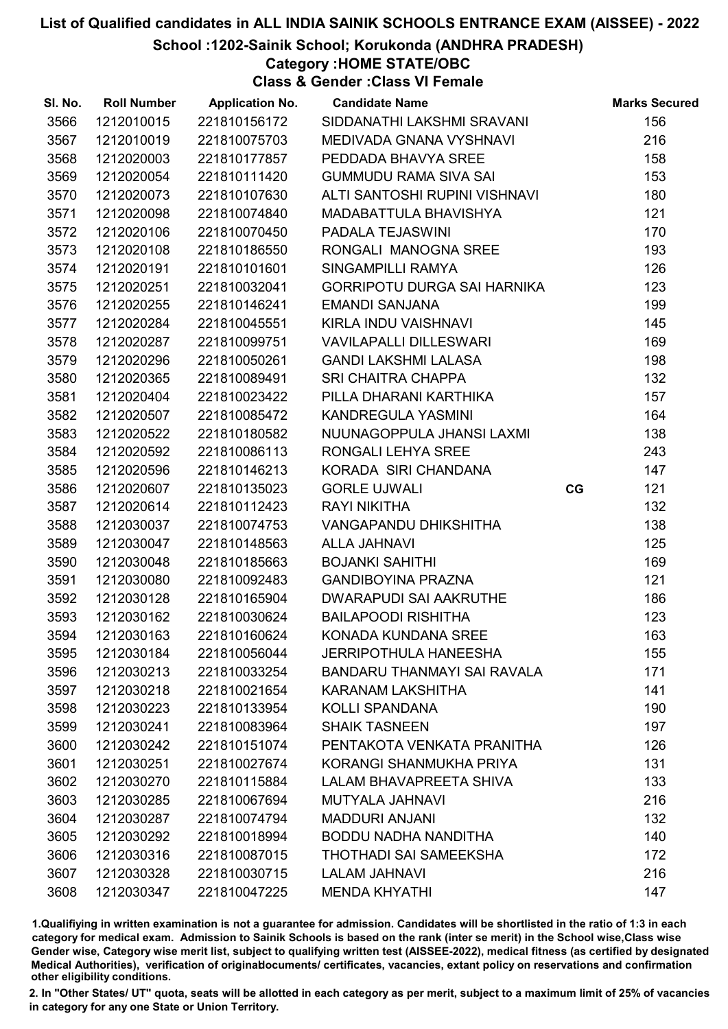School :1202-Sainik School; Korukonda (ANDHRA PRADESH)

Category :HOME STATE/OBC

Class & Gender :Class VI Female

| SI. No. | <b>Roll Number</b> | <b>Application No.</b> | <b>Candidate Name</b>              |    | <b>Marks Secured</b> |
|---------|--------------------|------------------------|------------------------------------|----|----------------------|
| 3566    | 1212010015         | 221810156172           | SIDDANATHI LAKSHMI SRAVANI         |    | 156                  |
| 3567    | 1212010019         | 221810075703           | MEDIVADA GNANA VYSHNAVI            |    | 216                  |
| 3568    | 1212020003         | 221810177857           | PEDDADA BHAVYA SREE                |    | 158                  |
| 3569    | 1212020054         | 221810111420           | <b>GUMMUDU RAMA SIVA SAI</b>       |    | 153                  |
| 3570    | 1212020073         | 221810107630           | ALTI SANTOSHI RUPINI VISHNAVI      |    | 180                  |
| 3571    | 1212020098         | 221810074840           | MADABATTULA BHAVISHYA              |    | 121                  |
| 3572    | 1212020106         | 221810070450           | PADALA TEJASWINI                   |    | 170                  |
| 3573    | 1212020108         | 221810186550           | RONGALI MANOGNA SREE               |    | 193                  |
| 3574    | 1212020191         | 221810101601           | SINGAMPILLI RAMYA                  |    | 126                  |
| 3575    | 1212020251         | 221810032041           | <b>GORRIPOTU DURGA SAI HARNIKA</b> |    | 123                  |
| 3576    | 1212020255         | 221810146241           | <b>EMANDI SANJANA</b>              |    | 199                  |
| 3577    | 1212020284         | 221810045551           | KIRLA INDU VAISHNAVI               |    | 145                  |
| 3578    | 1212020287         | 221810099751           | <b>VAVILAPALLI DILLESWARI</b>      |    | 169                  |
| 3579    | 1212020296         | 221810050261           | <b>GANDI LAKSHMI LALASA</b>        |    | 198                  |
| 3580    | 1212020365         | 221810089491           | <b>SRI CHAITRA CHAPPA</b>          |    | 132                  |
| 3581    | 1212020404         | 221810023422           | PILLA DHARANI KARTHIKA             |    | 157                  |
| 3582    | 1212020507         | 221810085472           | KANDREGULA YASMINI                 |    | 164                  |
| 3583    | 1212020522         | 221810180582           | NUUNAGOPPULA JHANSI LAXMI          |    | 138                  |
| 3584    | 1212020592         | 221810086113           | RONGALI LEHYA SREE                 |    | 243                  |
| 3585    | 1212020596         | 221810146213           | KORADA SIRI CHANDANA               |    | 147                  |
| 3586    | 1212020607         | 221810135023           | <b>GORLE UJWALI</b>                | CG | 121                  |
| 3587    | 1212020614         | 221810112423           | <b>RAYI NIKITHA</b>                |    | 132                  |
| 3588    | 1212030037         | 221810074753           | <b>VANGAPANDU DHIKSHITHA</b>       |    | 138                  |
| 3589    | 1212030047         | 221810148563           | <b>ALLA JAHNAVI</b>                |    | 125                  |
| 3590    | 1212030048         | 221810185663           | <b>BOJANKI SAHITHI</b>             |    | 169                  |
| 3591    | 1212030080         | 221810092483           | <b>GANDIBOYINA PRAZNA</b>          |    | 121                  |
| 3592    | 1212030128         | 221810165904           | <b>DWARAPUDI SAI AAKRUTHE</b>      |    | 186                  |
| 3593    | 1212030162         | 221810030624           | <b>BAILAPOODI RISHITHA</b>         |    | 123                  |
| 3594    | 1212030163         | 221810160624           | KONADA KUNDANA SREE                |    | 163                  |
| 3595    | 1212030184         | 221810056044           | <b>JERRIPOTHULA HANEESHA</b>       |    | 155                  |
| 3596    | 1212030213         | 221810033254           | <b>BANDARU THANMAYI SAI RAVALA</b> |    | 171                  |
| 3597    | 1212030218         | 221810021654           | <b>KARANAM LAKSHITHA</b>           |    | 141                  |
| 3598    | 1212030223         | 221810133954           | <b>KOLLI SPANDANA</b>              |    | 190                  |
| 3599    | 1212030241         | 221810083964           | <b>SHAIK TASNEEN</b>               |    | 197                  |
| 3600    | 1212030242         | 221810151074           | PENTAKOTA VENKATA PRANITHA         |    | 126                  |
| 3601    | 1212030251         | 221810027674           | KORANGI SHANMUKHA PRIYA            |    | 131                  |
| 3602    | 1212030270         | 221810115884           | LALAM BHAVAPREETA SHIVA            |    | 133                  |
| 3603    | 1212030285         | 221810067694           | <b>MUTYALA JAHNAVI</b>             |    | 216                  |
| 3604    | 1212030287         | 221810074794           | <b>MADDURI ANJANI</b>              |    | 132                  |
| 3605    | 1212030292         | 221810018994           | BODDU NADHA NANDITHA               |    | 140                  |
| 3606    | 1212030316         | 221810087015           | THOTHADI SAI SAMEEKSHA             |    | 172                  |
| 3607    | 1212030328         | 221810030715           | <b>LALAM JAHNAVI</b>               |    | 216                  |
| 3608    | 1212030347         | 221810047225           | <b>MENDA KHYATHI</b>               |    | 147                  |

1.Qualifiying in written examination is not a guarantee for admission. Candidates will be shortlisted in the ratio of 1:3 in each category for medical exam. Admission to Sainik Schools is based on the rank (inter se merit) in the School wise,Class wise Gender wise, Category wise merit list, subject to qualifying written test (AISSEE-2022), medical fitness (as certified by designated Medical Authorities), verification of originablocuments/ certificates, vacancies, extant policy on reservations and confirmation other eligibility conditions.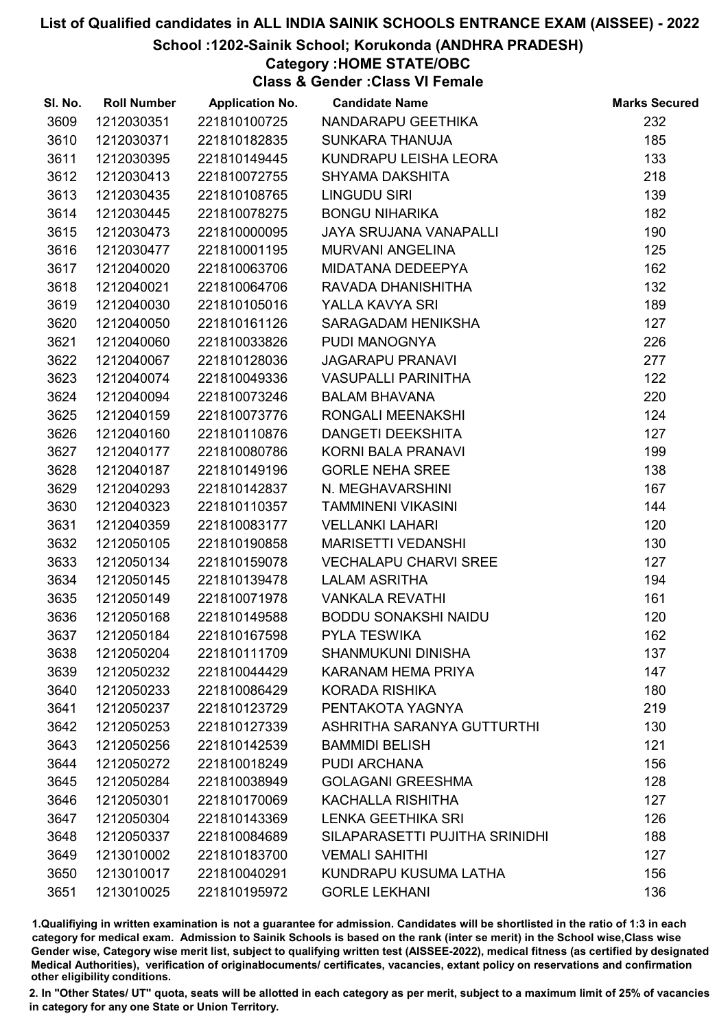#### School :1202-Sainik School; Korukonda (ANDHRA PRADESH)

### Category :HOME STATE/OBC

Class & Gender :Class VI Female

| SI. No. | <b>Roll Number</b> | <b>Application No.</b> | <b>Candidate Name</b>          | <b>Marks Secured</b> |
|---------|--------------------|------------------------|--------------------------------|----------------------|
| 3609    | 1212030351         | 221810100725           | NANDARAPU GEETHIKA             | 232                  |
| 3610    | 1212030371         | 221810182835           | <b>SUNKARA THANUJA</b>         | 185                  |
| 3611    | 1212030395         | 221810149445           | KUNDRAPU LEISHA LEORA          | 133                  |
| 3612    | 1212030413         | 221810072755           | <b>SHYAMA DAKSHITA</b>         | 218                  |
| 3613    | 1212030435         | 221810108765           | LINGUDU SIRI                   | 139                  |
| 3614    | 1212030445         | 221810078275           | <b>BONGU NIHARIKA</b>          | 182                  |
| 3615    | 1212030473         | 221810000095           | <b>JAYA SRUJANA VANAPALLI</b>  | 190                  |
| 3616    | 1212030477         | 221810001195           | <b>MURVANI ANGELINA</b>        | 125                  |
| 3617    | 1212040020         | 221810063706           | MIDATANA DEDEEPYA              | 162                  |
| 3618    | 1212040021         | 221810064706           | RAVADA DHANISHITHA             | 132                  |
| 3619    | 1212040030         | 221810105016           | YALLA KAVYA SRI                | 189                  |
| 3620    | 1212040050         | 221810161126           | SARAGADAM HENIKSHA             | 127                  |
| 3621    | 1212040060         | 221810033826           | PUDI MANOGNYA                  | 226                  |
| 3622    | 1212040067         | 221810128036           | <b>JAGARAPU PRANAVI</b>        | 277                  |
| 3623    | 1212040074         | 221810049336           | <b>VASUPALLI PARINITHA</b>     | 122                  |
| 3624    | 1212040094         | 221810073246           | <b>BALAM BHAVANA</b>           | 220                  |
| 3625    | 1212040159         | 221810073776           | RONGALI MEENAKSHI              | 124                  |
| 3626    | 1212040160         | 221810110876           | DANGETI DEEKSHITA              | 127                  |
| 3627    | 1212040177         | 221810080786           | KORNI BALA PRANAVI             | 199                  |
| 3628    | 1212040187         | 221810149196           | <b>GORLE NEHA SREE</b>         | 138                  |
| 3629    | 1212040293         | 221810142837           | N. MEGHAVARSHINI               | 167                  |
| 3630    | 1212040323         | 221810110357           | <b>TAMMINENI VIKASINI</b>      | 144                  |
| 3631    | 1212040359         | 221810083177           | <b>VELLANKI LAHARI</b>         | 120                  |
| 3632    | 1212050105         | 221810190858           | <b>MARISETTI VEDANSHI</b>      | 130                  |
| 3633    | 1212050134         | 221810159078           | <b>VECHALAPU CHARVI SREE</b>   | 127                  |
| 3634    | 1212050145         | 221810139478           | <b>LALAM ASRITHA</b>           | 194                  |
| 3635    | 1212050149         | 221810071978           | <b>VANKALA REVATHI</b>         | 161                  |
| 3636    | 1212050168         | 221810149588           | <b>BODDU SONAKSHI NAIDU</b>    | 120                  |
| 3637    | 1212050184         | 221810167598           | <b>PYLA TESWIKA</b>            | 162                  |
| 3638    | 1212050204         | 221810111709           | <b>SHANMUKUNI DINISHA</b>      | 137                  |
| 3639    | 1212050232         | 221810044429           | KARANAM HEMA PRIYA             | 147                  |
| 3640    | 1212050233         | 221810086429           | <b>KORADA RISHIKA</b>          | 180                  |
| 3641    | 1212050237         | 221810123729           | PENTAKOTA YAGNYA               | 219                  |
| 3642    | 1212050253         | 221810127339           | ASHRITHA SARANYA GUTTURTHI     | 130                  |
| 3643    | 1212050256         | 221810142539           | <b>BAMMIDI BELISH</b>          | 121                  |
| 3644    | 1212050272         | 221810018249           | PUDI ARCHANA                   | 156                  |
| 3645    | 1212050284         | 221810038949           | <b>GOLAGANI GREESHMA</b>       | 128                  |
| 3646    | 1212050301         | 221810170069           | KACHALLA RISHITHA              | 127                  |
| 3647    | 1212050304         | 221810143369           | <b>LENKA GEETHIKA SRI</b>      | 126                  |
| 3648    | 1212050337         | 221810084689           | SILAPARASETTI PUJITHA SRINIDHI | 188                  |
| 3649    | 1213010002         | 221810183700           | <b>VEMALI SAHITHI</b>          | 127                  |
| 3650    | 1213010017         | 221810040291           | KUNDRAPU KUSUMA LATHA          | 156                  |
| 3651    | 1213010025         | 221810195972           | <b>GORLE LEKHANI</b>           | 136                  |

1.Qualifiying in written examination is not a guarantee for admission. Candidates will be shortlisted in the ratio of 1:3 in each category for medical exam. Admission to Sainik Schools is based on the rank (inter se merit) in the School wise,Class wise Gender wise, Category wise merit list, subject to qualifying written test (AISSEE-2022), medical fitness (as certified by designated Medical Authorities), verification of originablocuments/ certificates, vacancies, extant policy on reservations and confirmation other eligibility conditions.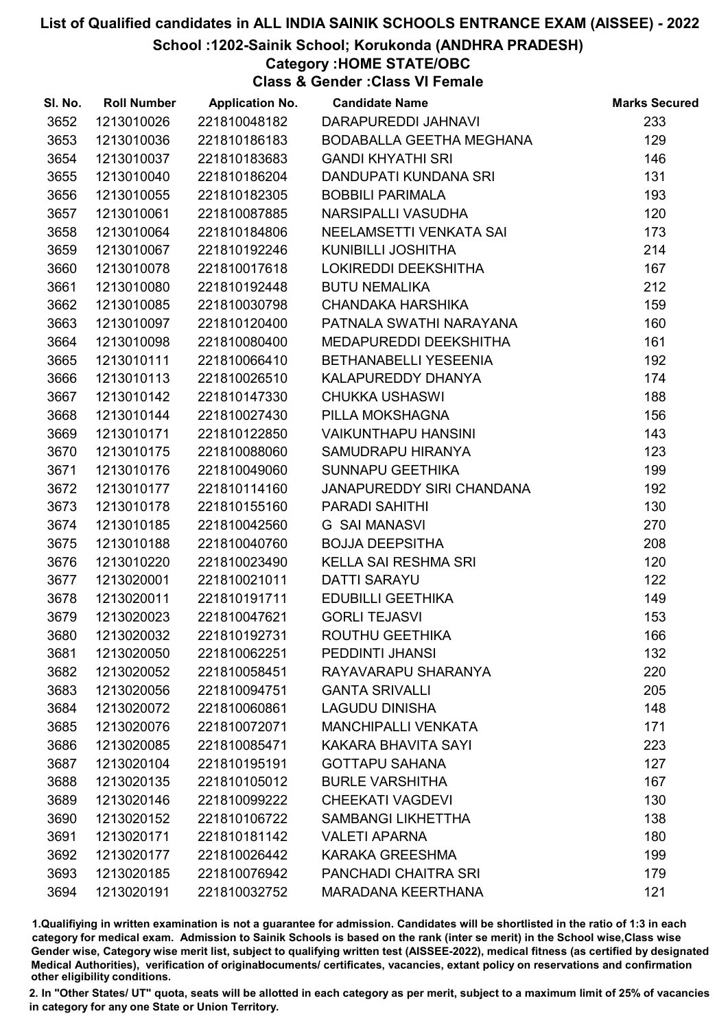#### School :1202-Sainik School; Korukonda (ANDHRA PRADESH)

#### Category :HOME STATE/OBC

Class & Gender :Class VI Female

| SI. No. | <b>Roll Number</b> | <b>Application No.</b> | <b>Candidate Name</b>        | <b>Marks Secured</b> |
|---------|--------------------|------------------------|------------------------------|----------------------|
| 3652    | 1213010026         | 221810048182           | DARAPUREDDI JAHNAVI          | 233                  |
| 3653    | 1213010036         | 221810186183           | BODABALLA GEETHA MEGHANA     | 129                  |
| 3654    | 1213010037         | 221810183683           | <b>GANDI KHYATHI SRI</b>     | 146                  |
| 3655    | 1213010040         | 221810186204           | DANDUPATI KUNDANA SRI        | 131                  |
| 3656    | 1213010055         | 221810182305           | <b>BOBBILI PARIMALA</b>      | 193                  |
| 3657    | 1213010061         | 221810087885           | NARSIPALLI VASUDHA           | 120                  |
| 3658    | 1213010064         | 221810184806           | NEELAMSETTI VENKATA SAI      | 173                  |
| 3659    | 1213010067         | 221810192246           | <b>KUNIBILLI JOSHITHA</b>    | 214                  |
| 3660    | 1213010078         | 221810017618           | LOKIREDDI DEEKSHITHA         | 167                  |
| 3661    | 1213010080         | 221810192448           | <b>BUTU NEMALIKA</b>         | 212                  |
| 3662    | 1213010085         | 221810030798           | <b>CHANDAKA HARSHIKA</b>     | 159                  |
| 3663    | 1213010097         | 221810120400           | PATNALA SWATHI NARAYANA      | 160                  |
| 3664    | 1213010098         | 221810080400           | MEDAPUREDDI DEEKSHITHA       | 161                  |
| 3665    | 1213010111         | 221810066410           | <b>BETHANABELLI YESEENIA</b> | 192                  |
| 3666    | 1213010113         | 221810026510           | KALAPUREDDY DHANYA           | 174                  |
| 3667    | 1213010142         | 221810147330           | <b>CHUKKA USHASWI</b>        | 188                  |
| 3668    | 1213010144         | 221810027430           | PILLA MOKSHAGNA              | 156                  |
| 3669    | 1213010171         | 221810122850           | <b>VAIKUNTHAPU HANSINI</b>   | 143                  |
| 3670    | 1213010175         | 221810088060           | SAMUDRAPU HIRANYA            | 123                  |
| 3671    | 1213010176         | 221810049060           | <b>SUNNAPU GEETHIKA</b>      | 199                  |
| 3672    | 1213010177         | 221810114160           | JANAPUREDDY SIRI CHANDANA    | 192                  |
| 3673    | 1213010178         | 221810155160           | PARADI SAHITHI               | 130                  |
| 3674    | 1213010185         | 221810042560           | <b>G SAI MANASVI</b>         | 270                  |
| 3675    | 1213010188         | 221810040760           | <b>BOJJA DEEPSITHA</b>       | 208                  |
| 3676    | 1213010220         | 221810023490           | <b>KELLA SAI RESHMA SRI</b>  | 120                  |
| 3677    | 1213020001         | 221810021011           | <b>DATTI SARAYU</b>          | 122                  |
| 3678    | 1213020011         | 221810191711           | <b>EDUBILLI GEETHIKA</b>     | 149                  |
| 3679    | 1213020023         | 221810047621           | <b>GORLI TEJASVI</b>         | 153                  |
| 3680    | 1213020032         | 221810192731           | ROUTHU GEETHIKA              | 166                  |
| 3681    | 1213020050         | 221810062251           | PEDDINTI JHANSI              | 132                  |
| 3682    | 1213020052         | 221810058451           | RAYAVARAPU SHARANYA          | 220                  |
| 3683    | 1213020056         | 221810094751           | <b>GANTA SRIVALLI</b>        | 205                  |
| 3684    | 1213020072         | 221810060861           | <b>LAGUDU DINISHA</b>        | 148                  |
| 3685    | 1213020076         | 221810072071           | <b>MANCHIPALLI VENKATA</b>   | 171                  |
| 3686    | 1213020085         | 221810085471           | <b>KAKARA BHAVITA SAYI</b>   | 223                  |
| 3687    | 1213020104         | 221810195191           | <b>GOTTAPU SAHANA</b>        | 127                  |
| 3688    | 1213020135         | 221810105012           | <b>BURLE VARSHITHA</b>       | 167                  |
| 3689    | 1213020146         | 221810099222           | <b>CHEEKATI VAGDEVI</b>      | 130                  |
| 3690    | 1213020152         | 221810106722           | <b>SAMBANGI LIKHETTHA</b>    | 138                  |
| 3691    | 1213020171         | 221810181142           | <b>VALETI APARNA</b>         | 180                  |
| 3692    | 1213020177         | 221810026442           | <b>KARAKA GREESHMA</b>       | 199                  |
| 3693    | 1213020185         | 221810076942           | PANCHADI CHAITRA SRI         | 179                  |
| 3694    | 1213020191         | 221810032752           | <b>MARADANA KEERTHANA</b>    | 121                  |

1.Qualifiying in written examination is not a guarantee for admission. Candidates will be shortlisted in the ratio of 1:3 in each category for medical exam. Admission to Sainik Schools is based on the rank (inter se merit) in the School wise,Class wise Gender wise, Category wise merit list, subject to qualifying written test (AISSEE-2022), medical fitness (as certified by designated Medical Authorities), verification of originablocuments/ certificates, vacancies, extant policy on reservations and confirmation other eligibility conditions.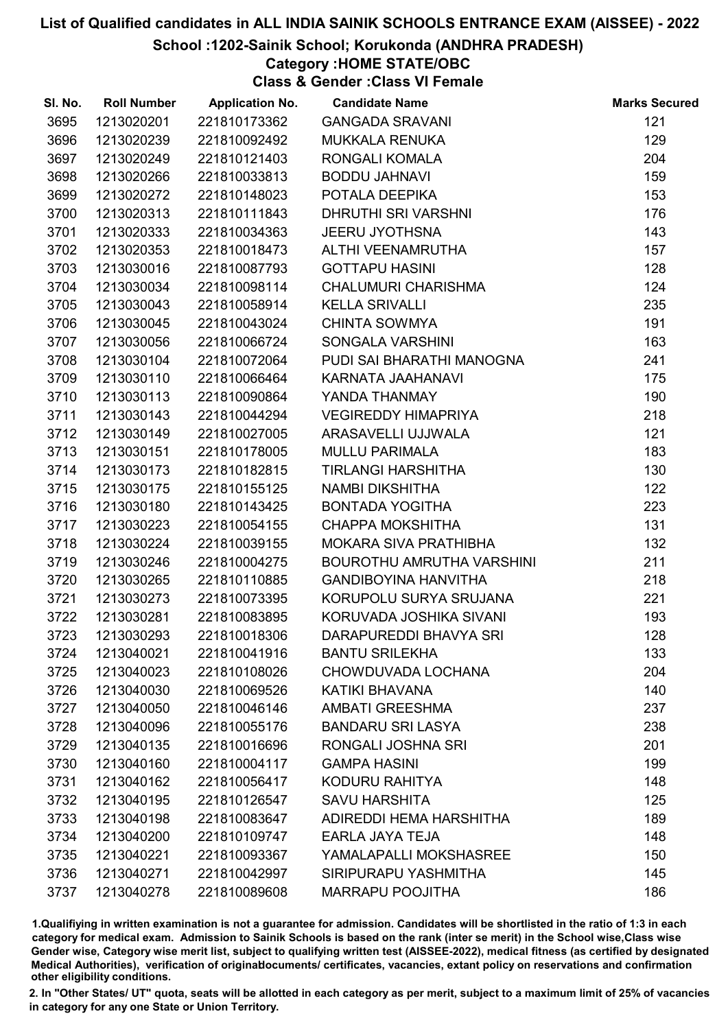School :1202-Sainik School; Korukonda (ANDHRA PRADESH)

### Category :HOME STATE/OBC

Class & Gender :Class VI Female

| SI. No. | <b>Roll Number</b> | <b>Application No.</b> | <b>Candidate Name</b>       | <b>Marks Secured</b> |
|---------|--------------------|------------------------|-----------------------------|----------------------|
| 3695    | 1213020201         | 221810173362           | <b>GANGADA SRAVANI</b>      | 121                  |
| 3696    | 1213020239         | 221810092492           | <b>MUKKALA RENUKA</b>       | 129                  |
| 3697    | 1213020249         | 221810121403           | RONGALI KOMALA              | 204                  |
| 3698    | 1213020266         | 221810033813           | <b>BODDU JAHNAVI</b>        | 159                  |
| 3699    | 1213020272         | 221810148023           | POTALA DEEPIKA              | 153                  |
| 3700    | 1213020313         | 221810111843           | <b>DHRUTHI SRI VARSHNI</b>  | 176                  |
| 3701    | 1213020333         | 221810034363           | <b>JEERU JYOTHSNA</b>       | 143                  |
| 3702    | 1213020353         | 221810018473           | ALTHI VEENAMRUTHA           | 157                  |
| 3703    | 1213030016         | 221810087793           | <b>GOTTAPU HASINI</b>       | 128                  |
| 3704    | 1213030034         | 221810098114           | <b>CHALUMURI CHARISHMA</b>  | 124                  |
| 3705    | 1213030043         | 221810058914           | <b>KELLA SRIVALLI</b>       | 235                  |
| 3706    | 1213030045         | 221810043024           | <b>CHINTA SOWMYA</b>        | 191                  |
| 3707    | 1213030056         | 221810066724           | SONGALA VARSHINI            | 163                  |
| 3708    | 1213030104         | 221810072064           | PUDI SAI BHARATHI MANOGNA   | 241                  |
| 3709    | 1213030110         | 221810066464           | KARNATA JAAHANAVI           | 175                  |
| 3710    | 1213030113         | 221810090864           | YANDA THANMAY               | 190                  |
| 3711    | 1213030143         | 221810044294           | <b>VEGIREDDY HIMAPRIYA</b>  | 218                  |
| 3712    | 1213030149         | 221810027005           | ARASAVELLI UJJWALA          | 121                  |
| 3713    | 1213030151         | 221810178005           | <b>MULLU PARIMALA</b>       | 183                  |
| 3714    | 1213030173         | 221810182815           | <b>TIRLANGI HARSHITHA</b>   | 130                  |
| 3715    | 1213030175         | 221810155125           | NAMBI DIKSHITHA             | 122                  |
| 3716    | 1213030180         | 221810143425           | <b>BONTADA YOGITHA</b>      | 223                  |
| 3717    | 1213030223         | 221810054155           | <b>CHAPPA MOKSHITHA</b>     | 131                  |
| 3718    | 1213030224         | 221810039155           | MOKARA SIVA PRATHIBHA       | 132                  |
| 3719    | 1213030246         | 221810004275           | BOUROTHU AMRUTHA VARSHINI   | 211                  |
| 3720    | 1213030265         | 221810110885           | <b>GANDIBOYINA HANVITHA</b> | 218                  |
| 3721    | 1213030273         | 221810073395           | KORUPOLU SURYA SRUJANA      | 221                  |
| 3722    | 1213030281         | 221810083895           | KORUVADA JOSHIKA SIVANI     | 193                  |
| 3723    | 1213030293         | 221810018306           | DARAPUREDDI BHAVYA SRI      | 128                  |
| 3724    | 1213040021         | 221810041916           | <b>BANTU SRILEKHA</b>       | 133                  |
| 3725    | 1213040023         | 221810108026           | CHOWDUVADA LOCHANA          | 204                  |
| 3726    | 1213040030         | 221810069526           | KATIKI BHAVANA              | 140                  |
| 3727    | 1213040050         | 221810046146           | <b>AMBATI GREESHMA</b>      | 237                  |
| 3728    | 1213040096         | 221810055176           | <b>BANDARU SRI LASYA</b>    | 238                  |
| 3729    | 1213040135         | 221810016696           | RONGALI JOSHNA SRI          | 201                  |
| 3730    | 1213040160         | 221810004117           | <b>GAMPA HASINI</b>         | 199                  |
| 3731    | 1213040162         | 221810056417           | KODURU RAHITYA              | 148                  |
| 3732    | 1213040195         | 221810126547           | <b>SAVU HARSHITA</b>        | 125                  |
| 3733    | 1213040198         | 221810083647           | ADIREDDI HEMA HARSHITHA     | 189                  |
| 3734    | 1213040200         | 221810109747           | EARLA JAYA TEJA             | 148                  |
| 3735    | 1213040221         | 221810093367           | YAMALAPALLI MOKSHASREE      | 150                  |
| 3736    | 1213040271         | 221810042997           | SIRIPURAPU YASHMITHA        | 145                  |
| 3737    | 1213040278         | 221810089608           | <b>MARRAPU POOJITHA</b>     | 186                  |

1.Qualifiying in written examination is not a guarantee for admission. Candidates will be shortlisted in the ratio of 1:3 in each category for medical exam. Admission to Sainik Schools is based on the rank (inter se merit) in the School wise,Class wise Gender wise, Category wise merit list, subject to qualifying written test (AISSEE-2022), medical fitness (as certified by designated Medical Authorities), verification of originablocuments/ certificates, vacancies, extant policy on reservations and confirmation other eligibility conditions.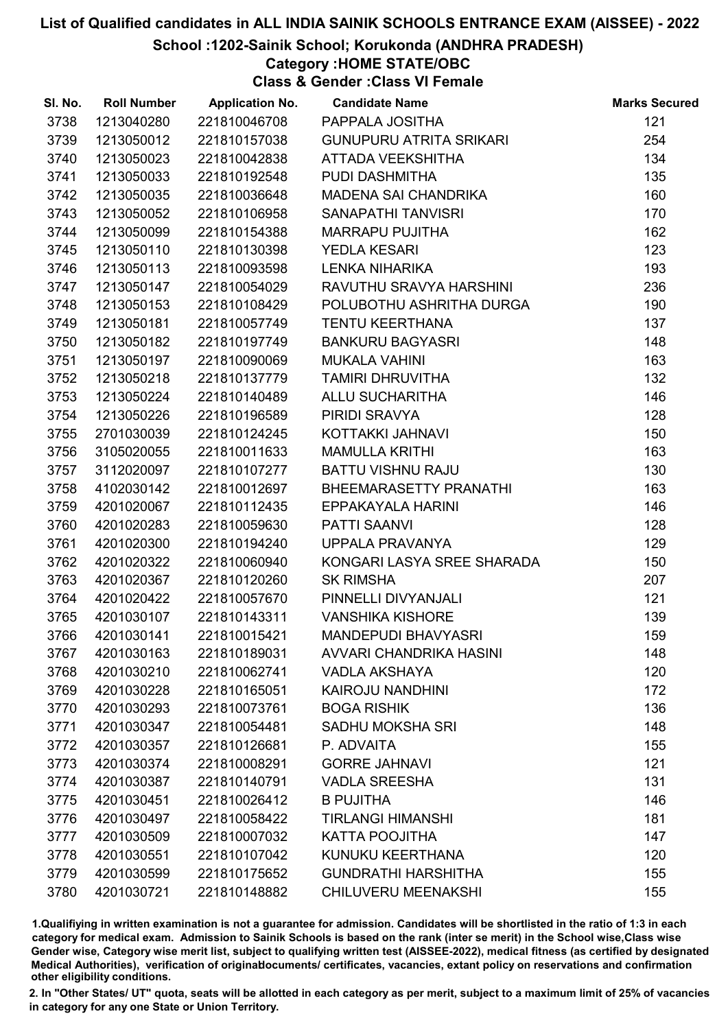#### School :1202-Sainik School; Korukonda (ANDHRA PRADESH)

#### Category :HOME STATE/OBC

Class & Gender :Class VI Female

| SI. No. | <b>Roll Number</b> | <b>Application No.</b> | <b>Candidate Name</b>          | <b>Marks Secured</b> |
|---------|--------------------|------------------------|--------------------------------|----------------------|
| 3738    | 1213040280         | 221810046708           | PAPPALA JOSITHA                | 121                  |
| 3739    | 1213050012         | 221810157038           | <b>GUNUPURU ATRITA SRIKARI</b> | 254                  |
| 3740    | 1213050023         | 221810042838           | ATTADA VEEKSHITHA              | 134                  |
| 3741    | 1213050033         | 221810192548           | PUDI DASHMITHA                 | 135                  |
| 3742    | 1213050035         | 221810036648           | MADENA SAI CHANDRIKA           | 160                  |
| 3743    | 1213050052         | 221810106958           | <b>SANAPATHI TANVISRI</b>      | 170                  |
| 3744    | 1213050099         | 221810154388           | <b>MARRAPU PUJITHA</b>         | 162                  |
| 3745    | 1213050110         | 221810130398           | <b>YEDLA KESARI</b>            | 123                  |
| 3746    | 1213050113         | 221810093598           | <b>LENKA NIHARIKA</b>          | 193                  |
| 3747    | 1213050147         | 221810054029           | RAVUTHU SRAVYA HARSHINI        | 236                  |
| 3748    | 1213050153         | 221810108429           | POLUBOTHU ASHRITHA DURGA       | 190                  |
| 3749    | 1213050181         | 221810057749           | <b>TENTU KEERTHANA</b>         | 137                  |
| 3750    | 1213050182         | 221810197749           | <b>BANKURU BAGYASRI</b>        | 148                  |
| 3751    | 1213050197         | 221810090069           | <b>MUKALA VAHINI</b>           | 163                  |
| 3752    | 1213050218         | 221810137779           | <b>TAMIRI DHRUVITHA</b>        | 132                  |
| 3753    | 1213050224         | 221810140489           | <b>ALLU SUCHARITHA</b>         | 146                  |
| 3754    | 1213050226         | 221810196589           | PIRIDI SRAVYA                  | 128                  |
| 3755    | 2701030039         | 221810124245           | KOTTAKKI JAHNAVI               | 150                  |
| 3756    | 3105020055         | 221810011633           | <b>MAMULLA KRITHI</b>          | 163                  |
| 3757    | 3112020097         | 221810107277           | <b>BATTU VISHNU RAJU</b>       | 130                  |
| 3758    | 4102030142         | 221810012697           | BHEEMARASETTY PRANATHI         | 163                  |
| 3759    | 4201020067         | 221810112435           | EPPAKAYALA HARINI              | 146                  |
| 3760    | 4201020283         | 221810059630           | <b>PATTI SAANVI</b>            | 128                  |
| 3761    | 4201020300         | 221810194240           | UPPALA PRAVANYA                | 129                  |
| 3762    | 4201020322         | 221810060940           | KONGARI LASYA SREE SHARADA     | 150                  |
| 3763    | 4201020367         | 221810120260           | <b>SK RIMSHA</b>               | 207                  |
| 3764    | 4201020422         | 221810057670           | PINNELLI DIVYANJALI            | 121                  |
| 3765    | 4201030107         | 221810143311           | <b>VANSHIKA KISHORE</b>        | 139                  |
| 3766    | 4201030141         | 221810015421           | <b>MANDEPUDI BHAVYASRI</b>     | 159                  |
| 3767    | 4201030163         | 221810189031           | AVVARI CHANDRIKA HASINI        | 148                  |
| 3768    | 4201030210         | 221810062741           | <b>VADLA AKSHAYA</b>           | 120                  |
| 3769    | 4201030228         | 221810165051           | <b>KAIROJU NANDHINI</b>        | 172                  |
| 3770    | 4201030293         | 221810073761           | <b>BOGA RISHIK</b>             | 136                  |
| 3771    | 4201030347         | 221810054481           | <b>SADHU MOKSHA SRI</b>        | 148                  |
| 3772    | 4201030357         | 221810126681           | P. ADVAITA                     | 155                  |
| 3773    | 4201030374         | 221810008291           | <b>GORRE JAHNAVI</b>           | 121                  |
| 3774    | 4201030387         | 221810140791           | <b>VADLA SREESHA</b>           | 131                  |
| 3775    | 4201030451         | 221810026412           | <b>B PUJITHA</b>               | 146                  |
| 3776    | 4201030497         | 221810058422           | <b>TIRLANGI HIMANSHI</b>       | 181                  |
| 3777    | 4201030509         | 221810007032           | <b>KATTA POOJITHA</b>          | 147                  |
| 3778    | 4201030551         | 221810107042           | KUNUKU KEERTHANA               | 120                  |
| 3779    | 4201030599         | 221810175652           | <b>GUNDRATHI HARSHITHA</b>     | 155                  |
| 3780    | 4201030721         | 221810148882           | <b>CHILUVERU MEENAKSHI</b>     | 155                  |

1.Qualifiying in written examination is not a guarantee for admission. Candidates will be shortlisted in the ratio of 1:3 in each category for medical exam. Admission to Sainik Schools is based on the rank (inter se merit) in the School wise,Class wise Gender wise, Category wise merit list, subject to qualifying written test (AISSEE-2022), medical fitness (as certified by designated Medical Authorities), verification of originablocuments/ certificates, vacancies, extant policy on reservations and confirmation other eligibility conditions.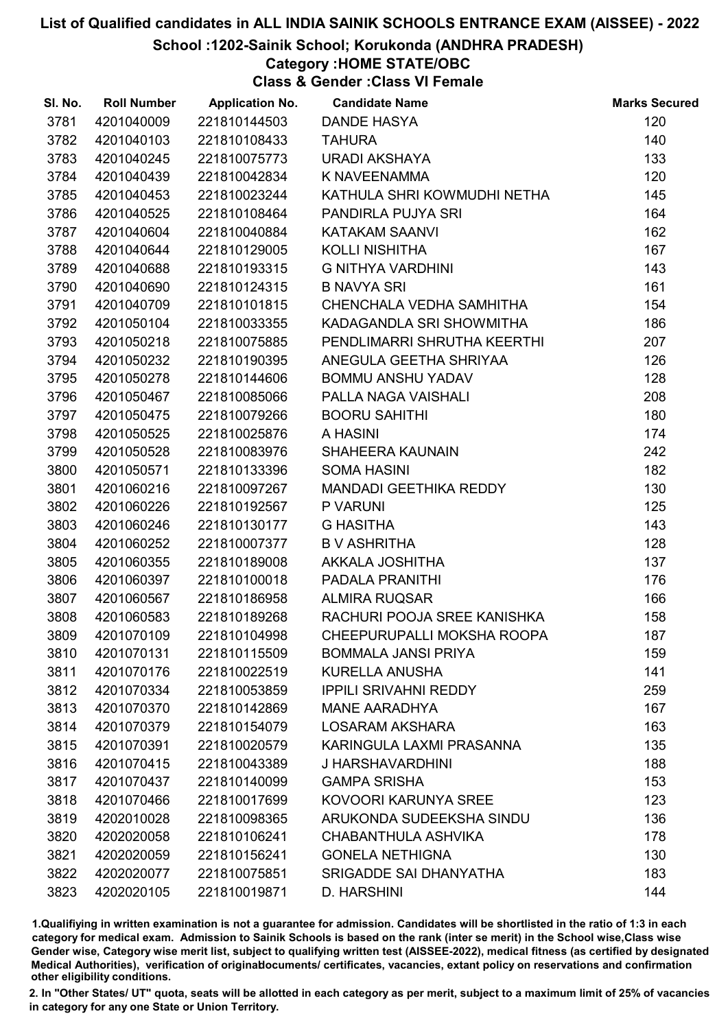School :1202-Sainik School; Korukonda (ANDHRA PRADESH)

### Category :HOME STATE/OBC

Class & Gender :Class VI Female

| SI. No. | <b>Roll Number</b> | <b>Application No.</b> | <b>Candidate Name</b>        | <b>Marks Secured</b> |
|---------|--------------------|------------------------|------------------------------|----------------------|
| 3781    | 4201040009         | 221810144503           | <b>DANDE HASYA</b>           | 120                  |
| 3782    | 4201040103         | 221810108433           | <b>TAHURA</b>                | 140                  |
| 3783    | 4201040245         | 221810075773           | <b>URADI AKSHAYA</b>         | 133                  |
| 3784    | 4201040439         | 221810042834           | K NAVEENAMMA                 | 120                  |
| 3785    | 4201040453         | 221810023244           | KATHULA SHRI KOWMUDHI NETHA  | 145                  |
| 3786    | 4201040525         | 221810108464           | PANDIRLA PUJYA SRI           | 164                  |
| 3787    | 4201040604         | 221810040884           | <b>KATAKAM SAANVI</b>        | 162                  |
| 3788    | 4201040644         | 221810129005           | <b>KOLLI NISHITHA</b>        | 167                  |
| 3789    | 4201040688         | 221810193315           | G NITHYA VARDHINI            | 143                  |
| 3790    | 4201040690         | 221810124315           | <b>B NAVYA SRI</b>           | 161                  |
| 3791    | 4201040709         | 221810101815           | CHENCHALA VEDHA SAMHITHA     | 154                  |
| 3792    | 4201050104         | 221810033355           | KADAGANDLA SRI SHOWMITHA     | 186                  |
| 3793    | 4201050218         | 221810075885           | PENDLIMARRI SHRUTHA KEERTHI  | 207                  |
| 3794    | 4201050232         | 221810190395           | ANEGULA GEETHA SHRIYAA       | 126                  |
| 3795    | 4201050278         | 221810144606           | <b>BOMMU ANSHU YADAV</b>     | 128                  |
| 3796    | 4201050467         | 221810085066           | PALLA NAGA VAISHALI          | 208                  |
| 3797    | 4201050475         | 221810079266           | <b>BOORU SAHITHI</b>         | 180                  |
| 3798    | 4201050525         | 221810025876           | A HASINI                     | 174                  |
| 3799    | 4201050528         | 221810083976           | SHAHEERA KAUNAIN             | 242                  |
| 3800    | 4201050571         | 221810133396           | <b>SOMA HASINI</b>           | 182                  |
| 3801    | 4201060216         | 221810097267           | MANDADI GEETHIKA REDDY       | 130                  |
| 3802    | 4201060226         | 221810192567           | P VARUNI                     | 125                  |
| 3803    | 4201060246         | 221810130177           | <b>G HASITHA</b>             | 143                  |
| 3804    | 4201060252         | 221810007377           | <b>B V ASHRITHA</b>          | 128                  |
| 3805    | 4201060355         | 221810189008           | AKKALA JOSHITHA              | 137                  |
| 3806    | 4201060397         | 221810100018           | PADALA PRANITHI              | 176                  |
| 3807    | 4201060567         | 221810186958           | <b>ALMIRA RUQSAR</b>         | 166                  |
| 3808    | 4201060583         | 221810189268           | RACHURI POOJA SREE KANISHKA  | 158                  |
| 3809    | 4201070109         | 221810104998           | CHEEPURUPALLI MOKSHA ROOPA   | 187                  |
| 3810    | 4201070131         | 221810115509           | <b>BOMMALA JANSI PRIYA</b>   | 159                  |
| 3811    | 4201070176         | 221810022519           | <b>KURELLA ANUSHA</b>        | 141                  |
| 3812    | 4201070334         | 221810053859           | <b>IPPILI SRIVAHNI REDDY</b> | 259                  |
| 3813    | 4201070370         | 221810142869           | <b>MANE AARADHYA</b>         | 167                  |
| 3814    | 4201070379         | 221810154079           | <b>LOSARAM AKSHARA</b>       | 163                  |
| 3815    | 4201070391         | 221810020579           | KARINGULA LAXMI PRASANNA     | 135                  |
| 3816    | 4201070415         | 221810043389           | J HARSHAVARDHINI             | 188                  |
| 3817    | 4201070437         | 221810140099           | <b>GAMPA SRISHA</b>          | 153                  |
| 3818    | 4201070466         | 221810017699           | KOVOORI KARUNYA SREE         | 123                  |
| 3819    | 4202010028         | 221810098365           | ARUKONDA SUDEEKSHA SINDU     | 136                  |
| 3820    | 4202020058         | 221810106241           | CHABANTHULA ASHVIKA          | 178                  |
| 3821    | 4202020059         | 221810156241           | <b>GONELA NETHIGNA</b>       | 130                  |
| 3822    | 4202020077         | 221810075851           | SRIGADDE SAI DHANYATHA       | 183                  |
| 3823    | 4202020105         | 221810019871           | D. HARSHINI                  | 144                  |

1.Qualifiying in written examination is not a guarantee for admission. Candidates will be shortlisted in the ratio of 1:3 in each category for medical exam. Admission to Sainik Schools is based on the rank (inter se merit) in the School wise,Class wise Gender wise, Category wise merit list, subject to qualifying written test (AISSEE-2022), medical fitness (as certified by designated Medical Authorities), verification of originablocuments/ certificates, vacancies, extant policy on reservations and confirmation other eligibility conditions.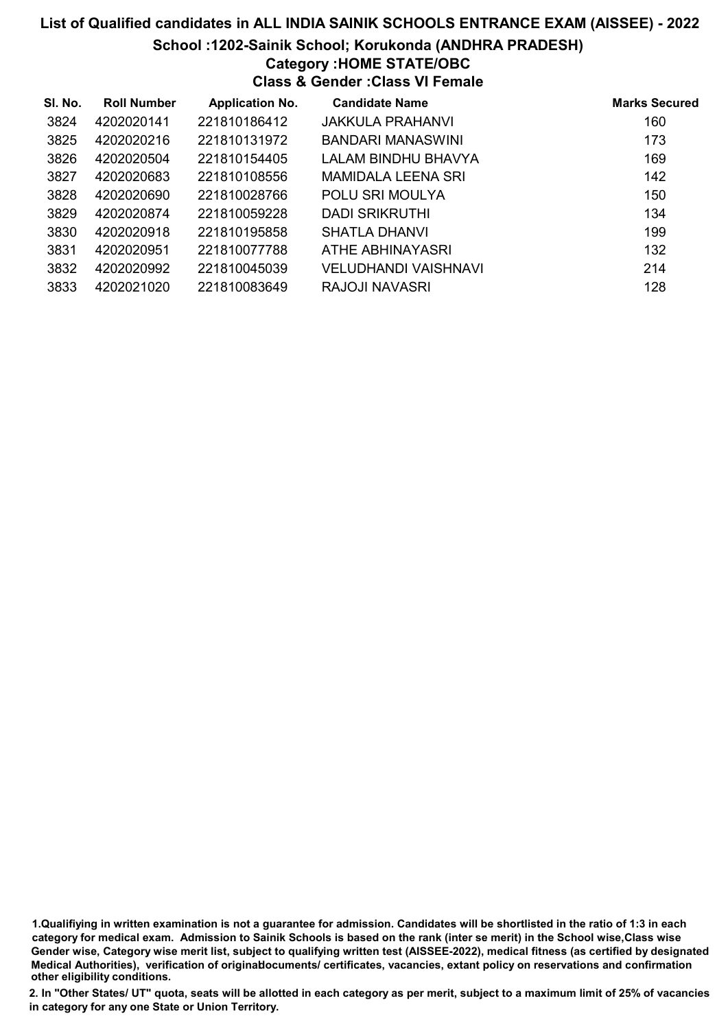#### School :1202-Sainik School; Korukonda (ANDHRA PRADESH)

### Category :HOME STATE/OBC

Class & Gender :Class VI Female

| SI. No. | <b>Roll Number</b> | <b>Application No.</b> | <b>Candidate Name</b>     | <b>Marks Secured</b> |
|---------|--------------------|------------------------|---------------------------|----------------------|
| 3824    | 4202020141         | 221810186412           | <b>JAKKULA PRAHANVI</b>   | 160                  |
| 3825    | 4202020216         | 221810131972           | BANDARI MANASWINI         | 173                  |
| 3826    | 4202020504         | 221810154405           | LALAM BINDHU BHAVYA       | 169                  |
| 3827    | 4202020683         | 221810108556           | <b>MAMIDALA LEENA SRI</b> | 142                  |
| 3828    | 4202020690         | 221810028766           | POLU SRI MOULYA           | 150                  |
| 3829    | 4202020874         | 221810059228           | DADI SRIKRUTHI            | 134                  |
| 3830    | 4202020918         | 221810195858           | SHATLA DHANVI             | 199                  |
| 3831    | 4202020951         | 221810077788           | ATHE ABHINAYASRI          | 132                  |
| 3832    | 4202020992         | 221810045039           | VELUDHANDI VAISHNAVI      | 214                  |
| 3833    | 4202021020         | 221810083649           | RAJOJI NAVASRI            | 128                  |

1.Qualifiying in written examination is not a guarantee for admission. Candidates will be shortlisted in the ratio of 1:3 in each category for medical exam. Admission to Sainik Schools is based on the rank (inter se merit) in the School wise,Class wise Gender wise, Category wise merit list, subject to qualifying written test (AISSEE-2022), medical fitness (as certified by designated Medical Authorities), verification of originablocuments/ certificates, vacancies, extant policy on reservations and confirmation other eligibility conditions.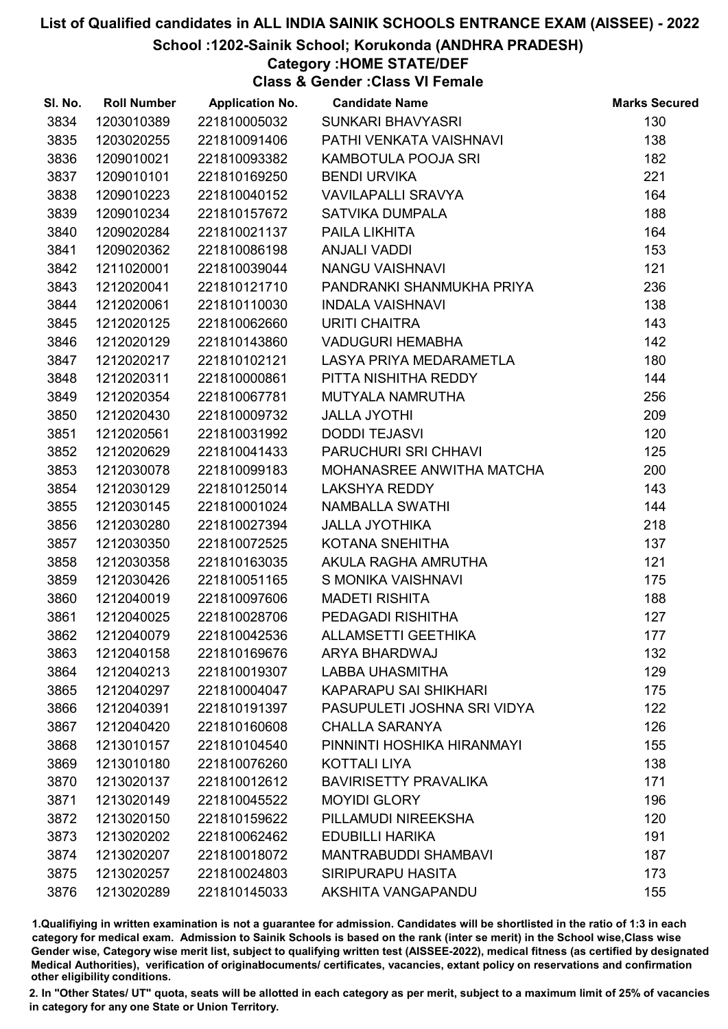#### School :1202-Sainik School; Korukonda (ANDHRA PRADESH)

### Category :HOME STATE/DEF

Class & Gender :Class VI Female

| SI. No. | <b>Roll Number</b> | <b>Application No.</b> | <b>Candidate Name</b>        | <b>Marks Secured</b> |
|---------|--------------------|------------------------|------------------------------|----------------------|
| 3834    | 1203010389         | 221810005032           | <b>SUNKARI BHAVYASRI</b>     | 130                  |
| 3835    | 1203020255         | 221810091406           | PATHI VENKATA VAISHNAVI      | 138                  |
| 3836    | 1209010021         | 221810093382           | KAMBOTULA POOJA SRI          | 182                  |
| 3837    | 1209010101         | 221810169250           | <b>BENDI URVIKA</b>          | 221                  |
| 3838    | 1209010223         | 221810040152           | <b>VAVILAPALLI SRAVYA</b>    | 164                  |
| 3839    | 1209010234         | 221810157672           | SATVIKA DUMPALA              | 188                  |
| 3840    | 1209020284         | 221810021137           | PAILA LIKHITA                | 164                  |
| 3841    | 1209020362         | 221810086198           | <b>ANJALI VADDI</b>          | 153                  |
| 3842    | 1211020001         | 221810039044           | <b>NANGU VAISHNAVI</b>       | 121                  |
| 3843    | 1212020041         | 221810121710           | PANDRANKI SHANMUKHA PRIYA    | 236                  |
| 3844    | 1212020061         | 221810110030           | <b>INDALA VAISHNAVI</b>      | 138                  |
| 3845    | 1212020125         | 221810062660           | <b>URITI CHAITRA</b>         | 143                  |
| 3846    | 1212020129         | 221810143860           | <b>VADUGURI HEMABHA</b>      | 142                  |
| 3847    | 1212020217         | 221810102121           | LASYA PRIYA MEDARAMETLA      | 180                  |
| 3848    | 1212020311         | 221810000861           | PITTA NISHITHA REDDY         | 144                  |
| 3849    | 1212020354         | 221810067781           | MUTYALA NAMRUTHA             | 256                  |
| 3850    | 1212020430         | 221810009732           | <b>JALLA JYOTHI</b>          | 209                  |
| 3851    | 1212020561         | 221810031992           | <b>DODDI TEJASVI</b>         | 120                  |
| 3852    | 1212020629         | 221810041433           | PARUCHURI SRI CHHAVI         | 125                  |
| 3853    | 1212030078         | 221810099183           | MOHANASREE ANWITHA MATCHA    | 200                  |
| 3854    | 1212030129         | 221810125014           | <b>LAKSHYA REDDY</b>         | 143                  |
| 3855    | 1212030145         | 221810001024           | <b>NAMBALLA SWATHI</b>       | 144                  |
| 3856    | 1212030280         | 221810027394           | <b>JALLA JYOTHIKA</b>        | 218                  |
| 3857    | 1212030350         | 221810072525           | KOTANA SNEHITHA              | 137                  |
| 3858    | 1212030358         | 221810163035           | AKULA RAGHA AMRUTHA          | 121                  |
| 3859    | 1212030426         | 221810051165           | S MONIKA VAISHNAVI           | 175                  |
| 3860    | 1212040019         | 221810097606           | <b>MADETI RISHITA</b>        | 188                  |
| 3861    | 1212040025         | 221810028706           | PEDAGADI RISHITHA            | 127                  |
| 3862    | 1212040079         | 221810042536           | <b>ALLAMSETTI GEETHIKA</b>   | 177                  |
| 3863    | 1212040158         | 221810169676           | ARYA BHARDWAJ                | 132                  |
| 3864    | 1212040213         | 221810019307           | <b>LABBA UHASMITHA</b>       | 129                  |
| 3865    | 1212040297         | 221810004047           | <b>KAPARAPU SAI SHIKHARI</b> | 175                  |
| 3866    | 1212040391         | 221810191397           | PASUPULETI JOSHNA SRI VIDYA  | 122                  |
| 3867    | 1212040420         | 221810160608           | <b>CHALLA SARANYA</b>        | 126                  |
| 3868    | 1213010157         | 221810104540           | PINNINTI HOSHIKA HIRANMAYI   | 155                  |
| 3869    | 1213010180         | 221810076260           | <b>KOTTALI LIYA</b>          | 138                  |
| 3870    | 1213020137         | 221810012612           | <b>BAVIRISETTY PRAVALIKA</b> | 171                  |
| 3871    | 1213020149         | 221810045522           | <b>MOYIDI GLORY</b>          | 196                  |
| 3872    | 1213020150         | 221810159622           | PILLAMUDI NIREEKSHA          | 120                  |
| 3873    | 1213020202         | 221810062462           | <b>EDUBILLI HARIKA</b>       | 191                  |
| 3874    | 1213020207         | 221810018072           | <b>MANTRABUDDI SHAMBAVI</b>  | 187                  |
| 3875    | 1213020257         | 221810024803           | <b>SIRIPURAPU HASITA</b>     | 173                  |
| 3876    | 1213020289         | 221810145033           | AKSHITA VANGAPANDU           | 155                  |

1.Qualifiying in written examination is not a guarantee for admission. Candidates will be shortlisted in the ratio of 1:3 in each category for medical exam. Admission to Sainik Schools is based on the rank (inter se merit) in the School wise,Class wise Gender wise, Category wise merit list, subject to qualifying written test (AISSEE-2022), medical fitness (as certified by designated Medical Authorities), verification of originablocuments/ certificates, vacancies, extant policy on reservations and confirmation other eligibility conditions.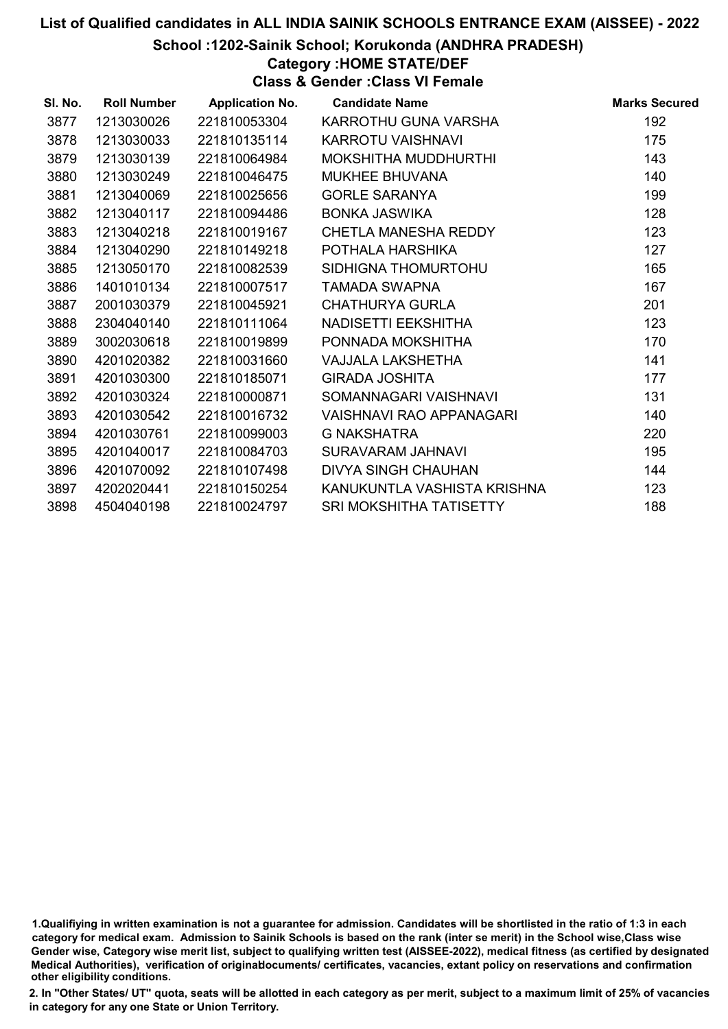#### School :1202-Sainik School; Korukonda (ANDHRA PRADESH)

### Category :HOME STATE/DEF

Class & Gender :Class VI Female

| SI. No. | <b>Roll Number</b> | <b>Application No.</b> | <b>Candidate Name</b>       | <b>Marks Secured</b> |
|---------|--------------------|------------------------|-----------------------------|----------------------|
| 3877    | 1213030026         | 221810053304           | KARROTHU GUNA VARSHA        | 192                  |
| 3878    | 1213030033         | 221810135114           | <b>KARROTU VAISHNAVI</b>    | 175                  |
| 3879    | 1213030139         | 221810064984           | MOKSHITHA MUDDHURTHI        | 143                  |
| 3880    | 1213030249         | 221810046475           | <b>MUKHEE BHUVANA</b>       | 140                  |
| 3881    | 1213040069         | 221810025656           | <b>GORLE SARANYA</b>        | 199                  |
| 3882    | 1213040117         | 221810094486           | BONKA JASWIKA               | 128                  |
| 3883    | 1213040218         | 221810019167           | <b>CHETLA MANESHA REDDY</b> | 123                  |
| 3884    | 1213040290         | 221810149218           | POTHALA HARSHIKA            | 127                  |
| 3885    | 1213050170         | 221810082539           | SIDHIGNA THOMURTOHU         | 165                  |
| 3886    | 1401010134         | 221810007517           | TAMADA SWAPNA               | 167                  |
| 3887    | 2001030379         | 221810045921           | <b>CHATHURYA GURLA</b>      | 201                  |
| 3888    | 2304040140         | 221810111064           | NADISETTI EEKSHITHA         | 123                  |
| 3889    | 3002030618         | 221810019899           | PONNADA MOKSHITHA           | 170                  |
| 3890    | 4201020382         | 221810031660           | VAJJALA LAKSHETHA           | 141                  |
| 3891    | 4201030300         | 221810185071           | <b>GIRADA JOSHITA</b>       | 177                  |
| 3892    | 4201030324         | 221810000871           | SOMANNAGARI VAISHNAVI       | 131                  |
| 3893    | 4201030542         | 221810016732           | VAISHNAVI RAO APPANAGARI    | 140                  |
| 3894    | 4201030761         | 221810099003           | <b>G NAKSHATRA</b>          | 220                  |
| 3895    | 4201040017         | 221810084703           | SURAVARAM JAHNAVI           | 195                  |
| 3896    | 4201070092         | 221810107498           | DIVYA SINGH CHAUHAN         | 144                  |
| 3897    | 4202020441         | 221810150254           | KANUKUNTLA VASHISTA KRISHNA | 123                  |
| 3898    | 4504040198         | 221810024797           | SRI MOKSHITHA TATISETTY     | 188                  |
|         |                    |                        |                             |                      |

1.Qualifiying in written examination is not a guarantee for admission. Candidates will be shortlisted in the ratio of 1:3 in each category for medical exam. Admission to Sainik Schools is based on the rank (inter se merit) in the School wise,Class wise Gender wise, Category wise merit list, subject to qualifying written test (AISSEE-2022), medical fitness (as certified by designated Medical Authorities), verification of originablocuments/ certificates, vacancies, extant policy on reservations and confirmation other eligibility conditions.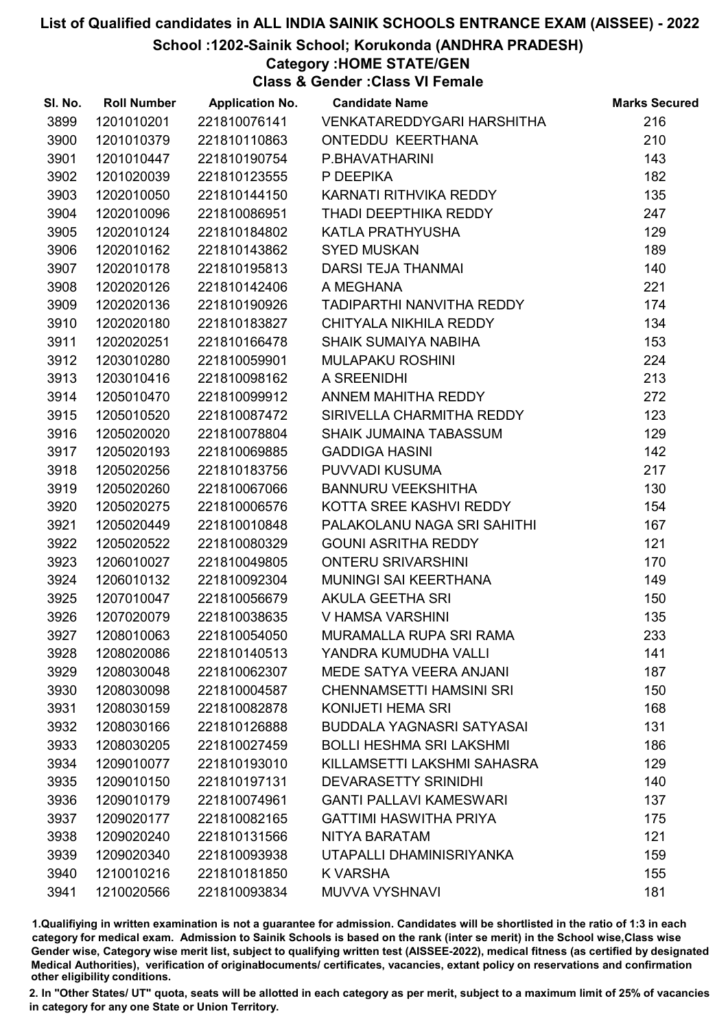School :1202-Sainik School; Korukonda (ANDHRA PRADESH)

Category :HOME STATE/GEN

Class & Gender :Class VI Female

| SI. No. | <b>Roll Number</b> | <b>Application No.</b> | <b>Candidate Name</b>            | <b>Marks Secured</b> |
|---------|--------------------|------------------------|----------------------------------|----------------------|
| 3899    | 1201010201         | 221810076141           | VENKATAREDDYGARI HARSHITHA       | 216                  |
| 3900    | 1201010379         | 221810110863           | ONTEDDU KEERTHANA                | 210                  |
| 3901    | 1201010447         | 221810190754           | P.BHAVATHARINI                   | 143                  |
| 3902    | 1201020039         | 221810123555           | P DEEPIKA                        | 182                  |
| 3903    | 1202010050         | 221810144150           | KARNATI RITHVIKA REDDY           | 135                  |
| 3904    | 1202010096         | 221810086951           | THADI DEEPTHIKA REDDY            | 247                  |
| 3905    | 1202010124         | 221810184802           | KATLA PRATHYUSHA                 | 129                  |
| 3906    | 1202010162         | 221810143862           | <b>SYED MUSKAN</b>               | 189                  |
| 3907    | 1202010178         | 221810195813           | DARSI TEJA THANMAI               | 140                  |
| 3908    | 1202020126         | 221810142406           | A MEGHANA                        | 221                  |
| 3909    | 1202020136         | 221810190926           | TADIPARTHI NANVITHA REDDY        | 174                  |
| 3910    | 1202020180         | 221810183827           | CHITYALA NIKHILA REDDY           | 134                  |
| 3911    | 1202020251         | 221810166478           | <b>SHAIK SUMAIYA NABIHA</b>      | 153                  |
| 3912    | 1203010280         | 221810059901           | MULAPAKU ROSHINI                 | 224                  |
| 3913    | 1203010416         | 221810098162           | A SREENIDHI                      | 213                  |
| 3914    | 1205010470         | 221810099912           | ANNEM MAHITHA REDDY              | 272                  |
| 3915    | 1205010520         | 221810087472           | SIRIVELLA CHARMITHA REDDY        | 123                  |
| 3916    | 1205020020         | 221810078804           | SHAIK JUMAINA TABASSUM           | 129                  |
| 3917    | 1205020193         | 221810069885           | <b>GADDIGA HASINI</b>            | 142                  |
| 3918    | 1205020256         | 221810183756           | PUVVADI KUSUMA                   | 217                  |
| 3919    | 1205020260         | 221810067066           | <b>BANNURU VEEKSHITHA</b>        | 130                  |
| 3920    | 1205020275         | 221810006576           | KOTTA SREE KASHVI REDDY          | 154                  |
| 3921    | 1205020449         | 221810010848           | PALAKOLANU NAGA SRI SAHITHI      | 167                  |
| 3922    | 1205020522         | 221810080329           | <b>GOUNI ASRITHA REDDY</b>       | 121                  |
| 3923    | 1206010027         | 221810049805           | <b>ONTERU SRIVARSHINI</b>        | 170                  |
| 3924    | 1206010132         | 221810092304           | MUNINGI SAI KEERTHANA            | 149                  |
| 3925    | 1207010047         | 221810056679           | AKULA GEETHA SRI                 | 150                  |
| 3926    | 1207020079         | 221810038635           | V HAMSA VARSHINI                 | 135                  |
| 3927    | 1208010063         | 221810054050           | <b>MURAMALLA RUPA SRI RAMA</b>   | 233                  |
| 3928    | 1208020086         | 221810140513           | YANDRA KUMUDHA VALLI             | 141                  |
| 3929    | 1208030048         | 221810062307           | MEDE SATYA VEERA ANJANI          | 187                  |
| 3930    | 1208030098         | 221810004587           | <b>CHENNAMSETTI HAMSINI SRI</b>  | 150                  |
| 3931    | 1208030159         | 221810082878           | KONIJETI HEMA SRI                | 168                  |
| 3932    | 1208030166         | 221810126888           | <b>BUDDALA YAGNASRI SATYASAI</b> | 131                  |
| 3933    | 1208030205         | 221810027459           | <b>BOLLI HESHMA SRI LAKSHMI</b>  | 186                  |
| 3934    | 1209010077         | 221810193010           | KILLAMSETTI LAKSHMI SAHASRA      | 129                  |
| 3935    | 1209010150         | 221810197131           | <b>DEVARASETTY SRINIDHI</b>      | 140                  |
| 3936    | 1209010179         | 221810074961           | <b>GANTI PALLAVI KAMESWARI</b>   | 137                  |
| 3937    | 1209020177         | 221810082165           | <b>GATTIMI HASWITHA PRIYA</b>    | 175                  |
| 3938    | 1209020240         | 221810131566           | NITYA BARATAM                    | 121                  |
| 3939    | 1209020340         | 221810093938           | UTAPALLI DHAMINISRIYANKA         | 159                  |
| 3940    | 1210010216         | 221810181850           | K VARSHA                         | 155                  |
| 3941    | 1210020566         | 221810093834           | MUVVA VYSHNAVI                   | 181                  |

1.Qualifiying in written examination is not a guarantee for admission. Candidates will be shortlisted in the ratio of 1:3 in each category for medical exam. Admission to Sainik Schools is based on the rank (inter se merit) in the School wise,Class wise Gender wise, Category wise merit list, subject to qualifying written test (AISSEE-2022), medical fitness (as certified by designated Medical Authorities), verification of originablocuments/ certificates, vacancies, extant policy on reservations and confirmation other eligibility conditions.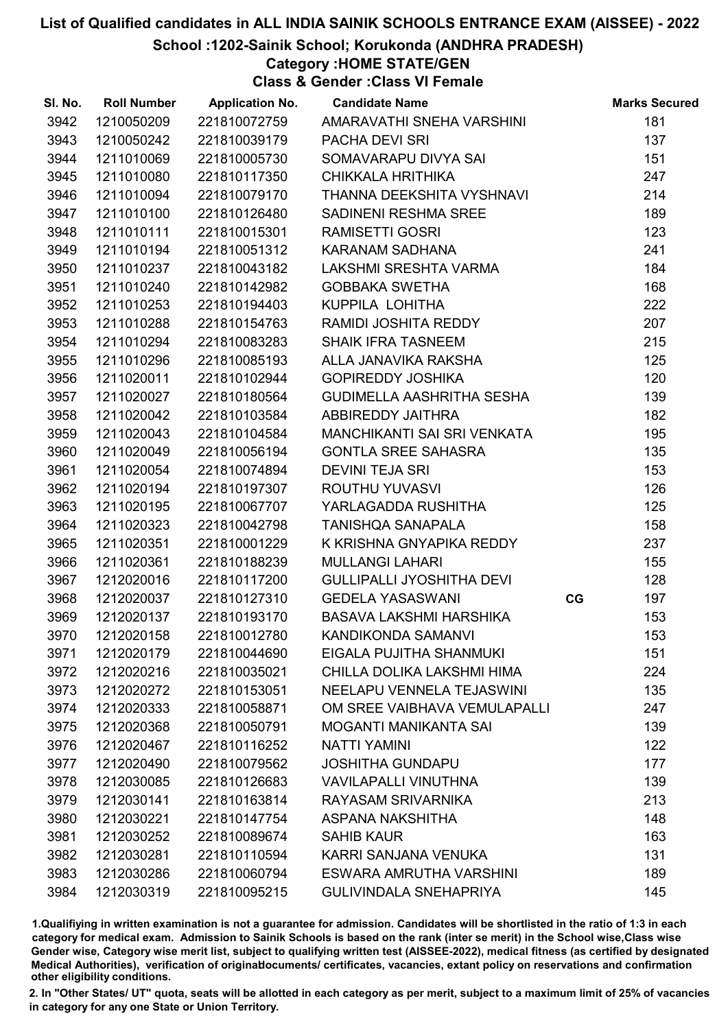School :1202-Sainik School; Korukonda (ANDHRA PRADESH)

Category :HOME STATE/GEN

Class & Gender :Class VI Female

| SI. No. | <b>Roll Number</b> | <b>Application No.</b> | <b>Candidate Name</b>            |    | <b>Marks Secured</b> |
|---------|--------------------|------------------------|----------------------------------|----|----------------------|
| 3942    | 1210050209         | 221810072759           | AMARAVATHI SNEHA VARSHINI        |    | 181                  |
| 3943    | 1210050242         | 221810039179           | PACHA DEVI SRI                   |    | 137                  |
| 3944    | 1211010069         | 221810005730           | SOMAVARAPU DIVYA SAI             |    | 151                  |
| 3945    | 1211010080         | 221810117350           | <b>CHIKKALA HRITHIKA</b>         |    | 247                  |
| 3946    | 1211010094         | 221810079170           | THANNA DEEKSHITA VYSHNAVI        |    | 214                  |
| 3947    | 1211010100         | 221810126480           | SADINENI RESHMA SREE             |    | 189                  |
| 3948    | 1211010111         | 221810015301           | <b>RAMISETTI GOSRI</b>           |    | 123                  |
| 3949    | 1211010194         | 221810051312           | KARANAM SADHANA                  |    | 241                  |
| 3950    | 1211010237         | 221810043182           | LAKSHMI SRESHTA VARMA            |    | 184                  |
| 3951    | 1211010240         | 221810142982           | <b>GOBBAKA SWETHA</b>            |    | 168                  |
| 3952    | 1211010253         | 221810194403           | KUPPILA LOHITHA                  |    | 222                  |
| 3953    | 1211010288         | 221810154763           | RAMIDI JOSHITA REDDY             |    | 207                  |
| 3954    | 1211010294         | 221810083283           | <b>SHAIK IFRA TASNEEM</b>        |    | 215                  |
| 3955    | 1211010296         | 221810085193           | ALLA JANAVIKA RAKSHA             |    | 125                  |
| 3956    | 1211020011         | 221810102944           | <b>GOPIREDDY JOSHIKA</b>         |    | 120                  |
| 3957    | 1211020027         | 221810180564           | GUDIMELLA AASHRITHA SESHA        |    | 139                  |
| 3958    | 1211020042         | 221810103584           | ABBIREDDY JAITHRA                |    | 182                  |
| 3959    | 1211020043         | 221810104584           | MANCHIKANTI SAI SRI VENKATA      |    | 195                  |
| 3960    | 1211020049         | 221810056194           | <b>GONTLA SREE SAHASRA</b>       |    | 135                  |
| 3961    | 1211020054         | 221810074894           | <b>DEVINI TEJA SRI</b>           |    | 153                  |
| 3962    | 1211020194         | 221810197307           | ROUTHU YUVASVI                   |    | 126                  |
| 3963    | 1211020195         | 221810067707           | YARLAGADDA RUSHITHA              |    | 125                  |
| 3964    | 1211020323         | 221810042798           | <b>TANISHQA SANAPALA</b>         |    | 158                  |
| 3965    | 1211020351         | 221810001229           | K KRISHNA GNYAPIKA REDDY         |    | 237                  |
| 3966    | 1211020361         | 221810188239           | <b>MULLANGI LAHARI</b>           |    | 155                  |
| 3967    | 1212020016         | 221810117200           | <b>GULLIPALLI JYOSHITHA DEVI</b> |    | 128                  |
| 3968    | 1212020037         | 221810127310           | <b>GEDELA YASASWANI</b>          | CG | 197                  |
| 3969    | 1212020137         | 221810193170           | <b>BASAVA LAKSHMI HARSHIKA</b>   |    | 153                  |
| 3970    | 1212020158         | 221810012780           | <b>KANDIKONDA SAMANVI</b>        |    | 153                  |
| 3971    | 1212020179         | 221810044690           | EIGALA PUJITHA SHANMUKI          |    | 151                  |
| 3972    | 1212020216         | 221810035021           | CHILLA DOLIKA LAKSHMI HIMA       |    | 224                  |
| 3973    | 1212020272         | 221810153051           | NEELAPU VENNELA TEJASWINI        |    | 135                  |
| 3974    | 1212020333         | 221810058871           | OM SREE VAIBHAVA VEMULAPALLI     |    | 247                  |
| 3975    | 1212020368         | 221810050791           | <b>MOGANTI MANIKANTA SAI</b>     |    | 139                  |
| 3976    | 1212020467         | 221810116252           | <b>NATTI YAMINI</b>              |    | 122                  |
| 3977    | 1212020490         | 221810079562           | <b>JOSHITHA GUNDAPU</b>          |    | 177                  |
| 3978    | 1212030085         | 221810126683           | <b>VAVILAPALLI VINUTHNA</b>      |    | 139                  |
| 3979    | 1212030141         | 221810163814           | RAYASAM SRIVARNIKA               |    | 213                  |
| 3980    | 1212030221         | 221810147754           | ASPANA NAKSHITHA                 |    | 148                  |
| 3981    | 1212030252         | 221810089674           | <b>SAHIB KAUR</b>                |    | 163                  |
| 3982    | 1212030281         | 221810110594           | KARRI SANJANA VENUKA             |    | 131                  |
| 3983    | 1212030286         | 221810060794           | ESWARA AMRUTHA VARSHINI          |    | 189                  |
| 3984    | 1212030319         | 221810095215           | <b>GULIVINDALA SNEHAPRIYA</b>    |    | 145                  |

1.Qualifiying in written examination is not a guarantee for admission. Candidates will be shortlisted in the ratio of 1:3 in each category for medical exam. Admission to Sainik Schools is based on the rank (inter se merit) in the School wise,Class wise Gender wise, Category wise merit list, subject to qualifying written test (AISSEE-2022), medical fitness (as certified by designated Medical Authorities), verification of originablocuments/ certificates, vacancies, extant policy on reservations and confirmation other eligibility conditions.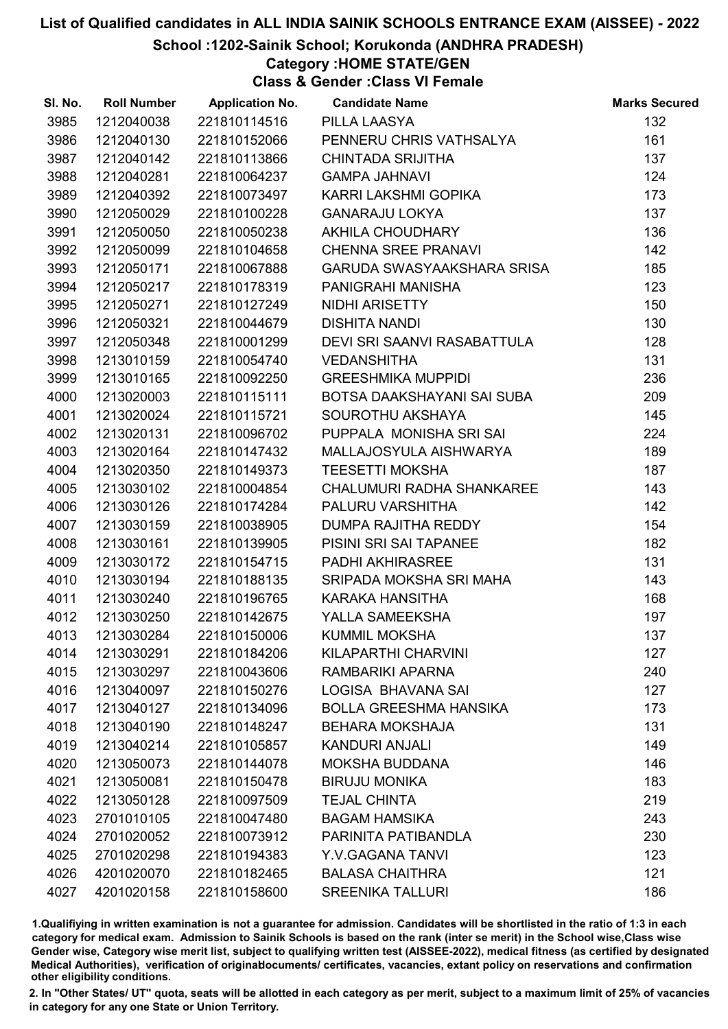School :1202-Sainik School; Korukonda (ANDHRA PRADESH)

### Category :HOME STATE/GEN

Class & Gender :Class VI Female

| SI. No. | <b>Roll Number</b> | <b>Application No.</b> | <b>Candidate Name</b>         | <b>Marks Secured</b> |
|---------|--------------------|------------------------|-------------------------------|----------------------|
| 3985    | 1212040038         | 221810114516           | PILLA LAASYA                  | 132                  |
| 3986    | 1212040130         | 221810152066           | PENNERU CHRIS VATHSALYA       | 161                  |
| 3987    | 1212040142         | 221810113866           | <b>CHINTADA SRIJITHA</b>      | 137                  |
| 3988    | 1212040281         | 221810064237           | <b>GAMPA JAHNAVI</b>          | 124                  |
| 3989    | 1212040392         | 221810073497           | KARRI LAKSHMI GOPIKA          | 173                  |
| 3990    | 1212050029         | 221810100228           | <b>GANARAJU LOKYA</b>         | 137                  |
| 3991    | 1212050050         | 221810050238           | AKHILA CHOUDHARY              | 136                  |
| 3992    | 1212050099         | 221810104658           | <b>CHENNA SREE PRANAVI</b>    | 142                  |
| 3993    | 1212050171         | 221810067888           | GARUDA SWASYAAKSHARA SRISA    | 185                  |
| 3994    | 1212050217         | 221810178319           | PANIGRAHI MANISHA             | 123                  |
| 3995    | 1212050271         | 221810127249           | NIDHI ARISETTY                | 150                  |
| 3996    | 1212050321         | 221810044679           | <b>DISHITA NANDI</b>          | 130                  |
| 3997    | 1212050348         | 221810001299           | DEVI SRI SAANVI RASABATTULA   | 128                  |
| 3998    | 1213010159         | 221810054740           | <b>VEDANSHITHA</b>            | 131                  |
| 3999    | 1213010165         | 221810092250           | <b>GREESHMIKA MUPPIDI</b>     | 236                  |
| 4000    | 1213020003         | 221810115111           | BOTSA DAAKSHAYANI SAI SUBA    | 209                  |
| 4001    | 1213020024         | 221810115721           | SOUROTHU AKSHAYA              | 145                  |
| 4002    | 1213020131         | 221810096702           | PUPPALA MONISHA SRI SAI       | 224                  |
| 4003    | 1213020164         | 221810147432           | MALLAJOSYULA AISHWARYA        | 189                  |
| 4004    | 1213020350         | 221810149373           | <b>TEESETTI MOKSHA</b>        | 187                  |
| 4005    | 1213030102         | 221810004854           | CHALUMURI RADHA SHANKAREE     | 143                  |
| 4006    | 1213030126         | 221810174284           | PALURU VARSHITHA              | 142                  |
| 4007    | 1213030159         | 221810038905           | DUMPA RAJITHA REDDY           | 154                  |
| 4008    | 1213030161         | 221810139905           | PISINI SRI SAI TAPANEE        | 182                  |
| 4009    | 1213030172         | 221810154715           | <b>PADHI AKHIRASREE</b>       | 131                  |
| 4010    | 1213030194         | 221810188135           | SRIPADA MOKSHA SRI MAHA       | 143                  |
| 4011    | 1213030240         | 221810196765           | KARAKA HANSITHA               | 168                  |
| 4012    | 1213030250         | 221810142675           | YALLA SAMEEKSHA               | 197                  |
| 4013    | 1213030284         | 221810150006           | <b>KUMMIL MOKSHA</b>          | 137                  |
| 4014    | 1213030291         | 221810184206           | KILAPARTHI CHARVINI           | 127                  |
| 4015    | 1213030297         | 221810043606           | RAMBARIKI APARNA              | 240                  |
| 4016    | 1213040097         | 221810150276           | LOGISA BHAVANA SAI            | 127                  |
| 4017    | 1213040127         | 221810134096           | <b>BOLLA GREESHMA HANSIKA</b> | 173                  |
| 4018    | 1213040190         | 221810148247           | <b>BEHARA MOKSHAJA</b>        | 131                  |
| 4019    | 1213040214         | 221810105857           | <b>KANDURI ANJALI</b>         | 149                  |
| 4020    | 1213050073         | 221810144078           | <b>MOKSHA BUDDANA</b>         | 146                  |
| 4021    | 1213050081         | 221810150478           | <b>BIRUJU MONIKA</b>          | 183                  |
| 4022    | 1213050128         | 221810097509           | <b>TEJAL CHINTA</b>           | 219                  |
| 4023    | 2701010105         | 221810047480           | <b>BAGAM HAMSIKA</b>          | 243                  |
| 4024    | 2701020052         | 221810073912           | PARINITA PATIBANDLA           | 230                  |
| 4025    | 2701020298         | 221810194383           | Y.V.GAGANA TANVI              | 123                  |
| 4026    | 4201020070         | 221810182465           | <b>BALASA CHAITHRA</b>        | 121                  |
| 4027    | 4201020158         | 221810158600           | <b>SREENIKA TALLURI</b>       | 186                  |

1.Qualifiying in written examination is not a guarantee for admission. Candidates will be shortlisted in the ratio of 1:3 in each category for medical exam. Admission to Sainik Schools is based on the rank (inter se merit) in the School wise,Class wise Gender wise, Category wise merit list, subject to qualifying written test (AISSEE-2022), medical fitness (as certified by designated Medical Authorities), verification of originablocuments/ certificates, vacancies, extant policy on reservations and confirmation other eligibility conditions.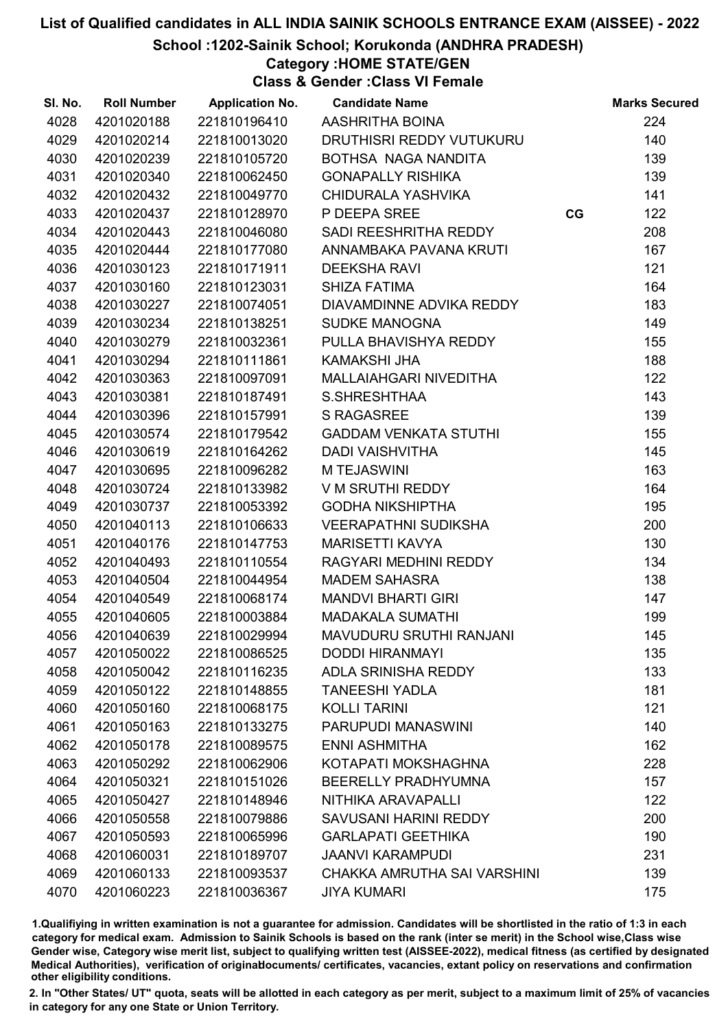School :1202-Sainik School; Korukonda (ANDHRA PRADESH)

Category :HOME STATE/GEN

Class & Gender :Class VI Female

| SI. No. | <b>Roll Number</b> | <b>Application No.</b> | <b>Candidate Name</b>          |    | <b>Marks Secured</b> |
|---------|--------------------|------------------------|--------------------------------|----|----------------------|
| 4028    | 4201020188         | 221810196410           | AASHRITHA BOINA                |    | 224                  |
| 4029    | 4201020214         | 221810013020           | DRUTHISRI REDDY VUTUKURU       |    | 140                  |
| 4030    | 4201020239         | 221810105720           | BOTHSA NAGA NANDITA            |    | 139                  |
| 4031    | 4201020340         | 221810062450           | <b>GONAPALLY RISHIKA</b>       |    | 139                  |
| 4032    | 4201020432         | 221810049770           | CHIDURALA YASHVIKA             |    | 141                  |
| 4033    | 4201020437         | 221810128970           | P DEEPA SREE                   | CG | 122                  |
| 4034    | 4201020443         | 221810046080           | SADI REESHRITHA REDDY          |    | 208                  |
| 4035    | 4201020444         | 221810177080           | ANNAMBAKA PAVANA KRUTI         |    | 167                  |
| 4036    | 4201030123         | 221810171911           | <b>DEEKSHA RAVI</b>            |    | 121                  |
| 4037    | 4201030160         | 221810123031           | <b>SHIZA FATIMA</b>            |    | 164                  |
| 4038    | 4201030227         | 221810074051           | DIAVAMDINNE ADVIKA REDDY       |    | 183                  |
| 4039    | 4201030234         | 221810138251           | <b>SUDKE MANOGNA</b>           |    | 149                  |
| 4040    | 4201030279         | 221810032361           | PULLA BHAVISHYA REDDY          |    | 155                  |
| 4041    | 4201030294         | 221810111861           | <b>KAMAKSHI JHA</b>            |    | 188                  |
| 4042    | 4201030363         | 221810097091           | MALLAIAHGARI NIVEDITHA         |    | 122                  |
| 4043    | 4201030381         | 221810187491           | S.SHRESHTHAA                   |    | 143                  |
| 4044    | 4201030396         | 221810157991           | <b>S RAGASREE</b>              |    | 139                  |
| 4045    | 4201030574         | 221810179542           | <b>GADDAM VENKATA STUTHI</b>   |    | 155                  |
| 4046    | 4201030619         | 221810164262           | <b>DADI VAISHVITHA</b>         |    | 145                  |
| 4047    | 4201030695         | 221810096282           | <b>MTEJASWINI</b>              |    | 163                  |
| 4048    | 4201030724         | 221810133982           | V M SRUTHI REDDY               |    | 164                  |
| 4049    | 4201030737         | 221810053392           | <b>GODHA NIKSHIPTHA</b>        |    | 195                  |
| 4050    | 4201040113         | 221810106633           | VEERAPATHNI SUDIKSHA           |    | 200                  |
| 4051    | 4201040176         | 221810147753           | <b>MARISETTI KAVYA</b>         |    | 130                  |
| 4052    | 4201040493         | 221810110554           | RAGYARI MEDHINI REDDY          |    | 134                  |
| 4053    | 4201040504         | 221810044954           | <b>MADEM SAHASRA</b>           |    | 138                  |
| 4054    | 4201040549         | 221810068174           | <b>MANDVI BHARTI GIRI</b>      |    | 147                  |
| 4055    | 4201040605         | 221810003884           | <b>MADAKALA SUMATHI</b>        |    | 199                  |
| 4056    | 4201040639         | 221810029994           | <b>MAVUDURU SRUTHI RANJANI</b> |    | 145                  |
| 4057    | 4201050022         | 221810086525           | <b>DODDI HIRANMAYI</b>         |    | 135                  |
| 4058    | 4201050042         | 221810116235           | ADLA SRINISHA REDDY            |    | 133                  |
| 4059    | 4201050122         | 221810148855           | <b>TANEESHI YADLA</b>          |    | 181                  |
| 4060    | 4201050160         | 221810068175           | <b>KOLLI TARINI</b>            |    | 121                  |
| 4061    | 4201050163         | 221810133275           | PARUPUDI MANASWINI             |    | 140                  |
| 4062    | 4201050178         | 221810089575           | <b>ENNI ASHMITHA</b>           |    | 162                  |
| 4063    | 4201050292         | 221810062906           | KOTAPATI MOKSHAGHNA            |    | 228                  |
| 4064    | 4201050321         | 221810151026           | <b>BEERELLY PRADHYUMNA</b>     |    | 157                  |
| 4065    | 4201050427         | 221810148946           | NITHIKA ARAVAPALLI             |    | 122                  |
| 4066    | 4201050558         | 221810079886           | SAVUSANI HARINI REDDY          |    | 200                  |
| 4067    | 4201050593         | 221810065996           | <b>GARLAPATI GEETHIKA</b>      |    | 190                  |
| 4068    | 4201060031         | 221810189707           | <b>JAANVI KARAMPUDI</b>        |    | 231                  |
| 4069    | 4201060133         | 221810093537           | CHAKKA AMRUTHA SAI VARSHINI    |    | 139                  |
| 4070    | 4201060223         | 221810036367           | <b>JIYA KUMARI</b>             |    | 175                  |

1.Qualifiying in written examination is not a guarantee for admission. Candidates will be shortlisted in the ratio of 1:3 in each category for medical exam. Admission to Sainik Schools is based on the rank (inter se merit) in the School wise,Class wise Gender wise, Category wise merit list, subject to qualifying written test (AISSEE-2022), medical fitness (as certified by designated Medical Authorities), verification of originablocuments/ certificates, vacancies, extant policy on reservations and confirmation other eligibility conditions.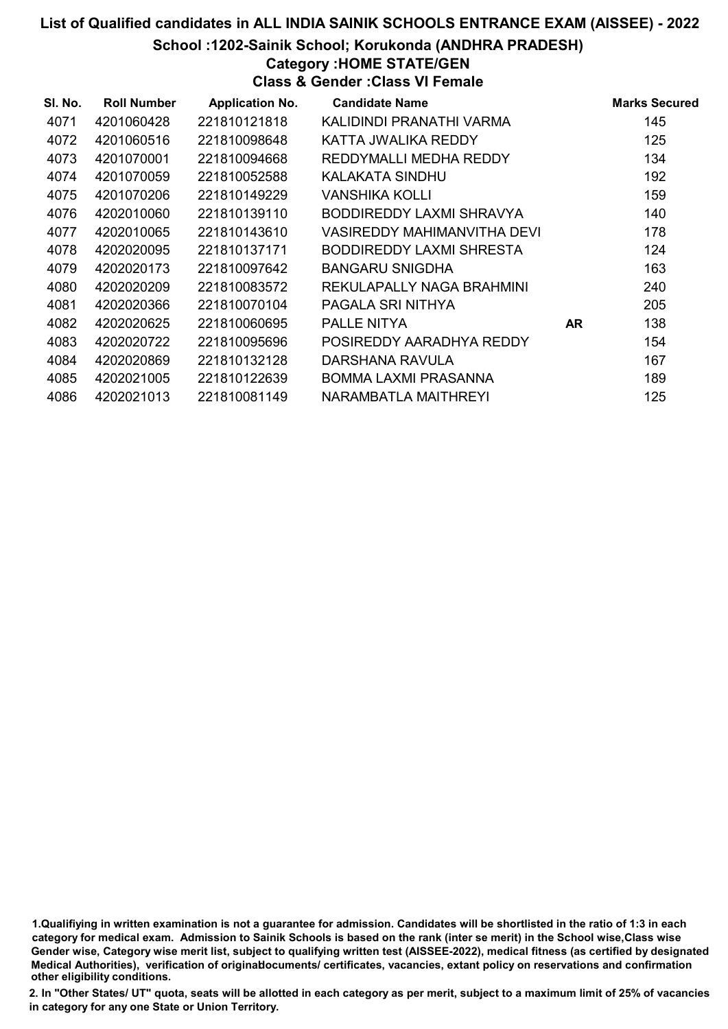School :1202-Sainik School; Korukonda (ANDHRA PRADESH)

### Category :HOME STATE/GEN

Class & Gender :Class VI Female

| SI. No. | <b>Roll Number</b> | <b>Application No.</b> | <b>Candidate Name</b>           |     | <b>Marks Secured</b> |
|---------|--------------------|------------------------|---------------------------------|-----|----------------------|
| 4071    | 4201060428         | 221810121818           | KALIDINDI PRANATHI VARMA        |     | 145                  |
| 4072    | 4201060516         | 221810098648           | KATTA JWALIKA REDDY             |     | 125                  |
| 4073    | 4201070001         | 221810094668           | REDDYMALLI MEDHA REDDY          |     | 134                  |
| 4074    | 4201070059         | 221810052588           | KALAKATA SINDHU                 |     | 192                  |
| 4075    | 4201070206         | 221810149229           | VANSHIKA KOLLI                  |     | 159                  |
| 4076    | 4202010060         | 221810139110           | BODDIREDDY LAXMI SHRAVYA        |     | 140                  |
| 4077    | 4202010065         | 221810143610           | VASIREDDY MAHIMANVITHA DEVI     |     | 178                  |
| 4078    | 4202020095         | 221810137171           | <b>BODDIREDDY LAXMI SHRESTA</b> |     | 124                  |
| 4079    | 4202020173         | 221810097642           | <b>BANGARU SNIGDHA</b>          |     | 163                  |
| 4080    | 4202020209         | 221810083572           | REKULAPALLY NAGA BRAHMINI       |     | 240                  |
| 4081    | 4202020366         | 221810070104           | PAGALA SRI NITHYA               |     | 205                  |
| 4082    | 4202020625         | 221810060695           | PALLE NITYA                     | AR. | 138                  |
| 4083    | 4202020722         | 221810095696           | POSIREDDY AARADHYA REDDY        |     | 154                  |
| 4084    | 4202020869         | 221810132128           | DARSHANA RAVULA                 |     | 167                  |
| 4085    | 4202021005         | 221810122639           | BOMMA LAXMI PRASANNA            |     | 189                  |
| 4086    | 4202021013         | 221810081149           | NARAMBATLA MAITHREYI            |     | 125                  |

1.Qualifiying in written examination is not a guarantee for admission. Candidates will be shortlisted in the ratio of 1:3 in each category for medical exam. Admission to Sainik Schools is based on the rank (inter se merit) in the School wise,Class wise Gender wise, Category wise merit list, subject to qualifying written test (AISSEE-2022), medical fitness (as certified by designated Medical Authorities), verification of originablocuments/ certificates, vacancies, extant policy on reservations and confirmation other eligibility conditions.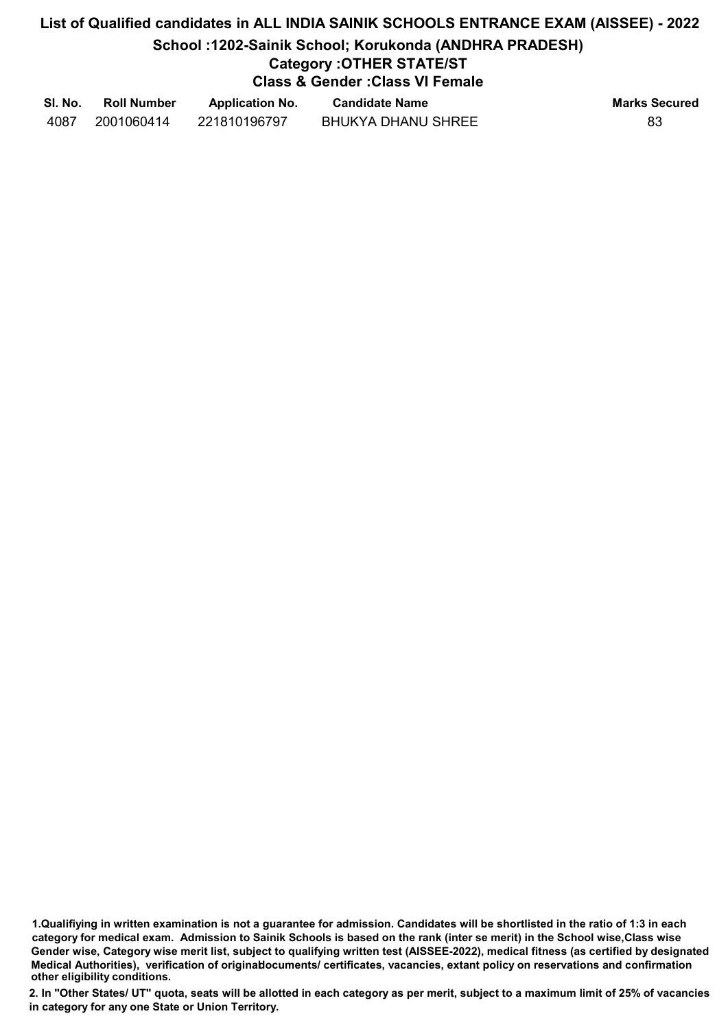# List of Qualified candidates in ALL INDIA SAINIK SCHOOLS ENTRANCE EXAM (AISSEE) - 2022 School :1202-Sainik School; Korukonda (ANDHRA PRADESH) Category :OTHER STATE/ST Class & Gender :Class VI Female

| SI. No. | <b>Roll Number</b> | <b>Application No.</b> | <b>Candidate Name</b>     | <b>Marks Secured</b> |
|---------|--------------------|------------------------|---------------------------|----------------------|
| 4087    | 2001060414         | 221810196797           | <b>BHUKYA DHANU SHREE</b> | 83                   |

<sup>1.</sup>Qualifiying in written examination is not a guarantee for admission. Candidates will be shortlisted in the ratio of 1:3 in each category for medical exam. Admission to Sainik Schools is based on the rank (inter se merit) in the School wise,Class wise Gender wise, Category wise merit list, subject to qualifying written test (AISSEE-2022), medical fitness (as certified by designated Medical Authorities), verification of originablocuments/ certificates, vacancies, extant policy on reservations and confirmation other eligibility conditions.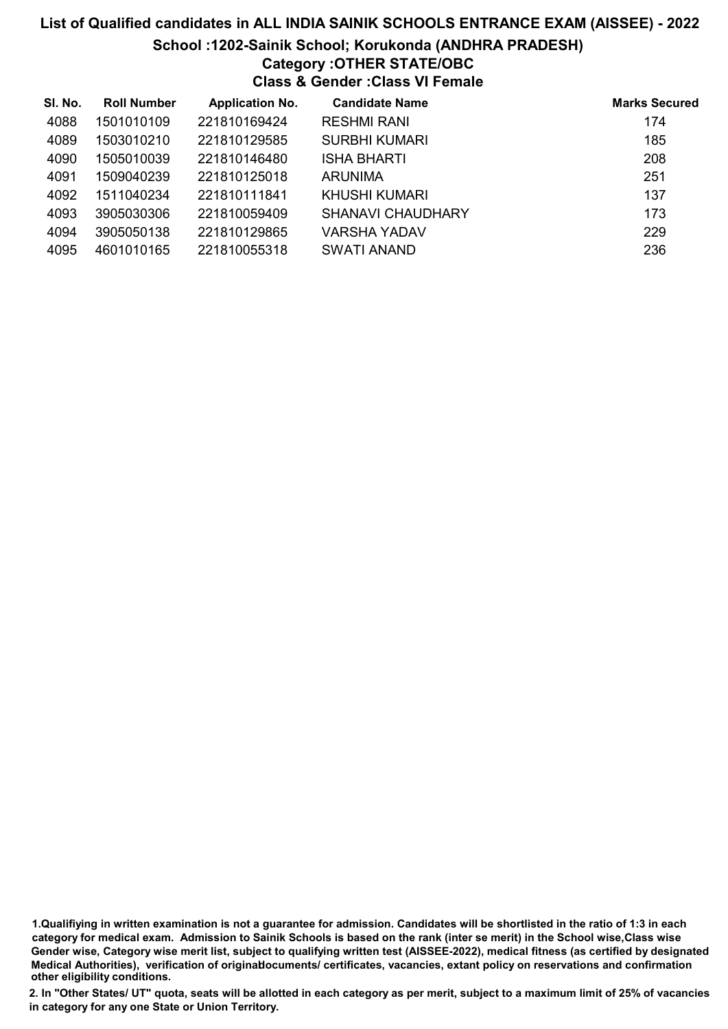School :1202-Sainik School; Korukonda (ANDHRA PRADESH)

# Category :OTHER STATE/OBC

Class & Gender :Class VI Female

| SI. No. | <b>Roll Number</b> | <b>Application No.</b> | <b>Candidate Name</b>    | <b>Marks Secured</b> |
|---------|--------------------|------------------------|--------------------------|----------------------|
| 4088    | 1501010109         | 221810169424           | <b>RESHMI RANI</b>       | 174                  |
| 4089    | 1503010210         | 221810129585           | <b>SURBHI KUMARI</b>     | 185                  |
| 4090    | 1505010039         | 221810146480           | <b>ISHA BHARTI</b>       | 208                  |
| 4091    | 1509040239         | 221810125018           | <b>ARUNIMA</b>           | 251                  |
| 4092    | 1511040234         | 221810111841           | KHUSHI KUMARI            | 137                  |
| 4093    | 3905030306         | 221810059409           | <b>SHANAVI CHAUDHARY</b> | 173                  |
| 4094    | 3905050138         | 221810129865           | <b>VARSHA YADAV</b>      | 229                  |
| 4095    | 4601010165         | 221810055318           | SWATI ANAND              | 236                  |

1.Qualifiying in written examination is not a guarantee for admission. Candidates will be shortlisted in the ratio of 1:3 in each category for medical exam. Admission to Sainik Schools is based on the rank (inter se merit) in the School wise,Class wise Gender wise, Category wise merit list, subject to qualifying written test (AISSEE-2022), medical fitness (as certified by designated Medical Authorities), verification of originablocuments/ certificates, vacancies, extant policy on reservations and confirmation other eligibility conditions.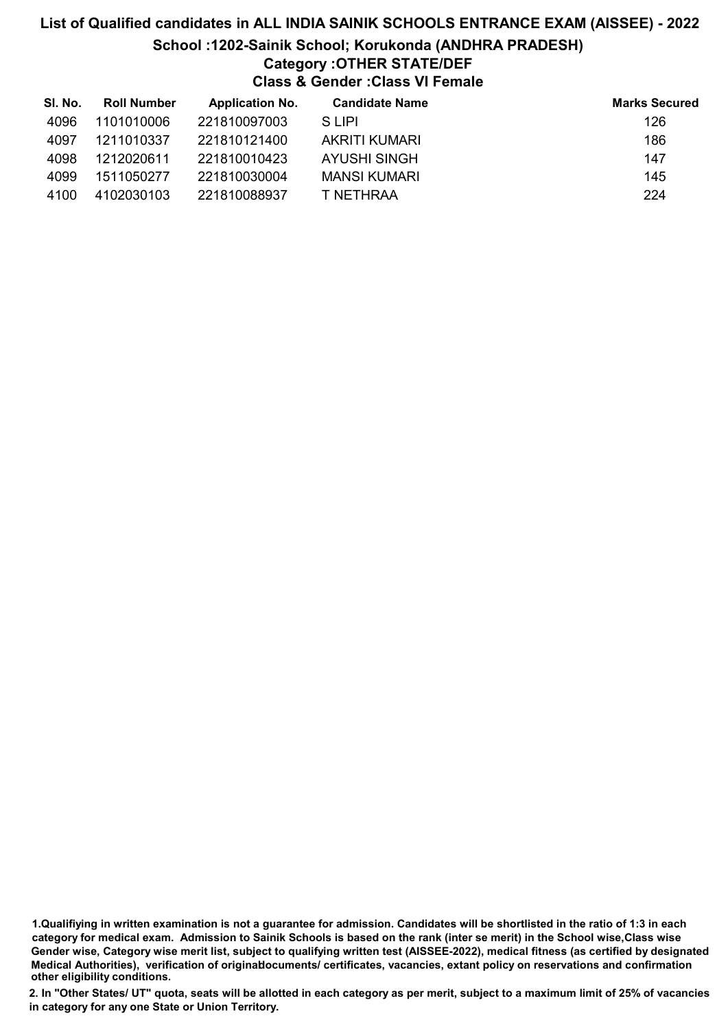# List of Qualified candidates in ALL INDIA SAINIK SCHOOLS ENTRANCE EXAM (AISSEE) - 2022 School :1202-Sainik School; Korukonda (ANDHRA PRADESH) Category :OTHER STATE/DEF Class & Gender :Class VI Female

| SI. No. | <b>Roll Number</b> | <b>Application No.</b> | <b>Candidate Name</b> | <b>Marks Secured</b> |
|---------|--------------------|------------------------|-----------------------|----------------------|
| 4096    | 1101010006         | 221810097003           | S LIPI                | 126                  |
| 4097    | 1211010337         | 221810121400           | AKRITI KUMARI         | 186                  |
| 4098    | 1212020611         | 221810010423           | AYUSHI SINGH          | 147                  |
| 4099    | 1511050277         | 221810030004           | <b>MANSI KUMARI</b>   | 145                  |
| 4100    | 4102030103         | 221810088937           | T NETHRAA             | 224                  |

1.Qualifiying in written examination is not a guarantee for admission. Candidates will be shortlisted in the ratio of 1:3 in each category for medical exam. Admission to Sainik Schools is based on the rank (inter se merit) in the School wise,Class wise Gender wise, Category wise merit list, subject to qualifying written test (AISSEE-2022), medical fitness (as certified by designated Medical Authorities), verification of originablocuments/ certificates, vacancies, extant policy on reservations and confirmation other eligibility conditions.